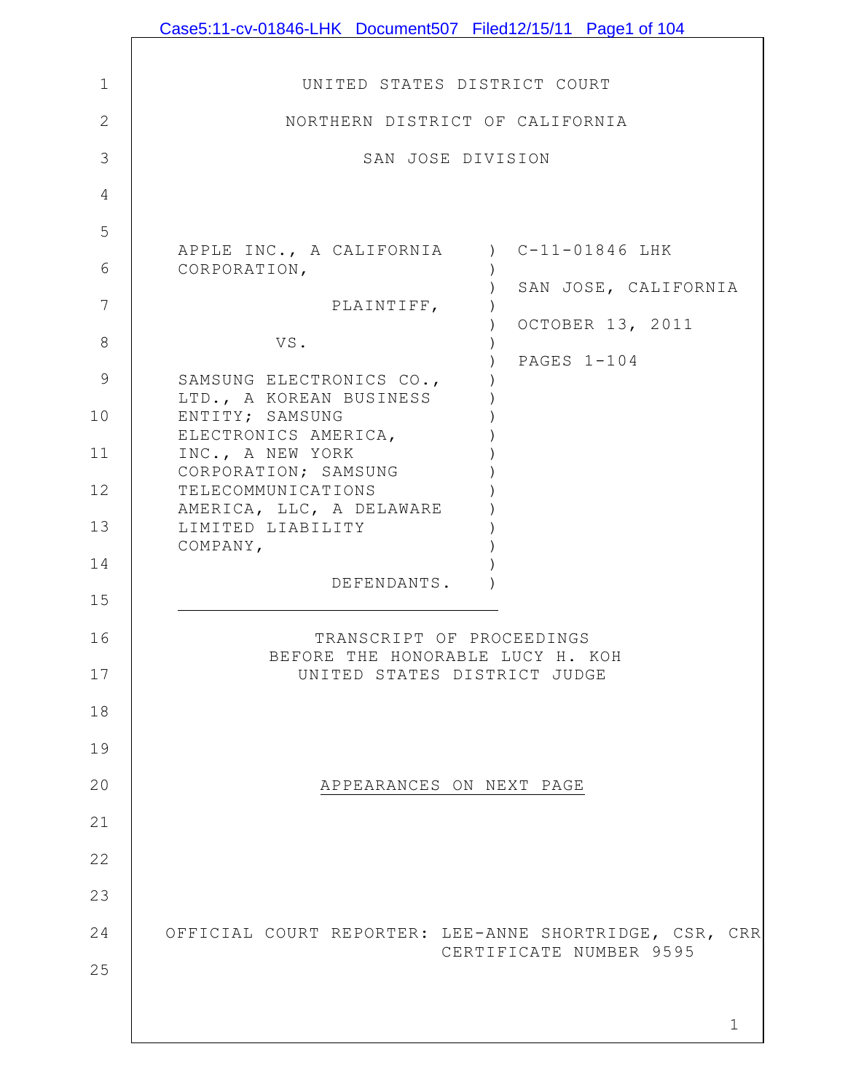|                | Case5:11-cv-01846-LHK Document507 Filed12/15/11 Page1 of 104                      |
|----------------|-----------------------------------------------------------------------------------|
|                |                                                                                   |
| $\mathbf 1$    | UNITED STATES DISTRICT COURT                                                      |
| $\overline{2}$ | NORTHERN DISTRICT OF CALIFORNIA                                                   |
| 3              | SAN JOSE DIVISION                                                                 |
| 4              |                                                                                   |
| 5              |                                                                                   |
| 6              | APPLE INC., A CALIFORNIA ) C-11-01846 LHK<br>CORPORATION,                         |
| 7              | SAN JOSE, CALIFORNIA<br>PLAINTIFF,                                                |
| 8              | OCTOBER 13, 2011<br>VS.                                                           |
| $\mathsf 9$    | PAGES 1-104<br>SAMSUNG ELECTRONICS CO.,                                           |
| 10             | LTD., A KOREAN BUSINESS<br>ENTITY; SAMSUNG                                        |
| 11             | ELECTRONICS AMERICA,<br>INC., A NEW YORK                                          |
| 12             | CORPORATION; SAMSUNG<br>TELECOMMUNICATIONS                                        |
| 13             | AMERICA, LLC, A DELAWARE<br>LIMITED LIABILITY                                     |
| 14             | COMPANY,                                                                          |
| 15             | DEFENDANTS.                                                                       |
|                | TRANSCRIPT OF PROCEEDINGS                                                         |
| 16             | BEFORE THE HONORABLE LUCY H. KOH                                                  |
| 17             | UNITED STATES DISTRICT JUDGE                                                      |
| 18             |                                                                                   |
| 19             |                                                                                   |
| 20             | APPEARANCES ON NEXT PAGE                                                          |
| 21             |                                                                                   |
| 22             |                                                                                   |
| 23             |                                                                                   |
| 24             | OFFICIAL COURT REPORTER: LEE-ANNE SHORTRIDGE, CSR, CRR<br>CERTIFICATE NUMBER 9595 |
| 25             |                                                                                   |
|                | $\mathbf 1$                                                                       |
|                |                                                                                   |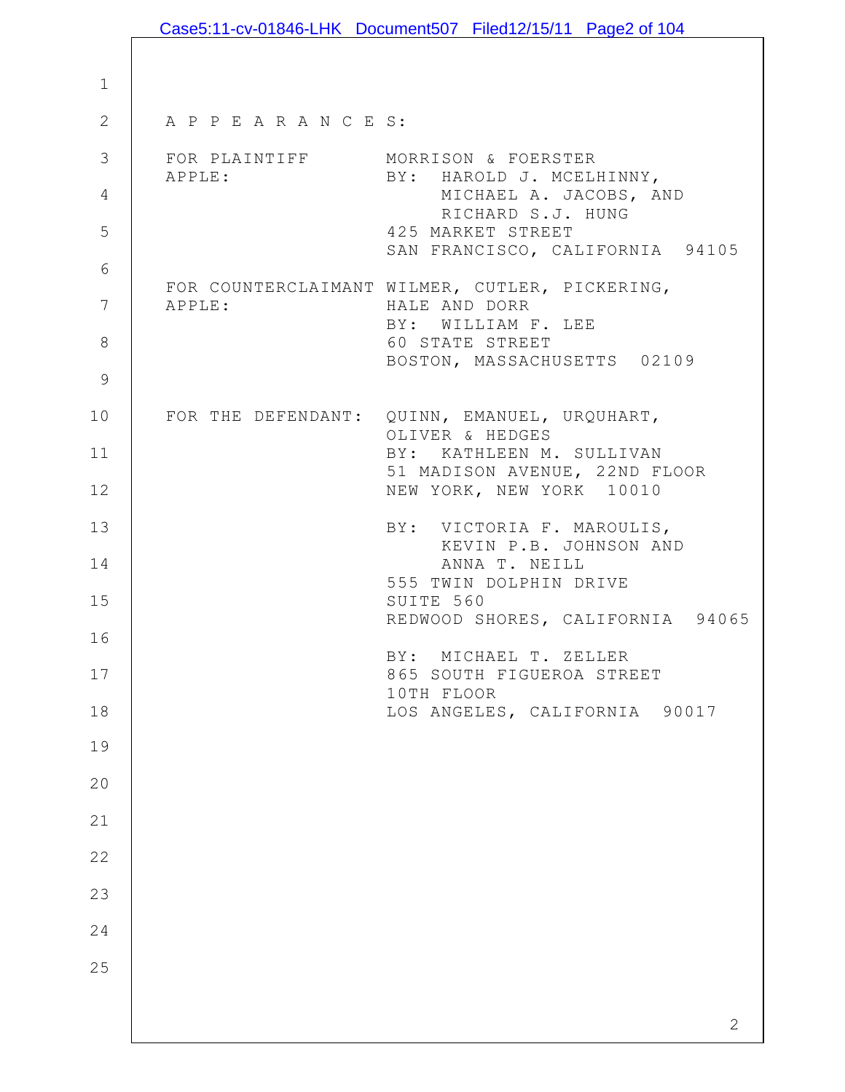|                      |                        | Case5:11-cv-01846-LHK Document507 Filed12/15/11 Page2 of 104                 |
|----------------------|------------------------|------------------------------------------------------------------------------|
|                      |                        |                                                                              |
| $\mathbf 1$          |                        |                                                                              |
| $\overline{2}$       | A P P E A R A N C E S: |                                                                              |
| 3                    | APPLE:                 | FOR PLAINTIFF MORRISON & FOERSTER<br>BY: HAROLD J. MCELHINNY,                |
| 4                    |                        | MICHAEL A. JACOBS, AND<br>RICHARD S.J. HUNG                                  |
| 5                    |                        | 425 MARKET STREET<br>SAN FRANCISCO, CALIFORNIA 94105                         |
| 6                    |                        | FOR COUNTERCLAIMANT WILMER, CUTLER, PICKERING,                               |
| $7\phantom{.0}$<br>8 | APPLE:                 | HALE AND DORR<br>BY: WILLIAM F. LEE<br>60 STATE STREET                       |
| 9                    |                        | BOSTON, MASSACHUSETTS 02109                                                  |
| 10                   |                        | FOR THE DEFENDANT: QUINN, EMANUEL, URQUHART,                                 |
| 11                   |                        | OLIVER & HEDGES<br>BY: KATHLEEN M. SULLIVAN<br>51 MADISON AVENUE, 22ND FLOOR |
| 12                   |                        | NEW YORK, NEW YORK 10010                                                     |
| 13                   |                        | BY: VICTORIA F. MAROULIS,<br>KEVIN P.B. JOHNSON AND                          |
| 14                   |                        | ANNA T. NEILL<br>555 TWIN DOLPHIN DRIVE                                      |
| 15                   |                        | SUITE 560<br>REDWOOD SHORES, CALIFORNIA 94065                                |
| 16                   |                        | BY: MICHAEL T. ZELLER                                                        |
| 17                   |                        | 865 SOUTH FIGUEROA STREET<br>10TH FLOOR                                      |
| 18                   |                        | LOS ANGELES, CALIFORNIA 90017                                                |
| 19                   |                        |                                                                              |
| 20                   |                        |                                                                              |
| 21                   |                        |                                                                              |
| 22                   |                        |                                                                              |
| 23                   |                        |                                                                              |
| 24                   |                        |                                                                              |
| 25                   |                        |                                                                              |
|                      |                        | $\overline{2}$                                                               |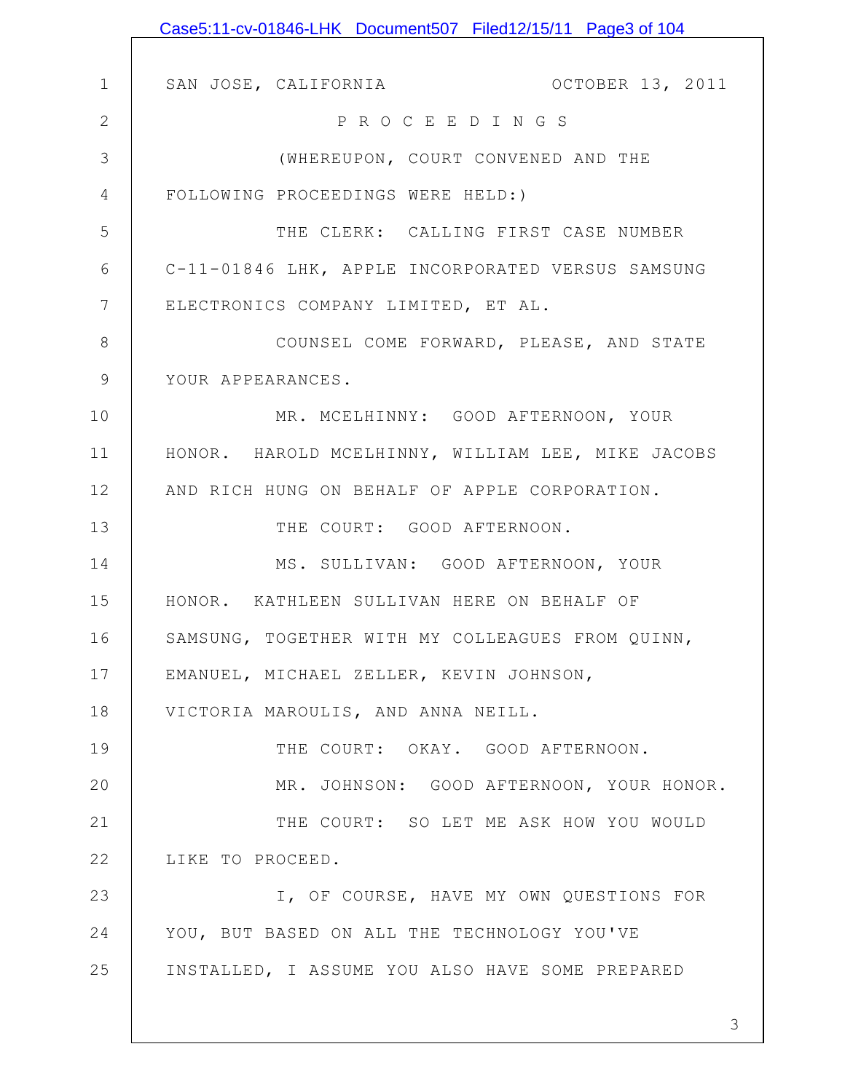|              | Case5:11-cv-01846-LHK Document507 Filed12/15/11 Page3 of 104 |
|--------------|--------------------------------------------------------------|
|              |                                                              |
| $\mathbf 1$  | OCTOBER 13, 2011<br>SAN JOSE, CALIFORNIA                     |
| $\mathbf{2}$ | P R O C E E D I N G S                                        |
| 3            | (WHEREUPON, COURT CONVENED AND THE                           |
| 4            | FOLLOWING PROCEEDINGS WERE HELD:)                            |
| 5            | THE CLERK: CALLING FIRST CASE NUMBER                         |
| 6            | C-11-01846 LHK, APPLE INCORPORATED VERSUS SAMSUNG            |
| 7            | ELECTRONICS COMPANY LIMITED, ET AL.                          |
| 8            | COUNSEL COME FORWARD, PLEASE, AND STATE                      |
| $\mathsf 9$  | YOUR APPEARANCES.                                            |
| 10           | MR. MCELHINNY: GOOD AFTERNOON, YOUR                          |
| 11           | HONOR. HAROLD MCELHINNY, WILLIAM LEE, MIKE JACOBS            |
| 12           | AND RICH HUNG ON BEHALF OF APPLE CORPORATION.                |
| 13           | THE COURT: GOOD AFTERNOON.                                   |
| 14           | MS. SULLIVAN: GOOD AFTERNOON, YOUR                           |
| 15           | HONOR. KATHLEEN SULLIVAN HERE ON BEHALF OF                   |
| 16           | SAMSUNG, TOGETHER WITH MY COLLEAGUES FROM QUINN,             |
| 17           | EMANUEL, MICHAEL ZELLER, KEVIN JOHNSON,                      |
| 18           | VICTORIA MAROULIS, AND ANNA NEILL.                           |
| 19           | THE COURT: OKAY. GOOD AFTERNOON.                             |
| 20           | MR. JOHNSON: GOOD AFTERNOON, YOUR HONOR.                     |
| 21           | THE COURT: SO LET ME ASK HOW YOU WOULD                       |
| 22           | LIKE TO PROCEED.                                             |
| 23           | I, OF COURSE, HAVE MY OWN QUESTIONS FOR                      |
| 24           | YOU, BUT BASED ON ALL THE TECHNOLOGY YOU'VE                  |
| 25           | INSTALLED, I ASSUME YOU ALSO HAVE SOME PREPARED              |
|              |                                                              |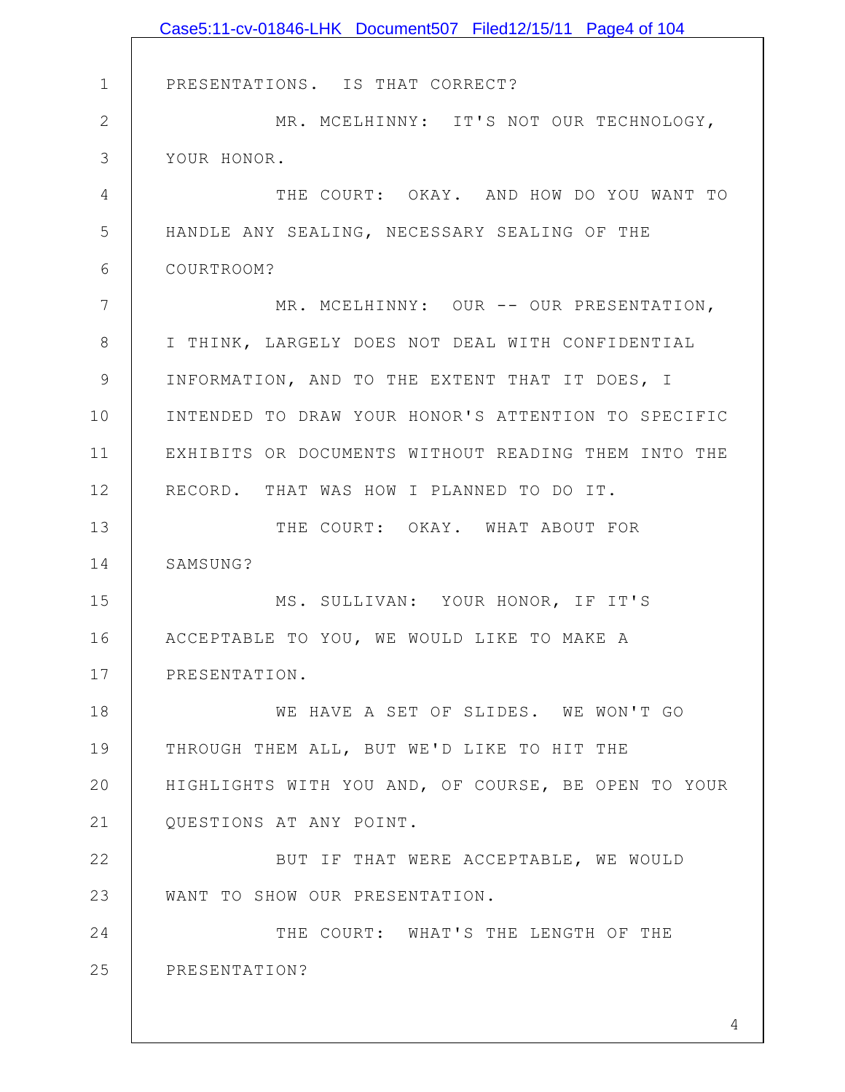|                | Case5:11-cv-01846-LHK Document507 Filed12/15/11 Page4 of 104 |
|----------------|--------------------------------------------------------------|
|                |                                                              |
| $\mathbf 1$    | PRESENTATIONS. IS THAT CORRECT?                              |
| $\mathbf{2}$   | MR. MCELHINNY: IT'S NOT OUR TECHNOLOGY,                      |
| 3              | YOUR HONOR.                                                  |
| $\overline{4}$ | THE COURT: OKAY. AND HOW DO YOU WANT TO                      |
| 5              | HANDLE ANY SEALING, NECESSARY SEALING OF THE                 |
| 6              | COURTROOM?                                                   |
| $7\phantom{.}$ | MR. MCELHINNY: OUR -- OUR PRESENTATION,                      |
| 8              | I THINK, LARGELY DOES NOT DEAL WITH CONFIDENTIAL             |
| $\mathcal{G}$  | INFORMATION, AND TO THE EXTENT THAT IT DOES, I               |
| 10             | INTENDED TO DRAW YOUR HONOR'S ATTENTION TO SPECIFIC          |
| 11             | EXHIBITS OR DOCUMENTS WITHOUT READING THEM INTO THE          |
| 12             | RECORD. THAT WAS HOW I PLANNED TO DO IT.                     |
| 13             | THE COURT: OKAY. WHAT ABOUT FOR                              |
| 14             | SAMSUNG?                                                     |
| 15             | MS. SULLIVAN: YOUR HONOR, IF IT'S                            |
| 16             | ACCEPTABLE TO YOU, WE WOULD LIKE TO MAKE A                   |
| 17             | PRESENTATION.                                                |
| 18             | WE HAVE A SET OF SLIDES. WE WON'T GO                         |
| 19             | THROUGH THEM ALL, BUT WE'D LIKE TO HIT THE                   |
| 20             | HIGHLIGHTS WITH YOU AND, OF COURSE, BE OPEN TO YOUR          |
| 21             | QUESTIONS AT ANY POINT.                                      |
| 22             | BUT IF THAT WERE ACCEPTABLE, WE WOULD                        |
| 23             | WANT TO SHOW OUR PRESENTATION.                               |
| 24             | THE COURT: WHAT'S THE LENGTH OF THE                          |
| 25             | PRESENTATION?                                                |
|                |                                                              |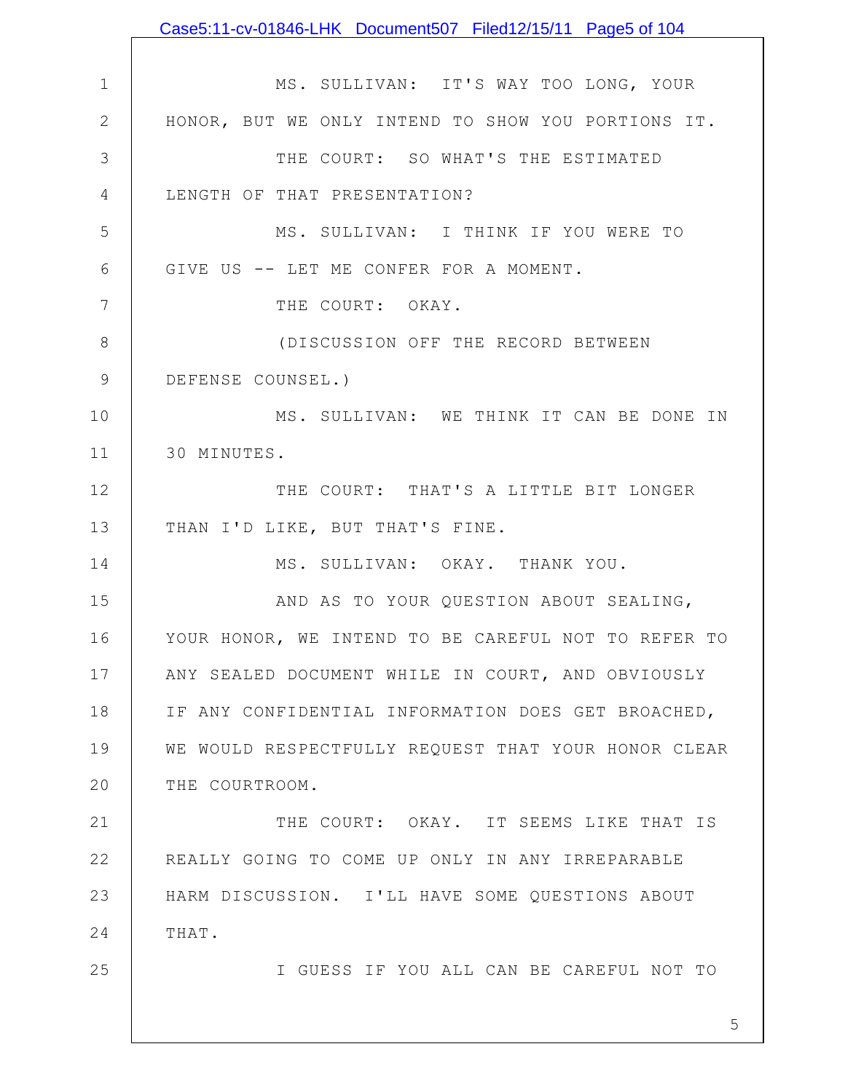|               | Case5:11-cv-01846-LHK Document507 Filed12/15/11 Page5 of 104 |
|---------------|--------------------------------------------------------------|
|               |                                                              |
| $\mathbf 1$   | MS. SULLIVAN: IT'S WAY TOO LONG, YOUR                        |
| $\mathbf{2}$  | HONOR, BUT WE ONLY INTEND TO SHOW YOU PORTIONS IT.           |
| 3             | THE COURT: SO WHAT'S THE ESTIMATED                           |
| 4             | LENGTH OF THAT PRESENTATION?                                 |
| 5             | MS. SULLIVAN: I THINK IF YOU WERE TO                         |
| 6             | GIVE US -- LET ME CONFER FOR A MOMENT.                       |
| 7             | THE COURT: OKAY.                                             |
| 8             | (DISCUSSION OFF THE RECORD BETWEEN                           |
| $\mathcal{G}$ | DEFENSE COUNSEL.)                                            |
| 10            | MS. SULLIVAN: WE THINK IT CAN BE DONE IN                     |
| 11            | 30 MINUTES.                                                  |
| 12            | THE COURT: THAT'S A LITTLE BIT LONGER                        |
| 13            | THAN I'D LIKE, BUT THAT'S FINE.                              |
| 14            | MS. SULLIVAN: OKAY. THANK YOU.                               |
| 15            | AND AS TO YOUR QUESTION ABOUT SEALING,                       |
| 16            | YOUR HONOR, WE INTEND TO BE CAREFUL NOT TO REFER TO          |
| 17            | ANY SEALED DOCUMENT WHILE IN COURT, AND OBVIOUSLY            |
| 18            | IF ANY CONFIDENTIAL INFORMATION DOES GET BROACHED,           |
| 19            | WE WOULD RESPECTFULLY REQUEST THAT YOUR HONOR CLEAR          |
| 20            | THE COURTROOM.                                               |
| 21            | THE COURT: OKAY. IT SEEMS LIKE THAT IS                       |
| 22            | REALLY GOING TO COME UP ONLY IN ANY IRREPARABLE              |
| 23            | HARM DISCUSSION. I'LL HAVE SOME QUESTIONS ABOUT              |
| 24            | THAT.                                                        |
| 25            | I GUESS IF YOU ALL CAN BE CAREFUL NOT TO                     |
|               |                                                              |
|               | 5                                                            |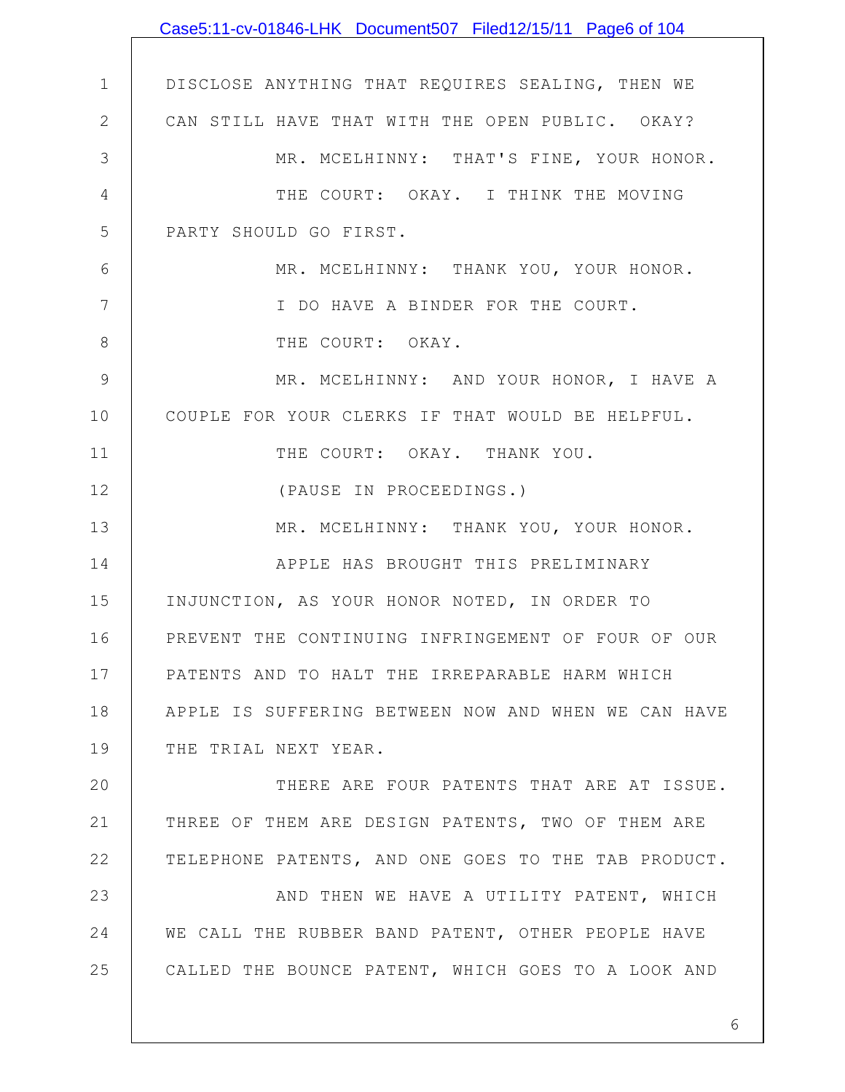|                | Case5:11-cv-01846-LHK Document507 Filed12/15/11 Page6 of 104 |
|----------------|--------------------------------------------------------------|
|                |                                                              |
| $\mathbf 1$    | DISCLOSE ANYTHING THAT REQUIRES SEALING, THEN WE             |
| $\mathbf{2}$   | CAN STILL HAVE THAT WITH THE OPEN PUBLIC. OKAY?              |
| 3              | MR. MCELHINNY: THAT'S FINE, YOUR HONOR.                      |
| $\overline{4}$ | THE COURT: OKAY. I THINK THE MOVING                          |
| 5              | PARTY SHOULD GO FIRST.                                       |
| 6              | MR. MCELHINNY: THANK YOU, YOUR HONOR.                        |
| 7              | I DO HAVE A BINDER FOR THE COURT.                            |
| $8\,$          | THE COURT: OKAY.                                             |
| 9              | MR. MCELHINNY: AND YOUR HONOR, I HAVE A                      |
| 10             | COUPLE FOR YOUR CLERKS IF THAT WOULD BE HELPFUL.             |
| 11             | THE COURT: OKAY. THANK YOU.                                  |
| 12             | (PAUSE IN PROCEEDINGS.)                                      |
| 13             | MR. MCELHINNY: THANK YOU, YOUR HONOR.                        |
| 14             | APPLE HAS BROUGHT THIS PRELIMINARY                           |
| 15             | INJUNCTION, AS YOUR HONOR NOTED, IN ORDER TO                 |
| 16             | PREVENT THE CONTINUING INFRINGEMENT OF FOUR OF OUR           |
| 17             | PATENTS AND TO HALT THE IRREPARABLE HARM WHICH               |
| 18             | APPLE IS SUFFERING BETWEEN NOW AND WHEN WE CAN HAVE          |
| 19             | THE TRIAL NEXT YEAR.                                         |
| 20             | THERE ARE FOUR PATENTS THAT ARE AT ISSUE.                    |
| 21             | THREE OF THEM ARE DESIGN PATENTS, TWO OF THEM ARE            |
| 22             | TELEPHONE PATENTS, AND ONE GOES TO THE TAB PRODUCT.          |
| 23             | AND THEN WE HAVE A UTILITY PATENT, WHICH                     |
| 24             | WE CALL THE RUBBER BAND PATENT, OTHER PEOPLE HAVE            |
| 25             | CALLED THE BOUNCE PATENT, WHICH GOES TO A LOOK AND           |
|                |                                                              |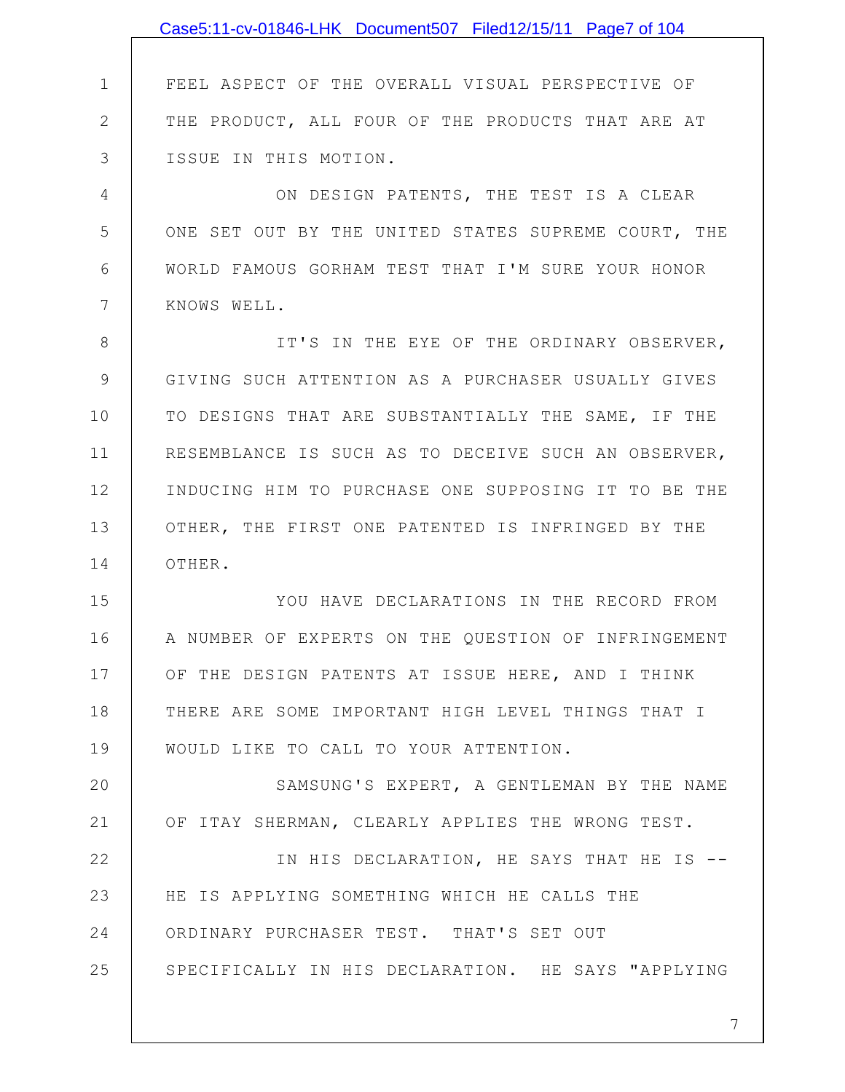|                | Case5:11-cv-01846-LHK Document507 Filed12/15/11 Page7 of 104 |
|----------------|--------------------------------------------------------------|
|                |                                                              |
| 1              | FEEL ASPECT OF THE OVERALL VISUAL PERSPECTIVE OF             |
| $\overline{2}$ | THE PRODUCT, ALL FOUR OF THE PRODUCTS THAT ARE AT            |
| 3              | ISSUE IN THIS MOTION.                                        |
| 4              | ON DESIGN PATENTS, THE TEST IS A CLEAR                       |
| 5              | ONE SET OUT BY THE UNITED STATES SUPREME COURT, THE          |
| 6              | WORLD FAMOUS GORHAM TEST THAT I'M SURE YOUR HONOR            |
| 7              | KNOWS WELL.                                                  |
| 8              | IT'S IN THE EYE OF THE ORDINARY OBSERVER,                    |
| 9              | GIVING SUCH ATTENTION AS A PURCHASER USUALLY GIVES           |
| 10             | TO DESIGNS THAT ARE SUBSTANTIALLY THE SAME, IF THE           |
| 11             | RESEMBLANCE IS SUCH AS TO DECEIVE SUCH AN OBSERVER,          |
| 12             | INDUCING HIM TO PURCHASE ONE SUPPOSING IT TO BE THE          |
| 13             | OTHER, THE FIRST ONE PATENTED IS INFRINGED BY THE            |
| 14             | OTHER.                                                       |
| 15             | YOU HAVE DECLARATIONS IN THE RECORD FROM                     |
| 16             | A NUMBER OF EXPERTS ON THE QUESTION OF INFRINGEMENT          |
| 17             | OF THE DESIGN PATENTS AT ISSUE HERE, AND I THINK             |
| 18             | THERE ARE SOME IMPORTANT HIGH LEVEL THINGS THAT I            |
| 19             | WOULD LIKE TO CALL TO YOUR ATTENTION.                        |
| 20             | SAMSUNG'S EXPERT, A GENTLEMAN BY THE NAME                    |
| 21             | OF ITAY SHERMAN, CLEARLY APPLIES THE WRONG TEST.             |
| 22             | IN HIS DECLARATION, HE SAYS THAT HE IS --                    |
| 23             | HE IS APPLYING SOMETHING WHICH HE CALLS THE                  |
| 24             | ORDINARY PURCHASER TEST. THAT'S SET OUT                      |
| 25             | SPECIFICALLY IN HIS DECLARATION. HE SAYS "APPLYING           |
|                |                                                              |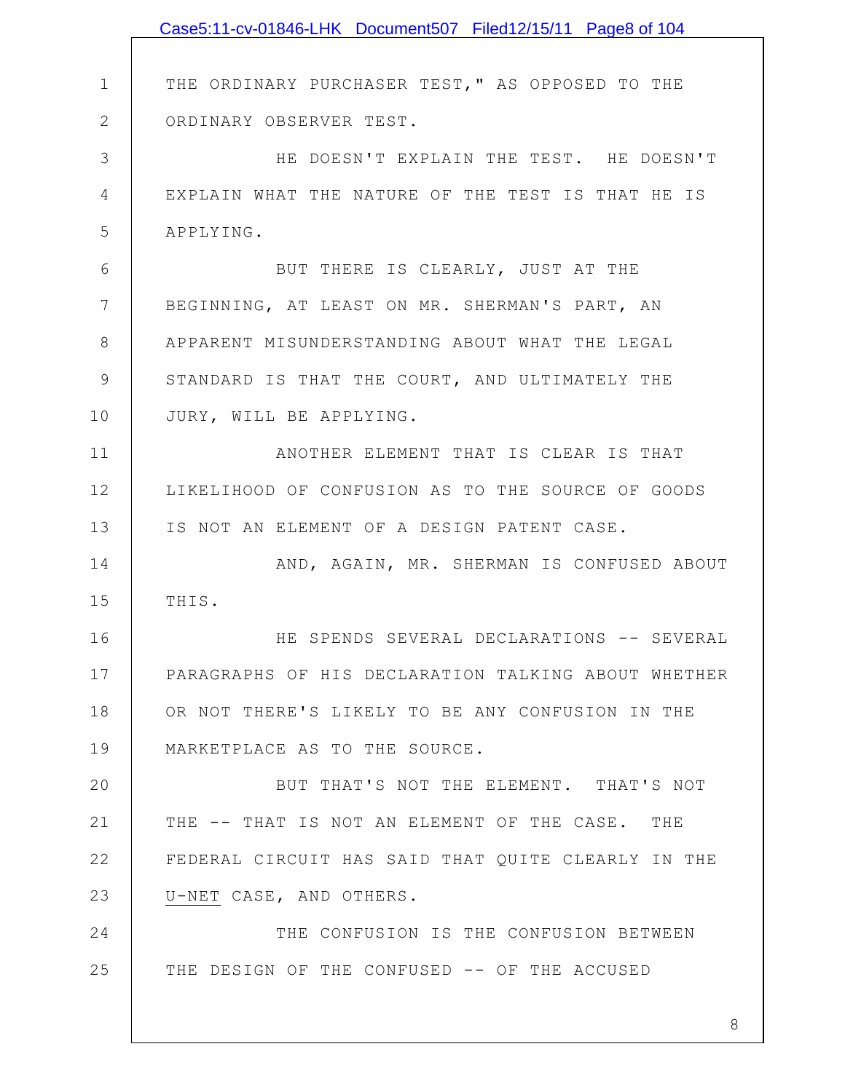|               | Case5:11-cv-01846-LHK Document507 Filed12/15/11 Page8 of 104 |
|---------------|--------------------------------------------------------------|
|               |                                                              |
| $\mathbf 1$   | THE ORDINARY PURCHASER TEST, " AS OPPOSED TO THE             |
| $\mathbf{2}$  | ORDINARY OBSERVER TEST.                                      |
| 3             | HE DOESN'T EXPLAIN THE TEST. HE DOESN'T                      |
| 4             | EXPLAIN WHAT THE NATURE OF THE TEST IS THAT HE IS            |
| 5             | APPLYING.                                                    |
| 6             | BUT THERE IS CLEARLY, JUST AT THE                            |
| 7             | BEGINNING, AT LEAST ON MR. SHERMAN'S PART, AN                |
| 8             | APPARENT MISUNDERSTANDING ABOUT WHAT THE LEGAL               |
| $\mathcal{G}$ | STANDARD IS THAT THE COURT, AND ULTIMATELY THE               |
| 10            | JURY, WILL BE APPLYING.                                      |
| 11            | ANOTHER ELEMENT THAT IS CLEAR IS THAT                        |
| 12            | LIKELIHOOD OF CONFUSION AS TO THE SOURCE OF GOODS            |
| 13            | IS NOT AN ELEMENT OF A DESIGN PATENT CASE.                   |
| 14            | AND, AGAIN, MR. SHERMAN IS CONFUSED ABOUT                    |
| 15            | THIS.                                                        |
| 16            | HE SPENDS SEVERAL DECLARATIONS -- SEVERAL                    |
| 17            | PARAGRAPHS OF HIS DECLARATION TALKING ABOUT WHETHER          |
| 18            | OR NOT THERE'S LIKELY TO BE ANY CONFUSION IN THE             |
| 19            | MARKETPLACE AS TO THE SOURCE.                                |
| 20            | BUT THAT'S NOT THE ELEMENT. THAT'S NOT                       |
| 21            | THE -- THAT IS NOT AN ELEMENT OF THE CASE. THE               |
| 22            | FEDERAL CIRCUIT HAS SAID THAT QUITE CLEARLY IN THE           |
| 23            | U-NET CASE, AND OTHERS.                                      |
| 24            | THE CONFUSION IS THE CONFUSION BETWEEN                       |
| 25            | THE DESIGN OF THE CONFUSED -- OF THE ACCUSED                 |
|               |                                                              |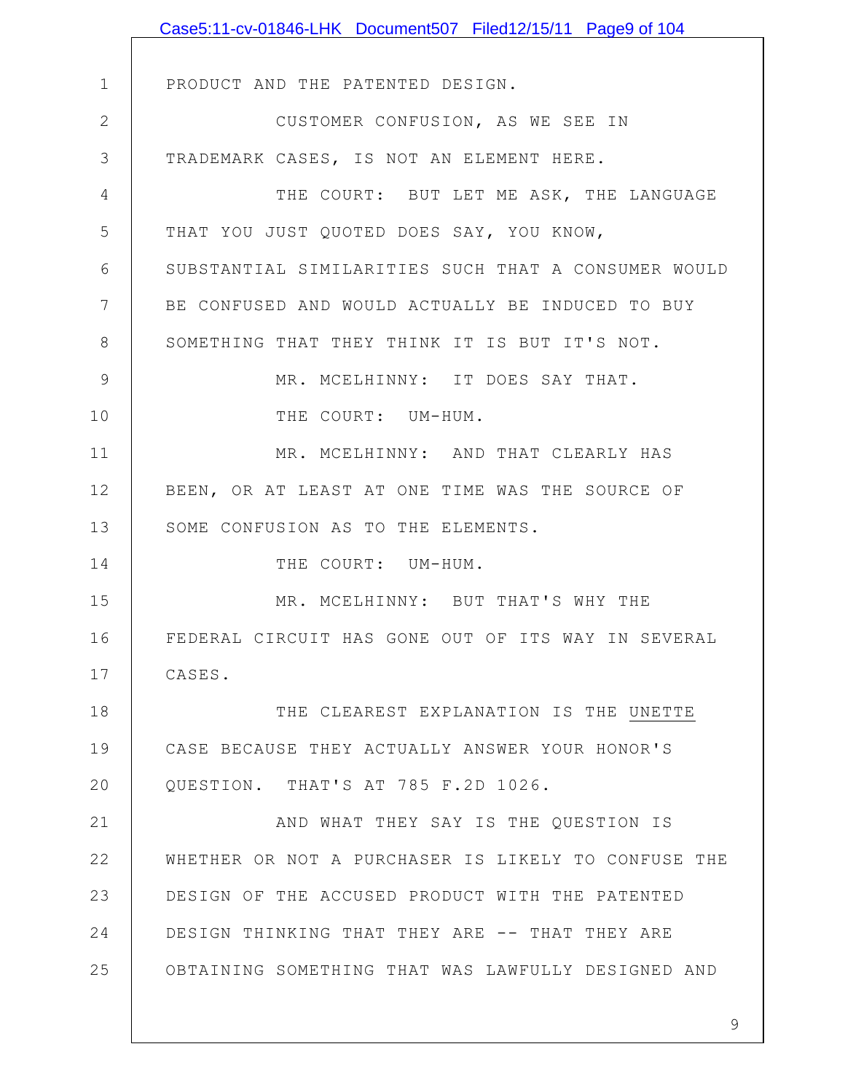|               | Case5:11-cv-01846-LHK Document507 Filed12/15/11 Page9 of 104 |
|---------------|--------------------------------------------------------------|
|               |                                                              |
| $\mathbf 1$   | PRODUCT AND THE PATENTED DESIGN.                             |
| $\mathbf{2}$  | CUSTOMER CONFUSION, AS WE SEE IN                             |
| 3             | TRADEMARK CASES, IS NOT AN ELEMENT HERE.                     |
| 4             | THE COURT: BUT LET ME ASK, THE LANGUAGE                      |
| 5             | THAT YOU JUST QUOTED DOES SAY, YOU KNOW,                     |
| 6             | SUBSTANTIAL SIMILARITIES SUCH THAT A CONSUMER WOULD          |
| 7             | BE CONFUSED AND WOULD ACTUALLY BE INDUCED TO BUY             |
| $8\,$         | SOMETHING THAT THEY THINK IT IS BUT IT'S NOT.                |
| $\mathcal{G}$ | MR. MCELHINNY: IT DOES SAY THAT.                             |
| 10            | THE COURT: UM-HUM.                                           |
| 11            | MR. MCELHINNY: AND THAT CLEARLY HAS                          |
| 12            | BEEN, OR AT LEAST AT ONE TIME WAS THE SOURCE OF              |
| 13            | SOME CONFUSION AS TO THE ELEMENTS.                           |
| 14            | THE COURT: UM-HUM.                                           |
| 15            | MR. MCELHINNY: BUT THAT'S WHY THE                            |
| 16            | FEDERAL CIRCUIT HAS GONE OUT OF ITS WAY IN SEVERAL           |
| 17            | CASES.                                                       |
| 18            | THE CLEAREST EXPLANATION IS THE UNETTE                       |
| 19            | CASE BECAUSE THEY ACTUALLY ANSWER YOUR HONOR'S               |
| 20            | QUESTION. THAT'S AT 785 F.2D 1026.                           |
| 21            | AND WHAT THEY SAY IS THE QUESTION IS                         |
| 22            | WHETHER OR NOT A PURCHASER IS LIKELY TO CONFUSE THE          |
| 23            | DESIGN OF THE ACCUSED PRODUCT WITH THE PATENTED              |
| 24            | DESIGN THINKING THAT THEY ARE -- THAT THEY ARE               |
| 25            | OBTAINING SOMETHING THAT WAS LAWFULLY DESIGNED AND           |
|               |                                                              |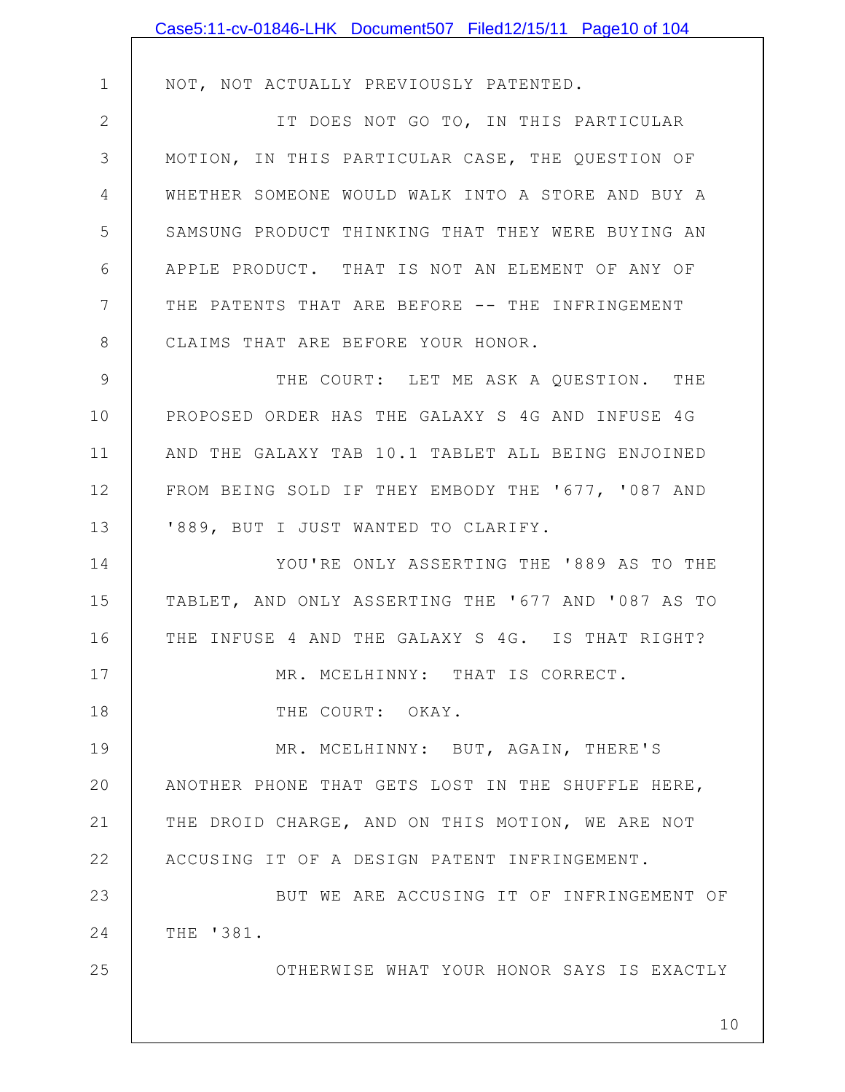|               | Case5:11-cv-01846-LHK Document507 Filed12/15/11 Page10 of 104 |
|---------------|---------------------------------------------------------------|
|               |                                                               |
| $\mathbf 1$   | NOT, NOT ACTUALLY PREVIOUSLY PATENTED.                        |
| $\mathbf{2}$  | IT DOES NOT GO TO, IN THIS PARTICULAR                         |
| 3             | MOTION, IN THIS PARTICULAR CASE, THE QUESTION OF              |
| 4             | WHETHER SOMEONE WOULD WALK INTO A STORE AND BUY A             |
| 5             | SAMSUNG PRODUCT THINKING THAT THEY WERE BUYING AN             |
| 6             | APPLE PRODUCT. THAT IS NOT AN ELEMENT OF ANY OF               |
| 7             | THE PATENTS THAT ARE BEFORE -- THE INFRINGEMENT               |
| $8\,$         | CLAIMS THAT ARE BEFORE YOUR HONOR.                            |
| $\mathcal{G}$ | THE COURT: LET ME ASK A QUESTION. THE                         |
| 10            | PROPOSED ORDER HAS THE GALAXY S 4G AND INFUSE 4G              |
| 11            | AND THE GALAXY TAB 10.1 TABLET ALL BEING ENJOINED             |
| 12            | FROM BEING SOLD IF THEY EMBODY THE '677, '087 AND             |
| 13            | '889, BUT I JUST WANTED TO CLARIFY.                           |
| 14            | YOU'RE ONLY ASSERTING THE '889 AS TO THE                      |
| 15            | TABLET, AND ONLY ASSERTING THE '677 AND '087 AS TO            |
| 16            | THE INFUSE 4 AND THE GALAXY S 4G. IS THAT RIGHT?              |
| 17            | MR. MCELHINNY: THAT IS CORRECT.                               |
| 18            | THE COURT: OKAY.                                              |
| 19            | MR. MCELHINNY: BUT, AGAIN, THERE'S                            |
| 20            | ANOTHER PHONE THAT GETS LOST IN THE SHUFFLE HERE,             |
| 21            | THE DROID CHARGE, AND ON THIS MOTION, WE ARE NOT              |
| 22            | ACCUSING IT OF A DESIGN PATENT INFRINGEMENT.                  |
| 23            | BUT WE ARE ACCUSING IT OF INFRINGEMENT OF                     |
| 24            | THE '381.                                                     |
| 25            | OTHERWISE WHAT YOUR HONOR SAYS IS EXACTLY                     |
|               | 10                                                            |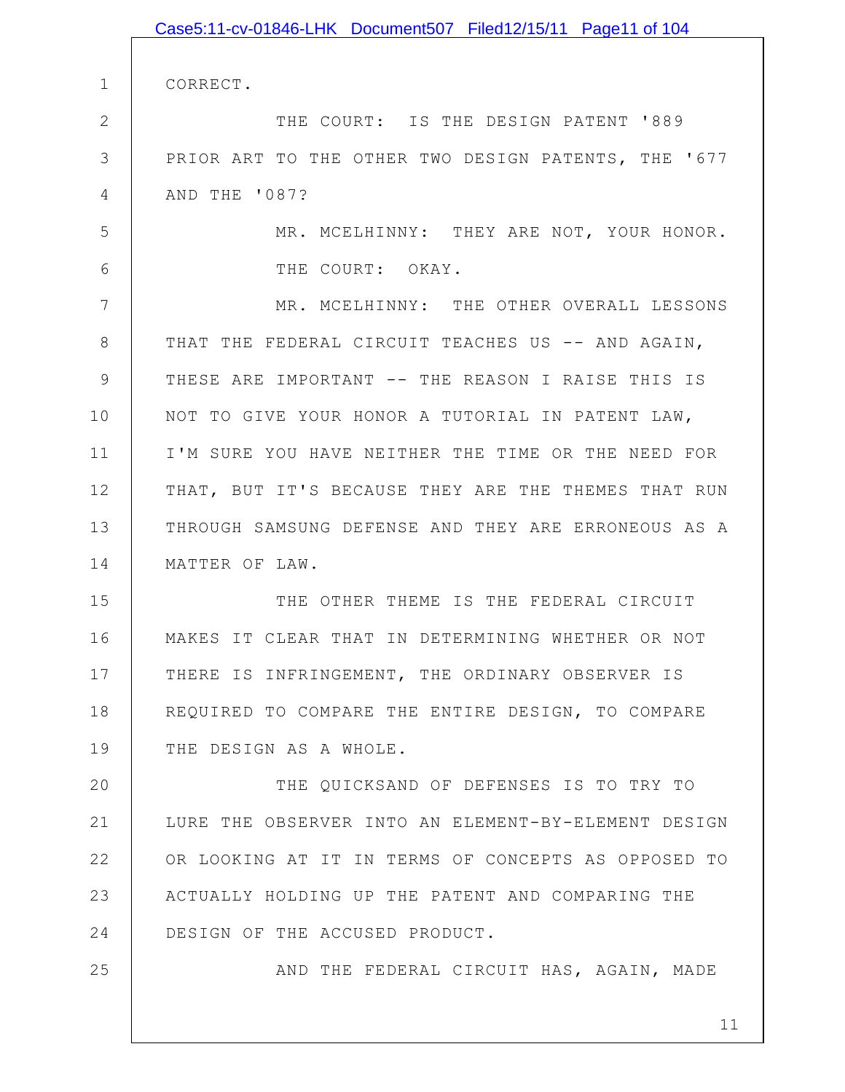|              | Case5:11-cv-01846-LHK Document507 Filed12/15/11 Page11 of 104 |
|--------------|---------------------------------------------------------------|
|              |                                                               |
| $\mathbf 1$  | CORRECT.                                                      |
| $\mathbf{2}$ | THE COURT: IS THE DESIGN PATENT '889                          |
| 3            | PRIOR ART TO THE OTHER TWO DESIGN PATENTS, THE '677           |
| 4            | AND THE '087?                                                 |
| 5            | MR. MCELHINNY: THEY ARE NOT, YOUR HONOR.                      |
| 6            | THE COURT: OKAY.                                              |
| 7            | MR. MCELHINNY: THE OTHER OVERALL LESSONS                      |
| $8\,$        | THAT THE FEDERAL CIRCUIT TEACHES US -- AND AGAIN,             |
| 9            | THESE ARE IMPORTANT -- THE REASON I RAISE THIS IS             |
| 10           | NOT TO GIVE YOUR HONOR A TUTORIAL IN PATENT LAW,              |
| 11           | I'M SURE YOU HAVE NEITHER THE TIME OR THE NEED FOR            |
| 12           | THAT, BUT IT'S BECAUSE THEY ARE THE THEMES THAT RUN           |
| 13           | THROUGH SAMSUNG DEFENSE AND THEY ARE ERRONEOUS AS A           |
| 14           | MATTER OF LAW.                                                |
| 15           | THE OTHER THEME IS THE FEDERAL CIRCUIT                        |
| 16           | MAKES IT CLEAR THAT IN DETERMINING WHETHER OR NOT             |
| 17           | THERE IS INFRINGEMENT, THE ORDINARY OBSERVER IS               |
| 18           | REQUIRED TO COMPARE THE ENTIRE DESIGN, TO COMPARE             |
| 19           | THE DESIGN AS A WHOLE.                                        |
| 20           | THE QUICKSAND OF DEFENSES IS TO TRY TO                        |
| 21           | LURE THE OBSERVER INTO AN ELEMENT-BY-ELEMENT DESIGN           |
| 22           | OR LOOKING AT IT IN TERMS OF CONCEPTS AS OPPOSED TO           |
| 23           | ACTUALLY HOLDING UP THE PATENT AND COMPARING THE              |
| 24           | DESIGN OF THE ACCUSED PRODUCT.                                |
| 25           | AND THE FEDERAL CIRCUIT HAS, AGAIN, MADE                      |
|              |                                                               |
|              | 11                                                            |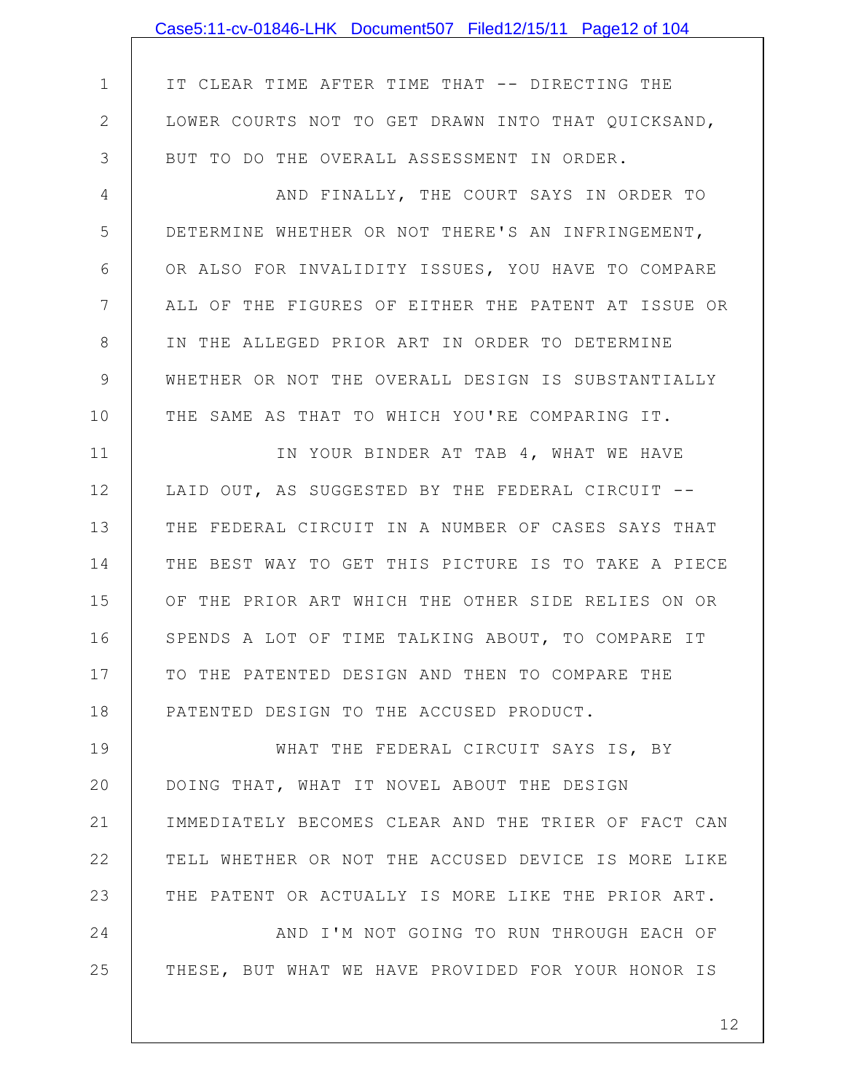|                | Case5:11-cv-01846-LHK Document507 Filed12/15/11 Page12 of 104 |
|----------------|---------------------------------------------------------------|
|                |                                                               |
| $\mathbf 1$    | IT CLEAR TIME AFTER TIME THAT -- DIRECTING THE                |
| $\mathbf{2}$   | LOWER COURTS NOT TO GET DRAWN INTO THAT QUICKSAND,            |
| 3              | BUT TO DO THE OVERALL ASSESSMENT IN ORDER.                    |
| $\overline{4}$ | AND FINALLY, THE COURT SAYS IN ORDER TO                       |
| 5              | DETERMINE WHETHER OR NOT THERE'S AN INFRINGEMENT,             |
| 6              | OR ALSO FOR INVALIDITY ISSUES, YOU HAVE TO COMPARE            |
| 7              | ALL OF THE FIGURES OF EITHER THE PATENT AT ISSUE OR           |
| 8              | IN THE ALLEGED PRIOR ART IN ORDER TO DETERMINE                |
| $\mathcal{G}$  | WHETHER OR NOT THE OVERALL DESIGN IS SUBSTANTIALLY            |
| 10             | THE SAME AS THAT TO WHICH YOU'RE COMPARING IT.                |
| 11             | IN YOUR BINDER AT TAB 4, WHAT WE HAVE                         |
| 12             | LAID OUT, AS SUGGESTED BY THE FEDERAL CIRCUIT --              |
| 13             | THE FEDERAL CIRCUIT IN A NUMBER OF CASES SAYS THAT            |
| 14             | THE BEST WAY TO GET THIS PICTURE IS TO TAKE A PIECE           |
| 15             | OF THE PRIOR ART WHICH THE OTHER SIDE RELIES ON OR            |
| 16             | SPENDS A LOT OF TIME TALKING ABOUT, TO COMPARE IT             |
| 17             | TO THE PATENTED DESIGN AND THEN TO COMPARE THE                |
| 18             | PATENTED DESIGN TO THE ACCUSED PRODUCT.                       |
| 19             | WHAT THE FEDERAL CIRCUIT SAYS IS, BY                          |
| 20             | DOING THAT, WHAT IT NOVEL ABOUT THE DESIGN                    |
| 21             | IMMEDIATELY BECOMES CLEAR AND THE TRIER OF FACT CAN           |
| 22             | TELL WHETHER OR NOT THE ACCUSED DEVICE IS MORE LIKE           |
| 23             | THE PATENT OR ACTUALLY IS MORE LIKE THE PRIOR ART.            |
| 24             | AND I'M NOT GOING TO RUN THROUGH EACH OF                      |
| 25             | THESE, BUT WHAT WE HAVE PROVIDED FOR YOUR HONOR IS            |
|                |                                                               |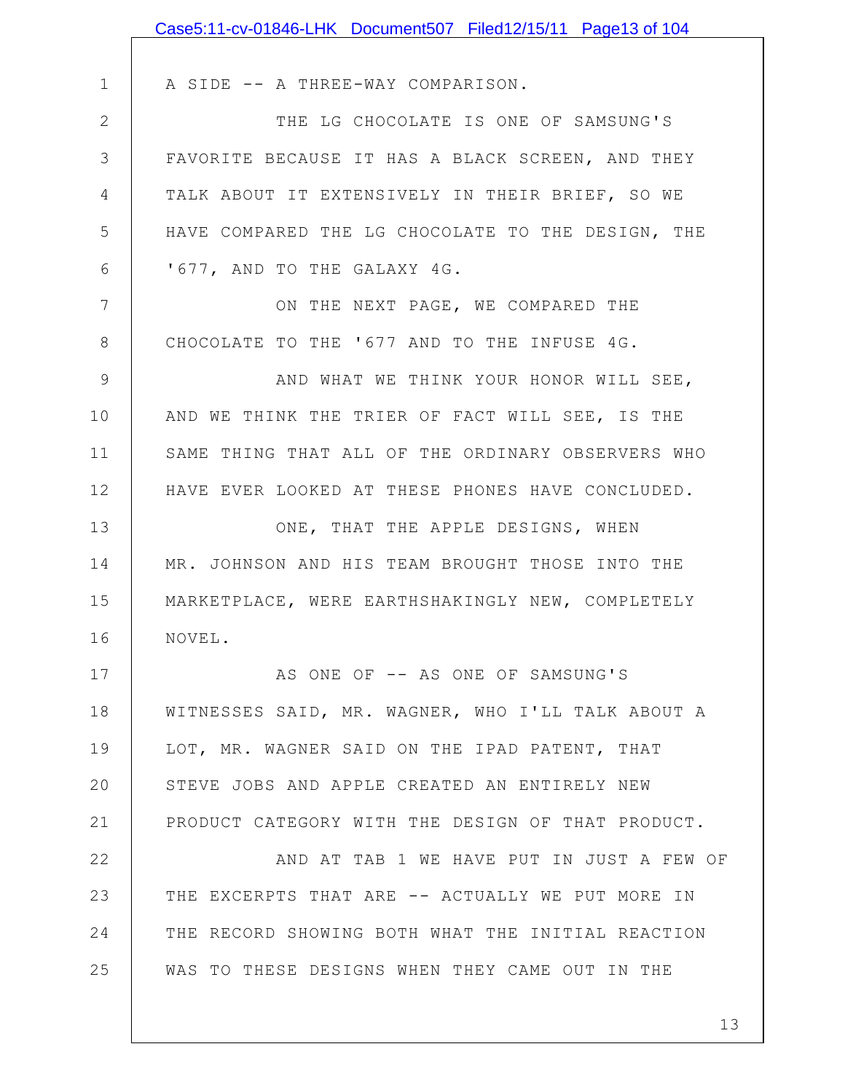|              | Case5:11-cv-01846-LHK Document507 Filed12/15/11 Page13 of 104 |
|--------------|---------------------------------------------------------------|
|              |                                                               |
| $\mathbf 1$  | A SIDE -- A THREE-WAY COMPARISON.                             |
| $\mathbf{2}$ | THE LG CHOCOLATE IS ONE OF SAMSUNG'S                          |
| 3            | FAVORITE BECAUSE IT HAS A BLACK SCREEN, AND THEY              |
| 4            | TALK ABOUT IT EXTENSIVELY IN THEIR BRIEF, SO WE               |
| 5            | HAVE COMPARED THE LG CHOCOLATE TO THE DESIGN, THE             |
| 6            | '677, AND TO THE GALAXY 4G.                                   |
| 7            | ON THE NEXT PAGE, WE COMPARED THE                             |
| 8            | CHOCOLATE TO THE '677 AND TO THE INFUSE 4G.                   |
| 9            | AND WHAT WE THINK YOUR HONOR WILL SEE,                        |
| 10           | AND WE THINK THE TRIER OF FACT WILL SEE, IS THE               |
| 11           | SAME THING THAT ALL OF THE ORDINARY OBSERVERS WHO             |
| 12           | HAVE EVER LOOKED AT THESE PHONES HAVE CONCLUDED.              |
| 13           | ONE, THAT THE APPLE DESIGNS, WHEN                             |
| 14           | MR. JOHNSON AND HIS TEAM BROUGHT THOSE INTO THE               |
| 15           | MARKETPLACE, WERE EARTHSHAKINGLY NEW, COMPLETELY              |
| 16           | NOVEL.                                                        |
| 17           | AS ONE OF -- AS ONE OF SAMSUNG'S                              |
| 18           | WITNESSES SAID, MR. WAGNER, WHO I'LL TALK ABOUT A             |
| 19           | LOT, MR. WAGNER SAID ON THE IPAD PATENT, THAT                 |
| 20           | STEVE JOBS AND APPLE CREATED AN ENTIRELY NEW                  |
| 21           | PRODUCT CATEGORY WITH THE DESIGN OF THAT PRODUCT.             |
| 22           | AND AT TAB 1 WE HAVE PUT IN JUST A FEW OF                     |
| 23           | THE EXCERPTS THAT ARE -- ACTUALLY WE PUT MORE IN              |
| 24           | THE RECORD SHOWING BOTH WHAT THE INITIAL REACTION             |
| 25           | WAS TO THESE DESIGNS WHEN THEY CAME OUT IN THE                |
|              |                                                               |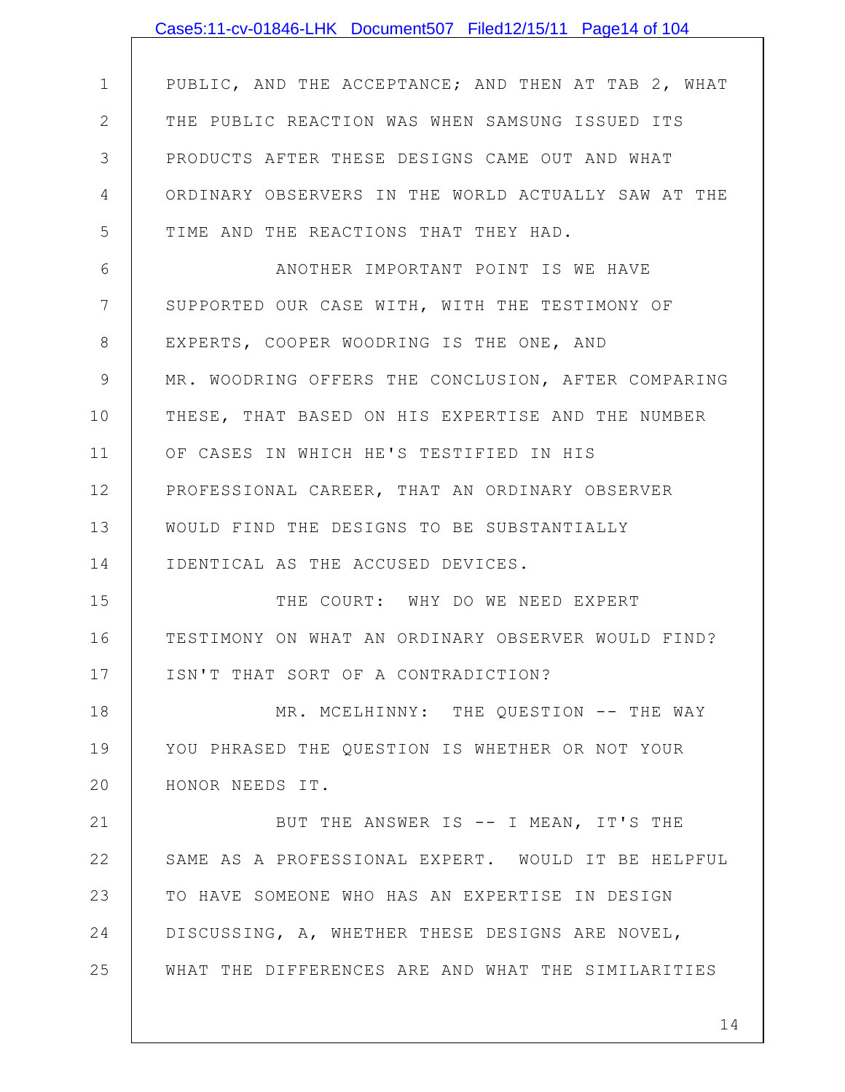|                | Case5:11-cv-01846-LHK Document507 Filed12/15/11 Page14 of 104 |
|----------------|---------------------------------------------------------------|
|                |                                                               |
| $\mathbf 1$    | PUBLIC, AND THE ACCEPTANCE; AND THEN AT TAB 2, WHAT           |
| $\mathbf{2}$   | THE PUBLIC REACTION WAS WHEN SAMSUNG ISSUED ITS               |
| 3              | PRODUCTS AFTER THESE DESIGNS CAME OUT AND WHAT                |
| 4              | ORDINARY OBSERVERS IN THE WORLD ACTUALLY SAW AT THE           |
| 5              | TIME AND THE REACTIONS THAT THEY HAD.                         |
| 6              | ANOTHER IMPORTANT POINT IS WE HAVE                            |
| $7\phantom{.}$ | SUPPORTED OUR CASE WITH, WITH THE TESTIMONY OF                |
| 8              | EXPERTS, COOPER WOODRING IS THE ONE, AND                      |
| 9              | MR. WOODRING OFFERS THE CONCLUSION, AFTER COMPARING           |
| 10             | THESE, THAT BASED ON HIS EXPERTISE AND THE NUMBER             |
| 11             | OF CASES IN WHICH HE'S TESTIFIED IN HIS                       |
| 12             | PROFESSIONAL CAREER, THAT AN ORDINARY OBSERVER                |
| 13             | WOULD FIND THE DESIGNS TO BE SUBSTANTIALLY                    |
| 14             | IDENTICAL AS THE ACCUSED DEVICES.                             |
| 15             | THE COURT: WHY DO WE NEED EXPERT                              |
| 16             | TESTIMONY ON WHAT AN ORDINARY OBSERVER WOULD FIND?            |
| 17             | ISN'T THAT SORT OF A CONTRADICTION?                           |
| 18             | MR. MCELHINNY: THE QUESTION -- THE WAY                        |
| 19             | YOU PHRASED THE QUESTION IS WHETHER OR NOT YOUR               |
| 20             | HONOR NEEDS IT.                                               |
| 21             | BUT THE ANSWER IS -- I MEAN, IT'S THE                         |
| 22             | SAME AS A PROFESSIONAL EXPERT. WOULD IT BE HELPFUL            |
| 23             | TO HAVE SOMEONE WHO HAS AN EXPERTISE IN DESIGN                |
| 24             | DISCUSSING, A, WHETHER THESE DESIGNS ARE NOVEL,               |
| 25             | WHAT THE DIFFERENCES ARE AND WHAT THE SIMILARITIES            |
|                |                                                               |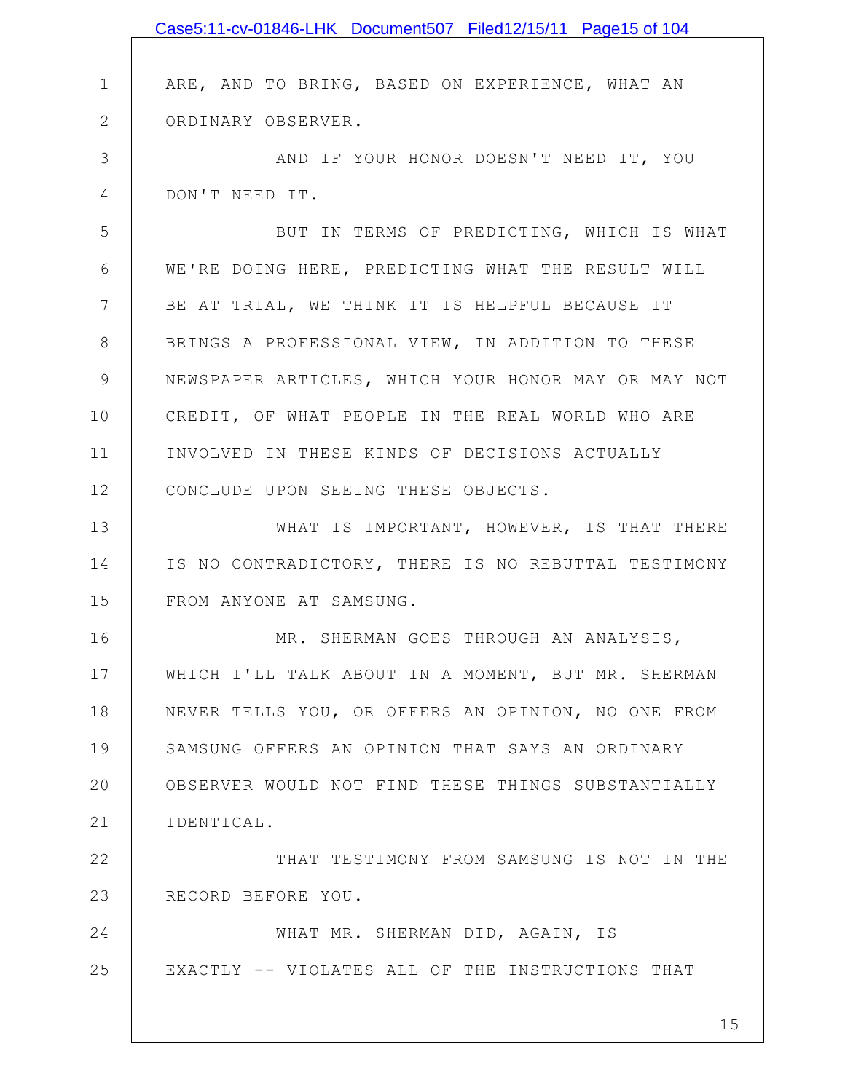|              | Case5:11-cv-01846-LHK Document507 Filed12/15/11 Page15 of 104 |
|--------------|---------------------------------------------------------------|
|              |                                                               |
| $\mathbf 1$  | ARE, AND TO BRING, BASED ON EXPERIENCE, WHAT AN               |
| $\mathbf{2}$ | ORDINARY OBSERVER.                                            |
| 3            | AND IF YOUR HONOR DOESN'T NEED IT, YOU                        |
| 4            | DON'T NEED IT.                                                |
| 5            | BUT IN TERMS OF PREDICTING, WHICH IS WHAT                     |
| 6            | WE'RE DOING HERE, PREDICTING WHAT THE RESULT WILL             |
| 7            | BE AT TRIAL, WE THINK IT IS HELPFUL BECAUSE IT                |
| 8            | BRINGS A PROFESSIONAL VIEW, IN ADDITION TO THESE              |
| 9            | NEWSPAPER ARTICLES, WHICH YOUR HONOR MAY OR MAY NOT           |
| 10           | CREDIT, OF WHAT PEOPLE IN THE REAL WORLD WHO ARE              |
| 11           | INVOLVED IN THESE KINDS OF DECISIONS ACTUALLY                 |
| 12           | CONCLUDE UPON SEEING THESE OBJECTS.                           |
| 13           | WHAT IS IMPORTANT, HOWEVER, IS THAT THERE                     |
| 14           | IS NO CONTRADICTORY, THERE IS NO REBUTTAL TESTIMONY           |
| 15           | FROM ANYONE AT SAMSUNG.                                       |
| 16           | MR. SHERMAN GOES THROUGH AN ANALYSIS,                         |
| 17           | WHICH I'LL TALK ABOUT IN A MOMENT, BUT MR. SHERMAN            |
| 18           | NEVER TELLS YOU, OR OFFERS AN OPINION, NO ONE FROM            |
| 19           | SAMSUNG OFFERS AN OPINION THAT SAYS AN ORDINARY               |
| 20           | OBSERVER WOULD NOT FIND THESE THINGS SUBSTANTIALLY            |
| 21           | IDENTICAL.                                                    |
| 22           | THAT TESTIMONY FROM SAMSUNG IS NOT IN THE                     |
| 23           | RECORD BEFORE YOU.                                            |
| 24           | WHAT MR. SHERMAN DID, AGAIN, IS                               |
| 25           | EXACTLY -- VIOLATES ALL OF THE INSTRUCTIONS THAT              |
|              | 15                                                            |
|              |                                                               |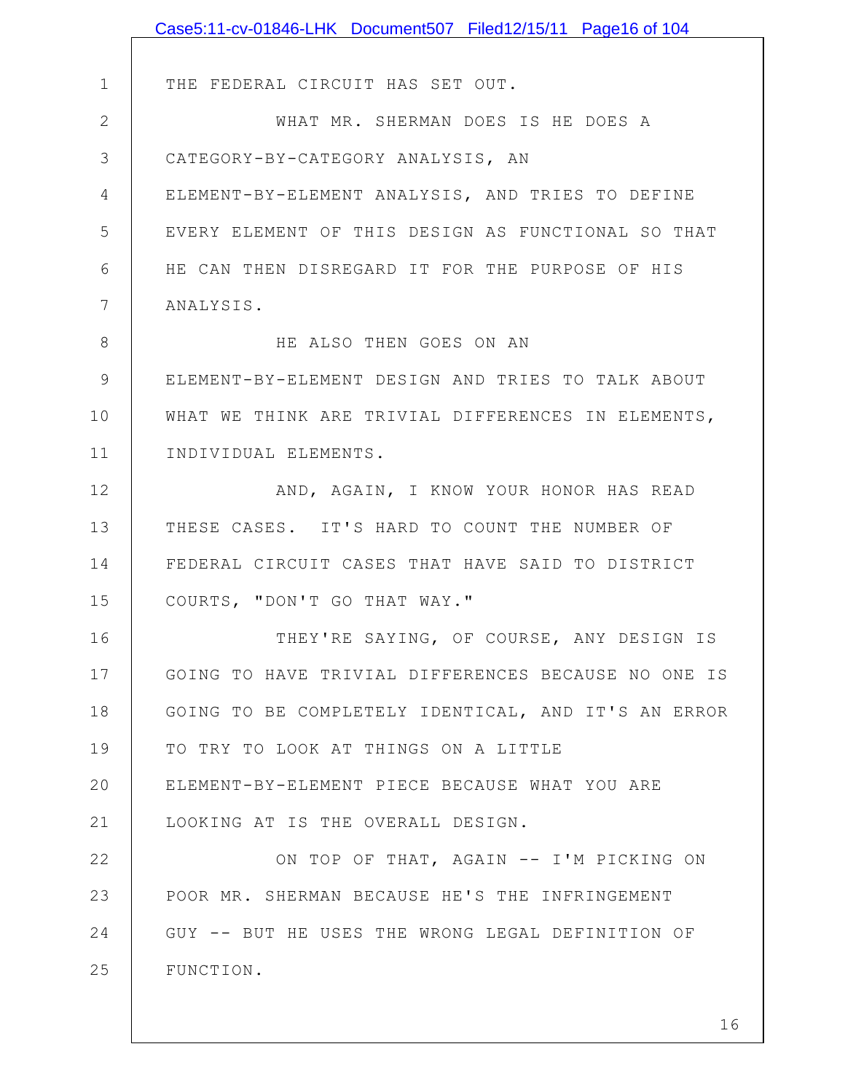|               | Case5:11-cv-01846-LHK Document507 Filed12/15/11 Page16 of 104 |
|---------------|---------------------------------------------------------------|
|               |                                                               |
| $\mathbf 1$   | THE FEDERAL CIRCUIT HAS SET OUT.                              |
| $\mathbf{2}$  | WHAT MR. SHERMAN DOES IS HE DOES A                            |
| 3             | CATEGORY-BY-CATEGORY ANALYSIS, AN                             |
| 4             | ELEMENT-BY-ELEMENT ANALYSIS, AND TRIES TO DEFINE              |
| 5             | EVERY ELEMENT OF THIS DESIGN AS FUNCTIONAL SO THAT            |
| 6             | HE CAN THEN DISREGARD IT FOR THE PURPOSE OF HIS               |
| 7             | ANALYSIS.                                                     |
| 8             | HE ALSO THEN GOES ON AN                                       |
| $\mathcal{G}$ | ELEMENT-BY-ELEMENT DESIGN AND TRIES TO TALK ABOUT             |
| 10            | WHAT WE THINK ARE TRIVIAL DIFFERENCES IN ELEMENTS,            |
| 11            | INDIVIDUAL ELEMENTS.                                          |
| 12            | AND, AGAIN, I KNOW YOUR HONOR HAS READ                        |
| 13            | THESE CASES. IT'S HARD TO COUNT THE NUMBER OF                 |
| 14            | FEDERAL CIRCUIT CASES THAT HAVE SAID TO DISTRICT              |
| 15            | COURTS, "DON'T GO THAT WAY."                                  |
| 16            | THEY'RE SAYING, OF COURSE, ANY DESIGN IS                      |
| 17            | GOING TO HAVE TRIVIAL DIFFERENCES BECAUSE NO ONE IS           |
| 18            | GOING TO BE COMPLETELY IDENTICAL, AND IT'S AN ERROR           |
| 19            | TO TRY TO LOOK AT THINGS ON A LITTLE                          |
| 20            | ELEMENT-BY-ELEMENT PIECE BECAUSE WHAT YOU ARE                 |
| 21            | LOOKING AT IS THE OVERALL DESIGN.                             |
| 22            | ON TOP OF THAT, AGAIN -- I'M PICKING ON                       |
| 23            | POOR MR. SHERMAN BECAUSE HE'S THE INFRINGEMENT                |
| 24            | GUY -- BUT HE USES THE WRONG LEGAL DEFINITION OF              |
| 25            | FUNCTION.                                                     |
|               |                                                               |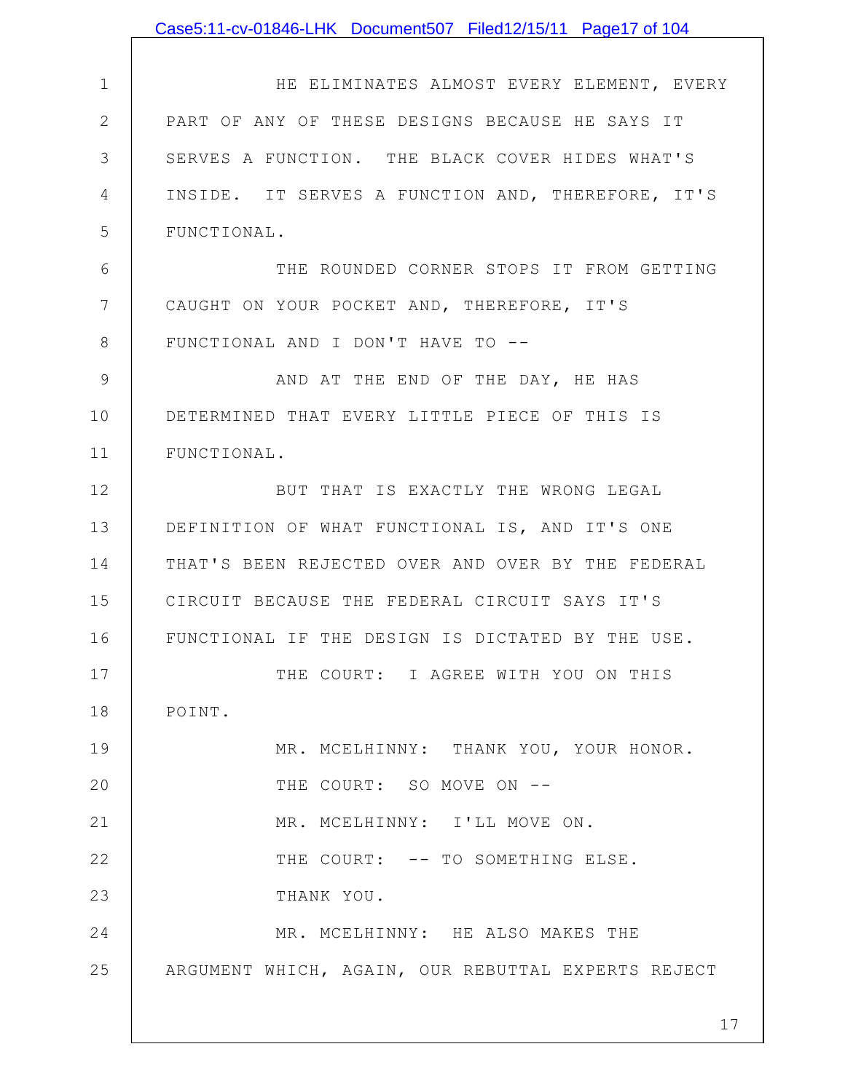|                 | Case5:11-cv-01846-LHK Document507 Filed12/15/11 Page17 of 104 |
|-----------------|---------------------------------------------------------------|
|                 |                                                               |
| $\mathbf 1$     | HE ELIMINATES ALMOST EVERY ELEMENT, EVERY                     |
| $\mathbf{2}$    | PART OF ANY OF THESE DESIGNS BECAUSE HE SAYS IT               |
| 3               | SERVES A FUNCTION. THE BLACK COVER HIDES WHAT'S               |
| 4               | INSIDE. IT SERVES A FUNCTION AND, THEREFORE, IT'S             |
| 5               | FUNCTIONAL.                                                   |
| 6               | THE ROUNDED CORNER STOPS IT FROM GETTING                      |
| $7\phantom{.0}$ | CAUGHT ON YOUR POCKET AND, THEREFORE, IT'S                    |
| 8               | FUNCTIONAL AND I DON'T HAVE TO --                             |
| 9               | AND AT THE END OF THE DAY, HE HAS                             |
| 10              | DETERMINED THAT EVERY LITTLE PIECE OF THIS IS                 |
| 11              | FUNCTIONAL.                                                   |
| 12              | BUT THAT IS EXACTLY THE WRONG LEGAL                           |
| 13              | DEFINITION OF WHAT FUNCTIONAL IS, AND IT'S ONE                |
| 14              | THAT'S BEEN REJECTED OVER AND OVER BY THE FEDERAL             |
| 15              | CIRCUIT BECAUSE THE FEDERAL CIRCUIT SAYS IT'S                 |
| 16              | FUNCTIONAL IF THE DESIGN IS DICTATED BY THE USE.              |
| 17              | THE COURT: I AGREE WITH YOU ON THIS                           |
| 18              | POINT.                                                        |
| 19              | MR. MCELHINNY: THANK YOU, YOUR HONOR.                         |
| 20              | THE COURT: SO MOVE ON --                                      |
| 21              | MR. MCELHINNY: I'LL MOVE ON.                                  |
| 22              | THE COURT: -- TO SOMETHING ELSE.                              |
| 23              | THANK YOU.                                                    |
| 24              | MR. MCELHINNY: HE ALSO MAKES THE                              |
| 25              | ARGUMENT WHICH, AGAIN, OUR REBUTTAL EXPERTS REJECT            |
|                 |                                                               |
|                 | 17                                                            |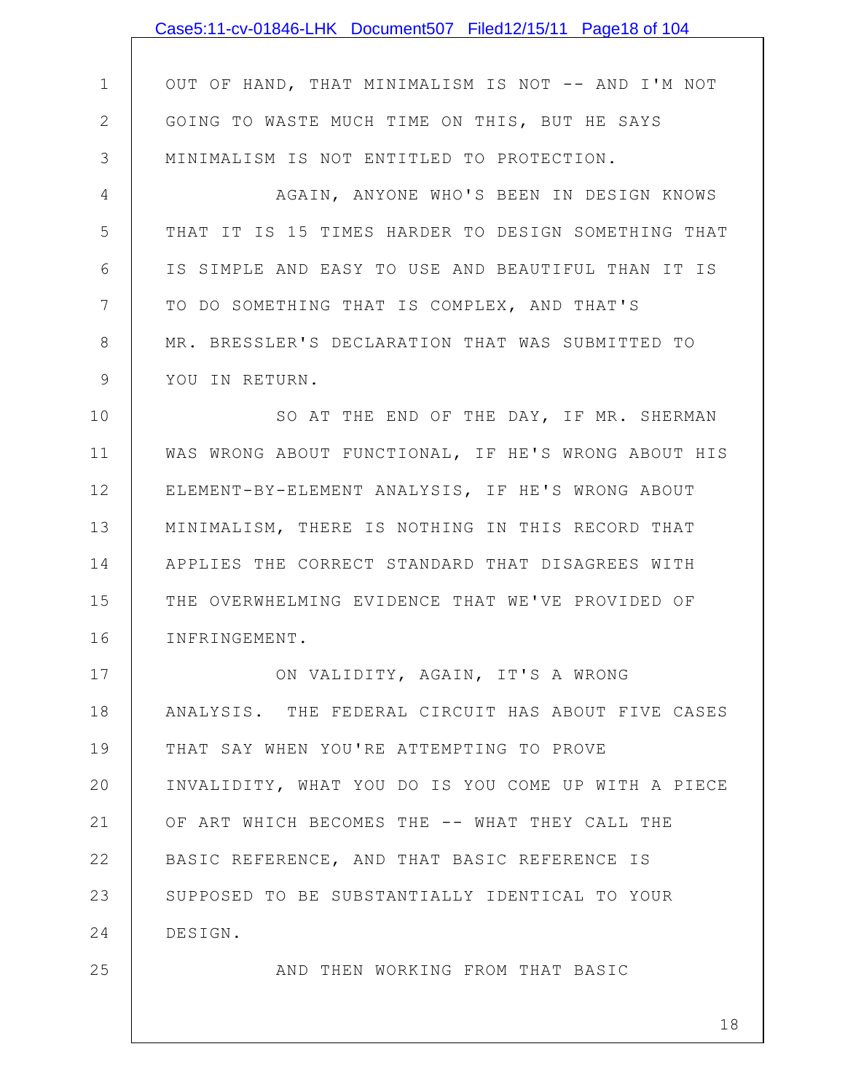|                 | Case5:11-cv-01846-LHK Document507 Filed12/15/11 Page18 of 104 |
|-----------------|---------------------------------------------------------------|
|                 |                                                               |
| 1               | OUT OF HAND, THAT MINIMALISM IS NOT -- AND I'M NOT            |
| $\mathbf{2}$    | GOING TO WASTE MUCH TIME ON THIS, BUT HE SAYS                 |
| 3               | MINIMALISM IS NOT ENTITLED TO PROTECTION.                     |
| 4               | AGAIN, ANYONE WHO'S BEEN IN DESIGN KNOWS                      |
| 5               | THAT IT IS 15 TIMES HARDER TO DESIGN SOMETHING THAT           |
| 6               | IS SIMPLE AND EASY TO USE AND BEAUTIFUL THAN IT IS            |
| $7\phantom{.0}$ | TO DO SOMETHING THAT IS COMPLEX, AND THAT'S                   |
| 8               | MR. BRESSLER'S DECLARATION THAT WAS SUBMITTED TO              |
| $\mathsf 9$     | YOU IN RETURN.                                                |
| 10              | SO AT THE END OF THE DAY, IF MR. SHERMAN                      |
| 11              | WAS WRONG ABOUT FUNCTIONAL, IF HE'S WRONG ABOUT HIS           |
| 12              | ELEMENT-BY-ELEMENT ANALYSIS, IF HE'S WRONG ABOUT              |
| 13              | MINIMALISM, THERE IS NOTHING IN THIS RECORD THAT              |
| 14              | APPLIES THE CORRECT STANDARD THAT DISAGREES WITH              |
| 15              | THE OVERWHELMING EVIDENCE THAT WE'VE PROVIDED OF              |
| 16              | INFRINGEMENT.                                                 |
| 17              | ON VALIDITY, AGAIN, IT'S A WRONG                              |
| 18              | ANALYSIS. THE FEDERAL CIRCUIT HAS ABOUT FIVE CASES            |
| 19              | THAT SAY WHEN YOU'RE ATTEMPTING TO PROVE                      |
| 20              | INVALIDITY, WHAT YOU DO IS YOU COME UP WITH A PIECE           |
| 21              | OF ART WHICH BECOMES THE -- WHAT THEY CALL THE                |
| 22              | BASIC REFERENCE, AND THAT BASIC REFERENCE IS                  |
| 23              | SUPPOSED TO BE SUBSTANTIALLY IDENTICAL TO YOUR                |
| 24              | DESIGN.                                                       |
| 25              | AND THEN WORKING FROM THAT BASIC                              |
|                 | 18                                                            |
|                 |                                                               |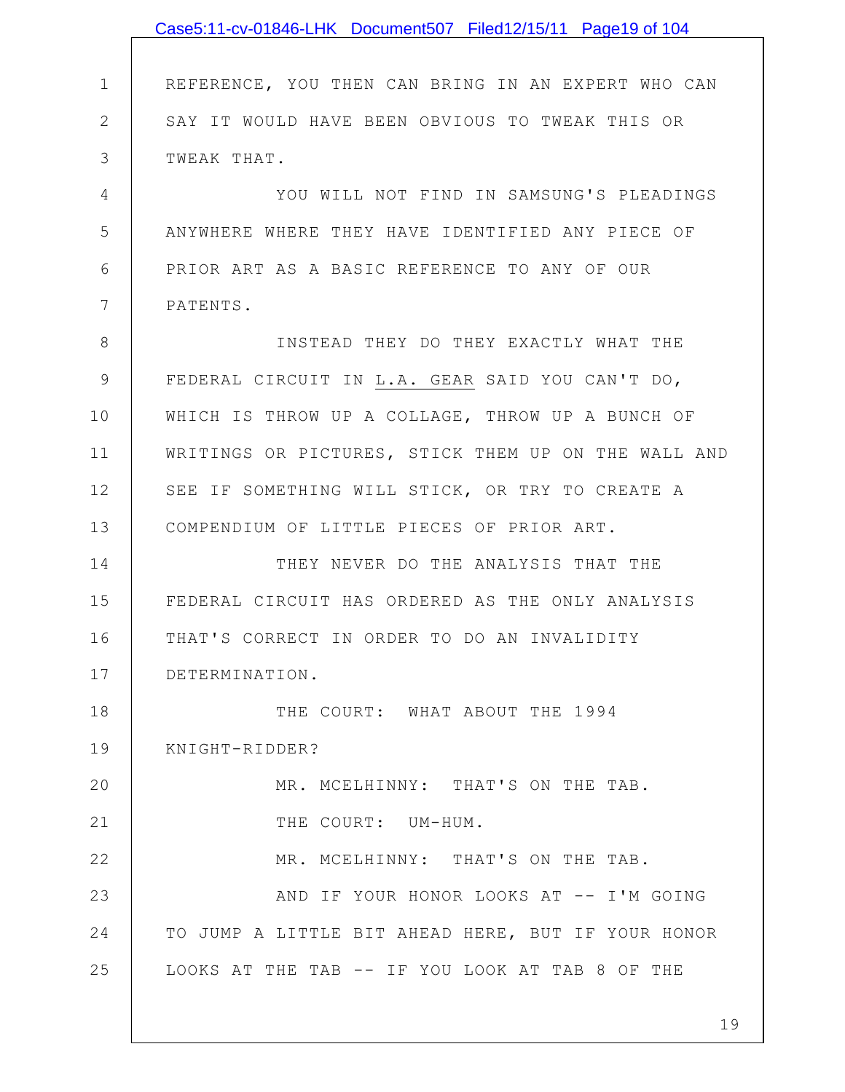|               | Case5:11-cv-01846-LHK Document507 Filed12/15/11 Page19 of 104 |
|---------------|---------------------------------------------------------------|
|               |                                                               |
| $\mathbf 1$   | REFERENCE, YOU THEN CAN BRING IN AN EXPERT WHO CAN            |
| $\mathbf{2}$  | SAY IT WOULD HAVE BEEN OBVIOUS TO TWEAK THIS OR               |
| 3             | TWEAK THAT.                                                   |
| 4             | YOU WILL NOT FIND IN SAMSUNG'S PLEADINGS                      |
| 5             | ANYWHERE WHERE THEY HAVE IDENTIFIED ANY PIECE OF              |
| 6             | PRIOR ART AS A BASIC REFERENCE TO ANY OF OUR                  |
| 7             | PATENTS.                                                      |
| 8             | INSTEAD THEY DO THEY EXACTLY WHAT THE                         |
| $\mathcal{G}$ | FEDERAL CIRCUIT IN L.A. GEAR SAID YOU CAN'T DO,               |
| 10            | WHICH IS THROW UP A COLLAGE, THROW UP A BUNCH OF              |
| 11            | WRITINGS OR PICTURES, STICK THEM UP ON THE WALL AND           |
| 12            | SEE IF SOMETHING WILL STICK, OR TRY TO CREATE A               |
| 13            | COMPENDIUM OF LITTLE PIECES OF PRIOR ART.                     |
| 14            | THEY NEVER DO THE ANALYSIS THAT THE                           |
| 15            | FEDERAL CIRCUIT HAS ORDERED AS THE ONLY ANALYSIS              |
| 16            | THAT'S CORRECT IN ORDER TO DO AN INVALIDITY                   |
| 17            | DETERMINATION.                                                |
| 18            | THE COURT: WHAT ABOUT THE 1994                                |
| 19            | KNIGHT-RIDDER?                                                |
| 20            | MR. MCELHINNY: THAT'S ON THE TAB.                             |
| 21            | THE COURT: UM-HUM.                                            |
| 22            | MR. MCELHINNY: THAT'S ON THE TAB.                             |
| 23            | AND IF YOUR HONOR LOOKS AT -- I'M GOING                       |
| 24            | TO JUMP A LITTLE BIT AHEAD HERE, BUT IF YOUR HONOR            |
| 25            | LOOKS AT THE TAB -- IF YOU LOOK AT TAB 8 OF THE               |
|               |                                                               |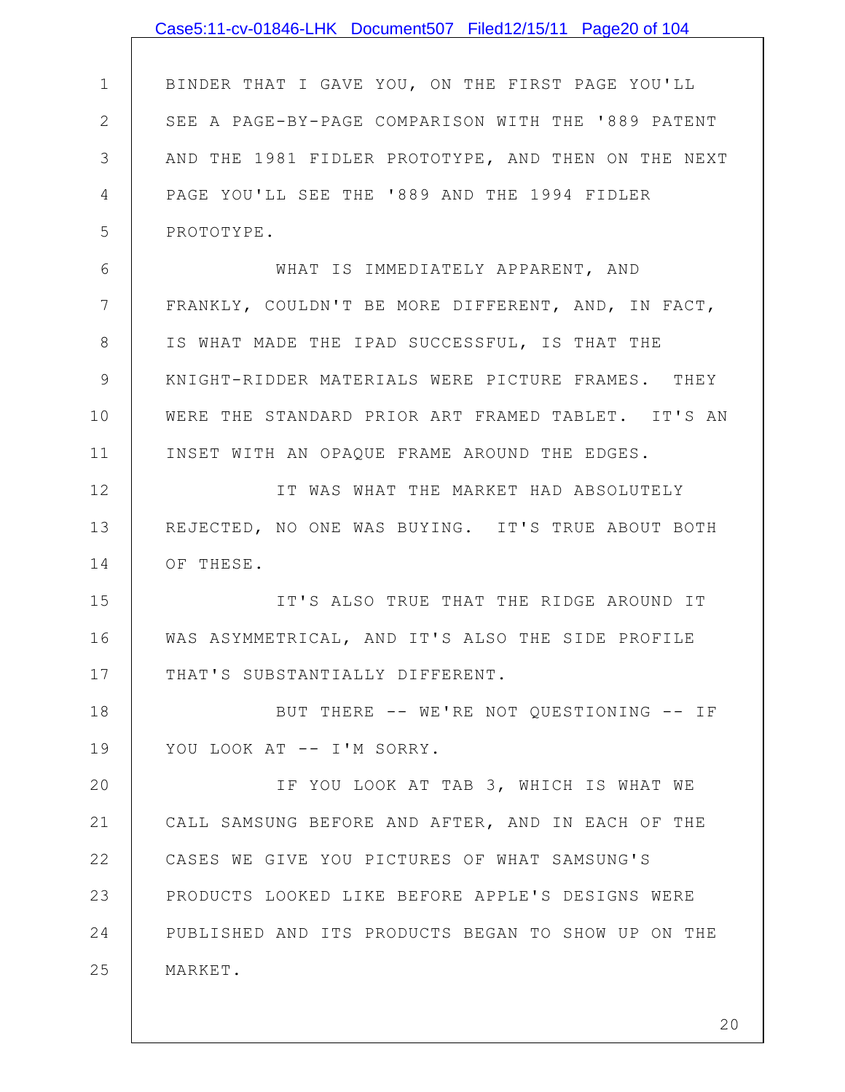|                | Case5:11-cv-01846-LHK Document507 Filed12/15/11 Page20 of 104 |
|----------------|---------------------------------------------------------------|
|                |                                                               |
| $\mathbf 1$    | BINDER THAT I GAVE YOU, ON THE FIRST PAGE YOU'LL              |
| $\mathbf{2}$   | SEE A PAGE-BY-PAGE COMPARISON WITH THE '889 PATENT            |
| 3              | AND THE 1981 FIDLER PROTOTYPE, AND THEN ON THE NEXT           |
| $\overline{4}$ | PAGE YOU'LL SEE THE '889 AND THE 1994 FIDLER                  |
| 5              | PROTOTYPE.                                                    |
| 6              | WHAT IS IMMEDIATELY APPARENT, AND                             |
| 7              | FRANKLY, COULDN'T BE MORE DIFFERENT, AND, IN FACT,            |
| 8              | IS WHAT MADE THE IPAD SUCCESSFUL, IS THAT THE                 |
| 9              | KNIGHT-RIDDER MATERIALS WERE PICTURE FRAMES. THEY             |
| 10             | WERE THE STANDARD PRIOR ART FRAMED TABLET. IT'S AN            |
| 11             | INSET WITH AN OPAQUE FRAME AROUND THE EDGES.                  |
| 12             | IT WAS WHAT THE MARKET HAD ABSOLUTELY                         |
| 13             | REJECTED, NO ONE WAS BUYING. IT'S TRUE ABOUT BOTH             |
| 14             | OF THESE.                                                     |
| 15             | IT'S ALSO TRUE THAT THE RIDGE AROUND IT                       |
| 16             | WAS ASYMMETRICAL, AND IT'S ALSO THE SIDE PROFILE              |
| 17             | THAT'S SUBSTANTIALLY DIFFERENT.                               |
| 18             | BUT THERE -- WE'RE NOT QUESTIONING -- IF                      |
| 19             | YOU LOOK AT -- I'M SORRY.                                     |
| 20             | IF YOU LOOK AT TAB 3, WHICH IS WHAT WE                        |
| 21             | CALL SAMSUNG BEFORE AND AFTER, AND IN EACH OF THE             |
| 22             | CASES WE GIVE YOU PICTURES OF WHAT SAMSUNG'S                  |
| 23             | PRODUCTS LOOKED LIKE BEFORE APPLE'S DESIGNS WERE              |
| 24             | PUBLISHED AND ITS PRODUCTS BEGAN TO SHOW UP ON THE            |
| 25             | MARKET.                                                       |
|                |                                                               |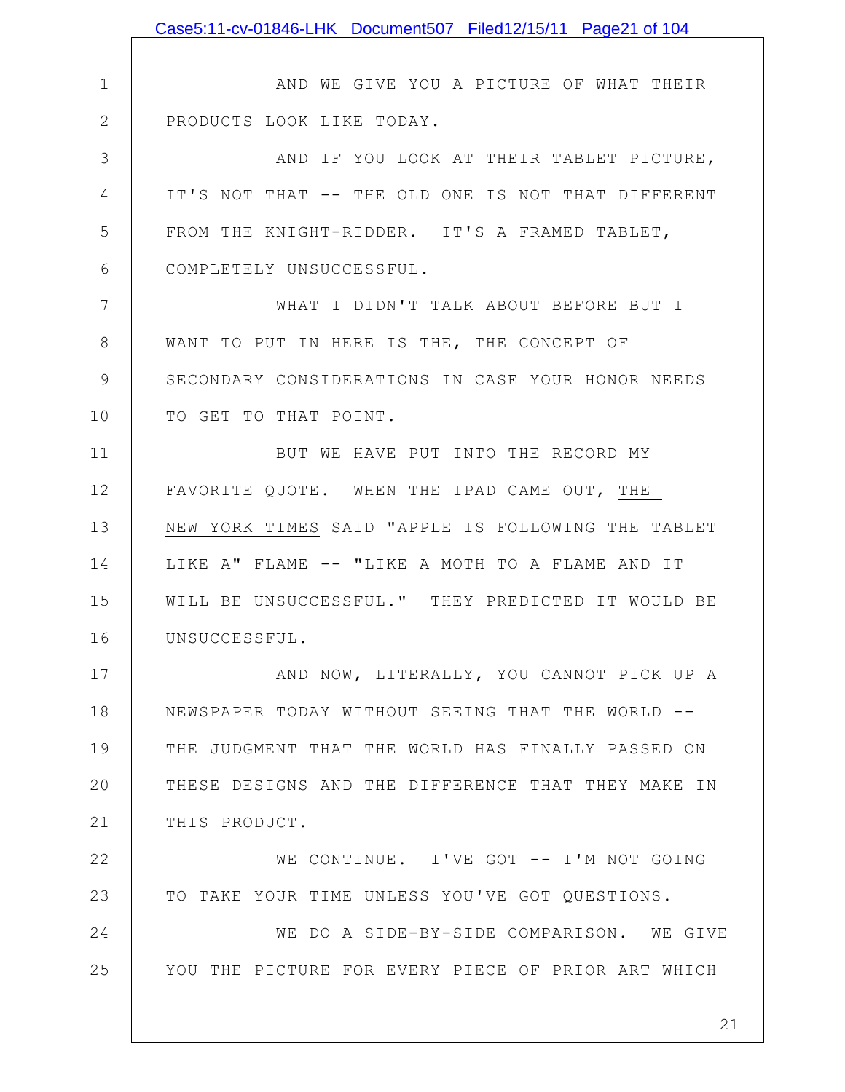|                | Case5:11-cv-01846-LHK Document507 Filed12/15/11 Page21 of 104 |
|----------------|---------------------------------------------------------------|
|                |                                                               |
| $\mathbf 1$    | AND WE GIVE YOU A PICTURE OF WHAT THEIR                       |
| $\mathbf{2}$   | PRODUCTS LOOK LIKE TODAY.                                     |
| 3              | AND IF YOU LOOK AT THEIR TABLET PICTURE,                      |
| 4              | IT'S NOT THAT -- THE OLD ONE IS NOT THAT DIFFERENT            |
| 5              | FROM THE KNIGHT-RIDDER. IT'S A FRAMED TABLET,                 |
| 6              | COMPLETELY UNSUCCESSFUL.                                      |
| $\overline{7}$ | WHAT I DIDN'T TALK ABOUT BEFORE BUT I                         |
| 8              | WANT TO PUT IN HERE IS THE, THE CONCEPT OF                    |
| 9              | SECONDARY CONSIDERATIONS IN CASE YOUR HONOR NEEDS             |
| 10             | TO GET TO THAT POINT.                                         |
| 11             | BUT WE HAVE PUT INTO THE RECORD MY                            |
| 12             | FAVORITE QUOTE. WHEN THE IPAD CAME OUT, THE                   |
| 13             | NEW YORK TIMES SAID "APPLE IS FOLLOWING THE TABLET            |
| 14             | LIKE A" FLAME -- "LIKE A MOTH TO A FLAME AND IT               |
| 15             | WILL BE UNSUCCESSFUL." THEY PREDICTED IT WOULD BE             |
| 16             | UNSUCCESSFUL.                                                 |
| 17             | AND NOW, LITERALLY, YOU CANNOT PICK UP A                      |
| 18             | NEWSPAPER TODAY WITHOUT SEEING THAT THE WORLD --              |
| 19             | THE JUDGMENT THAT THE WORLD HAS FINALLY PASSED ON             |
| 20             | THESE DESIGNS AND THE DIFFERENCE THAT THEY MAKE IN            |
| 21             | THIS PRODUCT.                                                 |
| 22             | WE CONTINUE. I'VE GOT -- I'M NOT GOING                        |
| 23             | TO TAKE YOUR TIME UNLESS YOU'VE GOT QUESTIONS.                |
| 24             | WE DO A SIDE-BY-SIDE COMPARISON. WE GIVE                      |
| 25             | YOU THE PICTURE FOR EVERY PIECE OF PRIOR ART WHICH            |
|                |                                                               |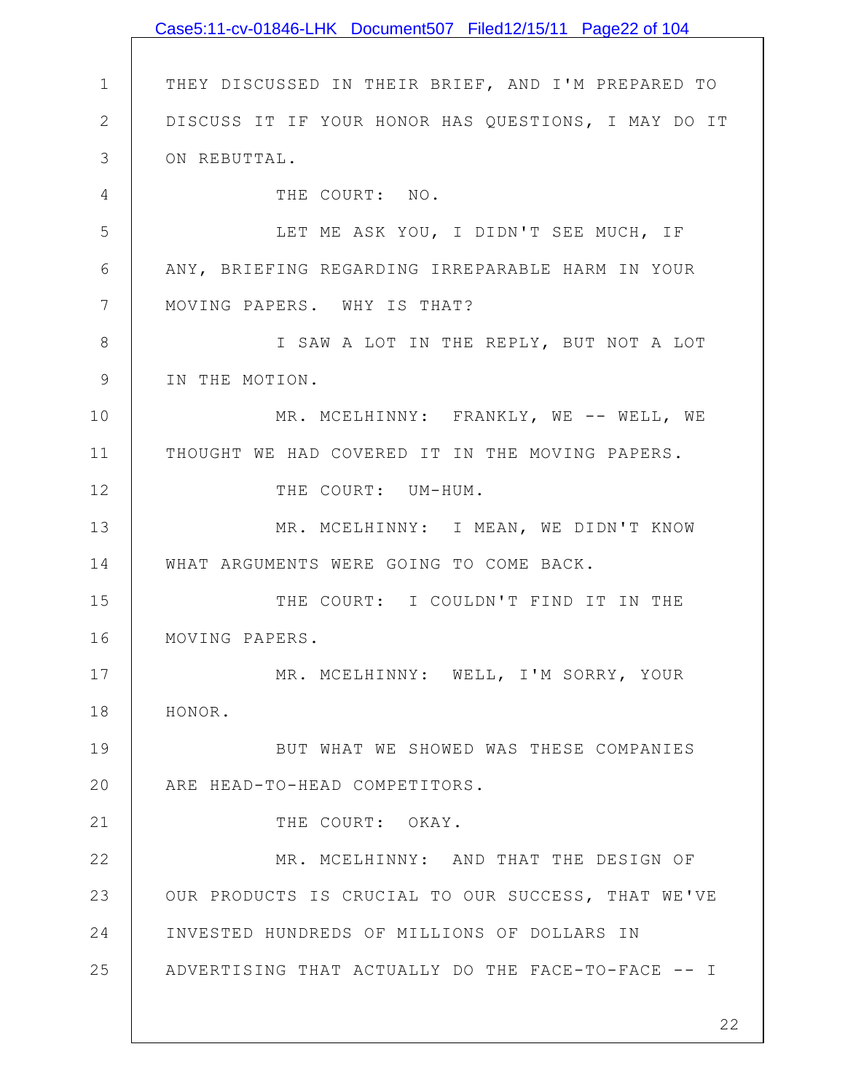1 2 3 4 5 6 7 8 9 10 11 12 13 14 15 16 17 18 19 20 21 22 23 24 25 THEY DISCUSSED IN THEIR BRIEF, AND I'M PREPARED TO DISCUSS IT IF YOUR HONOR HAS QUESTIONS, I MAY DO IT ON REBUTTAL. THE COURT: NO. LET ME ASK YOU, I DIDN'T SEE MUCH, IF ANY, BRIEFING REGARDING IRREPARABLE HARM IN YOUR MOVING PAPERS. WHY IS THAT? I SAW A LOT IN THE REPLY, BUT NOT A LOT IN THE MOTION. MR. MCELHINNY: FRANKLY, WE -- WELL, WE THOUGHT WE HAD COVERED IT IN THE MOVING PAPERS. THE COURT: UM-HUM. MR. MCELHINNY: I MEAN, WE DIDN'T KNOW WHAT ARGUMENTS WERE GOING TO COME BACK. THE COURT: I COULDN'T FIND IT IN THE MOVING PAPERS. MR. MCELHINNY: WELL, I'M SORRY, YOUR HONOR. BUT WHAT WE SHOWED WAS THESE COMPANIES ARE HEAD-TO-HEAD COMPETITORS. THE COURT: OKAY. MR. MCELHINNY: AND THAT THE DESIGN OF OUR PRODUCTS IS CRUCIAL TO OUR SUCCESS, THAT WE'VE INVESTED HUNDREDS OF MILLIONS OF DOLLARS IN ADVERTISING THAT ACTUALLY DO THE FACE-TO-FACE -- I Case5:11-cv-01846-LHK Document507 Filed12/15/11 Page22 of 104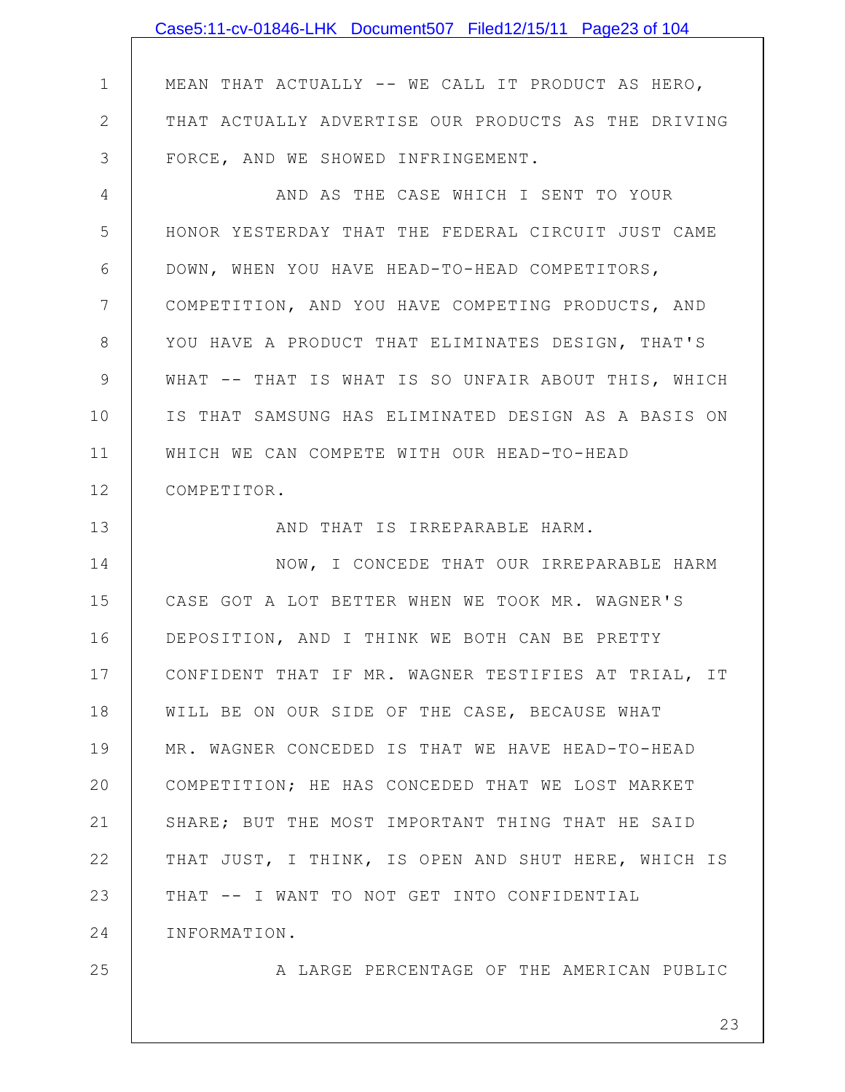|               | Case5:11-cv-01846-LHK Document507 Filed12/15/11 Page23 of 104 |
|---------------|---------------------------------------------------------------|
|               |                                                               |
| $\mathbf 1$   | MEAN THAT ACTUALLY -- WE CALL IT PRODUCT AS HERO,             |
| $\mathbf{2}$  | THAT ACTUALLY ADVERTISE OUR PRODUCTS AS THE DRIVING           |
| 3             | FORCE, AND WE SHOWED INFRINGEMENT.                            |
| 4             | AND AS THE CASE WHICH I SENT TO YOUR                          |
| 5             | HONOR YESTERDAY THAT THE FEDERAL CIRCUIT JUST CAME            |
| 6             | DOWN, WHEN YOU HAVE HEAD-TO-HEAD COMPETITORS,                 |
| 7             | COMPETITION, AND YOU HAVE COMPETING PRODUCTS, AND             |
| 8             | YOU HAVE A PRODUCT THAT ELIMINATES DESIGN, THAT'S             |
| $\mathcal{G}$ | WHAT -- THAT IS WHAT IS SO UNFAIR ABOUT THIS, WHICH           |
| 10            | IS THAT SAMSUNG HAS ELIMINATED DESIGN AS A BASIS ON           |
| 11            | WHICH WE CAN COMPETE WITH OUR HEAD-TO-HEAD                    |
| 12            | COMPETITOR.                                                   |
| 13            | AND THAT IS IRREPARABLE HARM.                                 |
| 14            | NOW, I CONCEDE THAT OUR IRREPARABLE HARM                      |
| 15            | CASE GOT A LOT BETTER WHEN WE TOOK MR. WAGNER'S               |
| 16            | DEPOSITION, AND I THINK WE BOTH CAN BE PRETTY                 |
| 17            | CONFIDENT THAT IF MR. WAGNER TESTIFIES AT TRIAL, IT           |
| 18            | WILL BE ON OUR SIDE OF THE CASE, BECAUSE WHAT                 |
| 19            | MR. WAGNER CONCEDED IS THAT WE HAVE HEAD-TO-HEAD              |
| 20            | COMPETITION; HE HAS CONCEDED THAT WE LOST MARKET              |
| 21            | SHARE; BUT THE MOST IMPORTANT THING THAT HE SAID              |
| 22            | THAT JUST, I THINK, IS OPEN AND SHUT HERE, WHICH IS           |
| 23            | THAT -- I WANT TO NOT GET INTO CONFIDENTIAL                   |
| 24            | INFORMATION.                                                  |
| 25            | A LARGE PERCENTAGE OF THE AMERICAN PUBLIC                     |
|               |                                                               |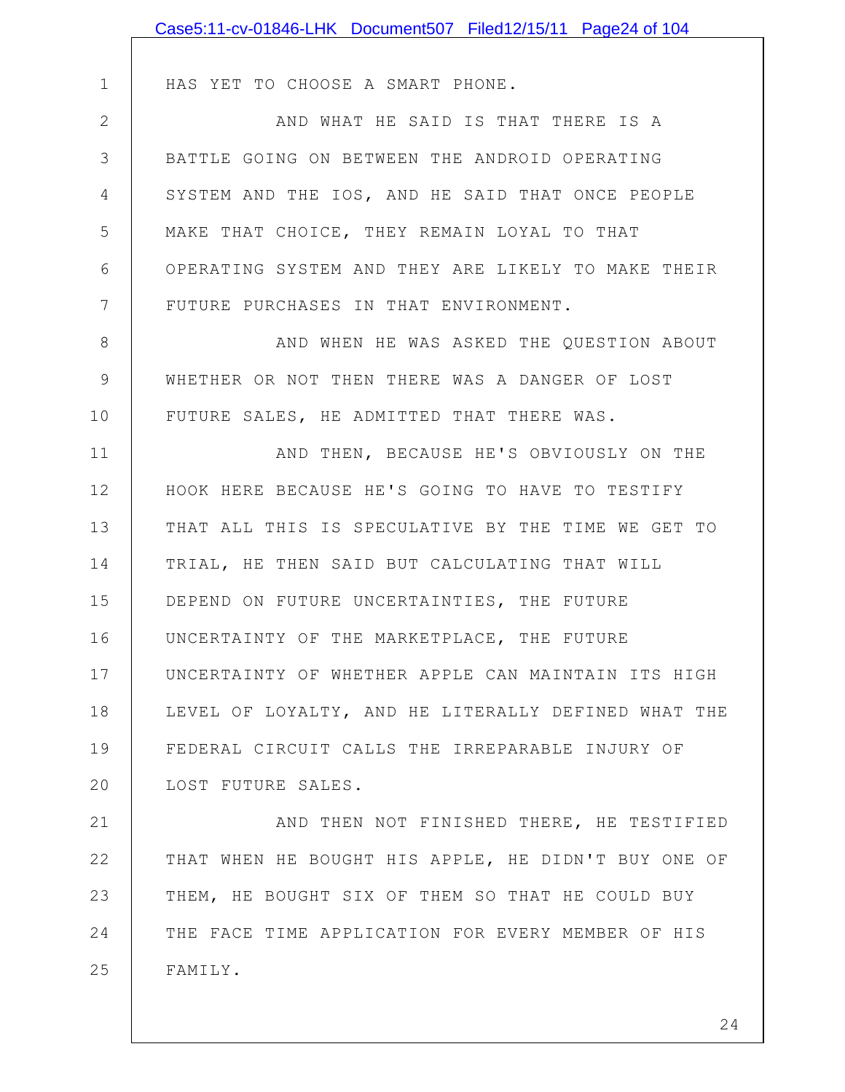|              | Case5:11-cv-01846-LHK Document507 Filed12/15/11 Page24 of 104 |
|--------------|---------------------------------------------------------------|
|              |                                                               |
| 1            | HAS YET TO CHOOSE A SMART PHONE.                              |
| $\mathbf{2}$ | AND WHAT HE SAID IS THAT THERE IS A                           |
| 3            | BATTLE GOING ON BETWEEN THE ANDROID OPERATING                 |
| 4            | SYSTEM AND THE IOS, AND HE SAID THAT ONCE PEOPLE              |
| 5            | MAKE THAT CHOICE, THEY REMAIN LOYAL TO THAT                   |
| 6            | OPERATING SYSTEM AND THEY ARE LIKELY TO MAKE THEIR            |
| 7            | FUTURE PURCHASES IN THAT ENVIRONMENT.                         |
| 8            | AND WHEN HE WAS ASKED THE QUESTION ABOUT                      |
| $\mathsf 9$  | WHETHER OR NOT THEN THERE WAS A DANGER OF LOST                |
| 10           | FUTURE SALES, HE ADMITTED THAT THERE WAS.                     |
| 11           | AND THEN, BECAUSE HE'S OBVIOUSLY ON THE                       |
| 12           | HOOK HERE BECAUSE HE'S GOING TO HAVE TO TESTIFY               |
| 13           | THAT ALL THIS IS SPECULATIVE BY THE TIME WE GET TO            |
| 14           | TRIAL, HE THEN SAID BUT CALCULATING THAT WILL                 |
| 15           | DEPEND ON FUTURE UNCERTAINTIES, THE FUTURE                    |
| 16           | UNCERTAINTY OF THE MARKETPLACE, THE FUTURE                    |
| 17           | UNCERTAINTY OF WHETHER APPLE CAN MAINTAIN ITS HIGH            |
| 18           | LEVEL OF LOYALTY, AND HE LITERALLY DEFINED WHAT THE           |
| 19           | FEDERAL CIRCUIT CALLS THE IRREPARABLE INJURY OF               |
| 20           | LOST FUTURE SALES.                                            |
| 21           | AND THEN NOT FINISHED THERE, HE TESTIFIED                     |
| 22           | THAT WHEN HE BOUGHT HIS APPLE, HE DIDN'T BUY ONE OF           |
| 23           | THEM, HE BOUGHT SIX OF THEM SO THAT HE COULD BUY              |
| 24           | THE FACE TIME APPLICATION FOR EVERY MEMBER OF HIS             |
| 25           | FAMILY.                                                       |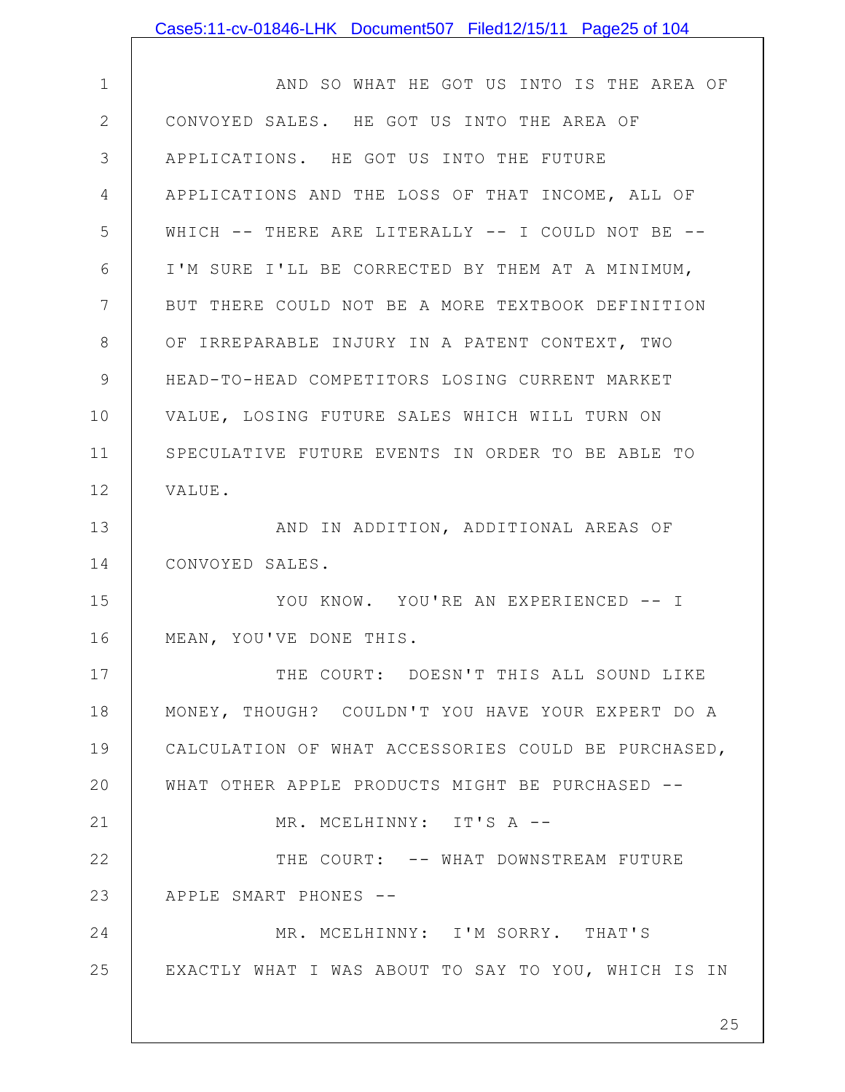| Case5:11-cv-01846-LHK Document507 Filed12/15/11 Page25 of 104 |
|---------------------------------------------------------------|
|---------------------------------------------------------------|

| $\mathbf 1$   | AND SO WHAT HE GOT US INTO IS THE AREA OF           |
|---------------|-----------------------------------------------------|
| 2             | CONVOYED SALES. HE GOT US INTO THE AREA OF          |
| 3             | APPLICATIONS. HE GOT US INTO THE FUTURE             |
| 4             | APPLICATIONS AND THE LOSS OF THAT INCOME, ALL OF    |
| 5             | WHICH -- THERE ARE LITERALLY -- I COULD NOT BE --   |
| 6             | I'M SURE I'LL BE CORRECTED BY THEM AT A MINIMUM,    |
| 7             | BUT THERE COULD NOT BE A MORE TEXTBOOK DEFINITION   |
| 8             | OF IRREPARABLE INJURY IN A PATENT CONTEXT, TWO      |
| $\mathcal{G}$ | HEAD-TO-HEAD COMPETITORS LOSING CURRENT MARKET      |
| 10            | VALUE, LOSING FUTURE SALES WHICH WILL TURN ON       |
| 11            | SPECULATIVE FUTURE EVENTS IN ORDER TO BE ABLE TO    |
| 12            | VALUE.                                              |
| 13            | AND IN ADDITION, ADDITIONAL AREAS OF                |
| 14            | CONVOYED SALES.                                     |
| 15            | YOU KNOW. YOU'RE AN EXPERIENCED -- I                |
| 16            | MEAN, YOU'VE DONE THIS.                             |
| 17            | THE COURT: DOESN'T THIS ALL SOUND LIKE              |
| 18            | MONEY, THOUGH? COULDN'T YOU HAVE YOUR EXPERT DO A   |
| 19            | CALCULATION OF WHAT ACCESSORIES COULD BE PURCHASED, |
| 20            | WHAT OTHER APPLE PRODUCTS MIGHT BE PURCHASED --     |
| 21            | MR. MCELHINNY: IT'S A --                            |
| 22            | THE COURT: -- WHAT DOWNSTREAM FUTURE                |
| 23            | APPLE SMART PHONES --                               |
| 24            | MR. MCELHINNY: I'M SORRY. THAT'S                    |
| 25            | EXACTLY WHAT I WAS ABOUT TO SAY TO YOU, WHICH IS IN |
|               |                                                     |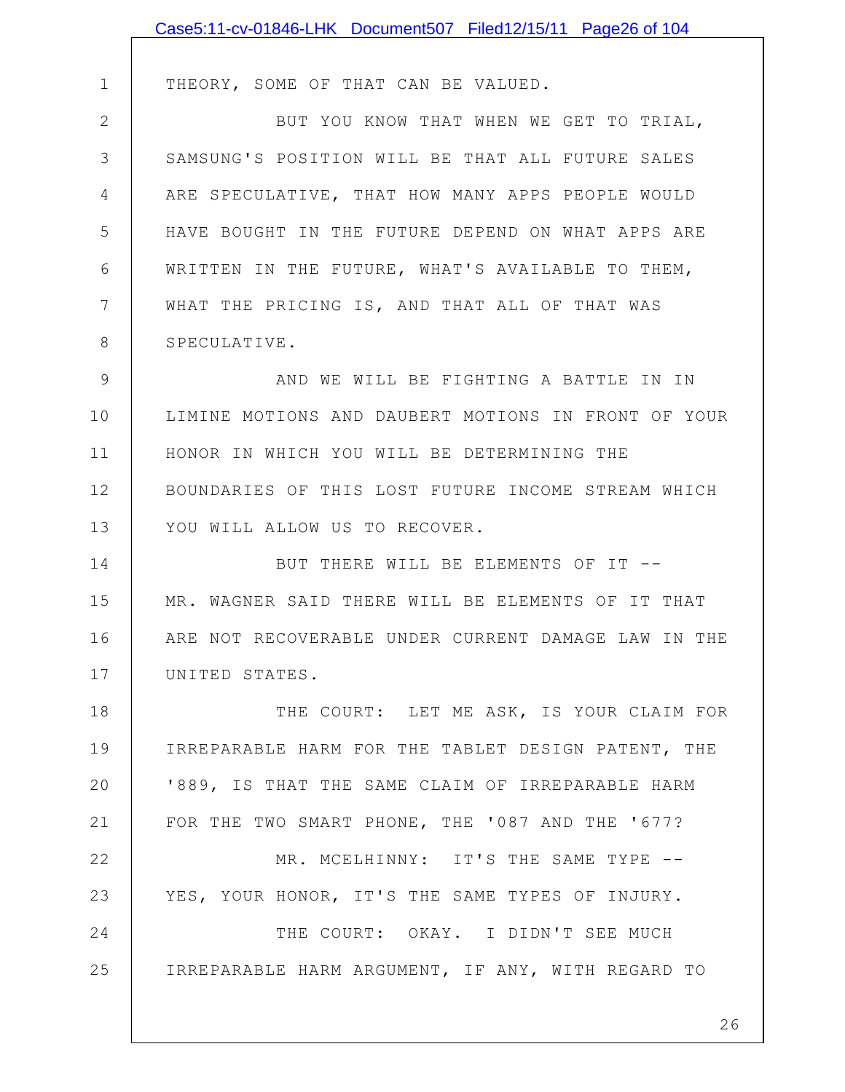|              | Case5:11-cv-01846-LHK Document507 Filed12/15/11 Page26 of 104 |
|--------------|---------------------------------------------------------------|
|              |                                                               |
| 1            | THEORY, SOME OF THAT CAN BE VALUED.                           |
| $\mathbf{2}$ | BUT YOU KNOW THAT WHEN WE GET TO TRIAL,                       |
| 3            | SAMSUNG'S POSITION WILL BE THAT ALL FUTURE SALES              |
| 4            | ARE SPECULATIVE, THAT HOW MANY APPS PEOPLE WOULD              |
| 5            | HAVE BOUGHT IN THE FUTURE DEPEND ON WHAT APPS ARE             |
| 6            | WRITTEN IN THE FUTURE, WHAT'S AVAILABLE TO THEM,              |
| 7            | WHAT THE PRICING IS, AND THAT ALL OF THAT WAS                 |
| 8            | SPECULATIVE.                                                  |
| 9            | AND WE WILL BE FIGHTING A BATTLE IN IN                        |
| 10           | LIMINE MOTIONS AND DAUBERT MOTIONS IN FRONT OF YOUR           |
| 11           | HONOR IN WHICH YOU WILL BE DETERMINING THE                    |
| 12           | BOUNDARIES OF THIS LOST FUTURE INCOME STREAM WHICH            |
| 13           | YOU WILL ALLOW US TO RECOVER.                                 |
| 14           | BUT THERE WILL BE ELEMENTS OF IT --                           |
| 15           | MR. WAGNER SAID THERE WILL BE ELEMENTS OF IT THAT             |
| 16           | ARE NOT RECOVERABLE UNDER CURRENT DAMAGE LAW IN THE           |
| 17           | UNITED STATES.                                                |
| 18           | THE COURT: LET ME ASK, IS YOUR CLAIM FOR                      |
| 19           | IRREPARABLE HARM FOR THE TABLET DESIGN PATENT, THE            |
| 20           | '889, IS THAT THE SAME CLAIM OF IRREPARABLE HARM              |
| 21           | FOR THE TWO SMART PHONE, THE '087 AND THE '677?               |
| 22           | MR. MCELHINNY: IT'S THE SAME TYPE --                          |
| 23           | YES, YOUR HONOR, IT'S THE SAME TYPES OF INJURY.               |
| 24           | THE COURT: OKAY. I DIDN'T SEE MUCH                            |
| 25           | IRREPARABLE HARM ARGUMENT, IF ANY, WITH REGARD TO             |
|              |                                                               |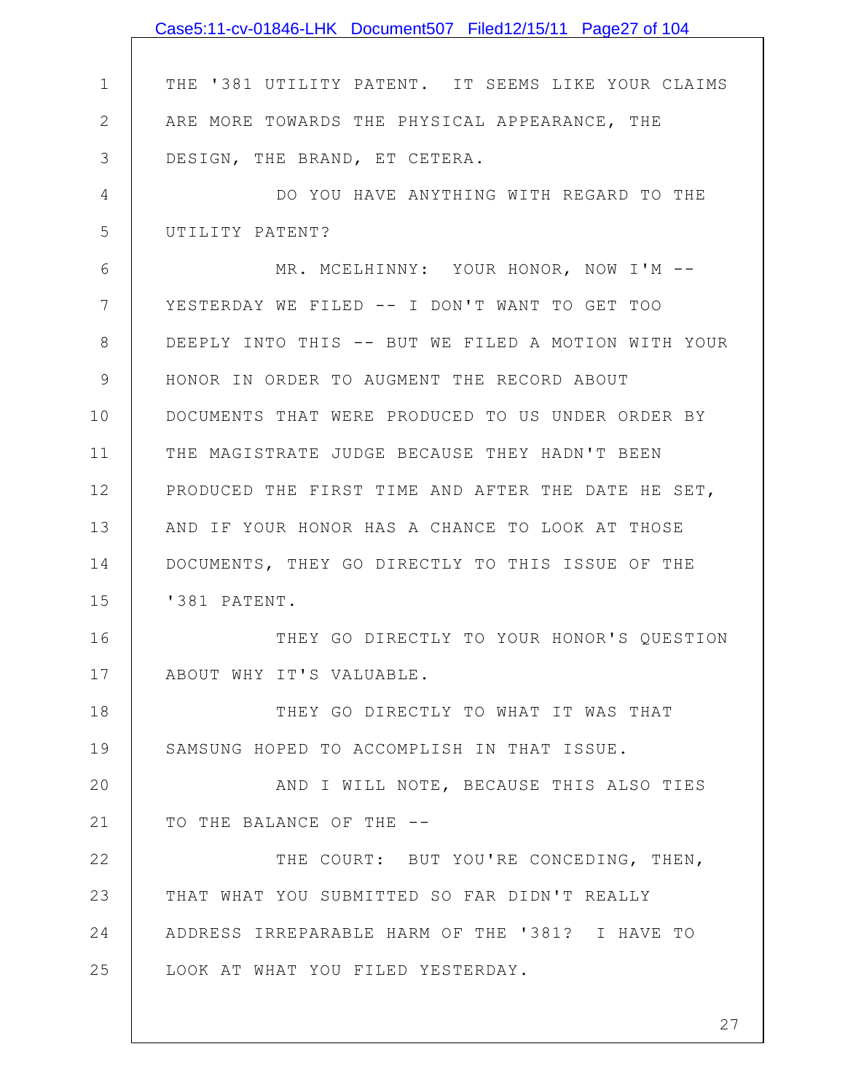|                | Case5:11-cv-01846-LHK Document507 Filed12/15/11 Page27 of 104 |
|----------------|---------------------------------------------------------------|
|                |                                                               |
| $\mathbf 1$    | THE '381 UTILITY PATENT. IT SEEMS LIKE YOUR CLAIMS            |
| $\mathbf{2}$   | ARE MORE TOWARDS THE PHYSICAL APPEARANCE, THE                 |
| 3              | DESIGN, THE BRAND, ET CETERA.                                 |
| 4              | DO YOU HAVE ANYTHING WITH REGARD TO THE                       |
| 5              | UTILITY PATENT?                                               |
| 6              | MR. MCELHINNY: YOUR HONOR, NOW I'M --                         |
| $7\phantom{.}$ | YESTERDAY WE FILED -- I DON'T WANT TO GET TOO                 |
| 8              | DEEPLY INTO THIS -- BUT WE FILED A MOTION WITH YOUR           |
| $\mathsf 9$    | HONOR IN ORDER TO AUGMENT THE RECORD ABOUT                    |
| 10             | DOCUMENTS THAT WERE PRODUCED TO US UNDER ORDER BY             |
| 11             | THE MAGISTRATE JUDGE BECAUSE THEY HADN'T BEEN                 |
| 12             | PRODUCED THE FIRST TIME AND AFTER THE DATE HE SET,            |
| 13             | AND IF YOUR HONOR HAS A CHANCE TO LOOK AT THOSE               |
| 14             | DOCUMENTS, THEY GO DIRECTLY TO THIS ISSUE OF THE              |
| 15             | '381 PATENT.                                                  |
| 16             | THEY GO DIRECTLY TO YOUR HONOR'S QUESTION                     |
| 17             | ABOUT WHY IT'S VALUABLE.                                      |
| 18             | THEY GO DIRECTLY TO WHAT IT WAS THAT                          |
| 19             | SAMSUNG HOPED TO ACCOMPLISH IN THAT ISSUE.                    |
| 20             | AND I WILL NOTE, BECAUSE THIS ALSO TIES                       |
| 21             | TO THE BALANCE OF THE --                                      |
| 22             | THE COURT: BUT YOU'RE CONCEDING, THEN,                        |
| 23             | THAT WHAT YOU SUBMITTED SO FAR DIDN'T REALLY                  |
| 24             | ADDRESS IRREPARABLE HARM OF THE '381? I HAVE TO               |
| 25             | LOOK AT WHAT YOU FILED YESTERDAY.                             |
|                |                                                               |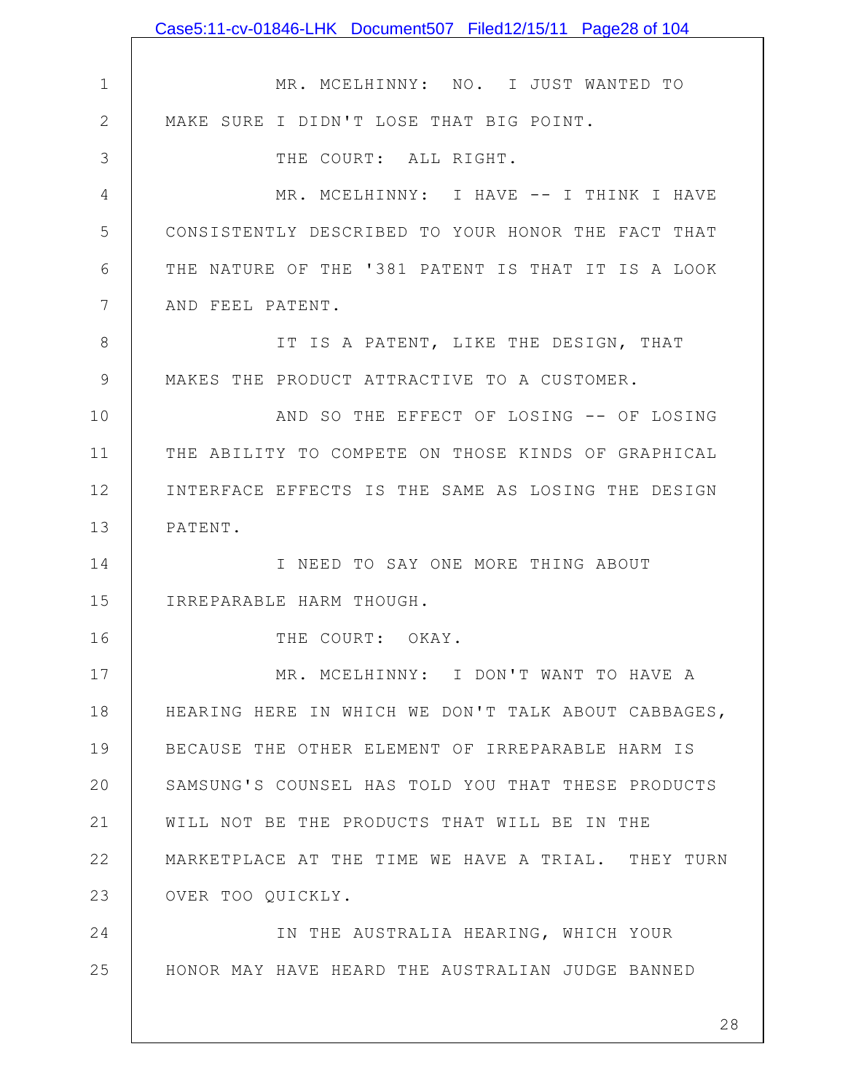|                 | Case5:11-cv-01846-LHK Document507 Filed12/15/11 Page28 of 104 |
|-----------------|---------------------------------------------------------------|
|                 |                                                               |
| $\mathbf 1$     | MR. MCELHINNY: NO. I JUST WANTED TO                           |
| $\mathbf{2}$    | MAKE SURE I DIDN'T LOSE THAT BIG POINT.                       |
| 3               | THE COURT: ALL RIGHT.                                         |
| $\overline{4}$  | MR. MCELHINNY: I HAVE -- I THINK I HAVE                       |
| 5               | CONSISTENTLY DESCRIBED TO YOUR HONOR THE FACT THAT            |
| 6               | THE NATURE OF THE '381 PATENT IS THAT IT IS A LOOK            |
| $7\phantom{.0}$ | AND FEEL PATENT.                                              |
| 8               | IT IS A PATENT, LIKE THE DESIGN, THAT                         |
| $\mathcal{G}$   | MAKES THE PRODUCT ATTRACTIVE TO A CUSTOMER.                   |
| 10              | AND SO THE EFFECT OF LOSING -- OF LOSING                      |
| 11              | THE ABILITY TO COMPETE ON THOSE KINDS OF GRAPHICAL            |
| 12              | INTERFACE EFFECTS IS THE SAME AS LOSING THE DESIGN            |
| 13              | PATENT.                                                       |
| 14              | I NEED TO SAY ONE MORE THING ABOUT                            |
| 15              | IRREPARABLE HARM THOUGH.                                      |
| 16              | THE COURT: OKAY.                                              |
| 17              | MR. MCELHINNY: I DON'T WANT TO HAVE A                         |
| 18              | HEARING HERE IN WHICH WE DON'T TALK ABOUT CABBAGES,           |
| 19              | BECAUSE THE OTHER ELEMENT OF IRREPARABLE HARM IS              |
| 20              | SAMSUNG'S COUNSEL HAS TOLD YOU THAT THESE PRODUCTS            |
| 21              | WILL NOT BE THE PRODUCTS THAT WILL BE IN THE                  |
| 22              | MARKETPLACE AT THE TIME WE HAVE A TRIAL. THEY TURN            |
| 23              | OVER TOO QUICKLY.                                             |
| 24              | IN THE AUSTRALIA HEARING, WHICH YOUR                          |
| 25              | HONOR MAY HAVE HEARD THE AUSTRALIAN JUDGE BANNED              |
|                 |                                                               |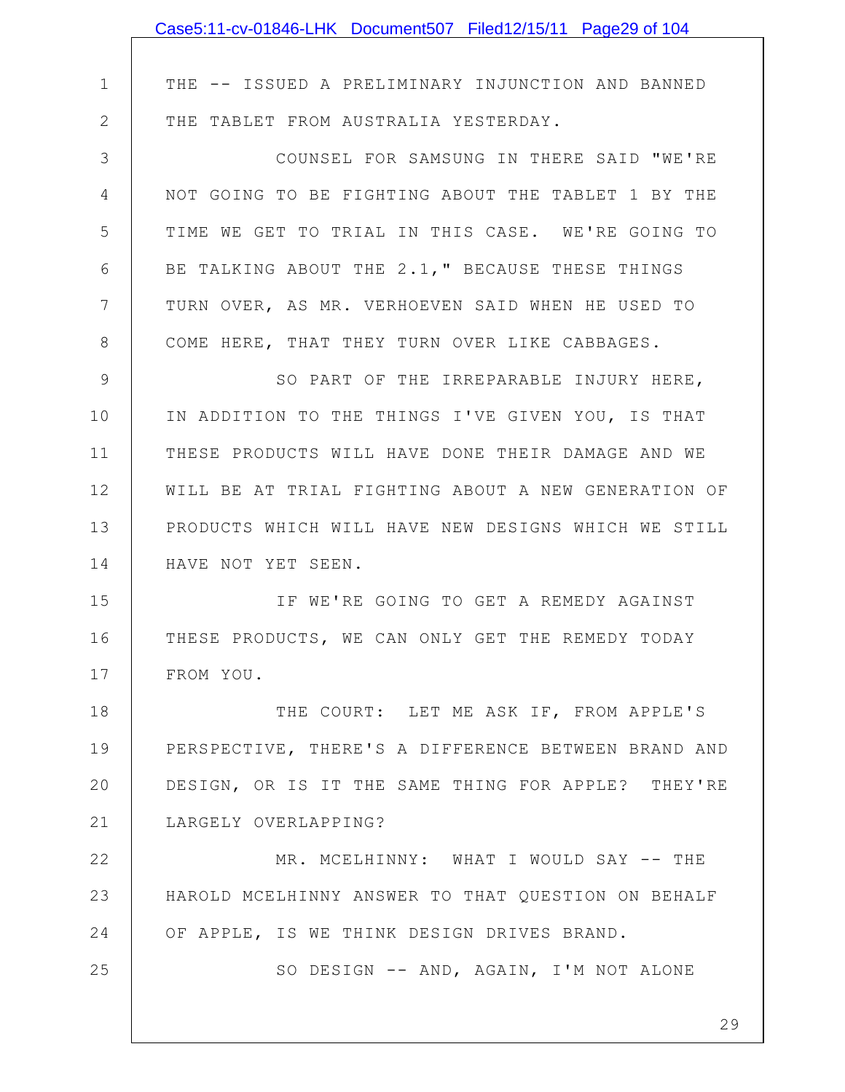|              | Case5:11-cv-01846-LHK Document507 Filed12/15/11 Page29 of 104 |
|--------------|---------------------------------------------------------------|
|              |                                                               |
| $\mathbf 1$  | THE -- ISSUED A PRELIMINARY INJUNCTION AND BANNED             |
| $\mathbf{2}$ | THE TABLET FROM AUSTRALIA YESTERDAY.                          |
| 3            | COUNSEL FOR SAMSUNG IN THERE SAID "WE'RE                      |
| 4            | NOT GOING TO BE FIGHTING ABOUT THE TABLET 1 BY THE            |
| 5            | TIME WE GET TO TRIAL IN THIS CASE. WE'RE GOING TO             |
| 6            | BE TALKING ABOUT THE 2.1, " BECAUSE THESE THINGS              |
| 7            | TURN OVER, AS MR. VERHOEVEN SAID WHEN HE USED TO              |
| 8            | COME HERE, THAT THEY TURN OVER LIKE CABBAGES.                 |
| 9            | SO PART OF THE IRREPARABLE INJURY HERE,                       |
| 10           | IN ADDITION TO THE THINGS I'VE GIVEN YOU, IS THAT             |
| 11           | THESE PRODUCTS WILL HAVE DONE THEIR DAMAGE AND WE             |
| 12           | WILL BE AT TRIAL FIGHTING ABOUT A NEW GENERATION OF           |
| 13           | PRODUCTS WHICH WILL HAVE NEW DESIGNS WHICH WE STILL           |
| 14           | HAVE NOT YET SEEN.                                            |
| 15           | IF WE'RE GOING TO GET A REMEDY AGAINST                        |
| 16           | THESE PRODUCTS, WE CAN ONLY GET THE REMEDY TODAY              |
| 17           | FROM YOU.                                                     |
| 18           | THE COURT: LET ME ASK IF, FROM APPLE'S                        |
| 19           | PERSPECTIVE, THERE'S A DIFFERENCE BETWEEN BRAND AND           |
| 20           | DESIGN, OR IS IT THE SAME THING FOR APPLE? THEY'RE            |
| 21           | LARGELY OVERLAPPING?                                          |
| 22           | MR. MCELHINNY: WHAT I WOULD SAY -- THE                        |
| 23           | HAROLD MCELHINNY ANSWER TO THAT QUESTION ON BEHALF            |
| 24           | OF APPLE, IS WE THINK DESIGN DRIVES BRAND.                    |
| 25           | SO DESIGN -- AND, AGAIN, I'M NOT ALONE                        |
|              |                                                               |
|              | 29                                                            |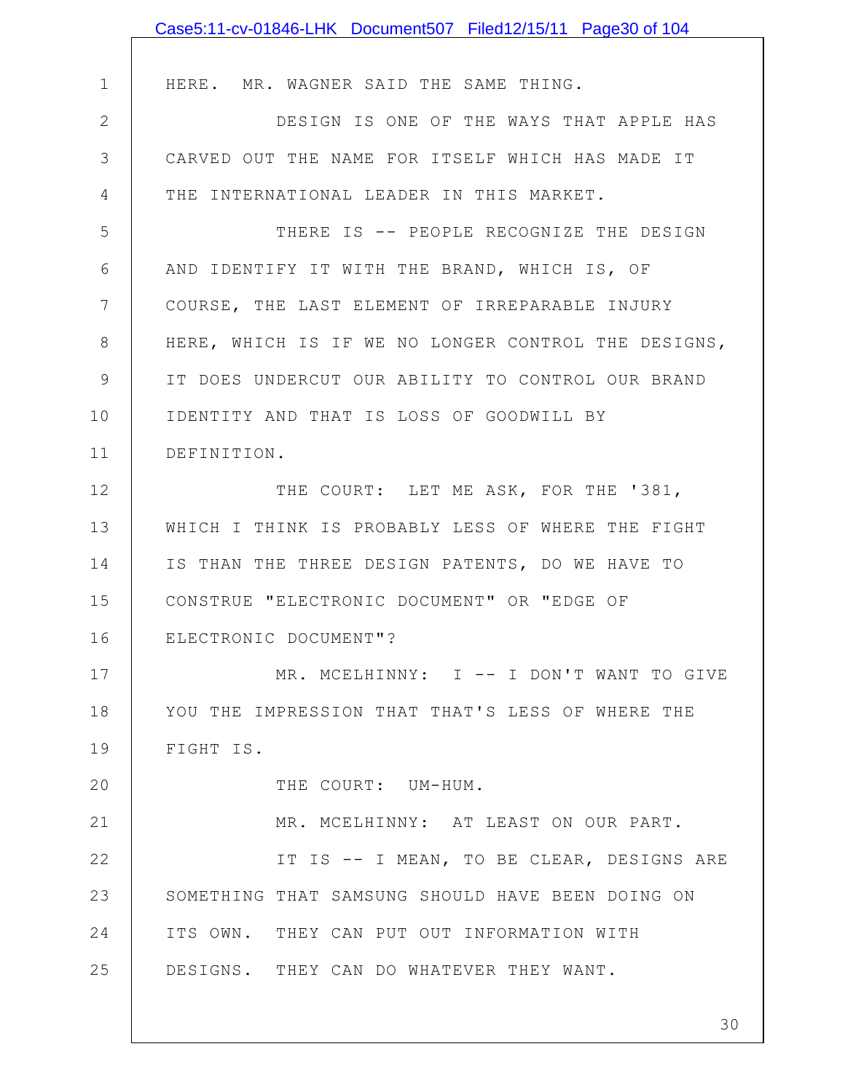|                 | Case5:11-cv-01846-LHK Document507 Filed12/15/11 Page30 of 104 |
|-----------------|---------------------------------------------------------------|
|                 |                                                               |
| $\mathbf 1$     | HERE. MR. WAGNER SAID THE SAME THING.                         |
| $\mathbf{2}$    | DESIGN IS ONE OF THE WAYS THAT APPLE HAS                      |
| 3               | CARVED OUT THE NAME FOR ITSELF WHICH HAS MADE IT              |
| 4               | THE INTERNATIONAL LEADER IN THIS MARKET.                      |
| 5               | THERE IS -- PEOPLE RECOGNIZE THE DESIGN                       |
| 6               | AND IDENTIFY IT WITH THE BRAND, WHICH IS, OF                  |
| $7\phantom{.0}$ | COURSE, THE LAST ELEMENT OF IRREPARABLE INJURY                |
| 8               | HERE, WHICH IS IF WE NO LONGER CONTROL THE DESIGNS,           |
| $\mathcal{G}$   | IT DOES UNDERCUT OUR ABILITY TO CONTROL OUR BRAND             |
| 10              | IDENTITY AND THAT IS LOSS OF GOODWILL BY                      |
| 11              | DEFINITION.                                                   |
| 12              | THE COURT: LET ME ASK, FOR THE '381,                          |
| 13              | WHICH I THINK IS PROBABLY LESS OF WHERE THE FIGHT             |
| 14              | IS THAN THE THREE DESIGN PATENTS, DO WE HAVE TO               |
| 15              | CONSTRUE "ELECTRONIC DOCUMENT" OR "EDGE OF                    |
| 16              | ELECTRONIC DOCUMENT"?                                         |
| 17              | MR. MCELHINNY: I -- I DON'T WANT TO GIVE                      |
| 18              | YOU THE IMPRESSION THAT THAT'S LESS OF WHERE THE              |
| 19              | FIGHT IS.                                                     |
| 20              | THE COURT: UM-HUM.                                            |
| 21              | MR. MCELHINNY: AT LEAST ON OUR PART.                          |
| 22              | IT IS -- I MEAN, TO BE CLEAR, DESIGNS ARE                     |
| 23              | SOMETHING THAT SAMSUNG SHOULD HAVE BEEN DOING ON              |
| 24              | ITS OWN. THEY CAN PUT OUT INFORMATION WITH                    |
| 25              | DESIGNS. THEY CAN DO WHATEVER THEY WANT.                      |
|                 |                                                               |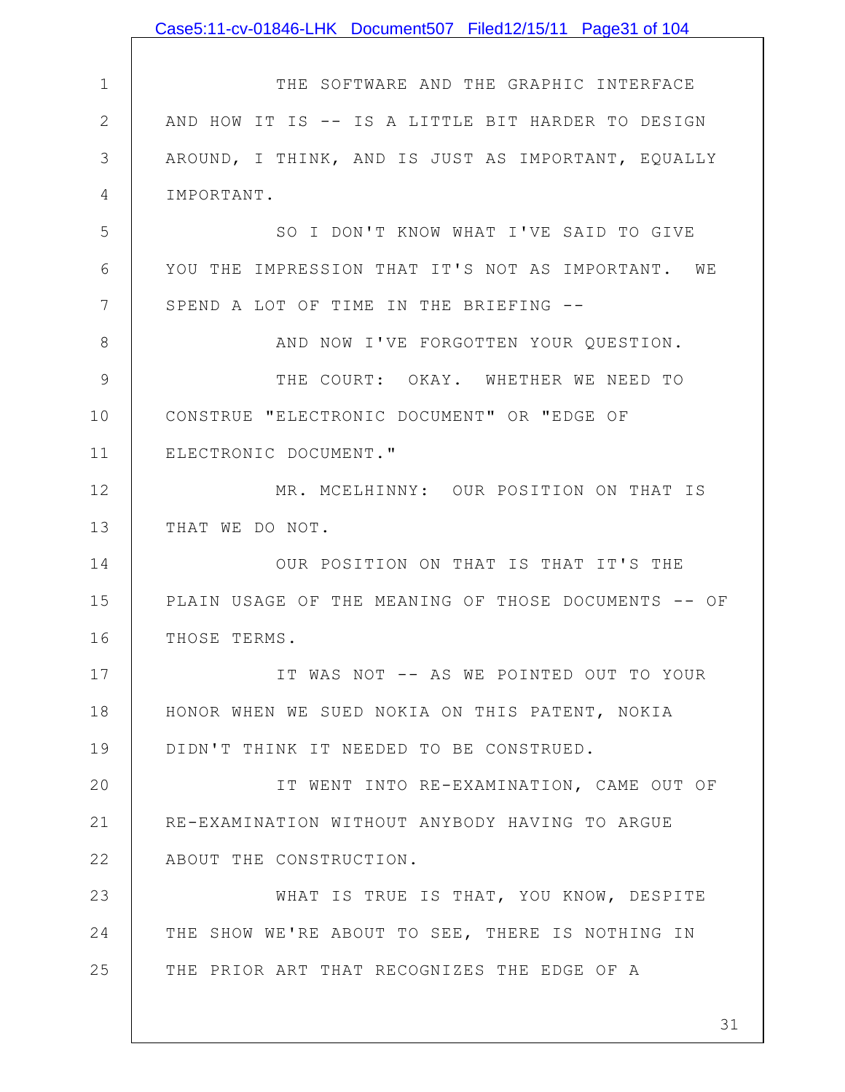|              | Case5:11-cv-01846-LHK Document507 Filed12/15/11 Page31 of 104 |
|--------------|---------------------------------------------------------------|
|              |                                                               |
| $\mathbf 1$  | THE SOFTWARE AND THE GRAPHIC INTERFACE                        |
| $\mathbf{2}$ | AND HOW IT IS -- IS A LITTLE BIT HARDER TO DESIGN             |
| 3            | AROUND, I THINK, AND IS JUST AS IMPORTANT, EQUALLY            |
| 4            | IMPORTANT.                                                    |
| 5            | SO I DON'T KNOW WHAT I'VE SAID TO GIVE                        |
| 6            | YOU THE IMPRESSION THAT IT'S NOT AS IMPORTANT. WE             |
| 7            | SPEND A LOT OF TIME IN THE BRIEFING --                        |
| 8            | AND NOW I'VE FORGOTTEN YOUR QUESTION.                         |
| 9            | THE COURT: OKAY. WHETHER WE NEED TO                           |
| 10           | CONSTRUE "ELECTRONIC DOCUMENT" OR "EDGE OF                    |
| 11           | ELECTRONIC DOCUMENT."                                         |
| 12           | MR. MCELHINNY: OUR POSITION ON THAT IS                        |
| 13           | THAT WE DO NOT.                                               |
| 14           | OUR POSITION ON THAT IS THAT IT'S THE                         |
| 15           | PLAIN USAGE OF THE MEANING OF THOSE DOCUMENTS -- OF           |
| 16           | THOSE TERMS.                                                  |
| 17           | IT WAS NOT -- AS WE POINTED OUT TO YOUR                       |
| 18           | HONOR WHEN WE SUED NOKIA ON THIS PATENT, NOKIA                |
| 19           | DIDN'T THINK IT NEEDED TO BE CONSTRUED.                       |
| 20           | IT WENT INTO RE-EXAMINATION, CAME OUT OF                      |
| 21           | RE-EXAMINATION WITHOUT ANYBODY HAVING TO ARGUE                |
| 22           | ABOUT THE CONSTRUCTION.                                       |
| 23           | WHAT IS TRUE IS THAT, YOU KNOW, DESPITE                       |
| 24           | THE SHOW WE'RE ABOUT TO SEE, THERE IS NOTHING IN              |
| 25           | THE PRIOR ART THAT RECOGNIZES THE EDGE OF A                   |
|              |                                                               |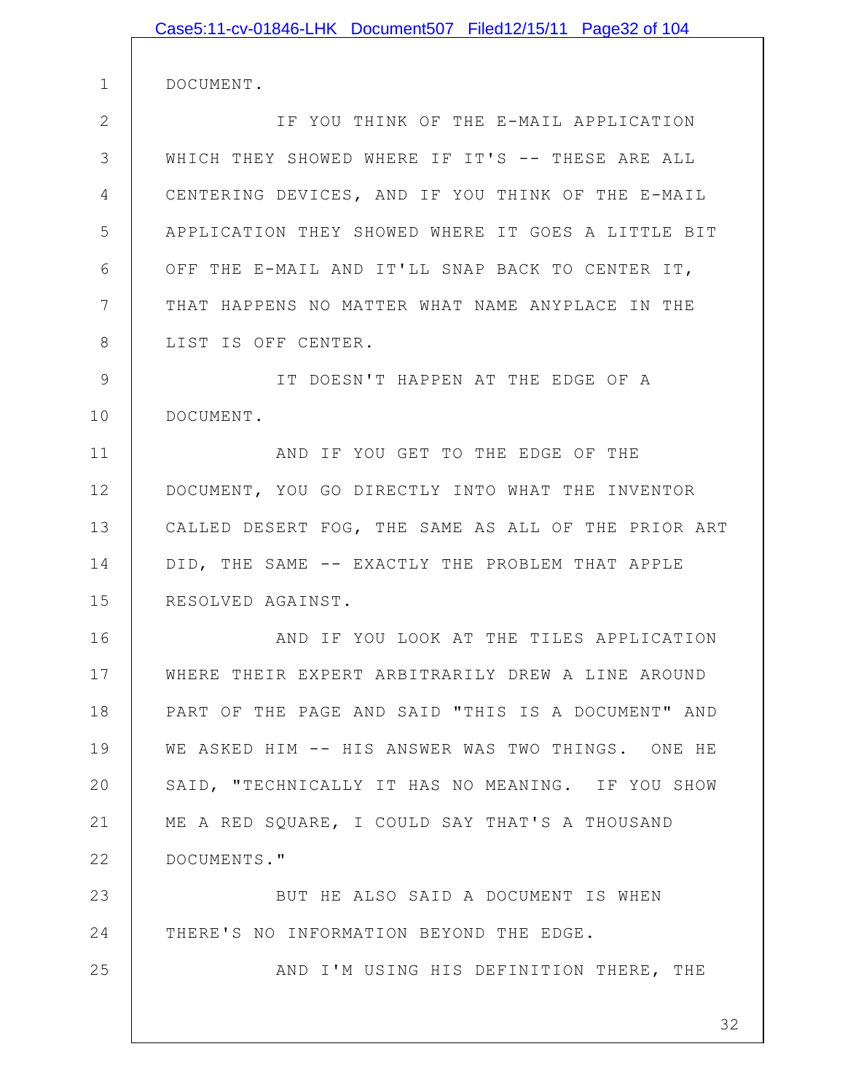|               | Case5:11-cv-01846-LHK Document507 Filed12/15/11 Page32 of 104 |
|---------------|---------------------------------------------------------------|
| $\mathbf 1$   | DOCUMENT.                                                     |
| $\mathbf{2}$  | IF YOU THINK OF THE E-MAIL APPLICATION                        |
| 3             | WHICH THEY SHOWED WHERE IF IT'S -- THESE ARE ALL              |
| 4             | CENTERING DEVICES, AND IF YOU THINK OF THE E-MAIL             |
| 5             | APPLICATION THEY SHOWED WHERE IT GOES A LITTLE BIT            |
| 6             | OFF THE E-MAIL AND IT'LL SNAP BACK TO CENTER IT,              |
| 7             | THAT HAPPENS NO MATTER WHAT NAME ANYPLACE IN THE              |
| 8             | LIST IS OFF CENTER.                                           |
| $\mathcal{G}$ | IT DOESN'T HAPPEN AT THE EDGE OF A                            |
| 10            | DOCUMENT.                                                     |
| 11            | AND IF YOU GET TO THE EDGE OF THE                             |
| 12            | DOCUMENT, YOU GO DIRECTLY INTO WHAT THE INVENTOR              |
| 13            | CALLED DESERT FOG, THE SAME AS ALL OF THE PRIOR ART           |
| 14            | DID, THE SAME -- EXACTLY THE PROBLEM THAT APPLE               |
| 15            | RESOLVED AGAINST.                                             |
| 16            | AND IF YOU LOOK AT THE TILES APPLICATION                      |
| 17            | WHERE THEIR EXPERT ARBITRARILY DREW A LINE AROUND             |
| 18            | PART OF THE PAGE AND SAID "THIS IS A DOCUMENT" AND            |
| 19            | WE ASKED HIM -- HIS ANSWER WAS TWO THINGS. ONE HE             |
| 20            | SAID, "TECHNICALLY IT HAS NO MEANING. IF YOU SHOW             |
| 21            | ME A RED SQUARE, I COULD SAY THAT'S A THOUSAND                |
| 22            | DOCUMENTS."                                                   |
| 23            | BUT HE ALSO SAID A DOCUMENT IS WHEN                           |
| 24            | THERE'S NO INFORMATION BEYOND THE EDGE.                       |
| 25            | AND I'M USING HIS DEFINITION THERE, THE                       |
|               |                                                               |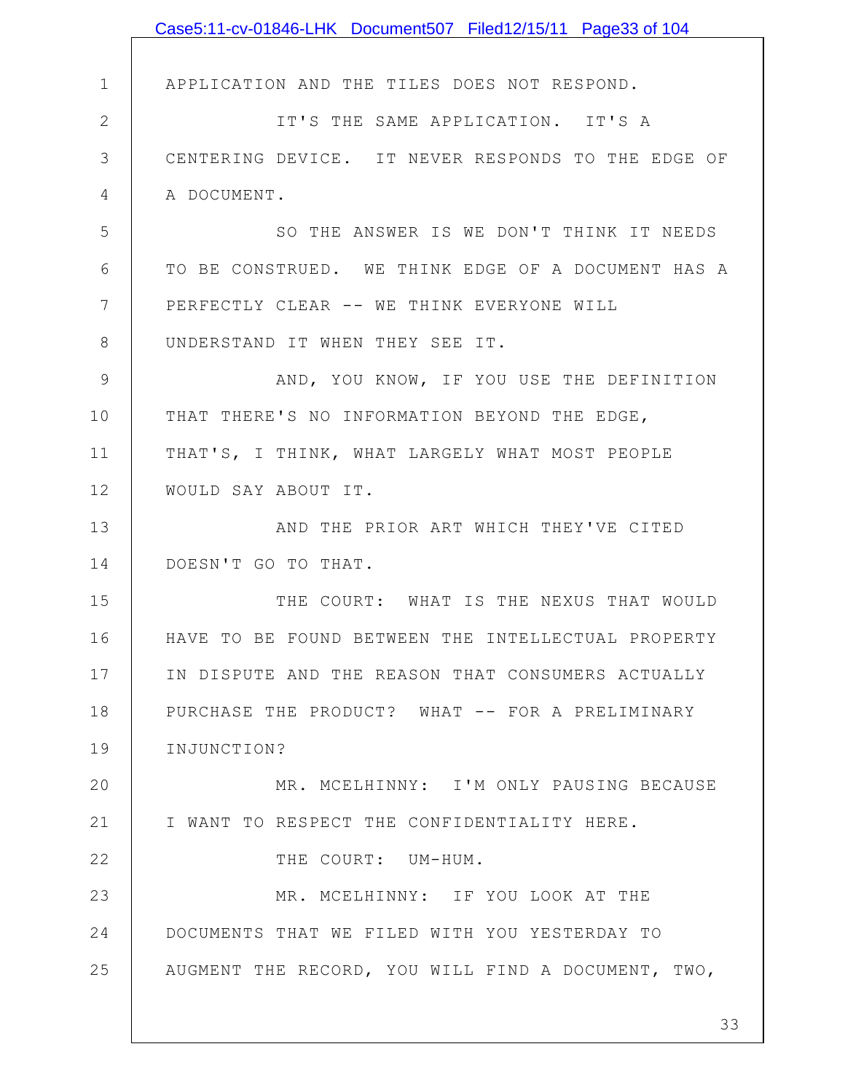|               | Case5:11-cv-01846-LHK Document507 Filed12/15/11 Page33 of 104 |
|---------------|---------------------------------------------------------------|
|               |                                                               |
| $\mathbf 1$   | APPLICATION AND THE TILES DOES NOT RESPOND.                   |
| $\mathbf{2}$  | IT'S THE SAME APPLICATION. IT'S A                             |
| 3             | CENTERING DEVICE. IT NEVER RESPONDS TO THE EDGE OF            |
| 4             | A DOCUMENT.                                                   |
| 5             | SO THE ANSWER IS WE DON'T THINK IT NEEDS                      |
| 6             | TO BE CONSTRUED. WE THINK EDGE OF A DOCUMENT HAS A            |
| 7             | PERFECTLY CLEAR -- WE THINK EVERYONE WILL                     |
| 8             | UNDERSTAND IT WHEN THEY SEE IT.                               |
| $\mathcal{G}$ | AND, YOU KNOW, IF YOU USE THE DEFINITION                      |
| 10            | THAT THERE'S NO INFORMATION BEYOND THE EDGE,                  |
| 11            | THAT'S, I THINK, WHAT LARGELY WHAT MOST PEOPLE                |
| 12            | WOULD SAY ABOUT IT.                                           |
| 13            | AND THE PRIOR ART WHICH THEY'VE CITED                         |
| 14            | DOESN'T GO TO THAT.                                           |
| 15            | THE COURT: WHAT IS THE NEXUS THAT WOULD                       |
| 16            | HAVE TO BE FOUND BETWEEN THE INTELLECTUAL PROPERTY            |
| 17            | IN DISPUTE AND THE REASON THAT CONSUMERS ACTUALLY             |
| 18            | PURCHASE THE PRODUCT? WHAT -- FOR A PRELIMINARY               |
| 19            | INJUNCTION?                                                   |
| 20            | MR. MCELHINNY: I'M ONLY PAUSING BECAUSE                       |
| 21            | I WANT TO RESPECT THE CONFIDENTIALITY HERE.                   |
| 22            | THE COURT: UM-HUM.                                            |
| 23            | MR. MCELHINNY: IF YOU LOOK AT THE                             |
| 24            | DOCUMENTS THAT WE FILED WITH YOU YESTERDAY TO                 |
| 25            | AUGMENT THE RECORD, YOU WILL FIND A DOCUMENT, TWO,            |
|               |                                                               |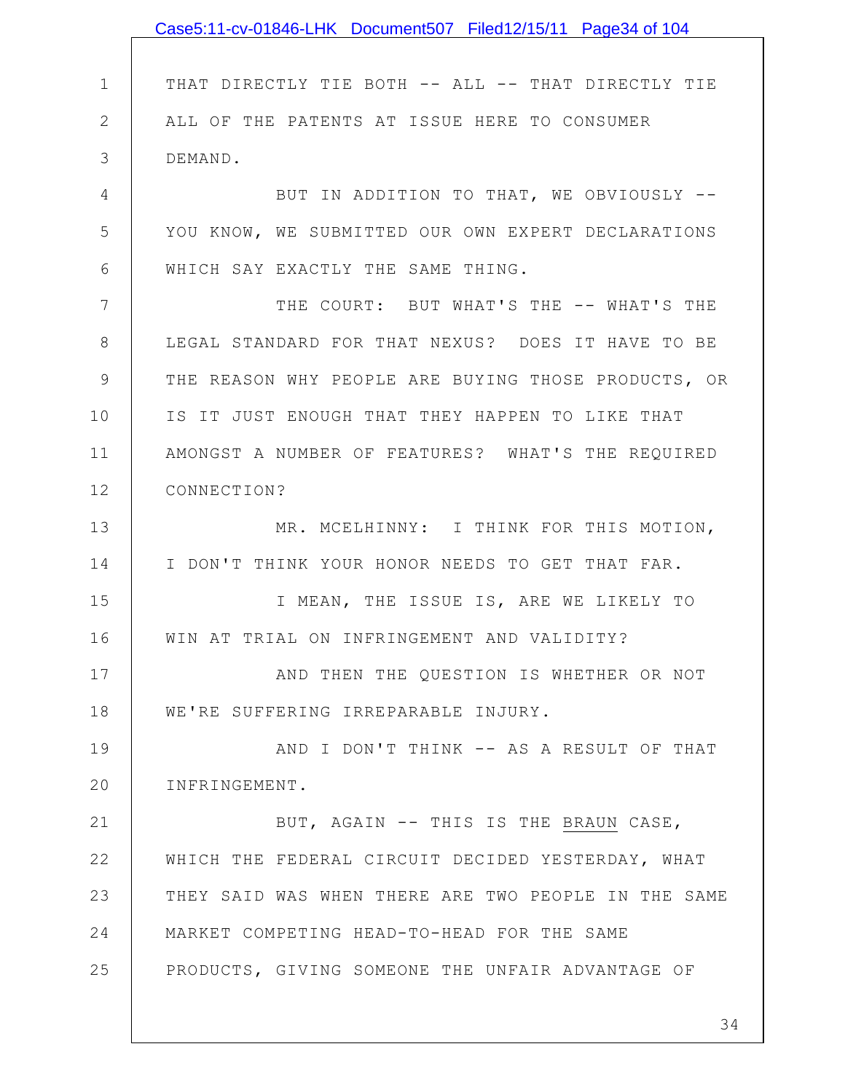|               | Case5:11-cv-01846-LHK Document507 Filed12/15/11 Page34 of 104 |
|---------------|---------------------------------------------------------------|
|               |                                                               |
| $\mathbf 1$   | THAT DIRECTLY TIE BOTH -- ALL -- THAT DIRECTLY TIE            |
| $\mathbf{2}$  | ALL OF THE PATENTS AT ISSUE HERE TO CONSUMER                  |
| 3             | DEMAND.                                                       |
| 4             | BUT IN ADDITION TO THAT, WE OBVIOUSLY --                      |
| 5             | YOU KNOW, WE SUBMITTED OUR OWN EXPERT DECLARATIONS            |
| 6             | WHICH SAY EXACTLY THE SAME THING.                             |
| 7             | THE COURT: BUT WHAT'S THE -- WHAT'S THE                       |
| 8             | LEGAL STANDARD FOR THAT NEXUS? DOES IT HAVE TO BE             |
| $\mathcal{G}$ | THE REASON WHY PEOPLE ARE BUYING THOSE PRODUCTS, OR           |
| 10            | IS IT JUST ENOUGH THAT THEY HAPPEN TO LIKE THAT               |
| 11            | AMONGST A NUMBER OF FEATURES? WHAT'S THE REQUIRED             |
| 12            | CONNECTION?                                                   |
| 13            | MR. MCELHINNY: I THINK FOR THIS MOTION,                       |
| 14            | I DON'T THINK YOUR HONOR NEEDS TO GET THAT FAR.               |
| 15            | I MEAN, THE ISSUE IS, ARE WE LIKELY TO                        |
| 16            | WIN AT TRIAL ON INFRINGEMENT AND VALIDITY?                    |
| 17            | AND THEN THE QUESTION IS WHETHER OR NOT                       |
| 18            | WE'RE SUFFERING IRREPARABLE INJURY.                           |
| 19            | AND I DON'T THINK -- AS A RESULT OF THAT                      |
| 20            | INFRINGEMENT.                                                 |
| 21            | BUT, AGAIN -- THIS IS THE BRAUN CASE,                         |
| 22            | WHICH THE FEDERAL CIRCUIT DECIDED YESTERDAY, WHAT             |
| 23            | THEY SAID WAS WHEN THERE ARE TWO PEOPLE IN THE SAME           |
| 24            | MARKET COMPETING HEAD-TO-HEAD FOR THE SAME                    |
| 25            | PRODUCTS, GIVING SOMEONE THE UNFAIR ADVANTAGE OF              |
|               |                                                               |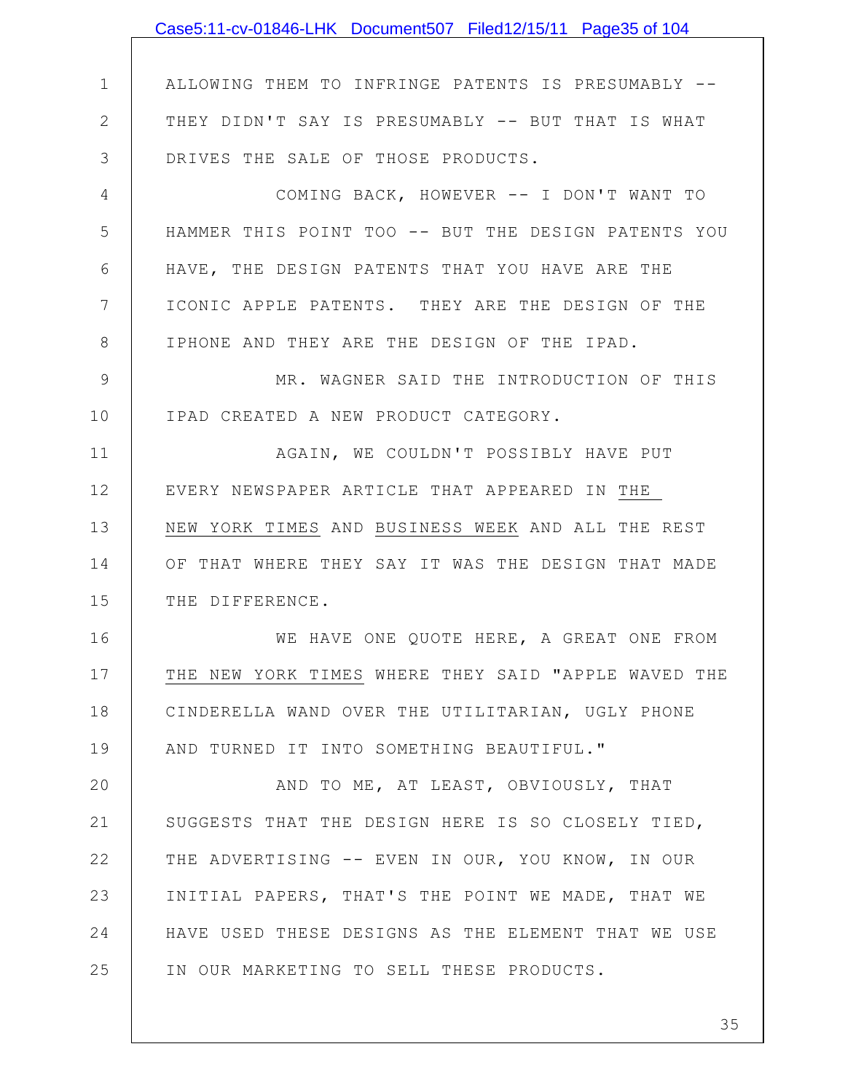|               | Case5:11-cv-01846-LHK Document507 Filed12/15/11 Page35 of 104 |
|---------------|---------------------------------------------------------------|
|               |                                                               |
| $\mathbf 1$   | ALLOWING THEM TO INFRINGE PATENTS IS PRESUMABLY --            |
| $\mathbf{2}$  | THEY DIDN'T SAY IS PRESUMABLY -- BUT THAT IS WHAT             |
| 3             | DRIVES THE SALE OF THOSE PRODUCTS.                            |
| 4             | COMING BACK, HOWEVER -- I DON'T WANT TO                       |
| 5             | HAMMER THIS POINT TOO -- BUT THE DESIGN PATENTS YOU           |
| 6             | HAVE, THE DESIGN PATENTS THAT YOU HAVE ARE THE                |
| 7             | ICONIC APPLE PATENTS. THEY ARE THE DESIGN OF THE              |
| 8             | IPHONE AND THEY ARE THE DESIGN OF THE IPAD.                   |
| $\mathcal{G}$ | MR. WAGNER SAID THE INTRODUCTION OF THIS                      |
| 10            | IPAD CREATED A NEW PRODUCT CATEGORY.                          |
| 11            | AGAIN, WE COULDN'T POSSIBLY HAVE PUT                          |
| 12            | EVERY NEWSPAPER ARTICLE THAT APPEARED IN THE                  |
| 13            | NEW YORK TIMES AND BUSINESS WEEK AND ALL THE REST             |
| 14            | OF THAT WHERE THEY SAY IT WAS THE DESIGN THAT MADE            |
| 15            | THE DIFFERENCE.                                               |
| 16            | WE HAVE ONE QUOTE HERE, A GREAT ONE FROM                      |
| 17            | THE NEW YORK TIMES WHERE THEY SAID "APPLE WAVED THE           |
| 18            | CINDERELLA WAND OVER THE UTILITARIAN, UGLY PHONE              |
| 19            | AND TURNED IT INTO SOMETHING BEAUTIFUL."                      |
| 20            | AND TO ME, AT LEAST, OBVIOUSLY, THAT                          |
| 21            | SUGGESTS THAT THE DESIGN HERE IS SO CLOSELY TIED,             |
| 22            | THE ADVERTISING -- EVEN IN OUR, YOU KNOW, IN OUR              |
| 23            | INITIAL PAPERS, THAT'S THE POINT WE MADE, THAT WE             |
| 24            | HAVE USED THESE DESIGNS AS THE ELEMENT THAT WE USE            |
| 25            | IN OUR MARKETING TO SELL THESE PRODUCTS.                      |
|               |                                                               |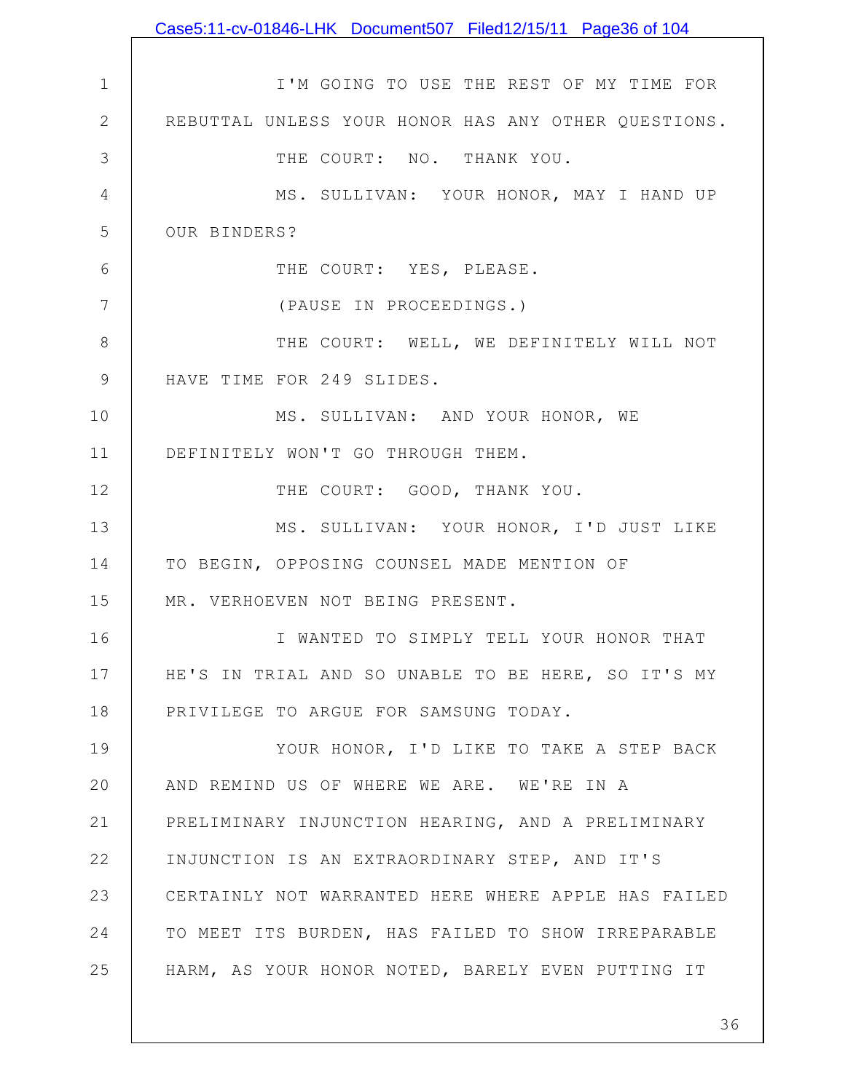|                 | Case5:11-cv-01846-LHK Document507 Filed12/15/11 Page36 of 104 |
|-----------------|---------------------------------------------------------------|
|                 |                                                               |
| $\mathbf 1$     | I'M GOING TO USE THE REST OF MY TIME FOR                      |
| 2               | REBUTTAL UNLESS YOUR HONOR HAS ANY OTHER QUESTIONS.           |
| 3               | THE COURT: NO. THANK YOU.                                     |
| 4               | MS. SULLIVAN: YOUR HONOR, MAY I HAND UP                       |
| 5               | OUR BINDERS?                                                  |
| 6               | THE COURT: YES, PLEASE.                                       |
| $7\phantom{.0}$ | (PAUSE IN PROCEEDINGS.)                                       |
| 8               | THE COURT: WELL, WE DEFINITELY WILL NOT                       |
| $\mathcal{G}$   | HAVE TIME FOR 249 SLIDES.                                     |
| 10              | MS. SULLIVAN: AND YOUR HONOR, WE                              |
| 11              | DEFINITELY WON'T GO THROUGH THEM.                             |
| 12              | THE COURT: GOOD, THANK YOU.                                   |
| 13              | MS. SULLIVAN: YOUR HONOR, I'D JUST LIKE                       |
| 14              | TO BEGIN, OPPOSING COUNSEL MADE MENTION OF                    |
| 15              | MR. VERHOEVEN NOT BEING PRESENT.                              |
| 16              | I WANTED TO SIMPLY TELL YOUR HONOR THAT                       |
| 17              | HE'S IN TRIAL AND SO UNABLE TO BE HERE, SO IT'S MY            |
| 18              | PRIVILEGE TO ARGUE FOR SAMSUNG TODAY.                         |
| 19              | YOUR HONOR, I'D LIKE TO TAKE A STEP BACK                      |
| 20              | AND REMIND US OF WHERE WE ARE. WE'RE IN A                     |
| 21              | PRELIMINARY INJUNCTION HEARING, AND A PRELIMINARY             |
| 22              | INJUNCTION IS AN EXTRAORDINARY STEP, AND IT'S                 |
| 23              | CERTAINLY NOT WARRANTED HERE WHERE APPLE HAS FAILED           |
| 24              | TO MEET ITS BURDEN, HAS FAILED TO SHOW IRREPARABLE            |
| 25              | HARM, AS YOUR HONOR NOTED, BARELY EVEN PUTTING IT             |
|                 |                                                               |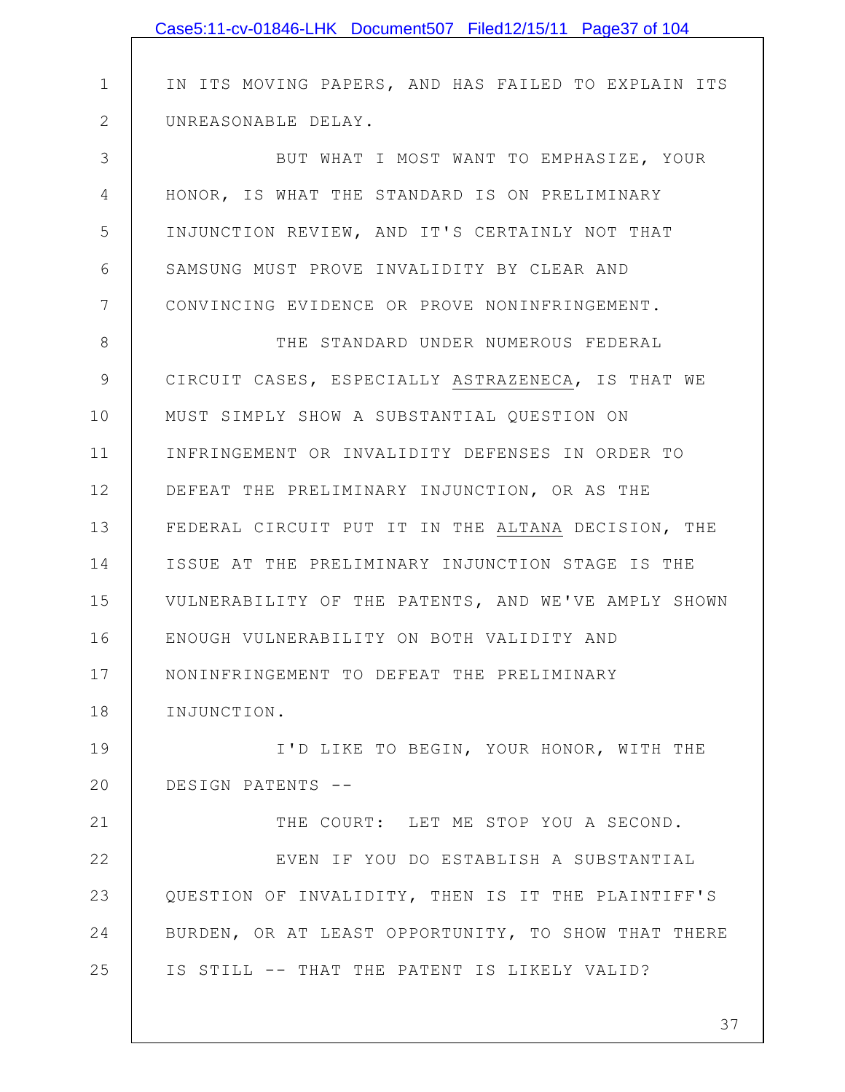|              | Case5:11-cv-01846-LHK Document507 Filed12/15/11 Page37 of 104 |
|--------------|---------------------------------------------------------------|
|              |                                                               |
| $\mathbf 1$  | IN ITS MOVING PAPERS, AND HAS FAILED TO EXPLAIN ITS           |
| $\mathbf{2}$ | UNREASONABLE DELAY.                                           |
| 3            | BUT WHAT I MOST WANT TO EMPHASIZE, YOUR                       |
| 4            | HONOR, IS WHAT THE STANDARD IS ON PRELIMINARY                 |
| 5            | INJUNCTION REVIEW, AND IT'S CERTAINLY NOT THAT                |
| 6            | SAMSUNG MUST PROVE INVALIDITY BY CLEAR AND                    |
| 7            | CONVINCING EVIDENCE OR PROVE NONINFRINGEMENT.                 |
| 8            | THE STANDARD UNDER NUMEROUS FEDERAL                           |
| $\mathsf 9$  | CIRCUIT CASES, ESPECIALLY ASTRAZENECA, IS THAT WE             |
| 10           | MUST SIMPLY SHOW A SUBSTANTIAL QUESTION ON                    |
| 11           | INFRINGEMENT OR INVALIDITY DEFENSES IN ORDER TO               |
| 12           | DEFEAT THE PRELIMINARY INJUNCTION, OR AS THE                  |
| 13           | FEDERAL CIRCUIT PUT IT IN THE ALTANA DECISION, THE            |
| 14           | ISSUE AT THE PRELIMINARY INJUNCTION STAGE IS THE              |
| 15           | VULNERABILITY OF THE PATENTS, AND WE'VE AMPLY SHOWN           |
| 16           | ENOUGH VULNERABILITY ON BOTH VALIDITY AND                     |
| 17           | NONINFRINGEMENT TO DEFEAT THE PRELIMINARY                     |
| 18           | INJUNCTION.                                                   |
| 19           | I'D LIKE TO BEGIN, YOUR HONOR, WITH THE                       |
| 20           | DESIGN PATENTS --                                             |
| 21           | THE COURT: LET ME STOP YOU A SECOND.                          |
| 22           | EVEN IF YOU DO ESTABLISH A SUBSTANTIAL                        |
| 23           | QUESTION OF INVALIDITY, THEN IS IT THE PLAINTIFF'S            |
| 24           | BURDEN, OR AT LEAST OPPORTUNITY, TO SHOW THAT THERE           |
| 25           | IS STILL -- THAT THE PATENT IS LIKELY VALID?                  |
|              | 37                                                            |
|              |                                                               |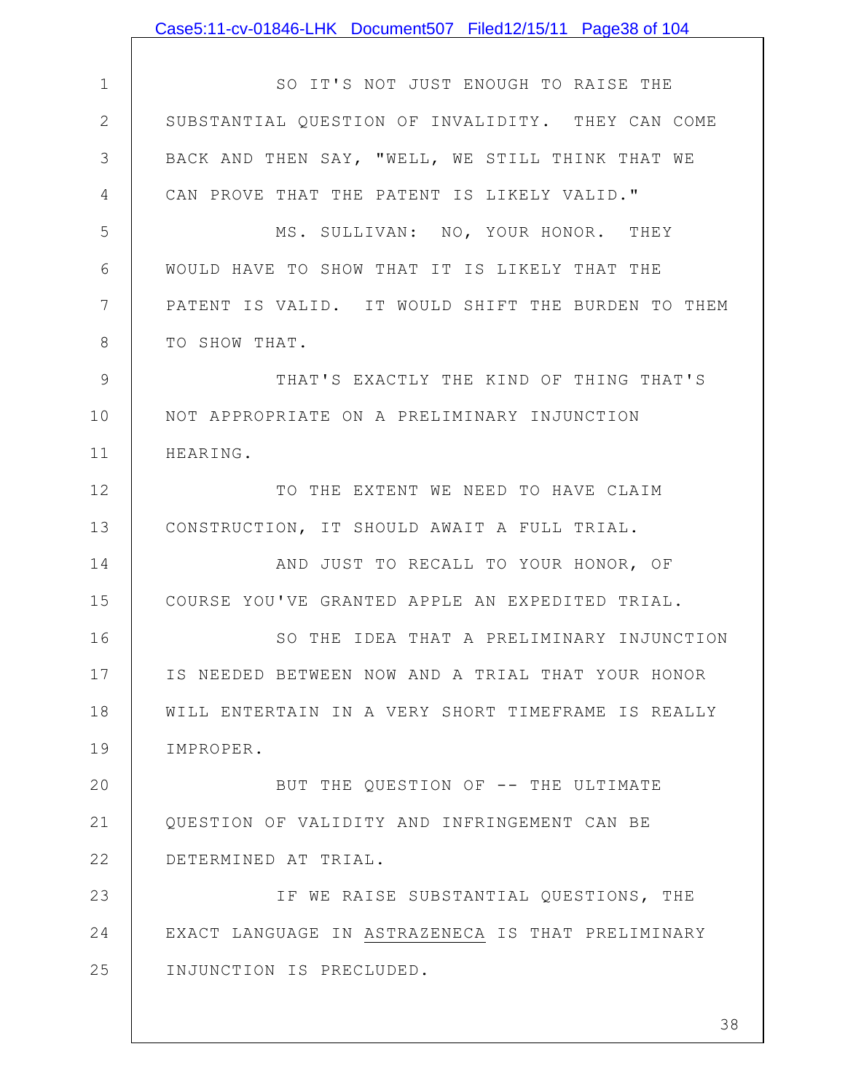|                 | Case5:11-cv-01846-LHK Document507 Filed12/15/11 Page38 of 104 |
|-----------------|---------------------------------------------------------------|
|                 |                                                               |
| $\mathbf 1$     | SO IT'S NOT JUST ENOUGH TO RAISE THE                          |
| $\mathbf{2}$    | SUBSTANTIAL QUESTION OF INVALIDITY. THEY CAN COME             |
| 3               | BACK AND THEN SAY, "WELL, WE STILL THINK THAT WE              |
| 4               | CAN PROVE THAT THE PATENT IS LIKELY VALID."                   |
| 5               | MS. SULLIVAN: NO, YOUR HONOR. THEY                            |
| 6               | WOULD HAVE TO SHOW THAT IT IS LIKELY THAT THE                 |
| $7\phantom{.0}$ | PATENT IS VALID. IT WOULD SHIFT THE BURDEN TO THEM            |
| 8               | TO SHOW THAT.                                                 |
| 9               | THAT'S EXACTLY THE KIND OF THING THAT'S                       |
| 10              | NOT APPROPRIATE ON A PRELIMINARY INJUNCTION                   |
| 11              | HEARING.                                                      |
| 12              | TO THE EXTENT WE NEED TO HAVE CLAIM                           |
| 13              | CONSTRUCTION, IT SHOULD AWAIT A FULL TRIAL.                   |
| 14              | AND JUST TO RECALL TO YOUR HONOR, OF                          |
| 15              | COURSE YOU'VE GRANTED APPLE AN EXPEDITED TRIAL.               |
| 16              | SO THE IDEA THAT A PRELIMINARY INJUNCTION                     |
| 17              | IS NEEDED BETWEEN NOW AND A TRIAL THAT YOUR HONOR             |
| 18              | WILL ENTERTAIN IN A VERY SHORT TIMEFRAME IS REALLY            |
| 19              | IMPROPER.                                                     |
| 20              | BUT THE QUESTION OF -- THE ULTIMATE                           |
| 21              | QUESTION OF VALIDITY AND INFRINGEMENT CAN BE                  |
| 22              | DETERMINED AT TRIAL.                                          |
| 23              | IF WE RAISE SUBSTANTIAL QUESTIONS, THE                        |
| 24              | EXACT LANGUAGE IN ASTRAZENECA IS THAT PRELIMINARY             |
| 25              | INJUNCTION IS PRECLUDED.                                      |
|                 |                                                               |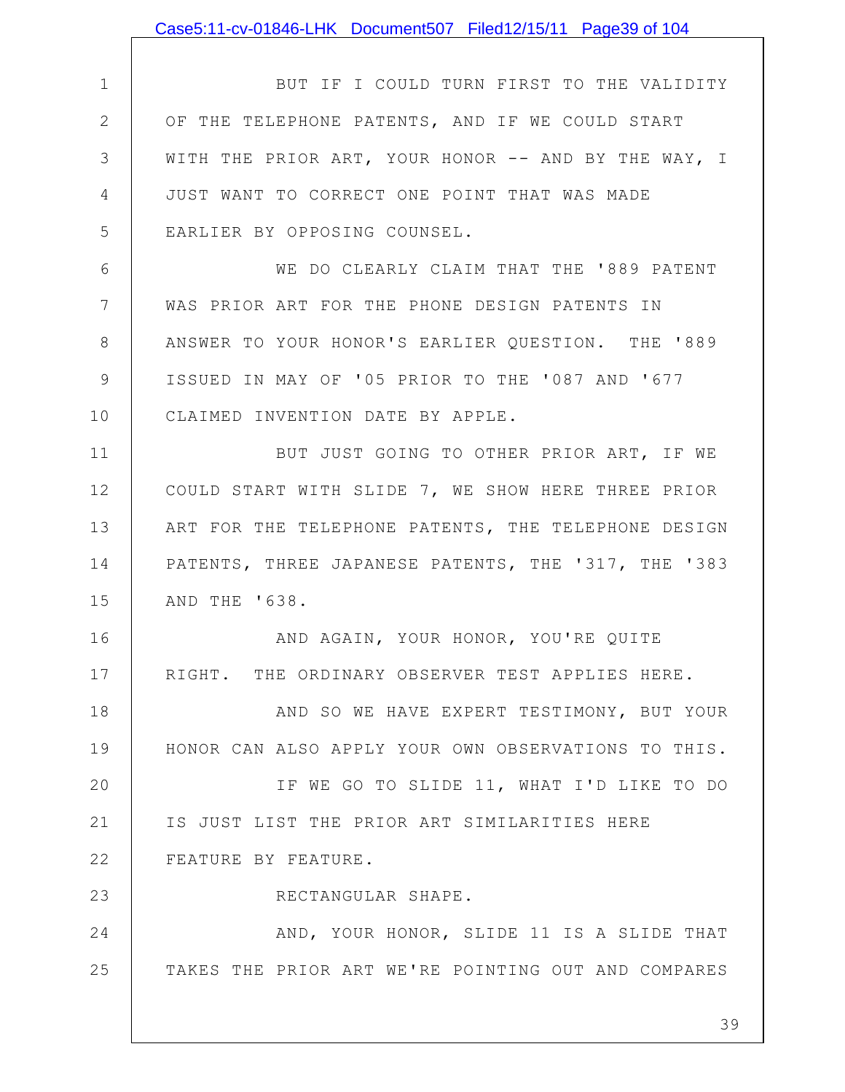|                | Case5:11-cv-01846-LHK Document507 Filed12/15/11 Page39 of 104 |
|----------------|---------------------------------------------------------------|
|                |                                                               |
| $\mathbf 1$    | BUT IF I COULD TURN FIRST TO THE VALIDITY                     |
| $\mathbf{2}$   | OF THE TELEPHONE PATENTS, AND IF WE COULD START               |
| 3              | WITH THE PRIOR ART, YOUR HONOR -- AND BY THE WAY, I           |
| 4              | JUST WANT TO CORRECT ONE POINT THAT WAS MADE                  |
| 5              | EARLIER BY OPPOSING COUNSEL.                                  |
| 6              | WE DO CLEARLY CLAIM THAT THE '889 PATENT                      |
| 7              | WAS PRIOR ART FOR THE PHONE DESIGN PATENTS IN                 |
| 8              | ANSWER TO YOUR HONOR'S EARLIER QUESTION. THE '889             |
| $\overline{9}$ | ISSUED IN MAY OF '05 PRIOR TO THE '087 AND '677               |
| 10             | CLAIMED INVENTION DATE BY APPLE.                              |
| 11             | BUT JUST GOING TO OTHER PRIOR ART, IF WE                      |
| 12             | COULD START WITH SLIDE 7, WE SHOW HERE THREE PRIOR            |
| 13             | ART FOR THE TELEPHONE PATENTS, THE TELEPHONE DESIGN           |
| 14             | PATENTS, THREE JAPANESE PATENTS, THE '317, THE '383           |
| 15             | AND THE '638.                                                 |
| 16             | AND AGAIN, YOUR HONOR, YOU'RE QUITE                           |
| 17             | RIGHT. THE ORDINARY OBSERVER TEST APPLIES HERE.               |
| 18             | AND SO WE HAVE EXPERT TESTIMONY, BUT YOUR                     |
| 19             | HONOR CAN ALSO APPLY YOUR OWN OBSERVATIONS TO THIS.           |
| 20             | IF WE GO TO SLIDE 11, WHAT I'D LIKE TO DO                     |
| 21             | IS JUST LIST THE PRIOR ART SIMILARITIES HERE                  |
| 22             | FEATURE BY FEATURE.                                           |
| 23             | RECTANGULAR SHAPE.                                            |
| 24             | AND, YOUR HONOR, SLIDE 11 IS A SLIDE THAT                     |
| 25             | TAKES THE PRIOR ART WE'RE POINTING OUT AND COMPARES           |
|                | 39                                                            |
|                |                                                               |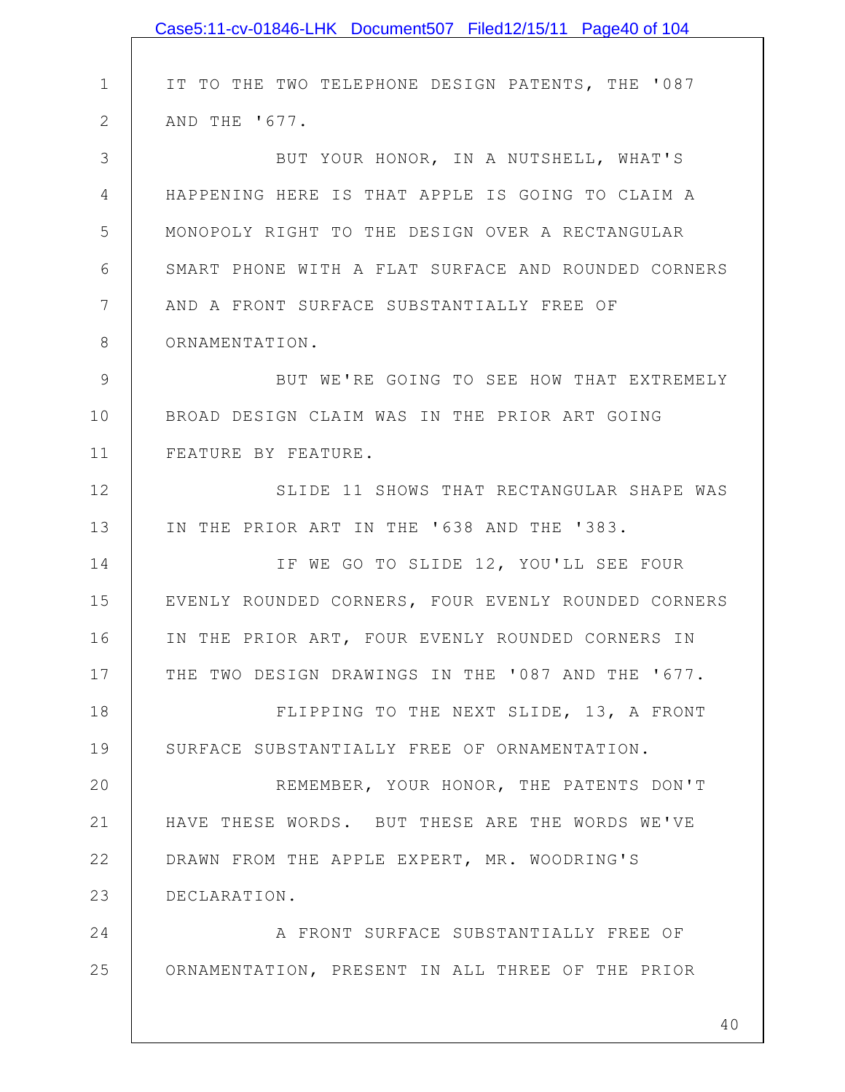|              | Case5:11-cv-01846-LHK Document507 Filed12/15/11 Page40 of 104 |
|--------------|---------------------------------------------------------------|
|              |                                                               |
| $\mathbf 1$  | IT TO THE TWO TELEPHONE DESIGN PATENTS, THE '087              |
| $\mathbf{2}$ | AND THE '677.                                                 |
| 3            | BUT YOUR HONOR, IN A NUTSHELL, WHAT'S                         |
| 4            | HAPPENING HERE IS THAT APPLE IS GOING TO CLAIM A              |
| 5            | MONOPOLY RIGHT TO THE DESIGN OVER A RECTANGULAR               |
| 6            | SMART PHONE WITH A FLAT SURFACE AND ROUNDED CORNERS           |
| 7            | AND A FRONT SURFACE SUBSTANTIALLY FREE OF                     |
| 8            | ORNAMENTATION.                                                |
| $\mathsf 9$  | BUT WE'RE GOING TO SEE HOW THAT EXTREMELY                     |
| 10           | BROAD DESIGN CLAIM WAS IN THE PRIOR ART GOING                 |
| 11           | FEATURE BY FEATURE.                                           |
| 12           | SLIDE 11 SHOWS THAT RECTANGULAR SHAPE WAS                     |
| 13           | IN THE PRIOR ART IN THE '638 AND THE '383.                    |
| 14           | IF WE GO TO SLIDE 12, YOU'LL SEE FOUR                         |
| 15           | EVENLY ROUNDED CORNERS, FOUR EVENLY ROUNDED CORNERS           |
| 16           | IN THE PRIOR ART, FOUR EVENLY ROUNDED CORNERS IN              |
| 17           | THE TWO DESIGN DRAWINGS IN THE '087 AND THE '677.             |
| 18           | FLIPPING TO THE NEXT SLIDE, 13, A FRONT                       |
| 19           | SURFACE SUBSTANTIALLY FREE OF ORNAMENTATION.                  |
| 20           | REMEMBER, YOUR HONOR, THE PATENTS DON'T                       |
| 21           | HAVE THESE WORDS. BUT THESE ARE THE WORDS WE'VE               |
| 22           | DRAWN FROM THE APPLE EXPERT, MR. WOODRING'S                   |
| 23           | DECLARATION.                                                  |
| 24           | A FRONT SURFACE SUBSTANTIALLY FREE OF                         |
| 25           | ORNAMENTATION, PRESENT IN ALL THREE OF THE PRIOR              |
|              |                                                               |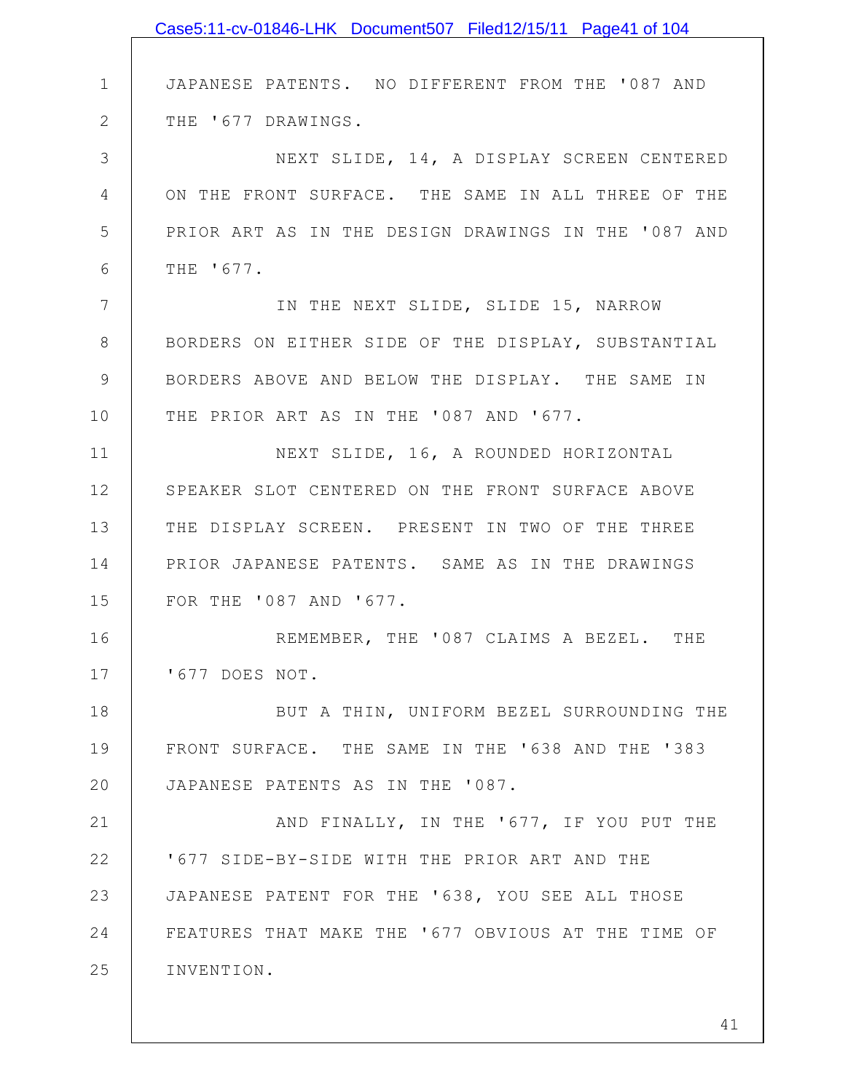|               | Case5:11-cv-01846-LHK Document507 Filed12/15/11 Page41 of 104 |
|---------------|---------------------------------------------------------------|
|               |                                                               |
| $\mathbf 1$   | JAPANESE PATENTS. NO DIFFERENT FROM THE '087 AND              |
| $\mathbf{2}$  | THE '677 DRAWINGS.                                            |
| 3             | NEXT SLIDE, 14, A DISPLAY SCREEN CENTERED                     |
| 4             | ON THE FRONT SURFACE. THE SAME IN ALL THREE OF THE            |
| 5             | PRIOR ART AS IN THE DESIGN DRAWINGS IN THE '087 AND           |
| 6             | THE '677.                                                     |
| 7             | IN THE NEXT SLIDE, SLIDE 15, NARROW                           |
| $8\,$         | BORDERS ON EITHER SIDE OF THE DISPLAY, SUBSTANTIAL            |
| $\mathcal{G}$ | BORDERS ABOVE AND BELOW THE DISPLAY. THE SAME IN              |
| 10            | THE PRIOR ART AS IN THE '087 AND '677.                        |
| 11            | NEXT SLIDE, 16, A ROUNDED HORIZONTAL                          |
| 12            | SPEAKER SLOT CENTERED ON THE FRONT SURFACE ABOVE              |
| 13            | THE DISPLAY SCREEN. PRESENT IN TWO OF THE THREE               |
| 14            | PRIOR JAPANESE PATENTS. SAME AS IN THE DRAWINGS               |
| 15            | FOR THE '087 AND '677.                                        |
| 16            | REMEMBER, THE '087 CLAIMS A BEZEL. THE                        |
| 17            | '677 DOES NOT.                                                |
| 18            | BUT A THIN, UNIFORM BEZEL SURROUNDING THE                     |
| 19            | FRONT SURFACE. THE SAME IN THE '638 AND THE '383              |
| 20            | JAPANESE PATENTS AS IN THE '087.                              |
| 21            | AND FINALLY, IN THE '677, IF YOU PUT THE                      |
| 22            | '677 SIDE-BY-SIDE WITH THE PRIOR ART AND THE                  |
| 23            | JAPANESE PATENT FOR THE '638, YOU SEE ALL THOSE               |
| 24            | FEATURES THAT MAKE THE '677 OBVIOUS AT THE TIME OF            |
| 25            | INVENTION.                                                    |
|               |                                                               |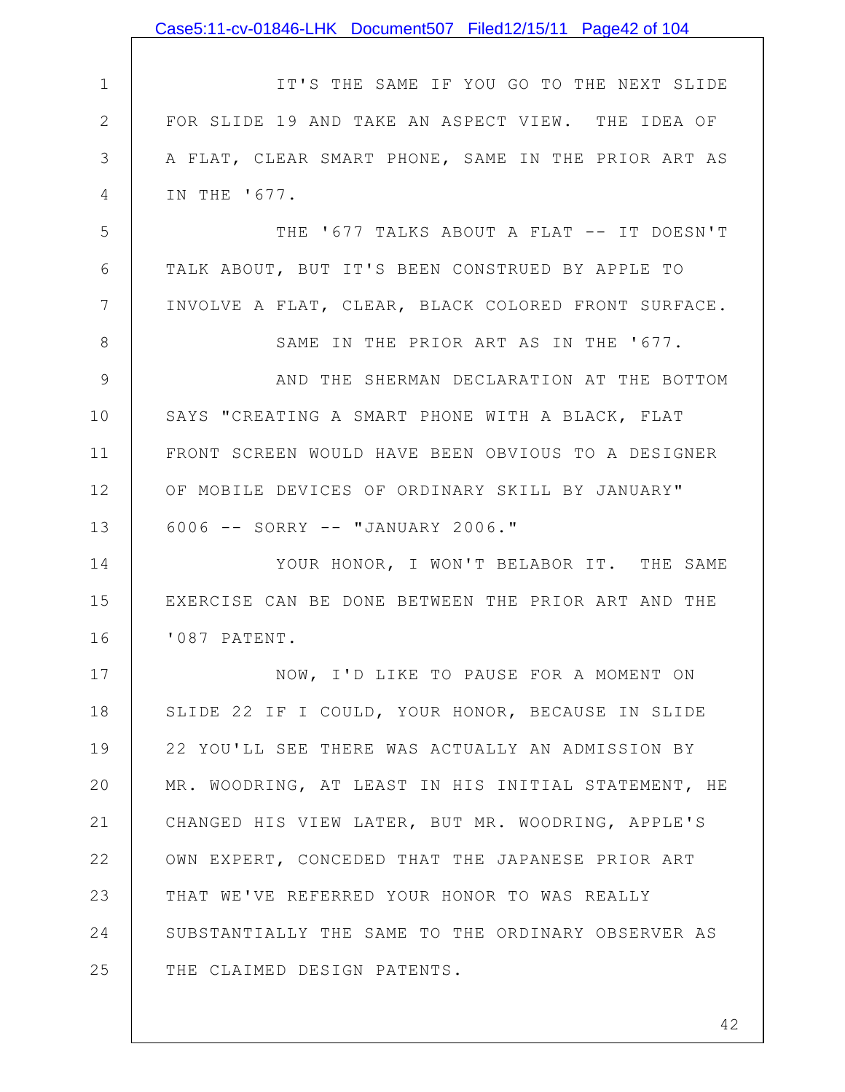|                | Case5:11-cv-01846-LHK Document507 Filed12/15/11 Page42 of 104 |
|----------------|---------------------------------------------------------------|
|                |                                                               |
| $\mathbf 1$    | IT'S THE SAME IF YOU GO TO THE NEXT SLIDE                     |
| $\mathbf{2}$   | FOR SLIDE 19 AND TAKE AN ASPECT VIEW. THE IDEA OF             |
| 3              | A FLAT, CLEAR SMART PHONE, SAME IN THE PRIOR ART AS           |
| 4              | IN THE '677.                                                  |
| 5              | THE '677 TALKS ABOUT A FLAT -- IT DOESN'T                     |
| 6              | TALK ABOUT, BUT IT'S BEEN CONSTRUED BY APPLE TO               |
| 7              | INVOLVE A FLAT, CLEAR, BLACK COLORED FRONT SURFACE.           |
| 8              | SAME IN THE PRIOR ART AS IN THE '677.                         |
| $\overline{9}$ | AND THE SHERMAN DECLARATION AT THE BOTTOM                     |
| 10             | SAYS "CREATING A SMART PHONE WITH A BLACK, FLAT               |
| 11             | FRONT SCREEN WOULD HAVE BEEN OBVIOUS TO A DESIGNER            |
| 12             | OF MOBILE DEVICES OF ORDINARY SKILL BY JANUARY"               |
| 13             | 6006 -- SORRY -- "JANUARY 2006."                              |
| 14             | YOUR HONOR, I WON'T BELABOR IT. THE SAME                      |
| 15             | EXERCISE CAN BE DONE BETWEEN THE PRIOR ART AND THE            |
| 16             | '087 PATENT.                                                  |
| 17             | NOW, I'D LIKE TO PAUSE FOR A MOMENT ON                        |
| 18             | SLIDE 22 IF I COULD, YOUR HONOR, BECAUSE IN SLIDE             |
| 19             | 22 YOU'LL SEE THERE WAS ACTUALLY AN ADMISSION BY              |
| 20             | MR. WOODRING, AT LEAST IN HIS INITIAL STATEMENT, HE           |
| 21             | CHANGED HIS VIEW LATER, BUT MR. WOODRING, APPLE'S             |
| 22             | OWN EXPERT, CONCEDED THAT THE JAPANESE PRIOR ART              |
| 23             | THAT WE'VE REFERRED YOUR HONOR TO WAS REALLY                  |
| 24             | SUBSTANTIALLY THE SAME TO THE ORDINARY OBSERVER AS            |
| 25             | THE CLAIMED DESIGN PATENTS.                                   |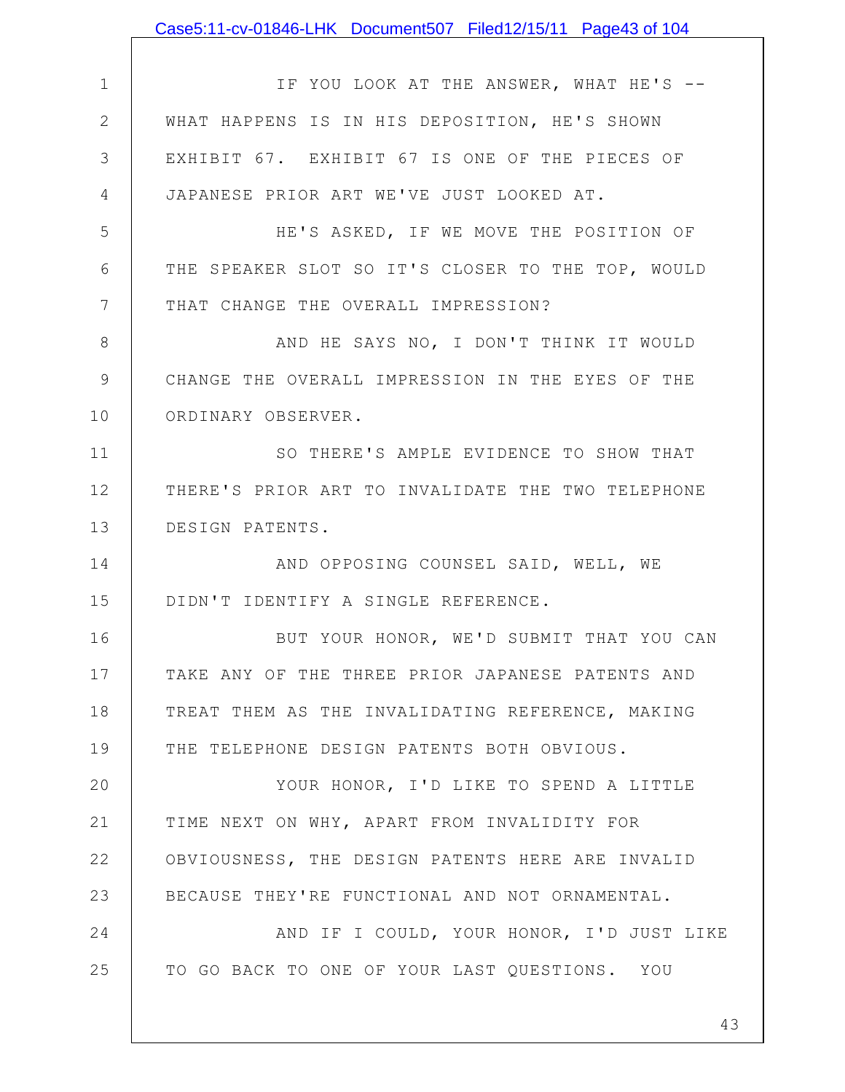|               | Case5:11-cv-01846-LHK Document507 Filed12/15/11 Page43 of 104 |
|---------------|---------------------------------------------------------------|
|               |                                                               |
| $\mathbf 1$   | IF YOU LOOK AT THE ANSWER, WHAT HE'S --                       |
| $\mathbf{2}$  | WHAT HAPPENS IS IN HIS DEPOSITION, HE'S SHOWN                 |
| 3             | EXHIBIT 67. EXHIBIT 67 IS ONE OF THE PIECES OF                |
| 4             | JAPANESE PRIOR ART WE'VE JUST LOOKED AT.                      |
| 5             | HE'S ASKED, IF WE MOVE THE POSITION OF                        |
| 6             | THE SPEAKER SLOT SO IT'S CLOSER TO THE TOP, WOULD             |
| 7             | THAT CHANGE THE OVERALL IMPRESSION?                           |
| 8             | AND HE SAYS NO, I DON'T THINK IT WOULD                        |
| $\mathcal{G}$ | CHANGE THE OVERALL IMPRESSION IN THE EYES OF THE              |
| 10            | ORDINARY OBSERVER.                                            |
| 11            | SO THERE'S AMPLE EVIDENCE TO SHOW THAT                        |
| 12            | THERE'S PRIOR ART TO INVALIDATE THE TWO TELEPHONE             |
| 13            | DESIGN PATENTS.                                               |
| 14            | AND OPPOSING COUNSEL SAID, WELL, WE                           |
| 15            | DIDN'T IDENTIFY A SINGLE REFERENCE.                           |
| 16            | BUT YOUR HONOR, WE'D SUBMIT THAT YOU CAN                      |
| 17            | TAKE ANY OF THE THREE PRIOR JAPANESE PATENTS AND              |
| 18            | TREAT THEM AS THE INVALIDATING REFERENCE, MAKING              |
| 19            | THE TELEPHONE DESIGN PATENTS BOTH OBVIOUS.                    |
| 20            | YOUR HONOR, I'D LIKE TO SPEND A LITTLE                        |
| 21            | TIME NEXT ON WHY, APART FROM INVALIDITY FOR                   |
| 22            | OBVIOUSNESS, THE DESIGN PATENTS HERE ARE INVALID              |
| 23            | BECAUSE THEY'RE FUNCTIONAL AND NOT ORNAMENTAL.                |
| 24            | AND IF I COULD, YOUR HONOR, I'D JUST LIKE                     |
| 25            | TO GO BACK TO ONE OF YOUR LAST QUESTIONS. YOU                 |
|               |                                                               |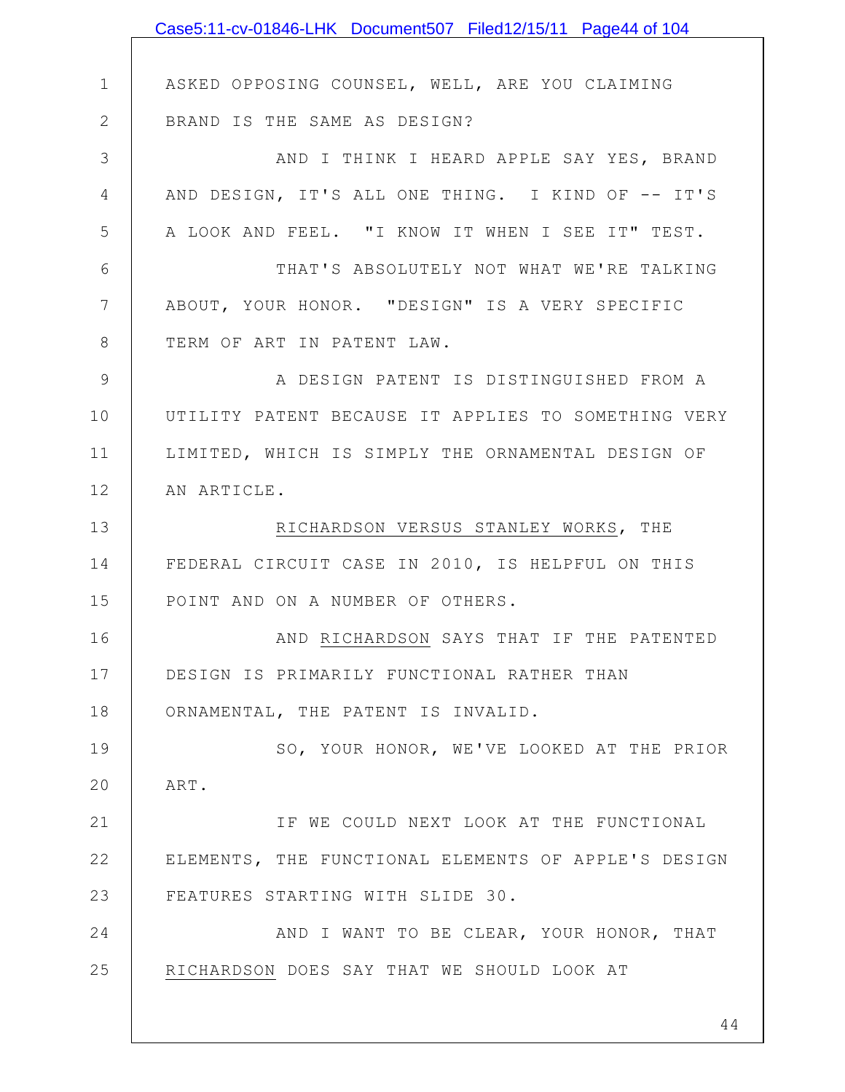|                 | Case5:11-cv-01846-LHK Document507 Filed12/15/11 Page44 of 104 |
|-----------------|---------------------------------------------------------------|
|                 |                                                               |
| $\mathbf 1$     | ASKED OPPOSING COUNSEL, WELL, ARE YOU CLAIMING                |
| $\mathbf{2}$    | BRAND IS THE SAME AS DESIGN?                                  |
| 3               | AND I THINK I HEARD APPLE SAY YES, BRAND                      |
| $\overline{4}$  | AND DESIGN, IT'S ALL ONE THING. I KIND OF -- IT'S             |
| 5               | A LOOK AND FEEL. "I KNOW IT WHEN I SEE IT" TEST.              |
| 6               | THAT'S ABSOLUTELY NOT WHAT WE'RE TALKING                      |
| $7\phantom{.0}$ | ABOUT, YOUR HONOR. "DESIGN" IS A VERY SPECIFIC                |
| 8               | TERM OF ART IN PATENT LAW.                                    |
| 9               | A DESIGN PATENT IS DISTINGUISHED FROM A                       |
| 10              | UTILITY PATENT BECAUSE IT APPLIES TO SOMETHING VERY           |
| 11              | LIMITED, WHICH IS SIMPLY THE ORNAMENTAL DESIGN OF             |
| 12              | AN ARTICLE.                                                   |
| 13              | RICHARDSON VERSUS STANLEY WORKS, THE                          |
| 14              | FEDERAL CIRCUIT CASE IN 2010, IS HELPFUL ON THIS              |
| 15              | POINT AND ON A NUMBER OF OTHERS.                              |
| 16              | AND RICHARDSON SAYS THAT IF THE PATENTED                      |
| 17              | DESIGN IS PRIMARILY FUNCTIONAL RATHER THAN                    |
| 18              | ORNAMENTAL, THE PATENT IS INVALID.                            |
| 19              | SO, YOUR HONOR, WE'VE LOOKED AT THE PRIOR                     |
| 20              | ART.                                                          |
| 21              | IF WE COULD NEXT LOOK AT THE FUNCTIONAL                       |
| 22              | ELEMENTS, THE FUNCTIONAL ELEMENTS OF APPLE'S DESIGN           |
| 23              | FEATURES STARTING WITH SLIDE 30.                              |
| 24              | AND I WANT TO BE CLEAR, YOUR HONOR, THAT                      |
| 25              | RICHARDSON DOES SAY THAT WE SHOULD LOOK AT                    |
|                 |                                                               |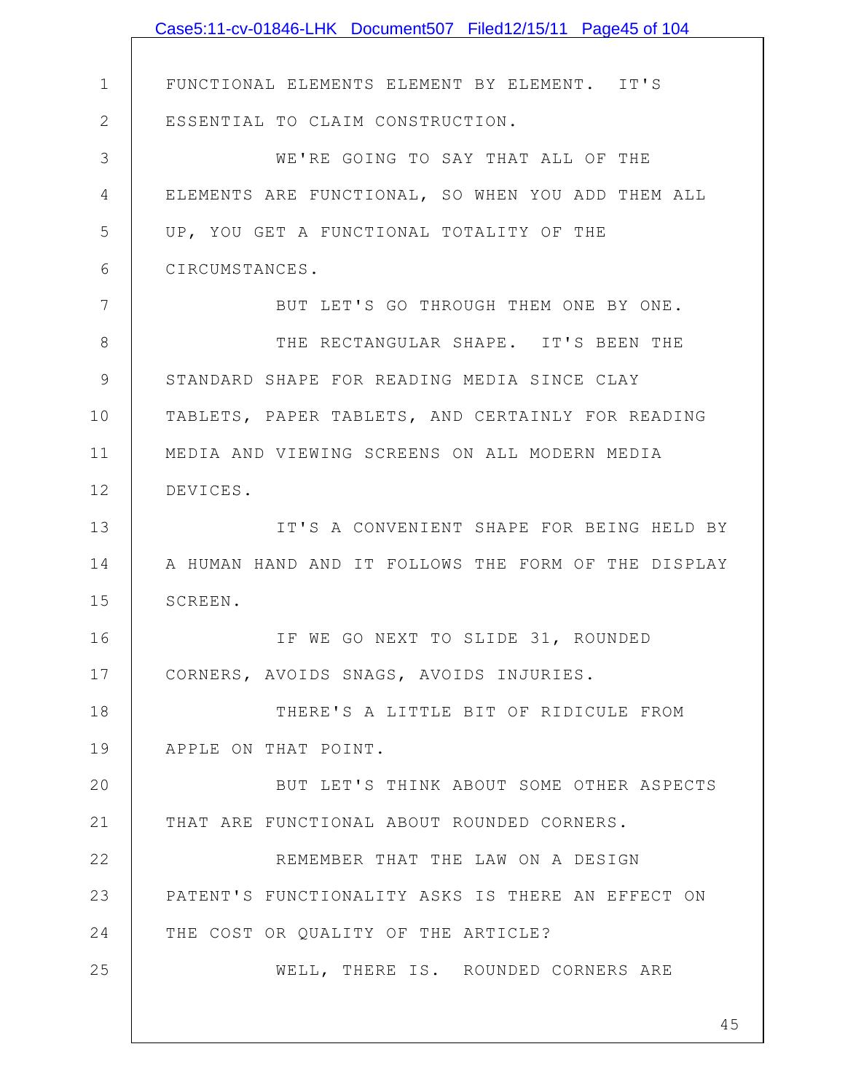|              | Case5:11-cv-01846-LHK Document507 Filed12/15/11 Page45 of 104 |
|--------------|---------------------------------------------------------------|
|              |                                                               |
| $\mathbf 1$  | FUNCTIONAL ELEMENTS ELEMENT BY ELEMENT. IT'S                  |
| $\mathbf{2}$ | ESSENTIAL TO CLAIM CONSTRUCTION.                              |
| 3            | WE'RE GOING TO SAY THAT ALL OF THE                            |
| 4            | ELEMENTS ARE FUNCTIONAL, SO WHEN YOU ADD THEM ALL             |
| 5            | UP, YOU GET A FUNCTIONAL TOTALITY OF THE                      |
| 6            | CIRCUMSTANCES.                                                |
| 7            | BUT LET'S GO THROUGH THEM ONE BY ONE.                         |
| 8            | THE RECTANGULAR SHAPE. IT'S BEEN THE                          |
| 9            | STANDARD SHAPE FOR READING MEDIA SINCE CLAY                   |
| 10           | TABLETS, PAPER TABLETS, AND CERTAINLY FOR READING             |
| 11           | MEDIA AND VIEWING SCREENS ON ALL MODERN MEDIA                 |
| 12           | DEVICES.                                                      |
| 13           | IT'S A CONVENIENT SHAPE FOR BEING HELD BY                     |
| 14           | A HUMAN HAND AND IT FOLLOWS THE FORM OF THE DISPLAY           |
| 15           | SCREEN.                                                       |
| 16           | IF WE GO NEXT TO SLIDE 31, ROUNDED                            |
| 17           | CORNERS, AVOIDS SNAGS, AVOIDS INJURIES.                       |
| 18           | THERE'S A LITTLE BIT OF RIDICULE FROM                         |
| 19           | APPLE ON THAT POINT.                                          |
| 20           | BUT LET'S THINK ABOUT SOME OTHER ASPECTS                      |
| 21           | THAT ARE FUNCTIONAL ABOUT ROUNDED CORNERS.                    |
| 22           | REMEMBER THAT THE LAW ON A DESIGN                             |
| 23           | PATENT'S FUNCTIONALITY ASKS IS THERE AN EFFECT ON             |
| 24           | THE COST OR QUALITY OF THE ARTICLE?                           |
| 25           | WELL, THERE IS. ROUNDED CORNERS ARE                           |
|              |                                                               |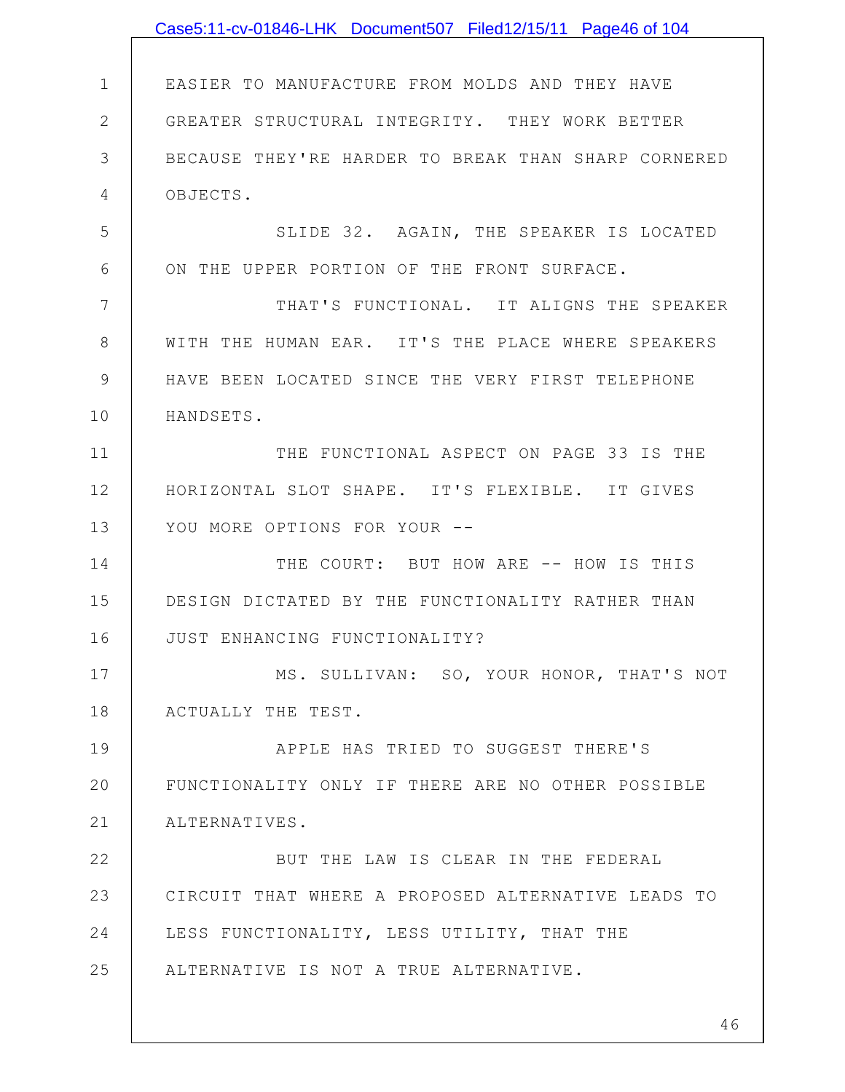|              | Case5:11-cv-01846-LHK Document507 Filed12/15/11 Page46 of 104 |
|--------------|---------------------------------------------------------------|
|              |                                                               |
| $\mathbf 1$  | EASIER TO MANUFACTURE FROM MOLDS AND THEY HAVE                |
| $\mathbf{2}$ | GREATER STRUCTURAL INTEGRITY. THEY WORK BETTER                |
| 3            | BECAUSE THEY'RE HARDER TO BREAK THAN SHARP CORNERED           |
| 4            | OBJECTS.                                                      |
| 5            | SLIDE 32. AGAIN, THE SPEAKER IS LOCATED                       |
| 6            | ON THE UPPER PORTION OF THE FRONT SURFACE.                    |
| 7            | THAT'S FUNCTIONAL. IT ALIGNS THE SPEAKER                      |
| 8            | WITH THE HUMAN EAR. IT'S THE PLACE WHERE SPEAKERS             |
| 9            | HAVE BEEN LOCATED SINCE THE VERY FIRST TELEPHONE              |
| 10           | HANDSETS.                                                     |
| 11           | THE FUNCTIONAL ASPECT ON PAGE 33 IS THE                       |
| 12           | HORIZONTAL SLOT SHAPE. IT'S FLEXIBLE. IT GIVES                |
| 13           | YOU MORE OPTIONS FOR YOUR --                                  |
| 14           | THE COURT: BUT HOW ARE -- HOW IS THIS                         |
| 15           | DESIGN DICTATED BY THE FUNCTIONALITY RATHER THAN              |
| 16           | JUST ENHANCING FUNCTIONALITY?                                 |
| 17           | MS. SULLIVAN: SO, YOUR HONOR, THAT'S NOT                      |
| 18           | ACTUALLY THE TEST.                                            |
| 19           | APPLE HAS TRIED TO SUGGEST THERE'S                            |
| 20           | FUNCTIONALITY ONLY IF THERE ARE NO OTHER POSSIBLE             |
| 21           | ALTERNATIVES.                                                 |
| 22           | BUT THE LAW IS CLEAR IN THE FEDERAL                           |
| 23           | CIRCUIT THAT WHERE A PROPOSED ALTERNATIVE LEADS TO            |
| 24           | LESS FUNCTIONALITY, LESS UTILITY, THAT THE                    |
| 25           | ALTERNATIVE IS NOT A TRUE ALTERNATIVE.                        |
|              |                                                               |
|              | 46                                                            |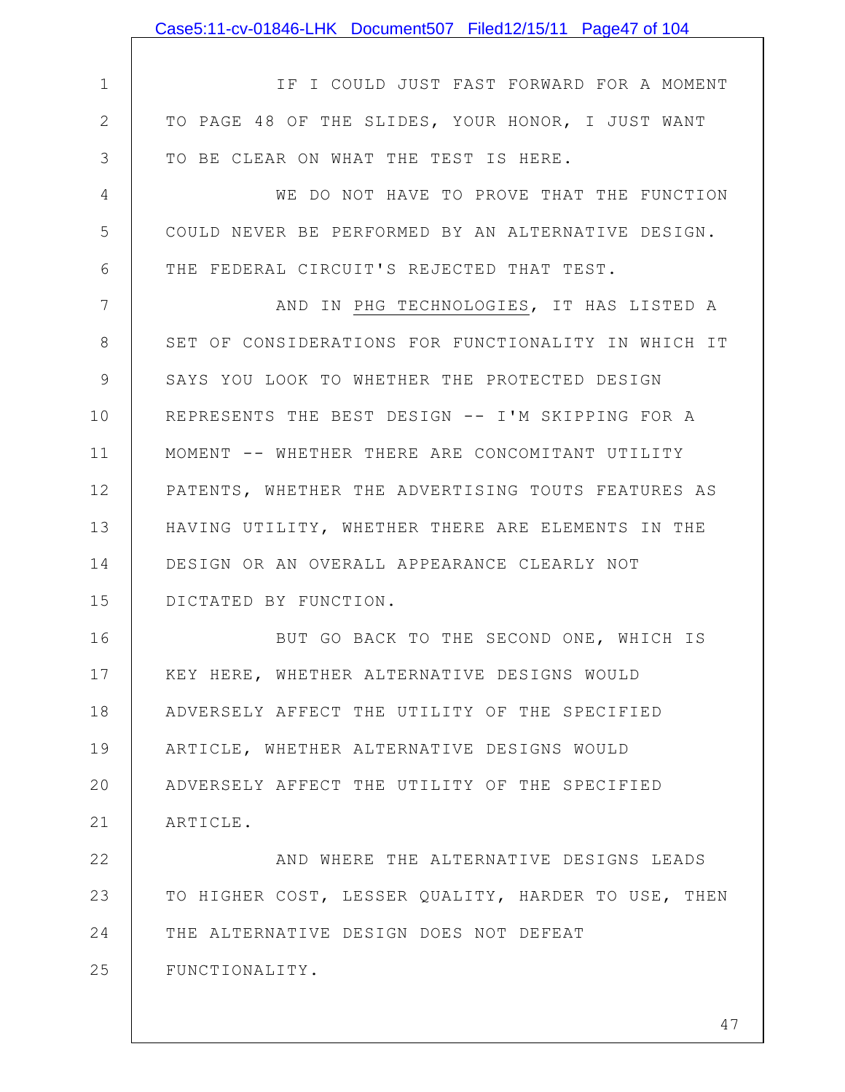|              | Case5:11-cv-01846-LHK Document507 Filed12/15/11 Page47 of 104 |
|--------------|---------------------------------------------------------------|
|              |                                                               |
| $\mathbf 1$  | IF I COULD JUST FAST FORWARD FOR A MOMENT                     |
| $\mathbf{2}$ | TO PAGE 48 OF THE SLIDES, YOUR HONOR, I JUST WANT             |
| 3            | TO BE CLEAR ON WHAT THE TEST IS HERE.                         |
| 4            | WE DO NOT HAVE TO PROVE THAT THE FUNCTION                     |
| 5            | COULD NEVER BE PERFORMED BY AN ALTERNATIVE DESIGN.            |
| 6            | THE FEDERAL CIRCUIT'S REJECTED THAT TEST.                     |
| 7            | AND IN PHG TECHNOLOGIES, IT HAS LISTED A                      |
| 8            | SET OF CONSIDERATIONS FOR FUNCTIONALITY IN WHICH IT           |
| 9            | SAYS YOU LOOK TO WHETHER THE PROTECTED DESIGN                 |
| 10           | REPRESENTS THE BEST DESIGN -- I'M SKIPPING FOR A              |
| 11           | MOMENT -- WHETHER THERE ARE CONCOMITANT UTILITY               |
| 12           | PATENTS, WHETHER THE ADVERTISING TOUTS FEATURES AS            |
| 13           | HAVING UTILITY, WHETHER THERE ARE ELEMENTS IN THE             |
| 14           | DESIGN OR AN OVERALL APPEARANCE CLEARLY NOT                   |
| 15           | DICTATED BY FUNCTION.                                         |
| 16           | BUT GO BACK TO THE SECOND ONE, WHICH IS                       |
| 17           | KEY HERE, WHETHER ALTERNATIVE DESIGNS WOULD                   |
| 18           | ADVERSELY AFFECT THE UTILITY OF THE SPECIFIED                 |
| 19           | ARTICLE, WHETHER ALTERNATIVE DESIGNS WOULD                    |
| 20           | ADVERSELY AFFECT THE UTILITY OF THE SPECIFIED                 |
| 21           | ARTICLE.                                                      |
| 22           | AND WHERE THE ALTERNATIVE DESIGNS LEADS                       |
| 23           | TO HIGHER COST, LESSER QUALITY, HARDER TO USE, THEN           |
| 24           | THE ALTERNATIVE DESIGN DOES NOT DEFEAT                        |
| 25           | FUNCTIONALITY.                                                |
|              |                                                               |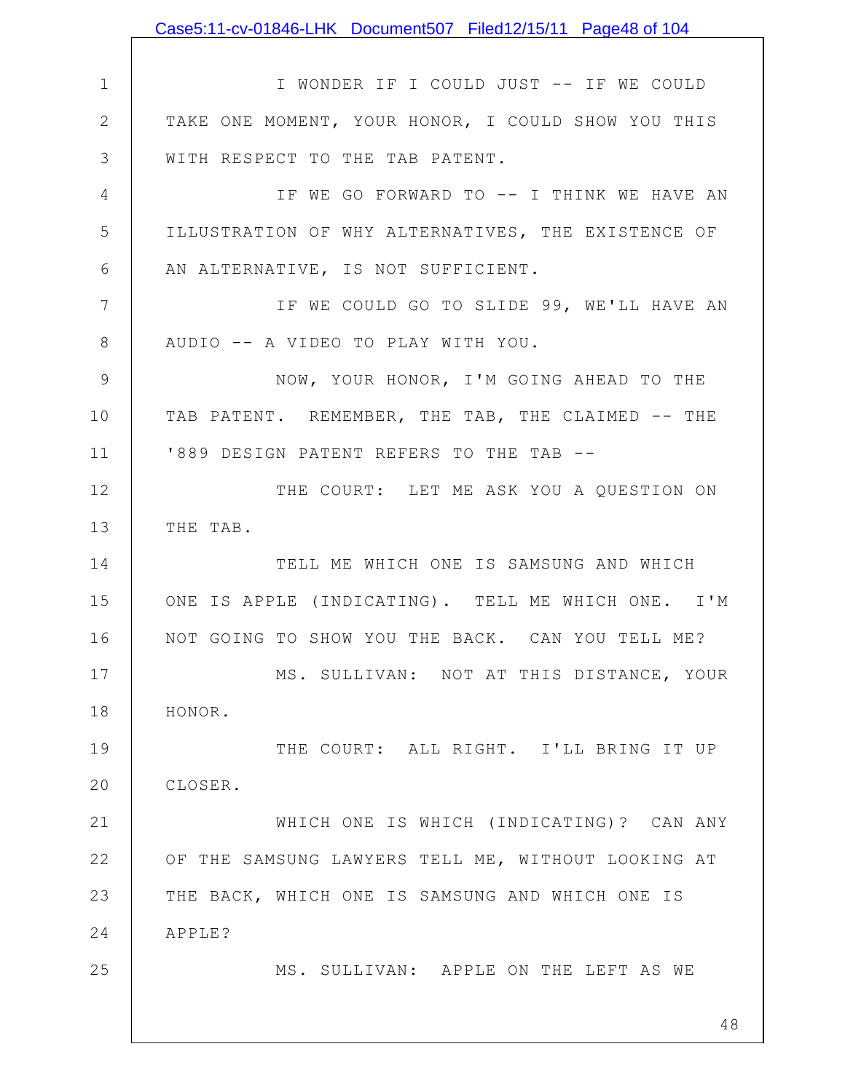1 2 3 4 5 6 7 8 9 10 11 12 13 14 15 16 17 18 19 20 21 22 23 24 25 48 I WONDER IF I COULD JUST -- IF WE COULD TAKE ONE MOMENT, YOUR HONOR, I COULD SHOW YOU THIS WITH RESPECT TO THE TAB PATENT. IF WE GO FORWARD TO -- I THINK WE HAVE AN ILLUSTRATION OF WHY ALTERNATIVES, THE EXISTENCE OF AN ALTERNATIVE, IS NOT SUFFICIENT. IF WE COULD GO TO SLIDE 99, WE'LL HAVE AN AUDIO -- A VIDEO TO PLAY WITH YOU. NOW, YOUR HONOR, I'M GOING AHEAD TO THE TAB PATENT. REMEMBER, THE TAB, THE CLAIMED -- THE '889 DESIGN PATENT REFERS TO THE TAB -- THE COURT: LET ME ASK YOU A QUESTION ON THE TAB. TELL ME WHICH ONE IS SAMSUNG AND WHICH ONE IS APPLE (INDICATING). TELL ME WHICH ONE. I'M NOT GOING TO SHOW YOU THE BACK. CAN YOU TELL ME? MS. SULLIVAN: NOT AT THIS DISTANCE, YOUR HONOR. THE COURT: ALL RIGHT. I'LL BRING IT UP CLOSER. WHICH ONE IS WHICH (INDICATING)? CAN ANY OF THE SAMSUNG LAWYERS TELL ME, WITHOUT LOOKING AT THE BACK, WHICH ONE IS SAMSUNG AND WHICH ONE IS APPLE? MS. SULLIVAN: APPLE ON THE LEFT AS WE Case5:11-cv-01846-LHK Document507 Filed12/15/11 Page48 of 104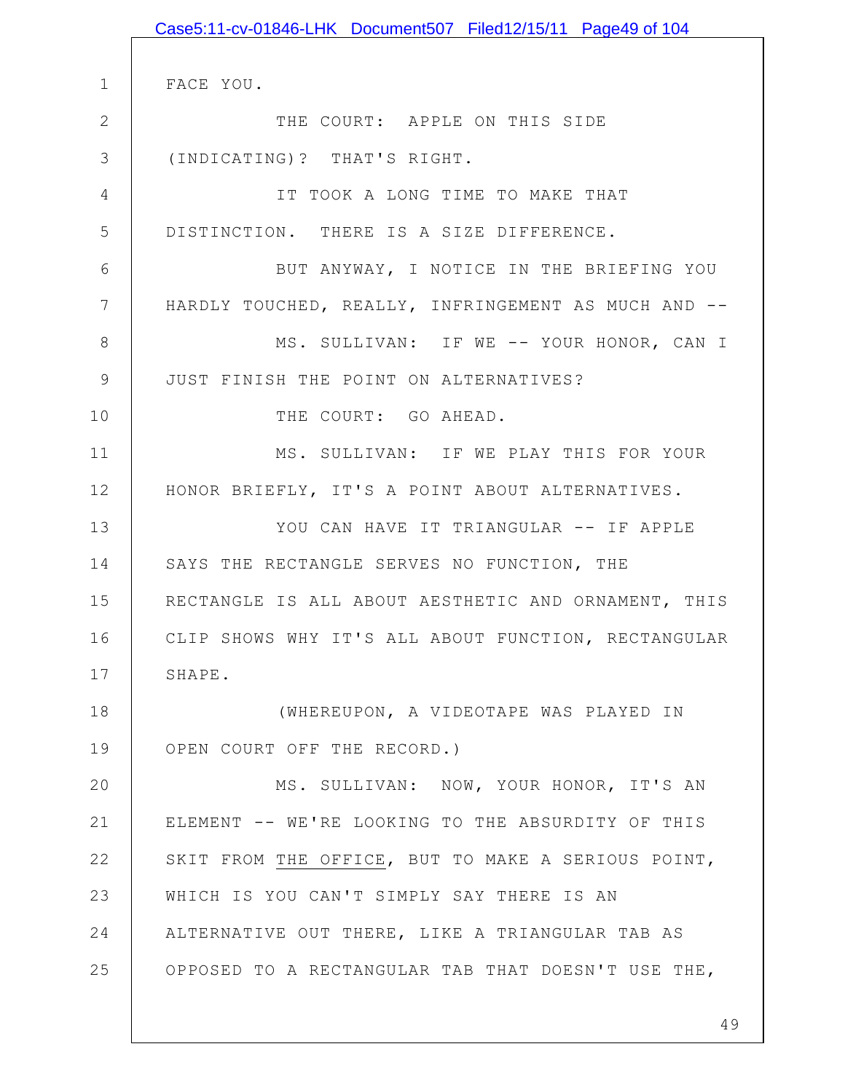|              | Case5:11-cv-01846-LHK Document507 Filed12/15/11 Page49 of 104 |
|--------------|---------------------------------------------------------------|
|              |                                                               |
| $\mathbf{1}$ | FACE YOU.                                                     |
| $\mathbf{2}$ | THE COURT: APPLE ON THIS SIDE                                 |
| 3            | (INDICATING)? THAT'S RIGHT.                                   |
| 4            | IT TOOK A LONG TIME TO MAKE THAT                              |
| 5            | DISTINCTION. THERE IS A SIZE DIFFERENCE.                      |
| 6            | BUT ANYWAY, I NOTICE IN THE BRIEFING YOU                      |
| 7            | HARDLY TOUCHED, REALLY, INFRINGEMENT AS MUCH AND --           |
| 8            | MS. SULLIVAN: IF WE -- YOUR HONOR, CAN I                      |
| $\mathsf 9$  | JUST FINISH THE POINT ON ALTERNATIVES?                        |
| 10           | THE COURT: GO AHEAD.                                          |
| 11           | MS. SULLIVAN: IF WE PLAY THIS FOR YOUR                        |
| 12           | HONOR BRIEFLY, IT'S A POINT ABOUT ALTERNATIVES.               |
| 13           | YOU CAN HAVE IT TRIANGULAR -- IF APPLE                        |
| 14           | SAYS THE RECTANGLE SERVES NO FUNCTION, THE                    |
| 15           | RECTANGLE IS ALL ABOUT AESTHETIC AND ORNAMENT, THIS           |
| 16           | CLIP SHOWS WHY IT'S ALL ABOUT FUNCTION, RECTANGULAR           |
| 17           | SHAPE.                                                        |
| 18           | (WHEREUPON, A VIDEOTAPE WAS PLAYED IN                         |
| 19           | OPEN COURT OFF THE RECORD.)                                   |
| 20           | MS. SULLIVAN: NOW, YOUR HONOR, IT'S AN                        |
| 21           | ELEMENT -- WE'RE LOOKING TO THE ABSURDITY OF THIS             |
| 22           | SKIT FROM THE OFFICE, BUT TO MAKE A SERIOUS POINT,            |
| 23           | WHICH IS YOU CAN'T SIMPLY SAY THERE IS AN                     |
| 24           | ALTERNATIVE OUT THERE, LIKE A TRIANGULAR TAB AS               |
| 25           | OPPOSED TO A RECTANGULAR TAB THAT DOESN'T USE THE,            |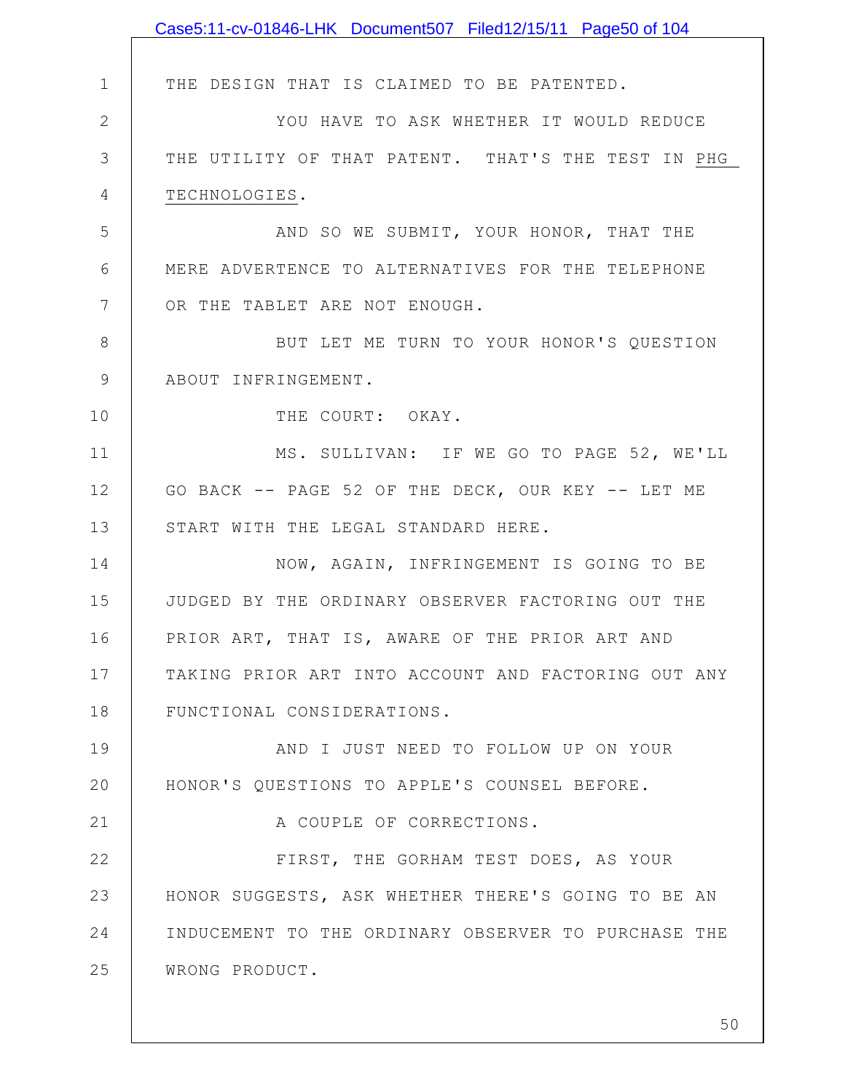|              | Case5:11-cv-01846-LHK Document507 Filed12/15/11 Page50 of 104 |
|--------------|---------------------------------------------------------------|
|              |                                                               |
| $\mathbf 1$  | THE DESIGN THAT IS CLAIMED TO BE PATENTED.                    |
| $\mathbf{2}$ | YOU HAVE TO ASK WHETHER IT WOULD REDUCE                       |
| 3            | THE UTILITY OF THAT PATENT. THAT'S THE TEST IN PHG            |
| 4            | TECHNOLOGIES.                                                 |
| 5            | AND SO WE SUBMIT, YOUR HONOR, THAT THE                        |
| 6            | MERE ADVERTENCE TO ALTERNATIVES FOR THE TELEPHONE             |
| 7            | OR THE TABLET ARE NOT ENOUGH.                                 |
| 8            | BUT LET ME TURN TO YOUR HONOR'S QUESTION                      |
| $\mathsf 9$  | ABOUT INFRINGEMENT.                                           |
| 10           | THE COURT: OKAY.                                              |
| 11           | MS. SULLIVAN: IF WE GO TO PAGE 52, WE'LL                      |
| 12           | GO BACK -- PAGE 52 OF THE DECK, OUR KEY -- LET ME             |
| 13           | START WITH THE LEGAL STANDARD HERE.                           |
| 14           | NOW, AGAIN, INFRINGEMENT IS GOING TO BE                       |
| 15           | JUDGED BY THE ORDINARY OBSERVER FACTORING OUT THE             |
| 16           | PRIOR ART, THAT IS, AWARE OF THE PRIOR ART AND                |
| 17           | TAKING PRIOR ART INTO ACCOUNT AND FACTORING OUT ANY           |
| 18           | FUNCTIONAL CONSIDERATIONS.                                    |
| 19           | AND I JUST NEED TO FOLLOW UP ON YOUR                          |
| 20           | HONOR'S QUESTIONS TO APPLE'S COUNSEL BEFORE.                  |
| 21           | A COUPLE OF CORRECTIONS.                                      |
| 22           | FIRST, THE GORHAM TEST DOES, AS YOUR                          |
| 23           | HONOR SUGGESTS, ASK WHETHER THERE'S GOING TO BE AN            |
| 24           | INDUCEMENT TO THE ORDINARY OBSERVER TO PURCHASE THE           |
| 25           | WRONG PRODUCT.                                                |
|              |                                                               |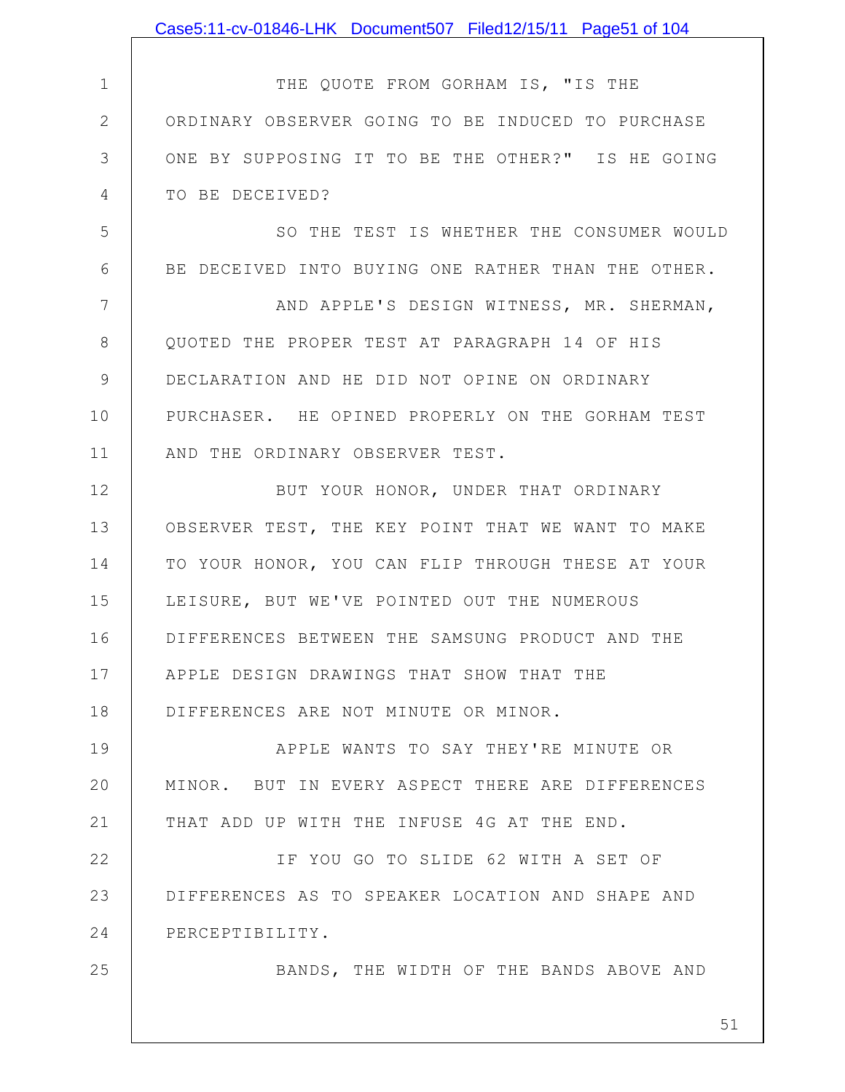|              | Case5:11-cv-01846-LHK Document507 Filed12/15/11 Page51 of 104 |
|--------------|---------------------------------------------------------------|
|              |                                                               |
| 1            | THE QUOTE FROM GORHAM IS, "IS THE                             |
| $\mathbf{2}$ | ORDINARY OBSERVER GOING TO BE INDUCED TO PURCHASE             |
| 3            | ONE BY SUPPOSING IT TO BE THE OTHER?" IS HE GOING             |
| 4            | TO BE DECEIVED?                                               |
| 5            | SO THE TEST IS WHETHER THE CONSUMER WOULD                     |
| 6            | BE DECEIVED INTO BUYING ONE RATHER THAN THE OTHER.            |
| 7            | AND APPLE'S DESIGN WITNESS, MR. SHERMAN,                      |
| 8            | QUOTED THE PROPER TEST AT PARAGRAPH 14 OF HIS                 |
| 9            | DECLARATION AND HE DID NOT OPINE ON ORDINARY                  |
| 10           | PURCHASER. HE OPINED PROPERLY ON THE GORHAM TEST              |
| 11           | AND THE ORDINARY OBSERVER TEST.                               |
| 12           | BUT YOUR HONOR, UNDER THAT ORDINARY                           |
| 13           | OBSERVER TEST, THE KEY POINT THAT WE WANT TO MAKE             |
| 14           | TO YOUR HONOR, YOU CAN FLIP THROUGH THESE AT YOUR             |
| 15           | LEISURE, BUT WE'VE POINTED OUT THE NUMEROUS                   |
| 16           | DIFFERENCES BETWEEN THE SAMSUNG PRODUCT AND THE               |
| 17           | APPLE DESIGN DRAWINGS THAT SHOW THAT THE                      |
| 18           | DIFFERENCES ARE NOT MINUTE OR MINOR.                          |
| 19           | APPLE WANTS TO SAY THEY'RE MINUTE OR                          |
| 20           | MINOR. BUT IN EVERY ASPECT THERE ARE DIFFERENCES              |
| 21           | THAT ADD UP WITH THE INFUSE 4G AT THE END.                    |
| 22           | IF YOU GO TO SLIDE 62 WITH A SET OF                           |
| 23           | DIFFERENCES AS TO SPEAKER LOCATION AND SHAPE AND              |
| 24           | PERCEPTIBILITY.                                               |
| 25           | BANDS, THE WIDTH OF THE BANDS ABOVE AND                       |
|              |                                                               |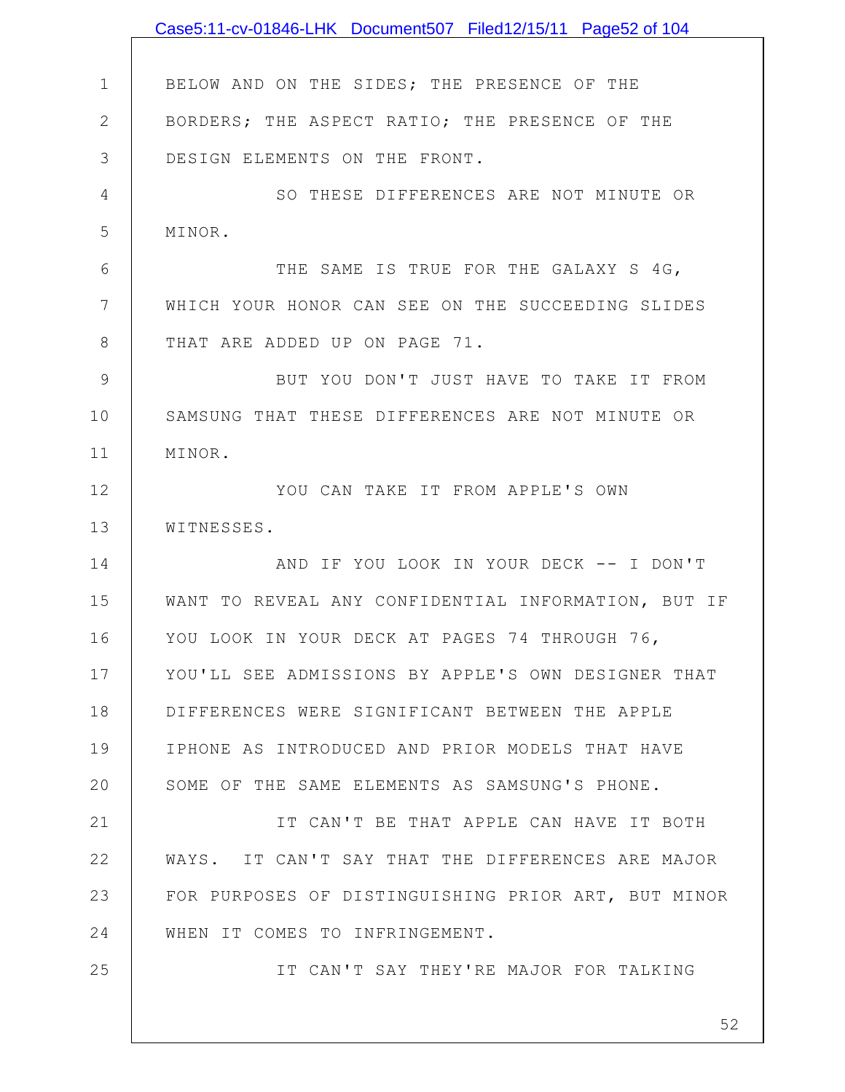|               | Case5:11-cv-01846-LHK Document507 Filed12/15/11 Page52 of 104 |
|---------------|---------------------------------------------------------------|
|               |                                                               |
| $\mathbf 1$   | BELOW AND ON THE SIDES; THE PRESENCE OF THE                   |
| $\mathbf{2}$  | BORDERS; THE ASPECT RATIO; THE PRESENCE OF THE                |
| 3             | DESIGN ELEMENTS ON THE FRONT.                                 |
| 4             | SO THESE DIFFERENCES ARE NOT MINUTE OR                        |
| 5             | MINOR.                                                        |
| 6             | THE SAME IS TRUE FOR THE GALAXY S 4G,                         |
| 7             | WHICH YOUR HONOR CAN SEE ON THE SUCCEEDING SLIDES             |
| 8             | THAT ARE ADDED UP ON PAGE 71.                                 |
| $\mathcal{G}$ | BUT YOU DON'T JUST HAVE TO TAKE IT FROM                       |
| 10            | SAMSUNG THAT THESE DIFFERENCES ARE NOT MINUTE OR              |
| 11            | MINOR.                                                        |
| 12            | YOU CAN TAKE IT FROM APPLE'S OWN                              |
| 13            | WITNESSES.                                                    |
| 14            | AND IF YOU LOOK IN YOUR DECK -- I DON'T                       |
| 15            | WANT TO REVEAL ANY CONFIDENTIAL INFORMATION, BUT IF           |
| 16            | YOU LOOK IN YOUR DECK AT PAGES 74 THROUGH 76,                 |
| 17            | YOU'LL SEE ADMISSIONS BY APPLE'S OWN DESIGNER THAT            |
| 18            | DIFFERENCES WERE SIGNIFICANT BETWEEN THE APPLE                |
| 19            | IPHONE AS INTRODUCED AND PRIOR MODELS THAT HAVE               |
| 20            | SOME OF THE SAME ELEMENTS AS SAMSUNG'S PHONE.                 |
| 21            | IT CAN'T BE THAT APPLE CAN HAVE IT BOTH                       |
| 22            | WAYS. IT CAN'T SAY THAT THE DIFFERENCES ARE MAJOR             |
| 23            | FOR PURPOSES OF DISTINGUISHING PRIOR ART, BUT MINOR           |
| 24            | WHEN IT COMES TO INFRINGEMENT.                                |
| 25            | IT CAN'T SAY THEY'RE MAJOR FOR TALKING                        |
|               |                                                               |
|               | 52                                                            |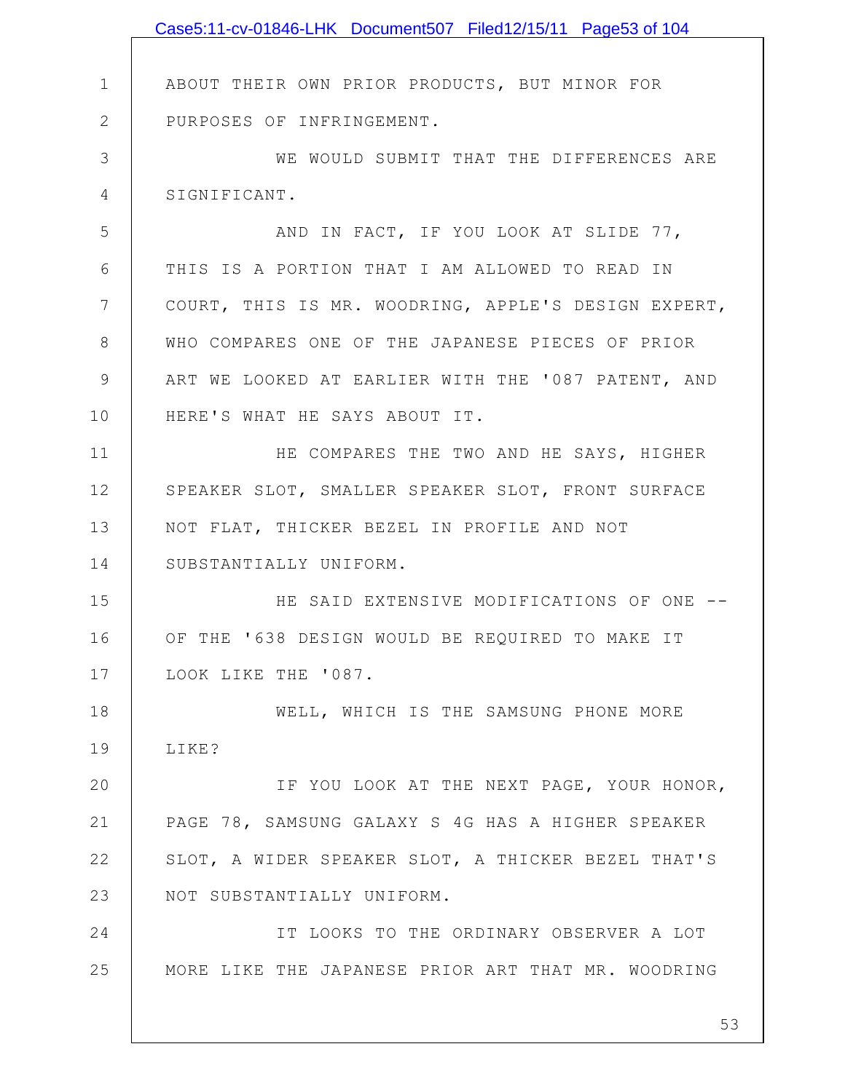|               | Case5:11-cv-01846-LHK Document507 Filed12/15/11 Page53 of 104 |
|---------------|---------------------------------------------------------------|
|               |                                                               |
| $\mathbf 1$   | ABOUT THEIR OWN PRIOR PRODUCTS, BUT MINOR FOR                 |
| $\mathbf{2}$  | PURPOSES OF INFRINGEMENT.                                     |
| 3             | WE WOULD SUBMIT THAT THE DIFFERENCES ARE                      |
| 4             | SIGNIFICANT.                                                  |
| 5             | AND IN FACT, IF YOU LOOK AT SLIDE 77,                         |
| 6             | THIS IS A PORTION THAT I AM ALLOWED TO READ IN                |
| 7             | COURT, THIS IS MR. WOODRING, APPLE'S DESIGN EXPERT,           |
| $8\,$         | WHO COMPARES ONE OF THE JAPANESE PIECES OF PRIOR              |
| $\mathcal{G}$ | ART WE LOOKED AT EARLIER WITH THE '087 PATENT, AND            |
| 10            | HERE'S WHAT HE SAYS ABOUT IT.                                 |
| 11            | HE COMPARES THE TWO AND HE SAYS, HIGHER                       |
| 12            | SPEAKER SLOT, SMALLER SPEAKER SLOT, FRONT SURFACE             |
| 13            | NOT FLAT, THICKER BEZEL IN PROFILE AND NOT                    |
| 14            | SUBSTANTIALLY UNIFORM.                                        |
| 15            | HE SAID EXTENSIVE MODIFICATIONS OF ONE --                     |
| 16            | OF THE '638 DESIGN WOULD BE REQUIRED TO MAKE IT               |
| 17            | LOOK LIKE THE '087.                                           |
| 18            | WELL, WHICH IS THE SAMSUNG PHONE MORE                         |
| 19            | LIKE?                                                         |
| 20            | IF YOU LOOK AT THE NEXT PAGE, YOUR HONOR,                     |
| 21            | PAGE 78, SAMSUNG GALAXY S 4G HAS A HIGHER SPEAKER             |
| 22            | SLOT, A WIDER SPEAKER SLOT, A THICKER BEZEL THAT'S            |
| 23            | NOT SUBSTANTIALLY UNIFORM.                                    |
| 24            | IT LOOKS TO THE ORDINARY OBSERVER A LOT                       |
| 25            | MORE LIKE THE JAPANESE PRIOR ART THAT MR. WOODRING            |
|               |                                                               |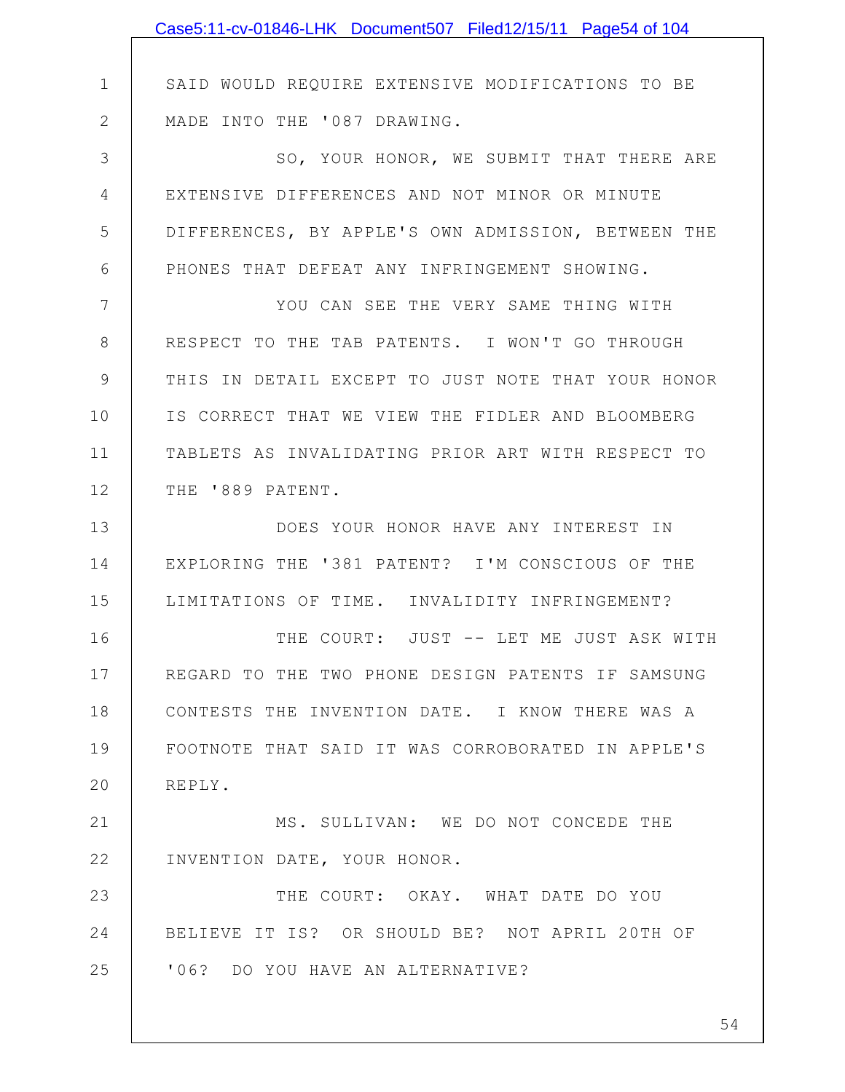|                | Case5:11-cv-01846-LHK Document507 Filed12/15/11 Page54 of 104 |
|----------------|---------------------------------------------------------------|
|                |                                                               |
| $\mathbf 1$    | SAID WOULD REQUIRE EXTENSIVE MODIFICATIONS TO BE              |
| $\mathbf{2}$   | MADE INTO THE '087 DRAWING.                                   |
| 3              | SO, YOUR HONOR, WE SUBMIT THAT THERE ARE                      |
| $\overline{4}$ | EXTENSIVE DIFFERENCES AND NOT MINOR OR MINUTE                 |
| 5              | DIFFERENCES, BY APPLE'S OWN ADMISSION, BETWEEN THE            |
| 6              | PHONES THAT DEFEAT ANY INFRINGEMENT SHOWING.                  |
| 7              | YOU CAN SEE THE VERY SAME THING WITH                          |
| $8\,$          | RESPECT TO THE TAB PATENTS. I WON'T GO THROUGH                |
| $\mathcal{G}$  | THIS IN DETAIL EXCEPT TO JUST NOTE THAT YOUR HONOR            |
| 10             | IS CORRECT THAT WE VIEW THE FIDLER AND BLOOMBERG              |
| 11             | TABLETS AS INVALIDATING PRIOR ART WITH RESPECT TO             |
| 12             | THE '889 PATENT.                                              |
| 13             | DOES YOUR HONOR HAVE ANY INTEREST IN                          |
| 14             | EXPLORING THE '381 PATENT? I'M CONSCIOUS OF THE               |
| 15             | LIMITATIONS OF TIME. INVALIDITY INFRINGEMENT?                 |
| 16             | THE COURT: JUST -- LET ME JUST ASK WITH                       |
| 17             | REGARD TO THE TWO PHONE DESIGN PATENTS IF SAMSUNG             |
| 18             | CONTESTS THE INVENTION DATE. I KNOW THERE WAS A               |
| 19             | FOOTNOTE THAT SAID IT WAS CORROBORATED IN APPLE'S             |
| 20             | REPLY.                                                        |
| 21             | MS. SULLIVAN: WE DO NOT CONCEDE THE                           |
| 22             | INVENTION DATE, YOUR HONOR.                                   |
| 23             | THE COURT: OKAY. WHAT DATE DO YOU                             |
| 24             | BELIEVE IT IS? OR SHOULD BE? NOT APRIL 20TH OF                |
| 25             | '06? DO YOU HAVE AN ALTERNATIVE?                              |
|                |                                                               |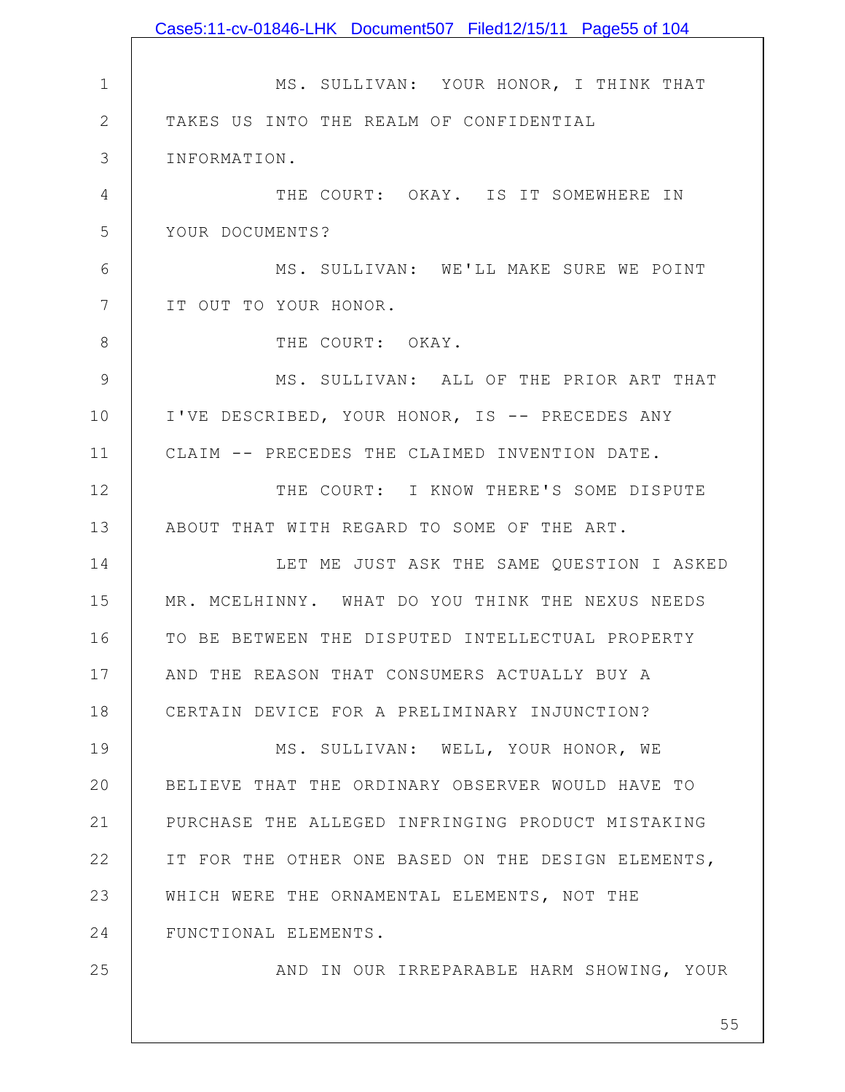1 2 3 4 5 6 7 8 9 10 11 12 13 14 15 16 17 18 19 20 21 22 23 24 25 MS. SULLIVAN: YOUR HONOR, I THINK THAT TAKES US INTO THE REALM OF CONFIDENTIAL INFORMATION. THE COURT: OKAY. IS IT SOMEWHERE IN YOUR DOCUMENTS? MS. SULLIVAN: WE'LL MAKE SURE WE POINT IT OUT TO YOUR HONOR. THE COURT: OKAY. MS. SULLIVAN: ALL OF THE PRIOR ART THAT I'VE DESCRIBED, YOUR HONOR, IS -- PRECEDES ANY CLAIM -- PRECEDES THE CLAIMED INVENTION DATE. THE COURT: I KNOW THERE'S SOME DISPUTE ABOUT THAT WITH REGARD TO SOME OF THE ART. LET ME JUST ASK THE SAME QUESTION I ASKED MR. MCELHINNY. WHAT DO YOU THINK THE NEXUS NEEDS TO BE BETWEEN THE DISPUTED INTELLECTUAL PROPERTY AND THE REASON THAT CONSUMERS ACTUALLY BUY A CERTAIN DEVICE FOR A PRELIMINARY INJUNCTION? MS. SULLIVAN: WELL, YOUR HONOR, WE BELIEVE THAT THE ORDINARY OBSERVER WOULD HAVE TO PURCHASE THE ALLEGED INFRINGING PRODUCT MISTAKING IT FOR THE OTHER ONE BASED ON THE DESIGN ELEMENTS, WHICH WERE THE ORNAMENTAL ELEMENTS, NOT THE FUNCTIONAL ELEMENTS. AND IN OUR IRREPARABLE HARM SHOWING, YOUR Case5:11-cv-01846-LHK Document507 Filed12/15/11 Page55 of 104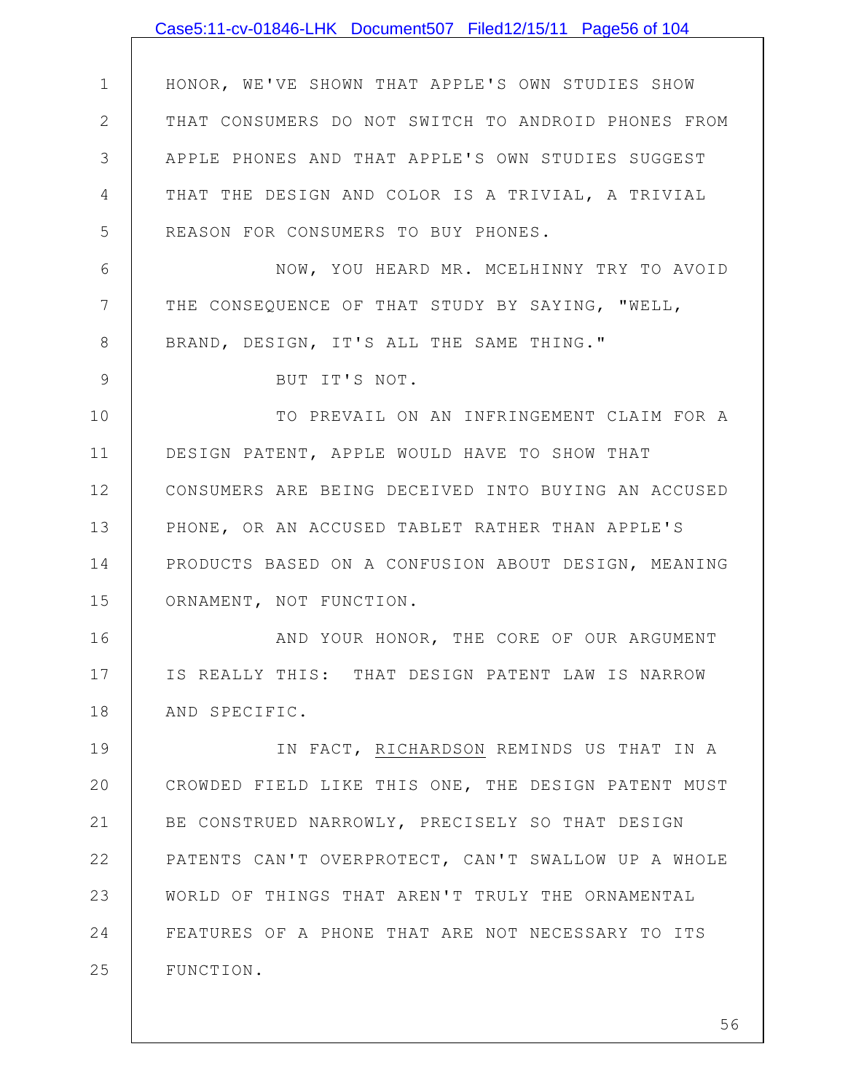|              | Case5:11-cv-01846-LHK Document507 Filed12/15/11 Page56 of 104 |
|--------------|---------------------------------------------------------------|
|              |                                                               |
| $\mathbf 1$  | HONOR, WE'VE SHOWN THAT APPLE'S OWN STUDIES SHOW              |
| $\mathbf{2}$ | THAT CONSUMERS DO NOT SWITCH TO ANDROID PHONES FROM           |
| 3            | APPLE PHONES AND THAT APPLE'S OWN STUDIES SUGGEST             |
| 4            | THAT THE DESIGN AND COLOR IS A TRIVIAL, A TRIVIAL             |
| 5            | REASON FOR CONSUMERS TO BUY PHONES.                           |
| 6            | NOW, YOU HEARD MR. MCELHINNY TRY TO AVOID                     |
| 7            | THE CONSEQUENCE OF THAT STUDY BY SAYING, "WELL,               |
| 8            | BRAND, DESIGN, IT'S ALL THE SAME THING."                      |
| 9            | BUT IT'S NOT.                                                 |
| 10           | TO PREVAIL ON AN INFRINGEMENT CLAIM FOR A                     |
| 11           | DESIGN PATENT, APPLE WOULD HAVE TO SHOW THAT                  |
| 12           | CONSUMERS ARE BEING DECEIVED INTO BUYING AN ACCUSED           |
| 13           | PHONE, OR AN ACCUSED TABLET RATHER THAN APPLE'S               |
| 14           | PRODUCTS BASED ON A CONFUSION ABOUT DESIGN, MEANING           |
| 15           | ORNAMENT, NOT FUNCTION.                                       |
| 16           | AND YOUR HONOR, THE CORE OF OUR ARGUMENT                      |
| 17           | IS REALLY THIS: THAT DESIGN PATENT LAW IS NARROW              |
| 18           | AND SPECIFIC.                                                 |
| 19           | IN FACT, RICHARDSON REMINDS US THAT IN A                      |
| 20           | CROWDED FIELD LIKE THIS ONE, THE DESIGN PATENT MUST           |
| 21           | BE CONSTRUED NARROWLY, PRECISELY SO THAT DESIGN               |
| 22           | PATENTS CAN'T OVERPROTECT, CAN'T SWALLOW UP A WHOLE           |
| 23           | WORLD OF THINGS THAT AREN'T TRULY THE ORNAMENTAL              |
| 24           | FEATURES OF A PHONE THAT ARE NOT NECESSARY TO ITS             |
| 25           | FUNCTION.                                                     |
|              |                                                               |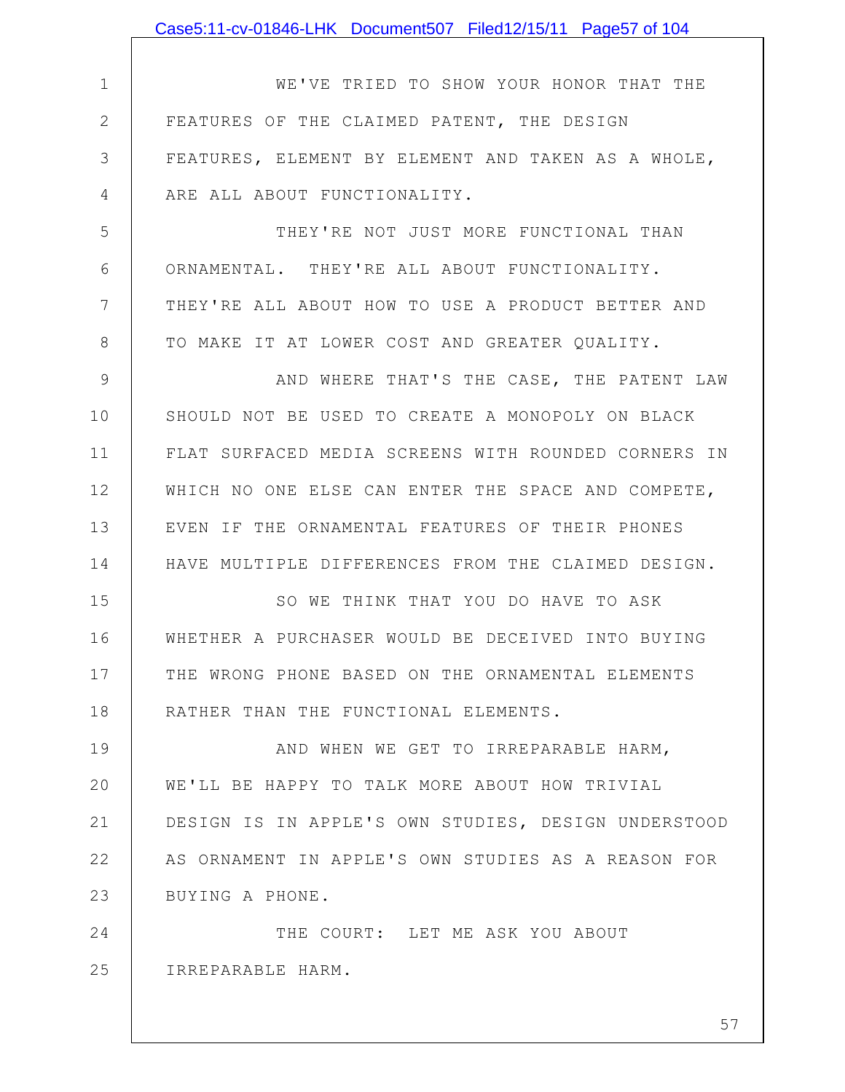1 2 3 4 5 6 7 8 9 10 11 12 13 14 15 16 17 18 19 20 21 22 23 24 25 WE'VE TRIED TO SHOW YOUR HONOR THAT THE FEATURES OF THE CLAIMED PATENT, THE DESIGN FEATURES, ELEMENT BY ELEMENT AND TAKEN AS A WHOLE, ARE ALL ABOUT FUNCTIONALITY. THEY'RE NOT JUST MORE FUNCTIONAL THAN ORNAMENTAL. THEY'RE ALL ABOUT FUNCTIONALITY. THEY'RE ALL ABOUT HOW TO USE A PRODUCT BETTER AND TO MAKE IT AT LOWER COST AND GREATER QUALITY. AND WHERE THAT'S THE CASE, THE PATENT LAW SHOULD NOT BE USED TO CREATE A MONOPOLY ON BLACK FLAT SURFACED MEDIA SCREENS WITH ROUNDED CORNERS IN WHICH NO ONE ELSE CAN ENTER THE SPACE AND COMPETE, EVEN IF THE ORNAMENTAL FEATURES OF THEIR PHONES HAVE MULTIPLE DIFFERENCES FROM THE CLAIMED DESIGN. SO WE THINK THAT YOU DO HAVE TO ASK WHETHER A PURCHASER WOULD BE DECEIVED INTO BUYING THE WRONG PHONE BASED ON THE ORNAMENTAL ELEMENTS RATHER THAN THE FUNCTIONAL ELEMENTS. AND WHEN WE GET TO IRREPARABLE HARM, WE'LL BE HAPPY TO TALK MORE ABOUT HOW TRIVIAL DESIGN IS IN APPLE'S OWN STUDIES, DESIGN UNDERSTOOD AS ORNAMENT IN APPLE'S OWN STUDIES AS A REASON FOR BUYING A PHONE. THE COURT: LET ME ASK YOU ABOUT IRREPARABLE HARM. Case5:11-cv-01846-LHK Document507 Filed12/15/11 Page57 of 104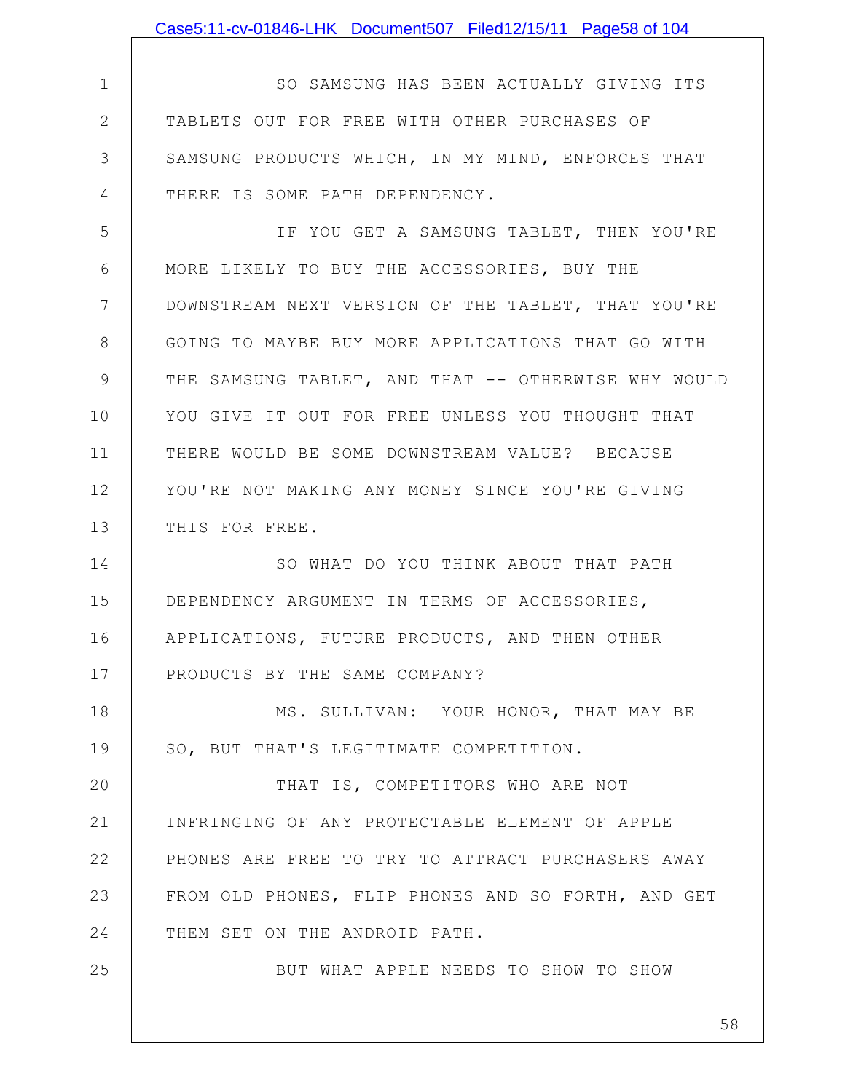|               | Case5:11-cv-01846-LHK Document507 Filed12/15/11 Page58 of 104 |
|---------------|---------------------------------------------------------------|
|               |                                                               |
| $\mathbf 1$   | SO SAMSUNG HAS BEEN ACTUALLY GIVING ITS                       |
| $\mathbf{2}$  | TABLETS OUT FOR FREE WITH OTHER PURCHASES OF                  |
| 3             | SAMSUNG PRODUCTS WHICH, IN MY MIND, ENFORCES THAT             |
| 4             | THERE IS SOME PATH DEPENDENCY.                                |
| 5             | IF YOU GET A SAMSUNG TABLET, THEN YOU'RE                      |
| 6             | MORE LIKELY TO BUY THE ACCESSORIES, BUY THE                   |
| 7             | DOWNSTREAM NEXT VERSION OF THE TABLET, THAT YOU'RE            |
| 8             | GOING TO MAYBE BUY MORE APPLICATIONS THAT GO WITH             |
| $\mathcal{G}$ | THE SAMSUNG TABLET, AND THAT -- OTHERWISE WHY WOULD           |
| 10            | YOU GIVE IT OUT FOR FREE UNLESS YOU THOUGHT THAT              |
| 11            | THERE WOULD BE SOME DOWNSTREAM VALUE? BECAUSE                 |
| 12            | YOU'RE NOT MAKING ANY MONEY SINCE YOU'RE GIVING               |
| 13            | THIS FOR FREE.                                                |
| 14            | SO WHAT DO YOU THINK ABOUT THAT PATH                          |
| 15            | DEPENDENCY ARGUMENT IN TERMS OF ACCESSORIES,                  |
| 16            | APPLICATIONS, FUTURE PRODUCTS, AND THEN OTHER                 |
| 17            | PRODUCTS BY THE SAME COMPANY?                                 |
| 18            | MS. SULLIVAN: YOUR HONOR, THAT MAY BE                         |
| 19            | SO, BUT THAT'S LEGITIMATE COMPETITION.                        |
| 20            | THAT IS, COMPETITORS WHO ARE NOT                              |
| 21            | INFRINGING OF ANY PROTECTABLE ELEMENT OF APPLE                |
| 22            | PHONES ARE FREE TO TRY TO ATTRACT PURCHASERS AWAY             |
| 23            | FROM OLD PHONES, FLIP PHONES AND SO FORTH, AND GET            |
| 24            | THEM SET ON THE ANDROID PATH.                                 |
| 25            | BUT WHAT APPLE NEEDS TO SHOW TO SHOW                          |
|               |                                                               |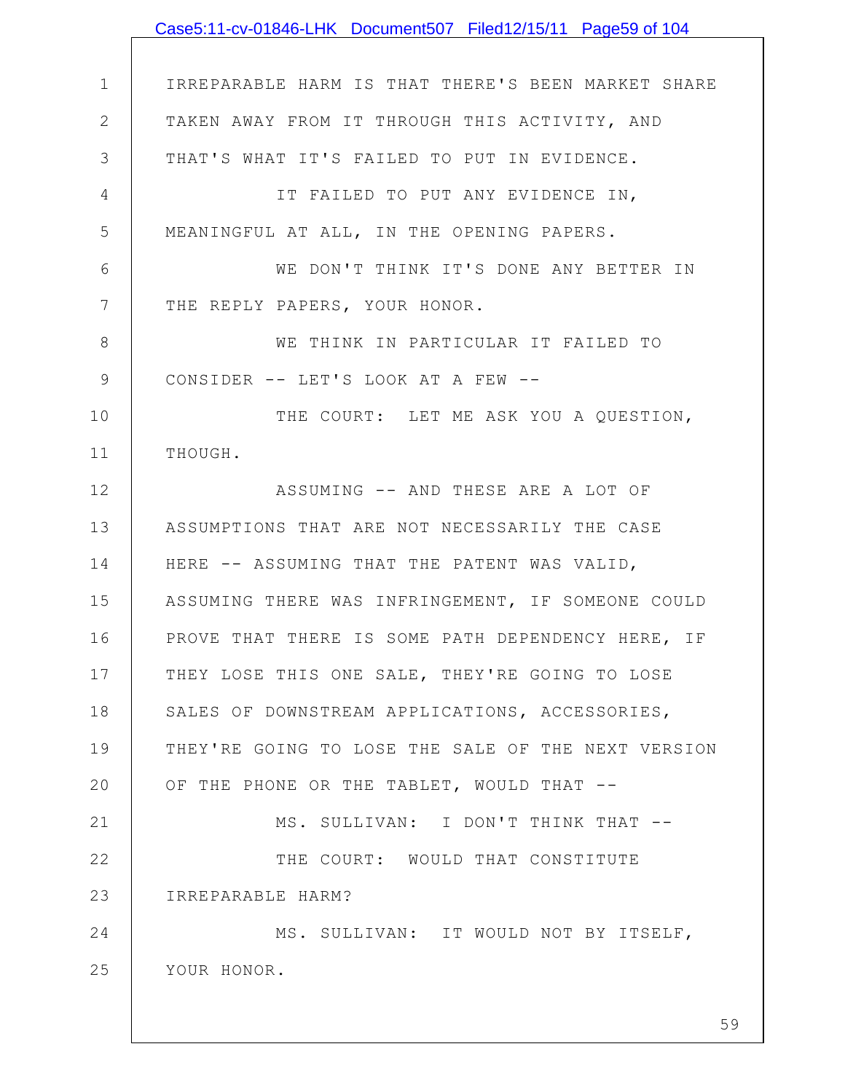|                 | Case5:11-cv-01846-LHK Document507 Filed12/15/11 Page59 of 104 |
|-----------------|---------------------------------------------------------------|
|                 |                                                               |
| $\mathbf 1$     | IRREPARABLE HARM IS THAT THERE'S BEEN MARKET SHARE            |
| $\mathbf{2}$    | TAKEN AWAY FROM IT THROUGH THIS ACTIVITY, AND                 |
| 3               | THAT'S WHAT IT'S FAILED TO PUT IN EVIDENCE.                   |
| 4               | IT FAILED TO PUT ANY EVIDENCE IN,                             |
| 5               | MEANINGFUL AT ALL, IN THE OPENING PAPERS.                     |
| 6               | WE DON'T THINK IT'S DONE ANY BETTER IN                        |
| $7\phantom{.0}$ | THE REPLY PAPERS, YOUR HONOR.                                 |
| 8               | WE THINK IN PARTICULAR IT FAILED TO                           |
| $\mathcal{G}$   | CONSIDER -- LET'S LOOK AT A FEW --                            |
| 10              | THE COURT: LET ME ASK YOU A QUESTION,                         |
| 11              | THOUGH.                                                       |
| 12              | ASSUMING -- AND THESE ARE A LOT OF                            |
| 13              | ASSUMPTIONS THAT ARE NOT NECESSARILY THE CASE                 |
| 14              | HERE -- ASSUMING THAT THE PATENT WAS VALID,                   |
| 15              | ASSUMING THERE WAS INFRINGEMENT, IF SOMEONE COULD             |
| 16              | PROVE THAT THERE IS SOME PATH DEPENDENCY HERE, IF             |
| 17              | THEY LOSE THIS ONE SALE, THEY'RE GOING TO LOSE                |
| 18              | SALES OF DOWNSTREAM APPLICATIONS, ACCESSORIES,                |
| 19              | THEY'RE GOING TO LOSE THE SALE OF THE NEXT VERSION            |
| 20              | OF THE PHONE OR THE TABLET, WOULD THAT --                     |
| 21              | MS. SULLIVAN: I DON'T THINK THAT --                           |
| 22              | THE COURT: WOULD THAT CONSTITUTE                              |
| 23              | IRREPARABLE HARM?                                             |
| 24              | MS. SULLIVAN: IT WOULD NOT BY ITSELF,                         |
| 25              | YOUR HONOR.                                                   |
|                 |                                                               |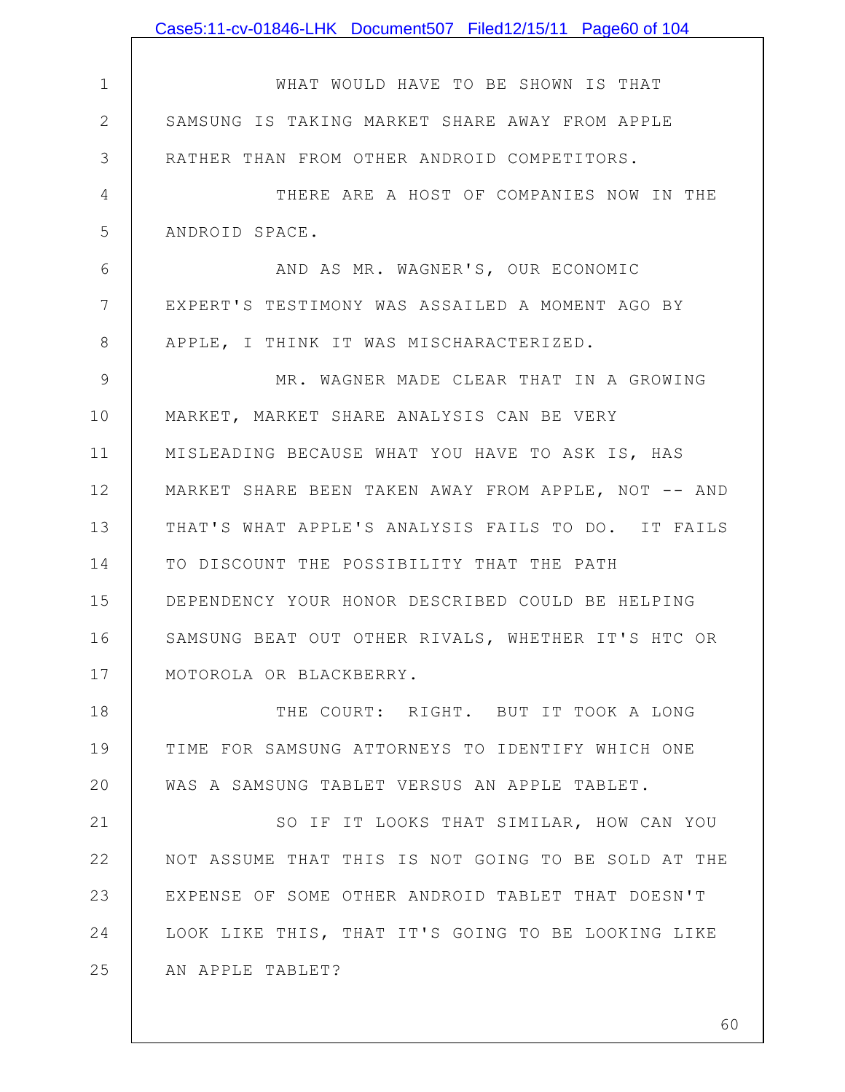|                | Case5:11-cv-01846-LHK Document507 Filed12/15/11 Page60 of 104 |
|----------------|---------------------------------------------------------------|
|                |                                                               |
| $\mathbf 1$    | WHAT WOULD HAVE TO BE SHOWN IS THAT                           |
| $\mathbf{2}$   | SAMSUNG IS TAKING MARKET SHARE AWAY FROM APPLE                |
| 3              | RATHER THAN FROM OTHER ANDROID COMPETITORS.                   |
| 4              | THERE ARE A HOST OF COMPANIES NOW IN THE                      |
| 5              | ANDROID SPACE.                                                |
| 6              | AND AS MR. WAGNER'S, OUR ECONOMIC                             |
| $7\phantom{.}$ | EXPERT'S TESTIMONY WAS ASSAILED A MOMENT AGO BY               |
| 8              | APPLE, I THINK IT WAS MISCHARACTERIZED.                       |
| 9              | MR. WAGNER MADE CLEAR THAT IN A GROWING                       |
| 10             | MARKET, MARKET SHARE ANALYSIS CAN BE VERY                     |
| 11             | MISLEADING BECAUSE WHAT YOU HAVE TO ASK IS, HAS               |
| 12             | MARKET SHARE BEEN TAKEN AWAY FROM APPLE, NOT -- AND           |
| 13             | THAT'S WHAT APPLE'S ANALYSIS FAILS TO DO. IT FAILS            |
| 14             | TO DISCOUNT THE POSSIBILITY THAT THE PATH                     |
| 15             | DEPENDENCY YOUR HONOR DESCRIBED COULD BE HELPING              |
| 16             | SAMSUNG BEAT OUT OTHER RIVALS, WHETHER IT'S HTC OR            |
| 17             | MOTOROLA OR BLACKBERRY.                                       |
| 18             | THE COURT: RIGHT. BUT IT TOOK A LONG                          |
| 19             | TIME FOR SAMSUNG ATTORNEYS TO IDENTIFY WHICH ONE              |
| 20             | WAS A SAMSUNG TABLET VERSUS AN APPLE TABLET.                  |
| 21             | SO IF IT LOOKS THAT SIMILAR, HOW CAN YOU                      |
| 22             | NOT ASSUME THAT THIS IS NOT GOING TO BE SOLD AT THE           |
| 23             | EXPENSE OF SOME OTHER ANDROID TABLET THAT DOESN'T             |
| 24             | LOOK LIKE THIS, THAT IT'S GOING TO BE LOOKING LIKE            |
| 25             | AN APPLE TABLET?                                              |
|                |                                                               |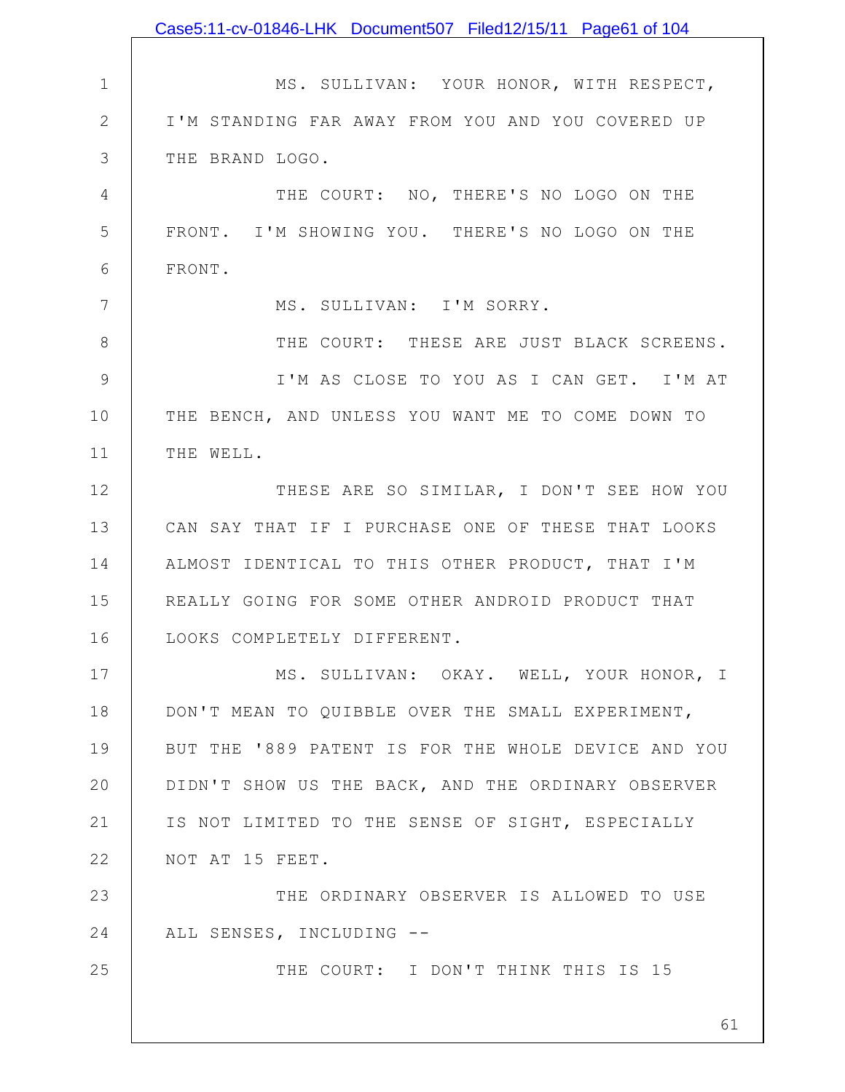|                | Case5:11-cv-01846-LHK Document507 Filed12/15/11 Page61 of 104 |
|----------------|---------------------------------------------------------------|
|                |                                                               |
| $\mathbf 1$    | MS. SULLIVAN: YOUR HONOR, WITH RESPECT,                       |
| $\mathbf{2}$   | I'M STANDING FAR AWAY FROM YOU AND YOU COVERED UP             |
| 3              | THE BRAND LOGO.                                               |
| $\overline{4}$ | THE COURT: NO, THERE'S NO LOGO ON THE                         |
| 5              | FRONT. I'M SHOWING YOU. THERE'S NO LOGO ON THE                |
| 6              | FRONT.                                                        |
| $\overline{7}$ | MS. SULLIVAN: I'M SORRY.                                      |
| 8              | THE COURT: THESE ARE JUST BLACK SCREENS.                      |
| $\mathcal{G}$  | I'M AS CLOSE TO YOU AS I CAN GET. I'M AT                      |
| 10             | THE BENCH, AND UNLESS YOU WANT ME TO COME DOWN TO             |
| 11             | THE WELL.                                                     |
| 12             | THESE ARE SO SIMILAR, I DON'T SEE HOW YOU                     |
| 13             | CAN SAY THAT IF I PURCHASE ONE OF THESE THAT LOOKS            |
| 14             | ALMOST IDENTICAL TO THIS OTHER PRODUCT, THAT I'M              |
| 15             | REALLY GOING FOR SOME OTHER ANDROID PRODUCT THAT              |
| 16             | LOOKS COMPLETELY DIFFERENT                                    |
| 17             | MS. SULLIVAN: OKAY. WELL, YOUR HONOR, I                       |
| 18             | DON'T MEAN TO QUIBBLE OVER THE SMALL EXPERIMENT,              |
| 19             | BUT THE '889 PATENT IS FOR THE WHOLE DEVICE AND YOU           |
| 20             | DIDN'T SHOW US THE BACK, AND THE ORDINARY OBSERVER            |
| 21             | IS NOT LIMITED TO THE SENSE OF SIGHT, ESPECIALLY              |
| 22             | NOT AT 15 FEET.                                               |
| 23             | THE ORDINARY OBSERVER IS ALLOWED TO USE                       |
| 24             | ALL SENSES, INCLUDING --                                      |
| 25             | THE COURT: I DON'T THINK THIS IS 15                           |
|                | 61                                                            |
|                |                                                               |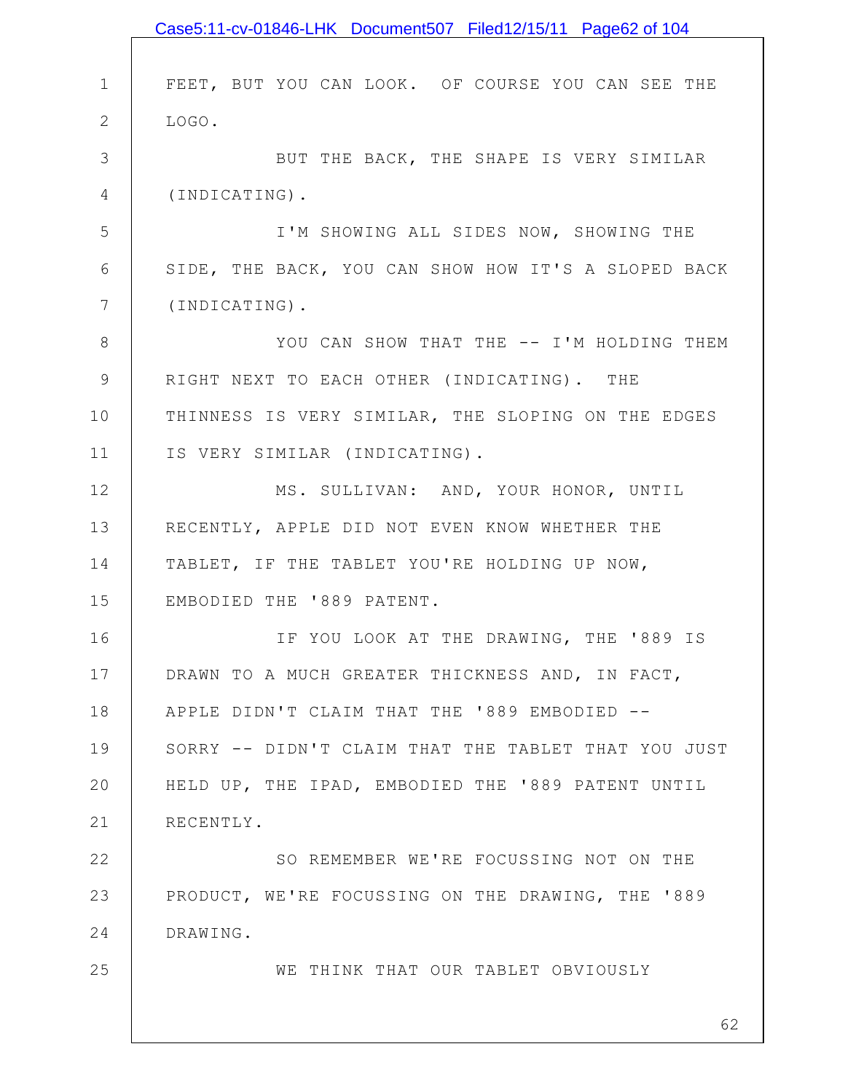|                 | Case5:11-cv-01846-LHK Document507 Filed12/15/11 Page62 of 104 |
|-----------------|---------------------------------------------------------------|
|                 |                                                               |
| $\mathbf 1$     | FEET, BUT YOU CAN LOOK. OF COURSE YOU CAN SEE THE             |
| $\mathbf{2}$    | LOGO.                                                         |
| 3               | BUT THE BACK, THE SHAPE IS VERY SIMILAR                       |
| 4               | (INDICATING).                                                 |
| 5               | I'M SHOWING ALL SIDES NOW, SHOWING THE                        |
| 6               | SIDE, THE BACK, YOU CAN SHOW HOW IT'S A SLOPED BACK           |
| $7\phantom{.0}$ | (INDICATING).                                                 |
| 8               | YOU CAN SHOW THAT THE -- I'M HOLDING THEM                     |
| $\mathcal{G}$   | RIGHT NEXT TO EACH OTHER (INDICATING). THE                    |
| 10              | THINNESS IS VERY SIMILAR, THE SLOPING ON THE EDGES            |
| 11              | IS VERY SIMILAR (INDICATING).                                 |
| 12              | MS. SULLIVAN: AND, YOUR HONOR, UNTIL                          |
| 13              | RECENTLY, APPLE DID NOT EVEN KNOW WHETHER THE                 |
| 14              | TABLET, IF THE TABLET YOU'RE HOLDING UP NOW,                  |
| 15              | EMBODIED THE '889 PATENT.                                     |
| 16              | IF YOU LOOK AT THE DRAWING, THE '889 IS                       |
| 17              | DRAWN TO A MUCH GREATER THICKNESS AND, IN FACT,               |
| 18              | APPLE DIDN'T CLAIM THAT THE '889 EMBODIED --                  |
| 19              | SORRY -- DIDN'T CLAIM THAT THE TABLET THAT YOU JUST           |
| 20              | HELD UP, THE IPAD, EMBODIED THE '889 PATENT UNTIL             |
| 21              | RECENTLY.                                                     |
| 22              | SO REMEMBER WE'RE FOCUSSING NOT ON THE                        |
| 23              | PRODUCT, WE'RE FOCUSSING ON THE DRAWING, THE '889             |
| 24              | DRAWING.                                                      |
| 25              | WE THINK THAT OUR TABLET OBVIOUSLY                            |
|                 |                                                               |
|                 | 62                                                            |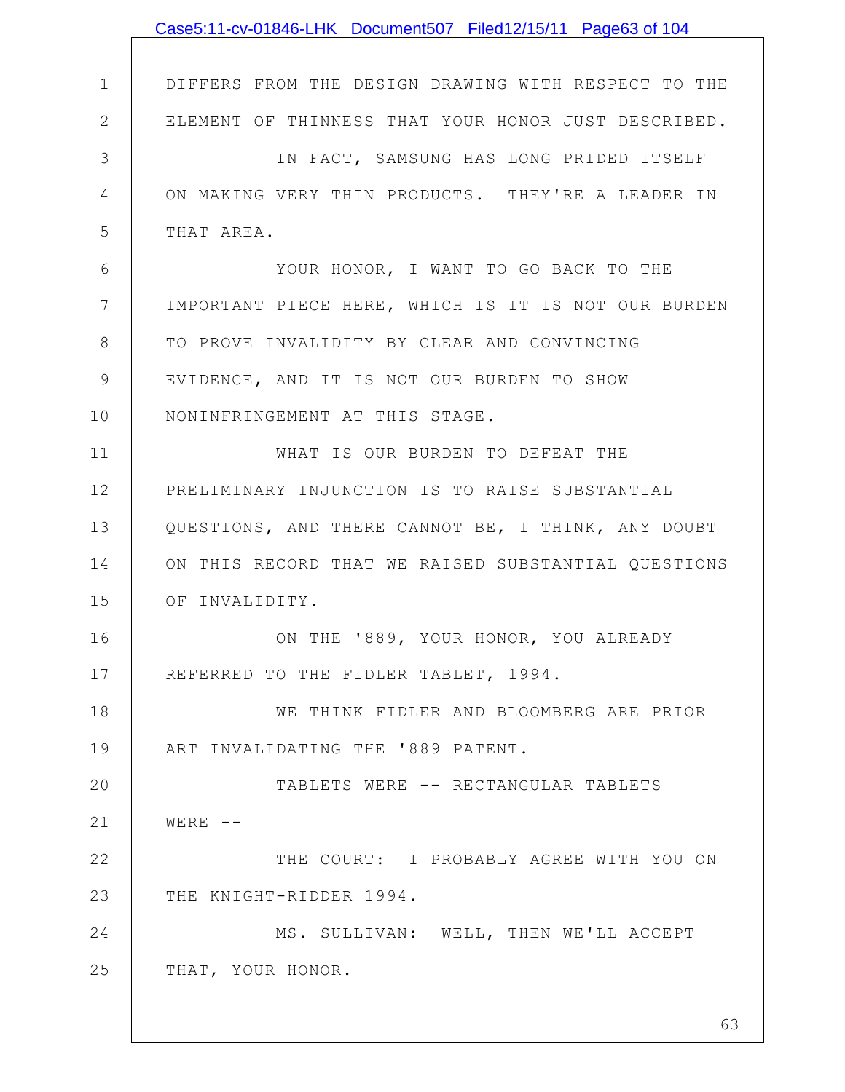|              | Case5:11-cv-01846-LHK Document507 Filed12/15/11 Page63 of 104 |
|--------------|---------------------------------------------------------------|
|              |                                                               |
| $\mathbf 1$  | DIFFERS FROM THE DESIGN DRAWING WITH RESPECT TO THE           |
| $\mathbf{2}$ | ELEMENT OF THINNESS THAT YOUR HONOR JUST DESCRIBED.           |
| 3            | IN FACT, SAMSUNG HAS LONG PRIDED ITSELF                       |
| 4            | ON MAKING VERY THIN PRODUCTS. THEY'RE A LEADER IN             |
| 5            | THAT AREA.                                                    |
| 6            | YOUR HONOR, I WANT TO GO BACK TO THE                          |
| 7            | IMPORTANT PIECE HERE, WHICH IS IT IS NOT OUR BURDEN           |
| 8            | TO PROVE INVALIDITY BY CLEAR AND CONVINCING                   |
| 9            | EVIDENCE, AND IT IS NOT OUR BURDEN TO SHOW                    |
| 10           | NONINFRINGEMENT AT THIS STAGE.                                |
| 11           | WHAT IS OUR BURDEN TO DEFEAT THE                              |
| 12           | PRELIMINARY INJUNCTION IS TO RAISE SUBSTANTIAL                |
| 13           | QUESTIONS, AND THERE CANNOT BE, I THINK, ANY DOUBT            |
| 14           | ON THIS RECORD THAT WE RAISED SUBSTANTIAL QUESTIONS           |
| 15           | OF INVALIDITY.                                                |
| 16           | ON THE '889, YOUR HONOR, YOU ALREADY                          |
| 17           | REFERRED TO THE FIDLER TABLET, 1994.                          |
| 18           | WE THINK FIDLER AND BLOOMBERG ARE PRIOR                       |
| 19           | ART INVALIDATING THE '889 PATENT.                             |
| 20           | TABLETS WERE -- RECTANGULAR TABLETS                           |
| 21           | $WERE$ --                                                     |
| 22           | THE COURT: I PROBABLY AGREE WITH YOU ON                       |
| 23           | THE KNIGHT-RIDDER 1994.                                       |
| 24           | MS. SULLIVAN: WELL, THEN WE'LL ACCEPT                         |
| 25           | THAT, YOUR HONOR.                                             |
|              |                                                               |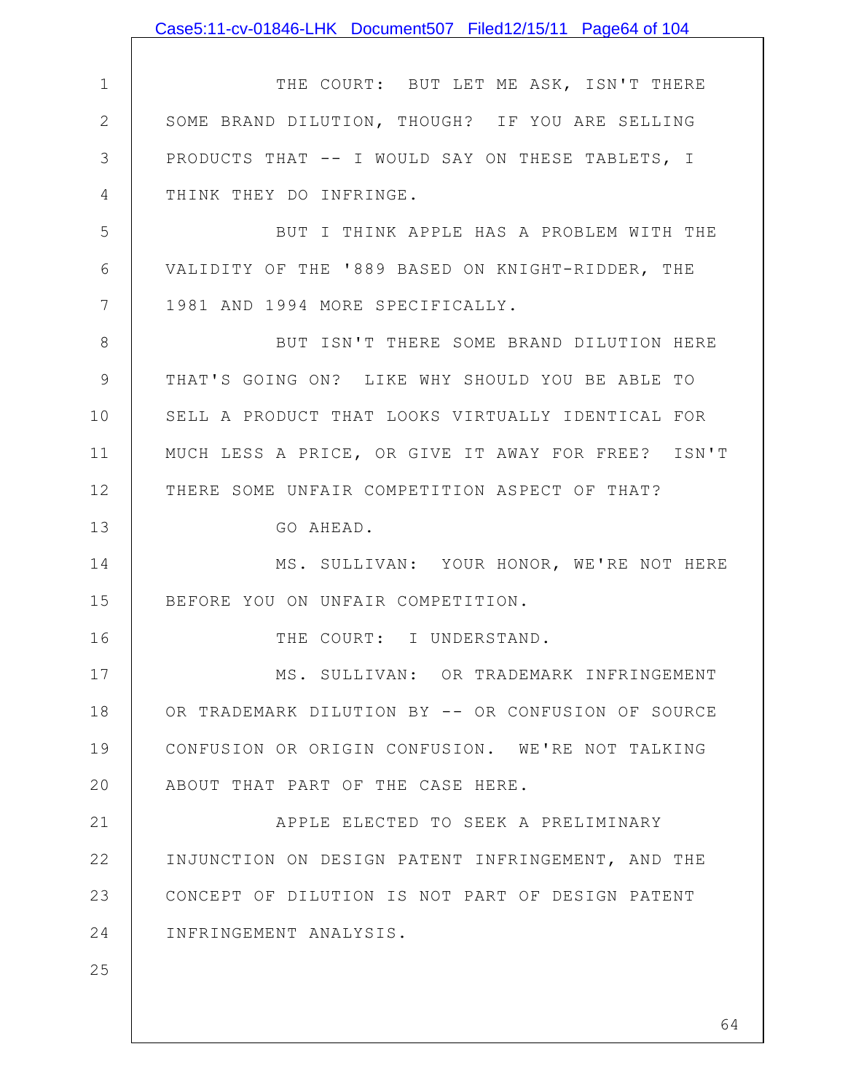|             | Case5:11-cv-01846-LHK Document507 Filed12/15/11 Page64 of 104 |
|-------------|---------------------------------------------------------------|
|             |                                                               |
| $\mathbf 1$ | THE COURT: BUT LET ME ASK, ISN'T THERE                        |
| 2           | SOME BRAND DILUTION, THOUGH? IF YOU ARE SELLING               |
| 3           | PRODUCTS THAT -- I WOULD SAY ON THESE TABLETS, I              |
| 4           | THINK THEY DO INFRINGE.                                       |
| 5           | BUT I THINK APPLE HAS A PROBLEM WITH THE                      |
| 6           | VALIDITY OF THE '889 BASED ON KNIGHT-RIDDER, THE              |
| 7           | 1981 AND 1994 MORE SPECIFICALLY.                              |
| 8           | BUT ISN'T THERE SOME BRAND DILUTION HERE                      |
| 9           | THAT'S GOING ON? LIKE WHY SHOULD YOU BE ABLE TO               |
| 10          | SELL A PRODUCT THAT LOOKS VIRTUALLY IDENTICAL FOR             |
| 11          | MUCH LESS A PRICE, OR GIVE IT AWAY FOR FREE? ISN'T            |
| 12          | THERE SOME UNFAIR COMPETITION ASPECT OF THAT?                 |
| 13          | GO AHEAD.                                                     |
| 14          | MS. SULLIVAN: YOUR HONOR, WE'RE NOT HERE                      |
| 15          | BEFORE YOU ON UNFAIR COMPETITION.                             |
| 16          | THE COURT: I UNDERSTAND.                                      |
| 17          | MS. SULLIVAN: OR TRADEMARK INFRINGEMENT                       |
| 18          | OR TRADEMARK DILUTION BY -- OR CONFUSION OF SOURCE            |
| 19          | CONFUSION OR ORIGIN CONFUSION. WE'RE NOT TALKING              |
| 20          | ABOUT THAT PART OF THE CASE HERE.                             |
| 21          | APPLE ELECTED TO SEEK A PRELIMINARY                           |
| 22          | INJUNCTION ON DESIGN PATENT INFRINGEMENT, AND THE             |
| 23          | CONCEPT OF DILUTION IS NOT PART OF DESIGN PATENT              |
| 24          | INFRINGEMENT ANALYSIS.                                        |
| 25          |                                                               |
|             |                                                               |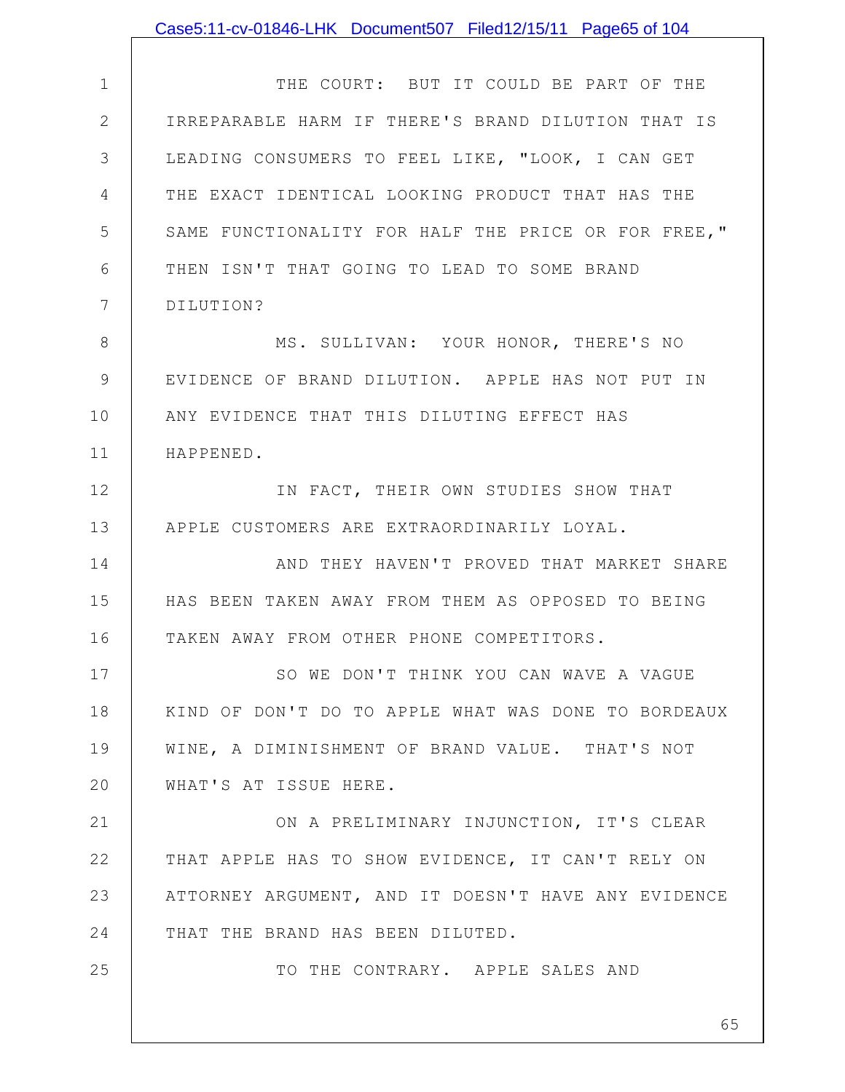|               | Case5:11-cv-01846-LHK Document507 Filed12/15/11 Page65 of 104 |
|---------------|---------------------------------------------------------------|
|               |                                                               |
| $\mathbf 1$   | THE COURT: BUT IT COULD BE PART OF THE                        |
| $\mathbf{2}$  | IRREPARABLE HARM IF THERE'S BRAND DILUTION THAT IS            |
| 3             | LEADING CONSUMERS TO FEEL LIKE, "LOOK, I CAN GET              |
| 4             | THE EXACT IDENTICAL LOOKING PRODUCT THAT HAS THE              |
| 5             | SAME FUNCTIONALITY FOR HALF THE PRICE OR FOR FREE, "          |
| 6             | THEN ISN'T THAT GOING TO LEAD TO SOME BRAND                   |
| 7             | DILUTION?                                                     |
| $8\,$         | MS. SULLIVAN: YOUR HONOR, THERE'S NO                          |
| $\mathcal{G}$ | EVIDENCE OF BRAND DILUTION. APPLE HAS NOT PUT IN              |
| 10            | ANY EVIDENCE THAT THIS DILUTING EFFECT HAS                    |
| 11            | HAPPENED.                                                     |
| 12            | IN FACT, THEIR OWN STUDIES SHOW THAT                          |
| 13            | APPLE CUSTOMERS ARE EXTRAORDINARILY LOYAL.                    |
| 14            | AND THEY HAVEN'T PROVED THAT MARKET SHARE                     |
| 15            | HAS BEEN TAKEN AWAY FROM THEM AS OPPOSED TO BEING             |
| 16            | TAKEN AWAY FROM OTHER PHONE COMPETITORS.                      |
| 17            | SO WE DON'T THINK YOU CAN WAVE A VAGUE                        |
| 18            | KIND OF DON'T DO TO APPLE WHAT WAS DONE TO BORDEAUX           |
| 19            | WINE, A DIMINISHMENT OF BRAND VALUE. THAT'S NOT               |
| 20            | WHAT'S AT ISSUE HERE.                                         |
| 21            | ON A PRELIMINARY INJUNCTION, IT'S CLEAR                       |
| 22            | THAT APPLE HAS TO SHOW EVIDENCE, IT CAN'T RELY ON             |
| 23            | ATTORNEY ARGUMENT, AND IT DOESN'T HAVE ANY EVIDENCE           |
| 24            | THAT THE BRAND HAS BEEN DILUTED.                              |
| 25            | TO THE CONTRARY. APPLE SALES AND                              |
|               |                                                               |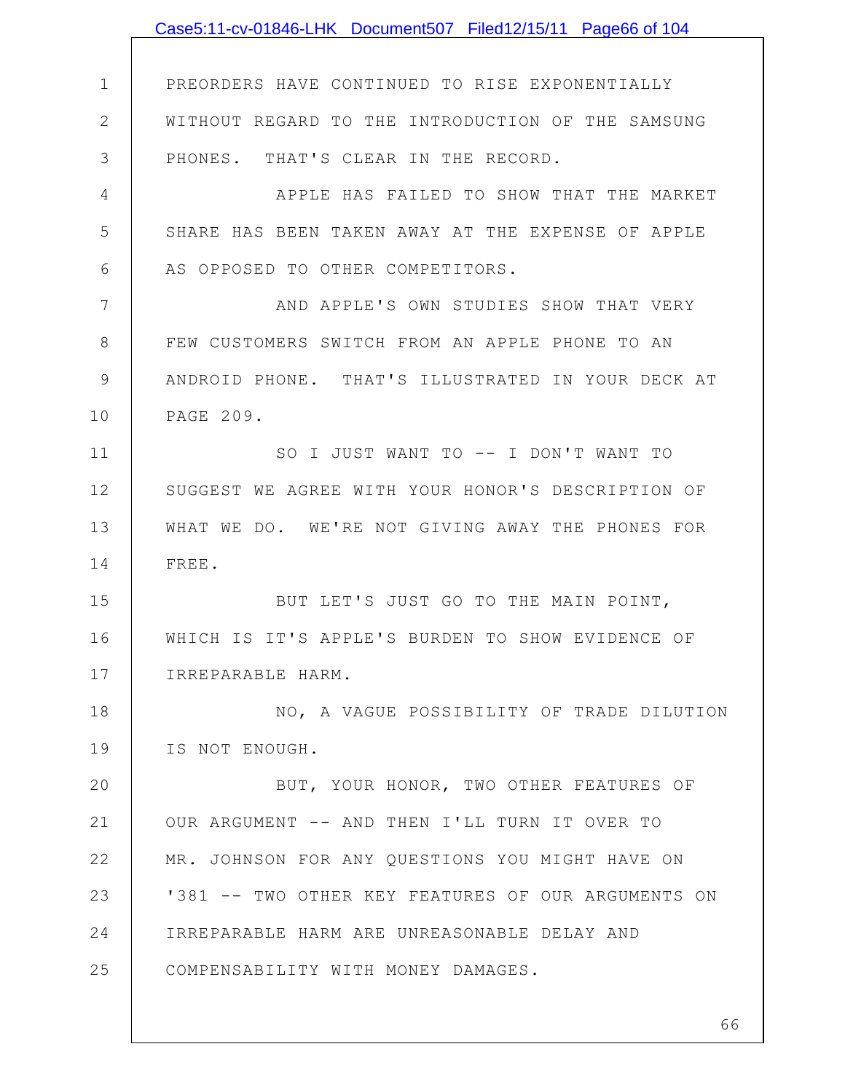|                | Case5:11-cv-01846-LHK Document507 Filed12/15/11 Page66 of 104 |
|----------------|---------------------------------------------------------------|
|                |                                                               |
| $\mathbf 1$    | PREORDERS HAVE CONTINUED TO RISE EXPONENTIALLY                |
| $\mathbf{2}$   | WITHOUT REGARD TO THE INTRODUCTION OF THE SAMSUNG             |
| 3              | PHONES. THAT'S CLEAR IN THE RECORD.                           |
| $\overline{4}$ | APPLE HAS FAILED TO SHOW THAT THE MARKET                      |
| 5              | SHARE HAS BEEN TAKEN AWAY AT THE EXPENSE OF APPLE             |
| 6              | AS OPPOSED TO OTHER COMPETITORS.                              |
| 7              | AND APPLE'S OWN STUDIES SHOW THAT VERY                        |
| 8              | FEW CUSTOMERS SWITCH FROM AN APPLE PHONE TO AN                |
| 9              | ANDROID PHONE. THAT'S ILLUSTRATED IN YOUR DECK AT             |
| 10             | PAGE 209.                                                     |
| 11             | SO I JUST WANT TO -- I DON'T WANT TO                          |
| 12             | SUGGEST WE AGREE WITH YOUR HONOR'S DESCRIPTION OF             |
| 13             | WHAT WE DO. WE'RE NOT GIVING AWAY THE PHONES FOR              |
| 14             | FREE.                                                         |
| 15             | BUT LET'S JUST GO TO THE MAIN POINT,                          |
| 16             | WHICH IS IT'S APPLE'S BURDEN TO SHOW EVIDENCE OF              |
| 17             | IRREPARABLE HARM.                                             |
| 18             | NO, A VAGUE POSSIBILITY OF TRADE DILUTION                     |
| 19             | IS NOT ENOUGH.                                                |
| 20             | BUT, YOUR HONOR, TWO OTHER FEATURES OF                        |
| 21             | OUR ARGUMENT -- AND THEN I'LL TURN IT OVER TO                 |
| 22             | MR. JOHNSON FOR ANY QUESTIONS YOU MIGHT HAVE ON               |
| 23             | '381 -- TWO OTHER KEY FEATURES OF OUR ARGUMENTS ON            |
| 24             | IRREPARABLE HARM ARE UNREASONABLE DELAY AND                   |
| 25             | COMPENSABILITY WITH MONEY DAMAGES.                            |
|                |                                                               |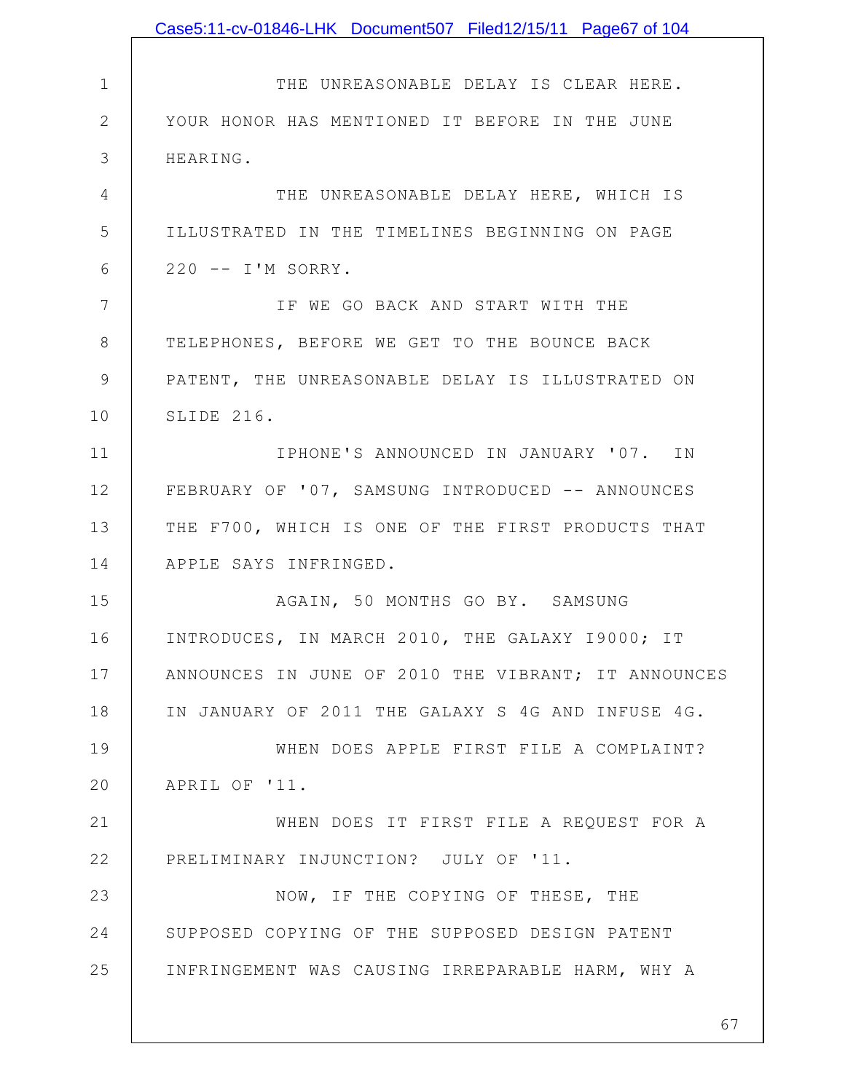|                | Case5:11-cv-01846-LHK Document507 Filed12/15/11 Page67 of 104 |
|----------------|---------------------------------------------------------------|
|                |                                                               |
| $\mathbf 1$    | THE UNREASONABLE DELAY IS CLEAR HERE.                         |
| $\mathbf{2}$   | YOUR HONOR HAS MENTIONED IT BEFORE IN THE JUNE                |
| 3              | HEARING.                                                      |
| 4              | THE UNREASONABLE DELAY HERE, WHICH IS                         |
| 5              | ILLUSTRATED IN THE TIMELINES BEGINNING ON PAGE                |
| 6              | 220 -- I'M SORRY.                                             |
| $\overline{7}$ | IF WE GO BACK AND START WITH THE                              |
| 8              | TELEPHONES, BEFORE WE GET TO THE BOUNCE BACK                  |
| 9              | PATENT, THE UNREASONABLE DELAY IS ILLUSTRATED ON              |
| 10             | SLIDE 216.                                                    |
| 11             | IPHONE'S ANNOUNCED IN JANUARY '07. IN                         |
| 12             | FEBRUARY OF '07, SAMSUNG INTRODUCED -- ANNOUNCES              |
| 13             | THE F700, WHICH IS ONE OF THE FIRST PRODUCTS THAT             |
| 14             | APPLE SAYS INFRINGED.                                         |
| 15             | AGAIN, 50 MONTHS GO BY. SAMSUNG                               |
| 16             | INTRODUCES, IN MARCH 2010, THE GALAXY 19000; IT               |
| 17             | ANNOUNCES IN JUNE OF 2010 THE VIBRANT; IT ANNOUNCES           |
| 18             | IN JANUARY OF 2011 THE GALAXY S 4G AND INFUSE 4G.             |
| 19             | WHEN DOES APPLE FIRST FILE A COMPLAINT?                       |
| 20             | APRIL OF '11.                                                 |
| 21             | WHEN DOES IT FIRST FILE A REQUEST FOR A                       |
| 22             | PRELIMINARY INJUNCTION? JULY OF '11.                          |
| 23             | NOW, IF THE COPYING OF THESE, THE                             |
| 24             | SUPPOSED COPYING OF THE SUPPOSED DESIGN PATENT                |
| 25             | INFRINGEMENT WAS CAUSING IRREPARABLE HARM, WHY A              |
|                |                                                               |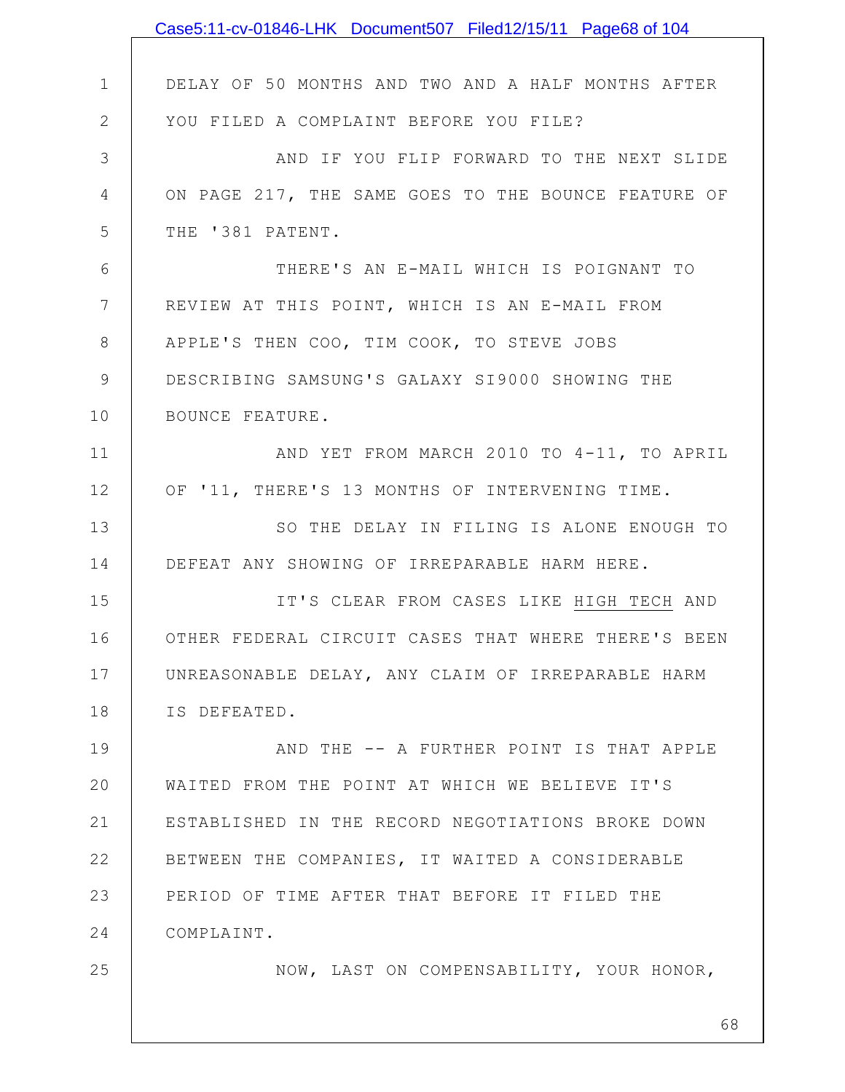|              | Case5:11-cv-01846-LHK Document507 Filed12/15/11 Page68 of 104 |
|--------------|---------------------------------------------------------------|
|              |                                                               |
| $\mathbf 1$  | DELAY OF 50 MONTHS AND TWO AND A HALF MONTHS AFTER            |
| $\mathbf{2}$ | YOU FILED A COMPLAINT BEFORE YOU FILE?                        |
| 3            | AND IF YOU FLIP FORWARD TO THE NEXT SLIDE                     |
| 4            | ON PAGE 217, THE SAME GOES TO THE BOUNCE FEATURE OF           |
| 5            | THE '381 PATENT.                                              |
| 6            | THERE'S AN E-MAIL WHICH IS POIGNANT TO                        |
| 7            | REVIEW AT THIS POINT, WHICH IS AN E-MAIL FROM                 |
| 8            | APPLE'S THEN COO, TIM COOK, TO STEVE JOBS                     |
| 9            | DESCRIBING SAMSUNG'S GALAXY SI9000 SHOWING THE                |
| 10           | BOUNCE FEATURE.                                               |
| 11           | AND YET FROM MARCH 2010 TO 4-11, TO APRIL                     |
| 12           | OF '11, THERE'S 13 MONTHS OF INTERVENING TIME.                |
| 13           | SO THE DELAY IN FILING IS ALONE ENOUGH TO                     |
| 14           | DEFEAT ANY SHOWING OF IRREPARABLE HARM HERE.                  |
| 15           | IT'S CLEAR FROM CASES LIKE HIGH TECH AND                      |
| 16           | OTHER FEDERAL CIRCUIT CASES THAT WHERE THERE'S BEEN           |
| 17           | UNREASONABLE DELAY, ANY CLAIM OF IRREPARABLE HARM             |
| 18           | IS DEFEATED.                                                  |
| 19           | AND THE -- A FURTHER POINT IS THAT APPLE                      |
| 20           | WAITED FROM THE POINT AT WHICH WE BELIEVE IT'S                |
| 21           | ESTABLISHED IN THE RECORD NEGOTIATIONS BROKE DOWN             |
| 22           | BETWEEN THE COMPANIES, IT WAITED A CONSIDERABLE               |
| 23           | PERIOD OF TIME AFTER THAT BEFORE IT FILED THE                 |
| 24           | COMPLAINT.                                                    |
| 25           | NOW, LAST ON COMPENSABILITY, YOUR HONOR,                      |
|              |                                                               |
|              | 68                                                            |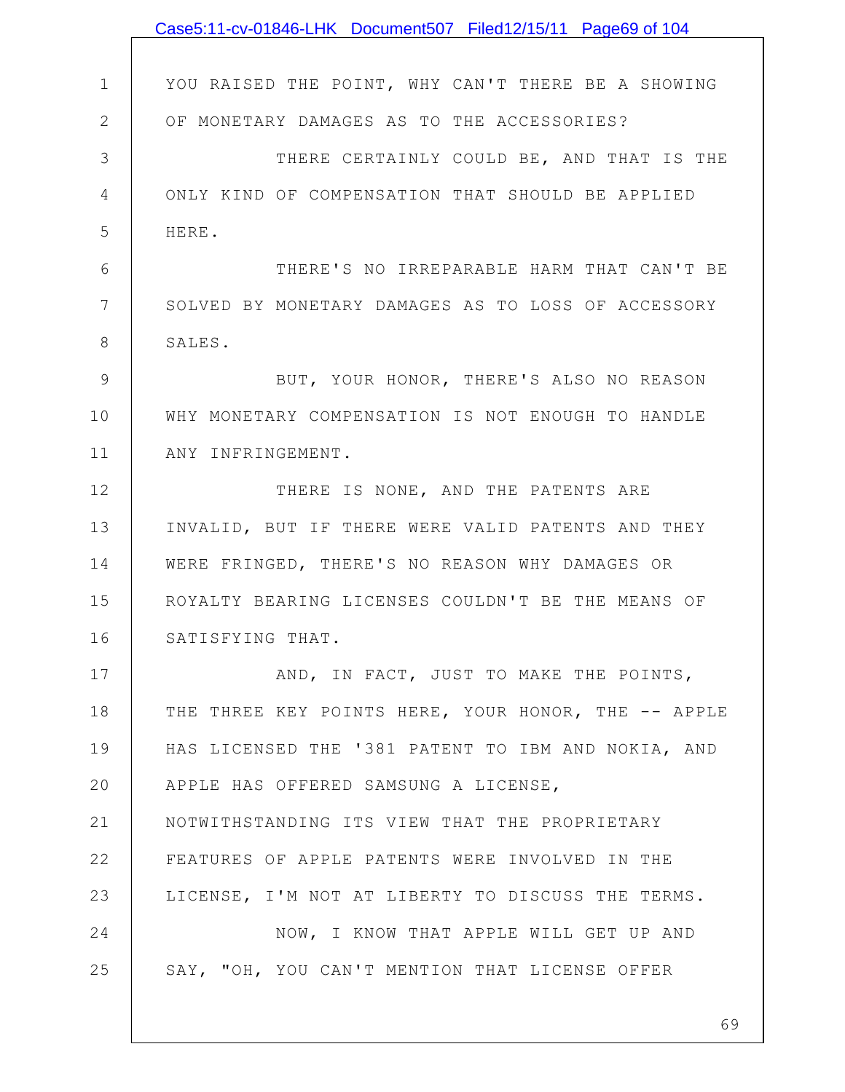|               | Case5:11-cv-01846-LHK Document507 Filed12/15/11 Page69 of 104 |
|---------------|---------------------------------------------------------------|
|               |                                                               |
| $\mathbf 1$   | YOU RAISED THE POINT, WHY CAN'T THERE BE A SHOWING            |
| $\mathbf{2}$  | OF MONETARY DAMAGES AS TO THE ACCESSORIES?                    |
| 3             | THERE CERTAINLY COULD BE, AND THAT IS THE                     |
| 4             | ONLY KIND OF COMPENSATION THAT SHOULD BE APPLIED              |
| 5             | HERE.                                                         |
| 6             | THERE'S NO IRREPARABLE HARM THAT CAN'T BE                     |
| 7             | SOLVED BY MONETARY DAMAGES AS TO LOSS OF ACCESSORY            |
| 8             | SALES.                                                        |
| $\mathcal{G}$ | BUT, YOUR HONOR, THERE'S ALSO NO REASON                       |
| 10            | WHY MONETARY COMPENSATION IS NOT ENOUGH TO HANDLE             |
| 11            | ANY INFRINGEMENT.                                             |
| 12            | THERE IS NONE, AND THE PATENTS ARE                            |
| 13            | INVALID, BUT IF THERE WERE VALID PATENTS AND THEY             |
| 14            | WERE FRINGED, THERE'S NO REASON WHY DAMAGES OR                |
| 15            | ROYALTY BEARING LICENSES COULDN'T BE THE MEANS OF             |
| 16            | SATISFYING THAT.                                              |
| 17            | AND, IN FACT, JUST TO MAKE THE POINTS,                        |
| 18            | THE THREE KEY POINTS HERE, YOUR HONOR, THE -- APPLE           |
| 19            | HAS LICENSED THE '381 PATENT TO IBM AND NOKIA, AND            |
| 20            | APPLE HAS OFFERED SAMSUNG A LICENSE,                          |
| 21            | NOTWITHSTANDING ITS VIEW THAT THE PROPRIETARY                 |
| 22            | FEATURES OF APPLE PATENTS WERE INVOLVED IN THE                |
| 23            | LICENSE, I'M NOT AT LIBERTY TO DISCUSS THE TERMS.             |
| 24            | NOW, I KNOW THAT APPLE WILL GET UP AND                        |
| 25            | SAY, "OH, YOU CAN'T MENTION THAT LICENSE OFFER                |
|               |                                                               |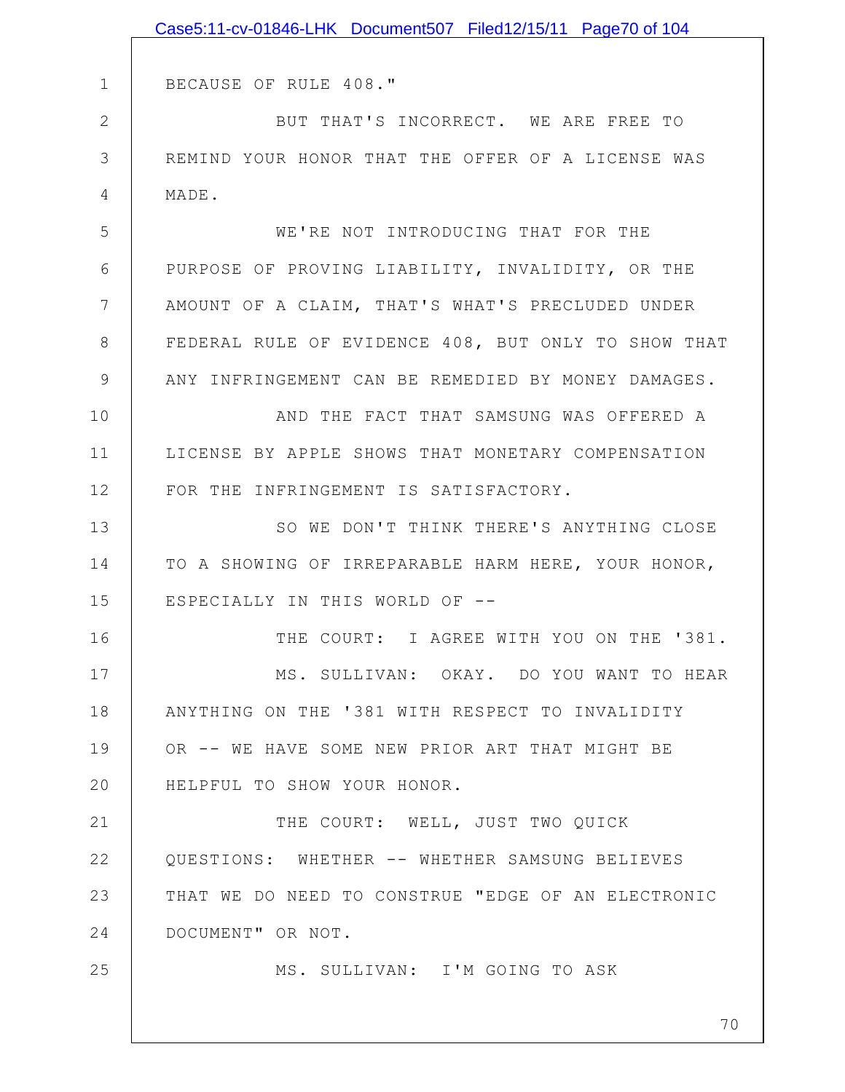|                | Case5:11-cv-01846-LHK Document507 Filed12/15/11 Page70 of 104 |
|----------------|---------------------------------------------------------------|
|                |                                                               |
| $\mathbf 1$    | BECAUSE OF RULE 408."                                         |
| $\mathbf 2$    | BUT THAT'S INCORRECT. WE ARE FREE TO                          |
| $\mathfrak{Z}$ | REMIND YOUR HONOR THAT THE OFFER OF A LICENSE WAS             |
| 4              | MADE.                                                         |
| 5              | WE'RE NOT INTRODUCING THAT FOR THE                            |
| 6              | PURPOSE OF PROVING LIABILITY, INVALIDITY, OR THE              |
| 7              | AMOUNT OF A CLAIM, THAT'S WHAT'S PRECLUDED UNDER              |
| 8              | FEDERAL RULE OF EVIDENCE 408, BUT ONLY TO SHOW THAT           |
| $\mathcal{G}$  | ANY INFRINGEMENT CAN BE REMEDIED BY MONEY DAMAGES.            |
| 10             | AND THE FACT THAT SAMSUNG WAS OFFERED A                       |
| 11             | LICENSE BY APPLE SHOWS THAT MONETARY COMPENSATION             |
| 12             | FOR THE INFRINGEMENT IS SATISFACTORY.                         |
| 13             | SO WE DON'T THINK THERE'S ANYTHING CLOSE                      |
| 14             | TO A SHOWING OF IRREPARABLE HARM HERE, YOUR HONOR,            |
| 15             | ESPECIALLY IN THIS WORLD OF --                                |
| 16             | THE COURT: I AGREE WITH YOU ON THE '381.                      |
| 17             | MS. SULLIVAN: OKAY. DO YOU WANT TO HEAR                       |
| 18             | ANYTHING ON THE '381 WITH RESPECT TO INVALIDITY               |
| 19             | OR -- WE HAVE SOME NEW PRIOR ART THAT MIGHT BE                |
| 20             | HELPFUL TO SHOW YOUR HONOR.                                   |
| 21             | THE COURT: WELL, JUST TWO QUICK                               |
| 22             | QUESTIONS: WHETHER -- WHETHER SAMSUNG BELIEVES                |
| 23             | THAT WE DO NEED TO CONSTRUE "EDGE OF AN ELECTRONIC            |
| 24             | DOCUMENT" OR NOT.                                             |
| 25             | MS. SULLIVAN: I'M GOING TO ASK                                |
|                |                                                               |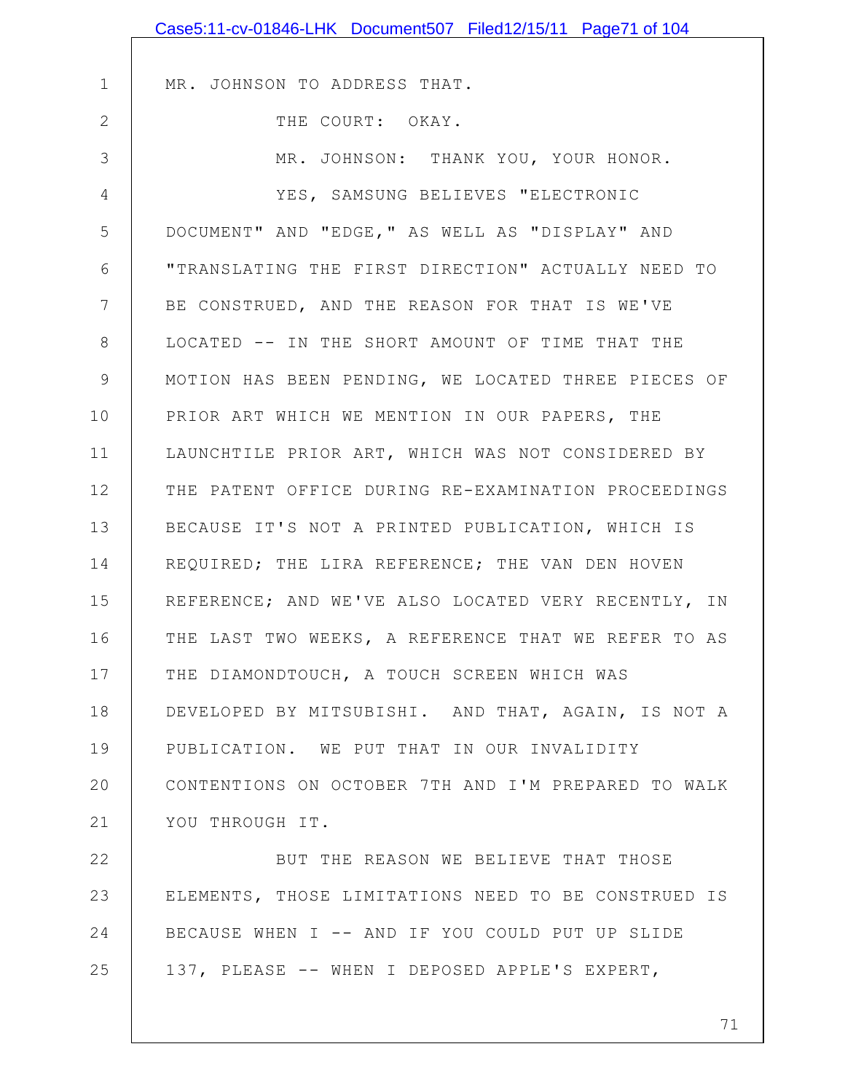| Case5:11-cv-01846-LHK Document507 Filed12/15/11 Page71 of 104 |
|---------------------------------------------------------------|
|                                                               |
| MR. JOHNSON TO ADDRESS THAT.                                  |
| THE COURT: OKAY.                                              |
| MR. JOHNSON: THANK YOU, YOUR HONOR.                           |
| YES, SAMSUNG BELIEVES "ELECTRONIC                             |
| DOCUMENT" AND "EDGE, " AS WELL AS "DISPLAY" AND               |
| "TRANSLATING THE FIRST DIRECTION" ACTUALLY NEED TO            |
| BE CONSTRUED, AND THE REASON FOR THAT IS WE'VE                |
| LOCATED -- IN THE SHORT AMOUNT OF TIME THAT THE               |
| MOTION HAS BEEN PENDING, WE LOCATED THREE PIECES OF           |
| PRIOR ART WHICH WE MENTION IN OUR PAPERS, THE                 |
| LAUNCHTILE PRIOR ART, WHICH WAS NOT CONSIDERED BY             |
| THE PATENT OFFICE DURING RE-EXAMINATION PROCEEDINGS           |
| BECAUSE IT'S NOT A PRINTED PUBLICATION, WHICH IS              |
| REQUIRED; THE LIRA REFERENCE; THE VAN DEN HOVEN               |
| REFERENCE; AND WE'VE ALSO LOCATED VERY RECENTLY, IN           |
| THE LAST TWO WEEKS, A REFERENCE THAT WE REFER TO AS           |
| THE DIAMONDTOUCH, A TOUCH SCREEN WHICH WAS                    |
| DEVELOPED BY MITSUBISHI. AND THAT, AGAIN, IS NOT A            |
| PUBLICATION. WE PUT THAT IN OUR INVALIDITY                    |
| CONTENTIONS ON OCTOBER 7TH AND I'M PREPARED TO WALK           |
| YOU THROUGH IT.                                               |
| BUT THE REASON WE BELIEVE THAT THOSE                          |
| ELEMENTS, THOSE LIMITATIONS NEED TO BE CONSTRUED IS           |
| BECAUSE WHEN I -- AND IF YOU COULD PUT UP SLIDE               |
| 137, PLEASE -- WHEN I DEPOSED APPLE'S EXPERT,                 |
|                                                               |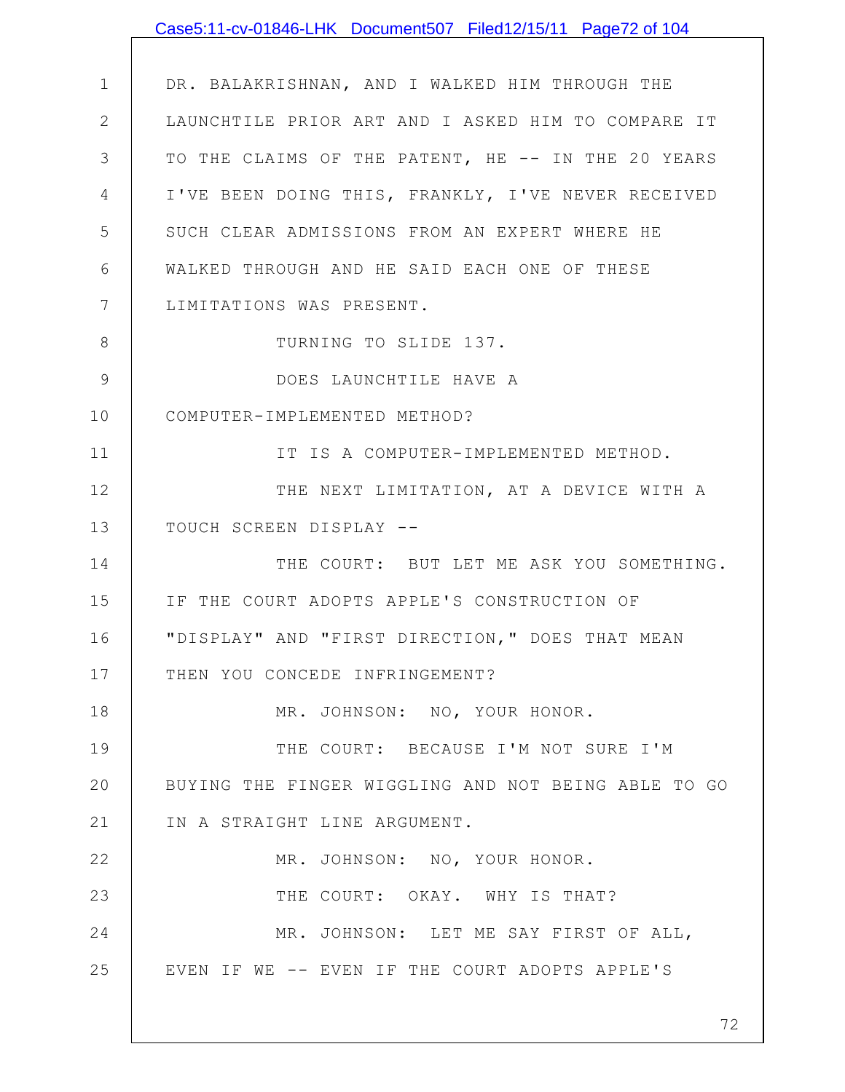|                 | Case5:11-cv-01846-LHK Document507 Filed12/15/11 Page72 of 104 |
|-----------------|---------------------------------------------------------------|
|                 |                                                               |
| $\mathbf 1$     | DR. BALAKRISHNAN, AND I WALKED HIM THROUGH THE                |
| $\mathbf{2}$    | LAUNCHTILE PRIOR ART AND I ASKED HIM TO COMPARE IT            |
| 3               | TO THE CLAIMS OF THE PATENT, HE -- IN THE 20 YEARS            |
| 4               | I'VE BEEN DOING THIS, FRANKLY, I'VE NEVER RECEIVED            |
| 5               | SUCH CLEAR ADMISSIONS FROM AN EXPERT WHERE HE                 |
| 6               | WALKED THROUGH AND HE SAID EACH ONE OF THESE                  |
| $7\phantom{.0}$ | LIMITATIONS WAS PRESENT.                                      |
| 8               | TURNING TO SLIDE 137.                                         |
| 9               | DOES LAUNCHTILE HAVE A                                        |
| 10              | COMPUTER-IMPLEMENTED METHOD?                                  |
| 11              | IT IS A COMPUTER-IMPLEMENTED METHOD.                          |
| 12              | THE NEXT LIMITATION, AT A DEVICE WITH A                       |
| 13              | TOUCH SCREEN DISPLAY --                                       |
| 14              | THE COURT: BUT LET ME ASK YOU SOMETHING.                      |
| 15              | IF THE COURT ADOPTS APPLE'S CONSTRUCTION OF                   |
| 16              | "DISPLAY" AND "FIRST DIRECTION," DOES THAT MEAN               |
| 17              | THEN YOU CONCEDE INFRINGEMENT?                                |
| 18              | MR. JOHNSON: NO, YOUR HONOR.                                  |
| 19              | THE COURT: BECAUSE I'M NOT SURE I'M                           |
| 20              | BUYING THE FINGER WIGGLING AND NOT BEING ABLE TO GO           |
| 21              | IN A STRAIGHT LINE ARGUMENT.                                  |
| 22              | MR. JOHNSON: NO, YOUR HONOR.                                  |
| 23              | THE COURT: OKAY. WHY IS THAT?                                 |
| 24              | MR. JOHNSON: LET ME SAY FIRST OF ALL,                         |
| 25              | EVEN IF WE -- EVEN IF THE COURT ADOPTS APPLE'S                |
|                 |                                                               |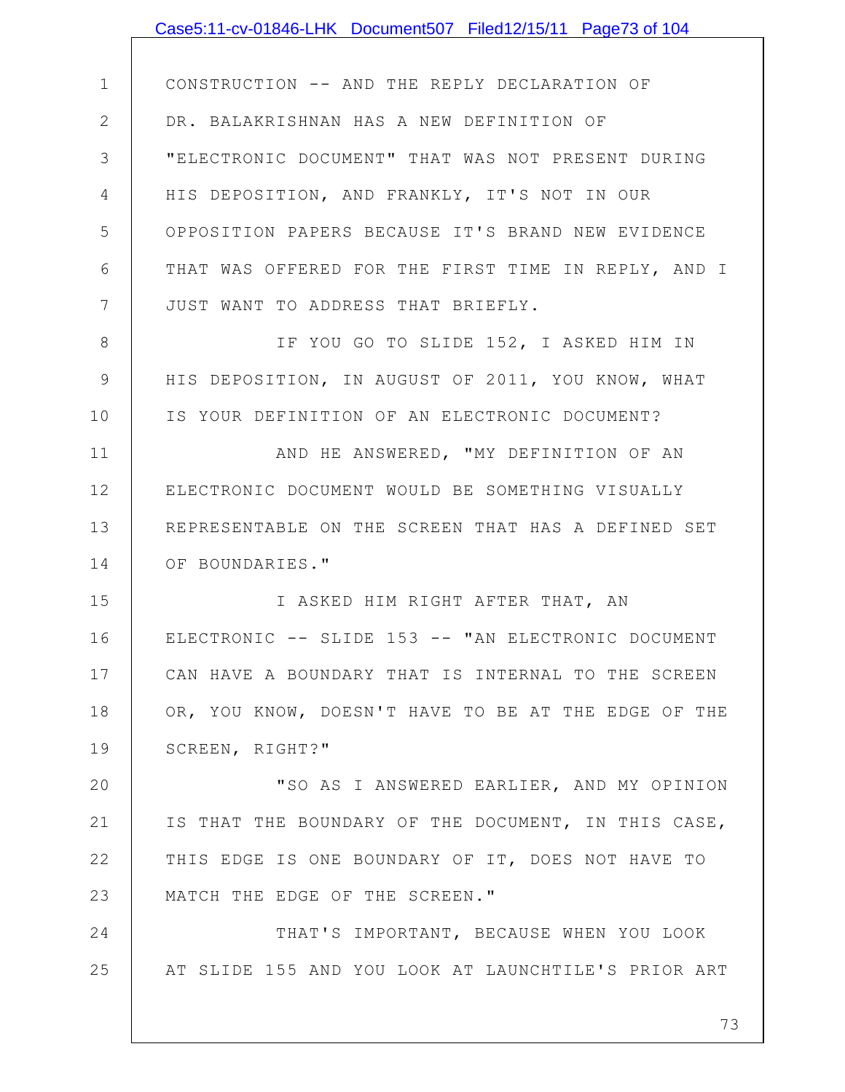|              | Case5:11-cv-01846-LHK Document507 Filed12/15/11 Page73 of 104 |
|--------------|---------------------------------------------------------------|
|              |                                                               |
| $\mathbf 1$  | CONSTRUCTION -- AND THE REPLY DECLARATION OF                  |
| $\mathbf{2}$ | DR. BALAKRISHNAN HAS A NEW DEFINITION OF                      |
| 3            | "ELECTRONIC DOCUMENT" THAT WAS NOT PRESENT DURING             |
| 4            | HIS DEPOSITION, AND FRANKLY, IT'S NOT IN OUR                  |
| 5            | OPPOSITION PAPERS BECAUSE IT'S BRAND NEW EVIDENCE             |
| 6            | THAT WAS OFFERED FOR THE FIRST TIME IN REPLY, AND I           |
| 7            | JUST WANT TO ADDRESS THAT BRIEFLY.                            |
| 8            | IF YOU GO TO SLIDE 152, I ASKED HIM IN                        |
| $\mathsf 9$  | HIS DEPOSITION, IN AUGUST OF 2011, YOU KNOW, WHAT             |
| 10           | IS YOUR DEFINITION OF AN ELECTRONIC DOCUMENT?                 |
| 11           | AND HE ANSWERED, "MY DEFINITION OF AN                         |
| 12           | ELECTRONIC DOCUMENT WOULD BE SOMETHING VISUALLY               |
| 13           | REPRESENTABLE ON THE SCREEN THAT HAS A DEFINED SET            |
| 14           | OF BOUNDARIES."                                               |
| 15           | I ASKED HIM RIGHT AFTER THAT, AN                              |
| 16           | ELECTRONIC -- SLIDE 153 -- "AN ELECTRONIC DOCUMENT            |
| 17           | CAN HAVE A BOUNDARY THAT IS INTERNAL TO THE SCREEN            |
| 18           | OR, YOU KNOW, DOESN'T HAVE TO BE AT THE EDGE OF THE           |
| 19           | SCREEN, RIGHT?"                                               |
| 20           | "SO AS I ANSWERED EARLIER, AND MY OPINION                     |
| 21           | IS THAT THE BOUNDARY OF THE DOCUMENT, IN THIS CASE,           |
| 22           | THIS EDGE IS ONE BOUNDARY OF IT, DOES NOT HAVE TO             |
| 23           | MATCH THE EDGE OF THE SCREEN."                                |
| 24           | THAT'S IMPORTANT, BECAUSE WHEN YOU LOOK                       |
| 25           | AT SLIDE 155 AND YOU LOOK AT LAUNCHTILE'S PRIOR ART           |
|              |                                                               |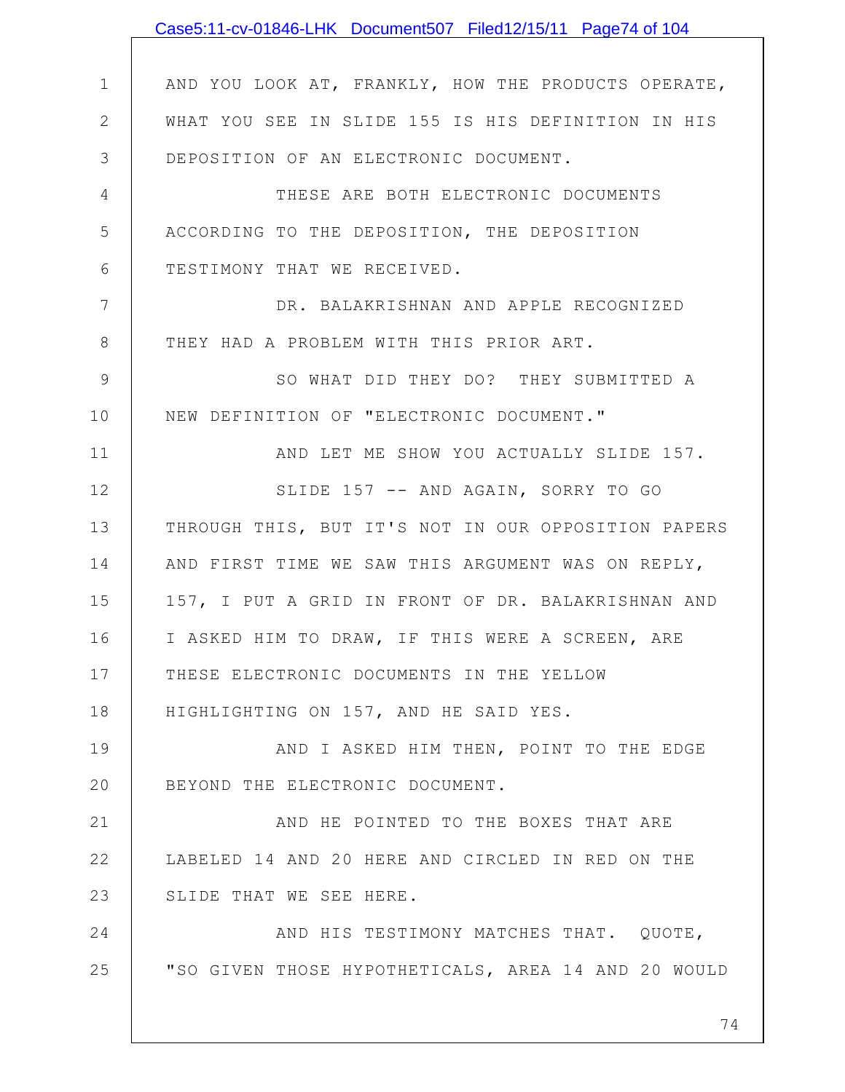|               | Case5:11-cv-01846-LHK Document507 Filed12/15/11 Page74 of 104 |
|---------------|---------------------------------------------------------------|
|               |                                                               |
| $\mathbf 1$   | AND YOU LOOK AT, FRANKLY, HOW THE PRODUCTS OPERATE,           |
| $\mathbf{2}$  | WHAT YOU SEE IN SLIDE 155 IS HIS DEFINITION IN HIS            |
| 3             | DEPOSITION OF AN ELECTRONIC DOCUMENT.                         |
| 4             | THESE ARE BOTH ELECTRONIC DOCUMENTS                           |
| 5             | ACCORDING TO THE DEPOSITION, THE DEPOSITION                   |
| 6             | TESTIMONY THAT WE RECEIVED.                                   |
| 7             | DR. BALAKRISHNAN AND APPLE RECOGNIZED                         |
| 8             | THEY HAD A PROBLEM WITH THIS PRIOR ART.                       |
| $\mathcal{G}$ | SO WHAT DID THEY DO? THEY SUBMITTED A                         |
| 10            | NEW DEFINITION OF "ELECTRONIC DOCUMENT."                      |
| 11            | AND LET ME SHOW YOU ACTUALLY SLIDE 157.                       |
| 12            | SLIDE 157 -- AND AGAIN, SORRY TO GO                           |
| 13            | THROUGH THIS, BUT IT'S NOT IN OUR OPPOSITION PAPERS           |
| 14            | AND FIRST TIME WE SAW THIS ARGUMENT WAS ON REPLY,             |
| 15            | 157, I PUT A GRID IN FRONT OF DR. BALAKRISHNAN AND            |
| 16            | I ASKED HIM TO DRAW, IF THIS WERE A SCREEN, ARE               |
| 17            | THESE ELECTRONIC DOCUMENTS IN THE YELLOW                      |
| 18            | HIGHLIGHTING ON 157, AND HE SAID YES.                         |
| 19            | AND I ASKED HIM THEN, POINT TO THE EDGE                       |
| 20            | BEYOND THE ELECTRONIC DOCUMENT.                               |
| 21            | AND HE POINTED TO THE BOXES THAT ARE                          |
| 22            | LABELED 14 AND 20 HERE AND CIRCLED IN RED ON THE              |
| 23            | SLIDE THAT WE SEE HERE.                                       |
| 24            | AND HIS TESTIMONY MATCHES THAT. QUOTE,                        |
| 25            | "SO GIVEN THOSE HYPOTHETICALS, AREA 14 AND 20 WOULD           |
|               |                                                               |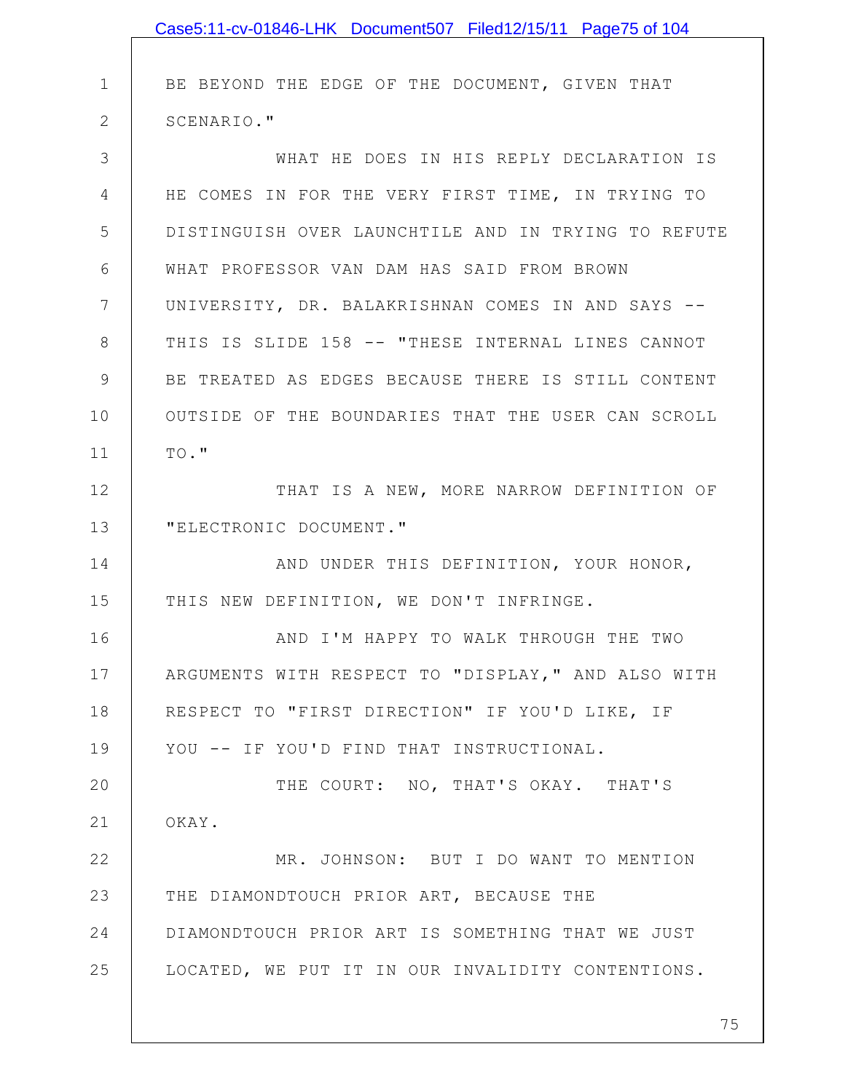|             | Case5:11-cv-01846-LHK Document507 Filed12/15/11 Page75 of 104 |
|-------------|---------------------------------------------------------------|
|             |                                                               |
| $\mathbf 1$ | BE BEYOND THE EDGE OF THE DOCUMENT, GIVEN THAT                |
| 2           | SCENARIO."                                                    |
| 3           | WHAT HE DOES IN HIS REPLY DECLARATION IS                      |
| 4           | HE COMES IN FOR THE VERY FIRST TIME, IN TRYING TO             |
| 5           | DISTINGUISH OVER LAUNCHTILE AND IN TRYING TO REFUTE           |
| 6           | WHAT PROFESSOR VAN DAM HAS SAID FROM BROWN                    |
| 7           | UNIVERSITY, DR. BALAKRISHNAN COMES IN AND SAYS --             |
| 8           | THIS IS SLIDE 158 -- "THESE INTERNAL LINES CANNOT             |
| 9           | BE TREATED AS EDGES BECAUSE THERE IS STILL CONTENT            |
| 10          | OUTSIDE OF THE BOUNDARIES THAT THE USER CAN SCROLL            |
| 11          | TO."                                                          |
| 12          | THAT IS A NEW, MORE NARROW DEFINITION OF                      |
| 13          | "ELECTRONIC DOCUMENT."                                        |
| 14          | AND UNDER THIS DEFINITION, YOUR HONOR,                        |
| 15          | THIS NEW DEFINITION, WE DON'T INFRINGE.                       |
| 16          | AND I'M HAPPY TO WALK THROUGH THE TWO                         |
| 17          | ARGUMENTS WITH RESPECT TO "DISPLAY," AND ALSO WITH            |
| 18          | RESPECT TO "FIRST DIRECTION" IF YOU'D LIKE, IF                |
| 19          | YOU -- IF YOU'D FIND THAT INSTRUCTIONAL.                      |
| 20          | THE COURT: NO, THAT'S OKAY. THAT'S                            |
| 21          | OKAY.                                                         |
| 22          | MR. JOHNSON: BUT I DO WANT TO MENTION                         |
| 23          | THE DIAMONDTOUCH PRIOR ART, BECAUSE THE                       |
| 24          | DIAMONDTOUCH PRIOR ART IS SOMETHING THAT WE JUST              |
| 25          | LOCATED, WE PUT IT IN OUR INVALIDITY CONTENTIONS.             |
|             |                                                               |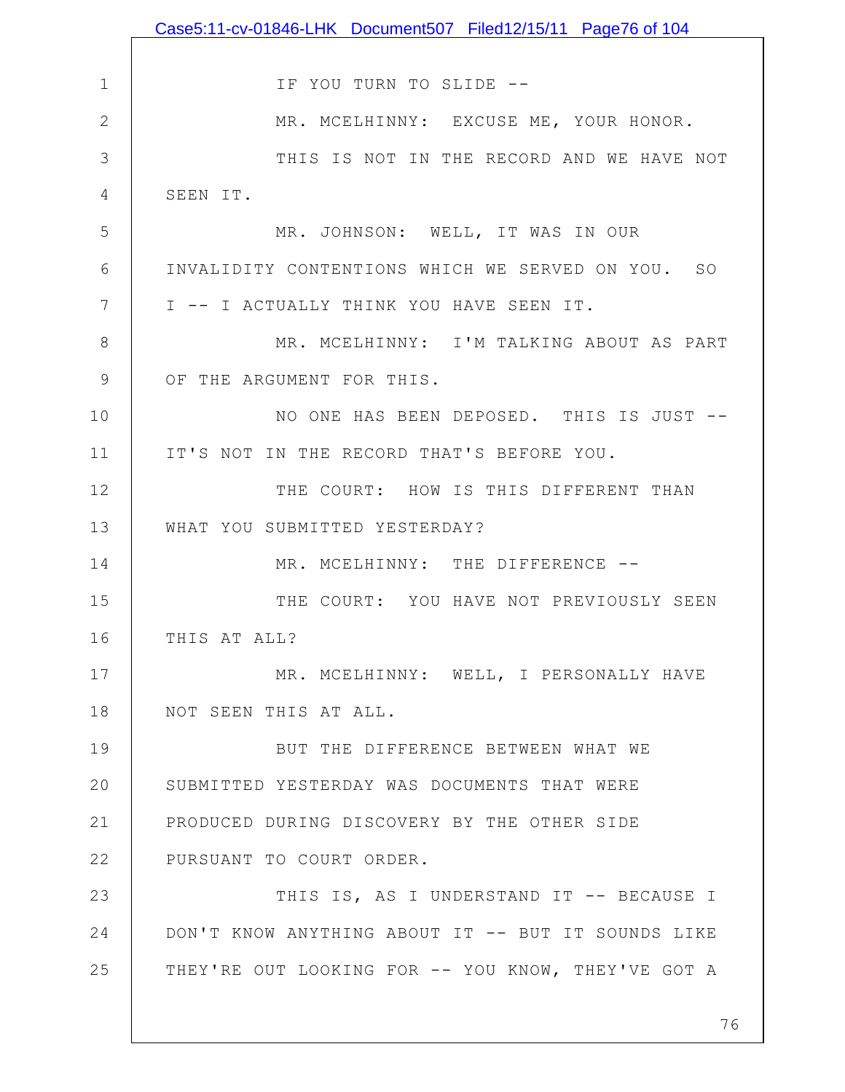|               | Case5:11-cv-01846-LHK Document507 Filed12/15/11 Page76 of 104 |
|---------------|---------------------------------------------------------------|
|               |                                                               |
| $\mathbf 1$   | IF YOU TURN TO SLIDE --                                       |
| $\mathbf 2$   | MR. MCELHINNY: EXCUSE ME, YOUR HONOR.                         |
| 3             | THIS IS NOT IN THE RECORD AND WE HAVE NOT                     |
| 4             | SEEN IT.                                                      |
| 5             | MR. JOHNSON: WELL, IT WAS IN OUR                              |
| 6             | INVALIDITY CONTENTIONS WHICH WE SERVED ON YOU. SO             |
| 7             | I -- I ACTUALLY THINK YOU HAVE SEEN IT.                       |
| $8\,$         | MR. MCELHINNY: I'M TALKING ABOUT AS PART                      |
| $\mathcal{G}$ | OF THE ARGUMENT FOR THIS.                                     |
| 10            | NO ONE HAS BEEN DEPOSED. THIS IS JUST --                      |
| 11            | IT'S NOT IN THE RECORD THAT'S BEFORE YOU.                     |
| 12            | THE COURT: HOW IS THIS DIFFERENT THAN                         |
| 13            | WHAT YOU SUBMITTED YESTERDAY?                                 |
| 14            | MR. MCELHINNY: THE DIFFERENCE --                              |
| 15            | THE COURT: YOU HAVE NOT PREVIOUSLY SEEN                       |
| 16            | THIS AT ALL?                                                  |
| 17            | MR. MCELHINNY: WELL, I PERSONALLY HAVE                        |
| 18            | NOT SEEN THIS AT ALL.                                         |
| 19            | BUT THE DIFFERENCE BETWEEN WHAT WE                            |
| 20            | SUBMITTED YESTERDAY WAS DOCUMENTS THAT WERE                   |
| 21            | PRODUCED DURING DISCOVERY BY THE OTHER SIDE                   |
| 22            | PURSUANT TO COURT ORDER.                                      |
| 23            | THIS IS, AS I UNDERSTAND IT -- BECAUSE I                      |
| 24            | DON'T KNOW ANYTHING ABOUT IT -- BUT IT SOUNDS LIKE            |
| 25            | THEY'RE OUT LOOKING FOR -- YOU KNOW, THEY'VE GOT A            |
|               |                                                               |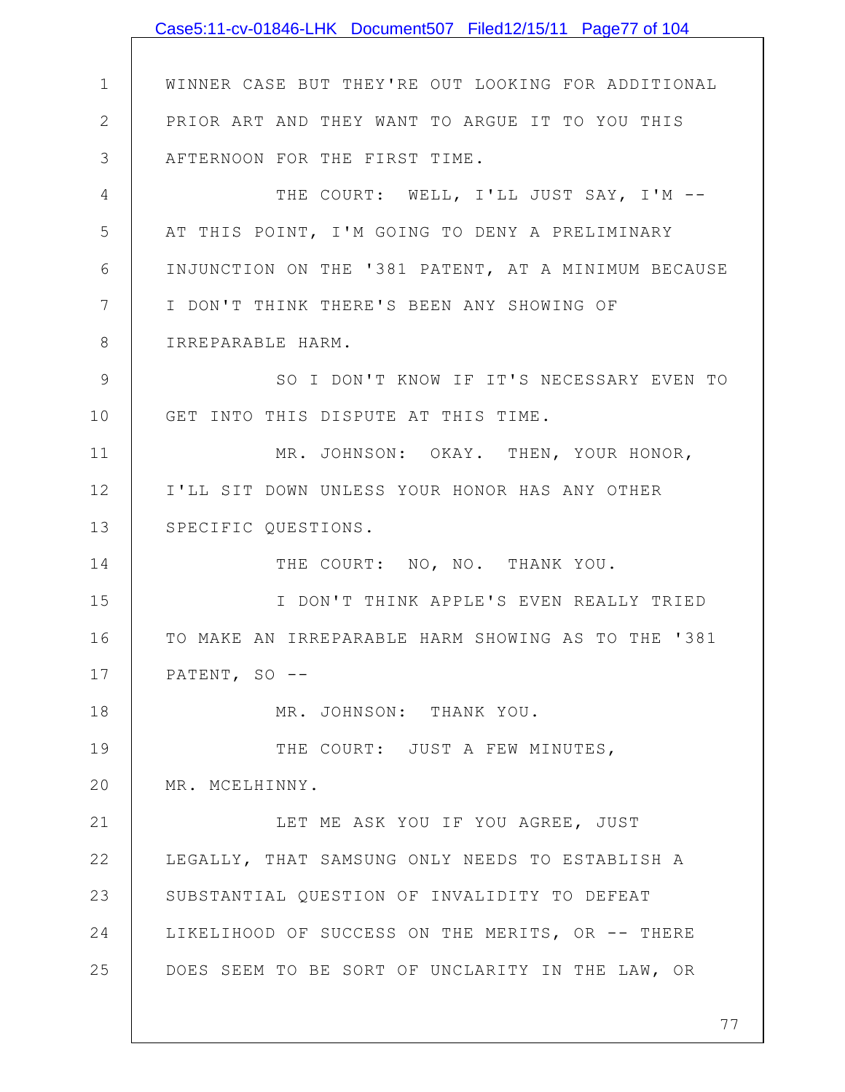1 2 3 4 5 6 7 8 9 10 11 12 13 14 15 16 17 18 19 20 21 22 23 24 25 WINNER CASE BUT THEY'RE OUT LOOKING FOR ADDITIONAL PRIOR ART AND THEY WANT TO ARGUE IT TO YOU THIS AFTERNOON FOR THE FIRST TIME. THE COURT: WELL, I'LL JUST SAY, I'M --AT THIS POINT, I'M GOING TO DENY A PRELIMINARY INJUNCTION ON THE '381 PATENT, AT A MINIMUM BECAUSE I DON'T THINK THERE'S BEEN ANY SHOWING OF IRREPARABLE HARM. SO I DON'T KNOW IF IT'S NECESSARY EVEN TO GET INTO THIS DISPUTE AT THIS TIME. MR. JOHNSON: OKAY. THEN, YOUR HONOR, I'LL SIT DOWN UNLESS YOUR HONOR HAS ANY OTHER SPECIFIC QUESTIONS. THE COURT: NO, NO. THANK YOU. I DON'T THINK APPLE'S EVEN REALLY TRIED TO MAKE AN IRREPARABLE HARM SHOWING AS TO THE '381 PATENT, SO --MR. JOHNSON: THANK YOU. THE COURT: JUST A FEW MINUTES, MR. MCELHINNY. LET ME ASK YOU IF YOU AGREE, JUST LEGALLY, THAT SAMSUNG ONLY NEEDS TO ESTABLISH A SUBSTANTIAL QUESTION OF INVALIDITY TO DEFEAT LIKELIHOOD OF SUCCESS ON THE MERITS, OR -- THERE DOES SEEM TO BE SORT OF UNCLARITY IN THE LAW, OR Case5:11-cv-01846-LHK Document507 Filed12/15/11 Page77 of 104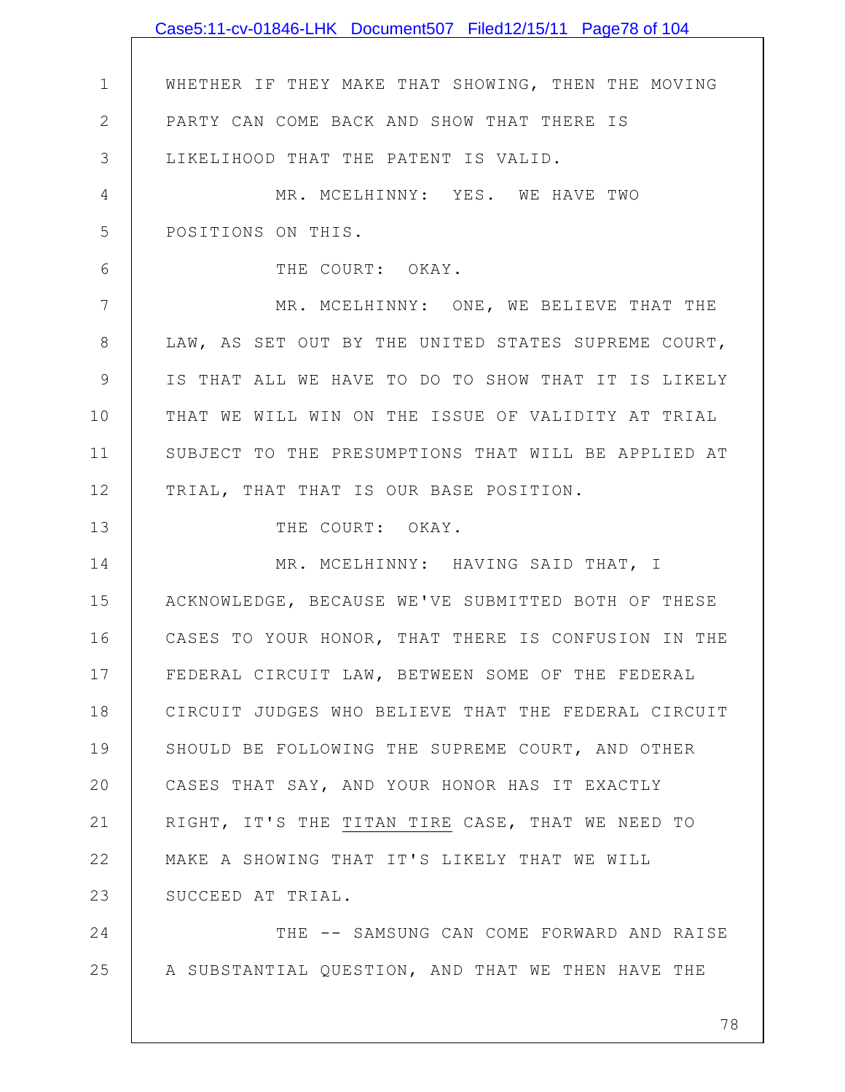|              | Case5:11-cv-01846-LHK Document507 Filed12/15/11 Page78 of 104 |
|--------------|---------------------------------------------------------------|
|              |                                                               |
| $\mathbf 1$  | WHETHER IF THEY MAKE THAT SHOWING, THEN THE MOVING            |
| $\mathbf{2}$ | PARTY CAN COME BACK AND SHOW THAT THERE IS                    |
| 3            | LIKELIHOOD THAT THE PATENT IS VALID.                          |
| 4            | MR. MCELHINNY: YES. WE HAVE TWO                               |
| 5            | POSITIONS ON THIS.                                            |
| 6            | THE COURT: OKAY.                                              |
| 7            | MR. MCELHINNY: ONE, WE BELIEVE THAT THE                       |
| 8            | LAW, AS SET OUT BY THE UNITED STATES SUPREME COURT,           |
| 9            | IS THAT ALL WE HAVE TO DO TO SHOW THAT IT IS LIKELY           |
| 10           | THAT WE WILL WIN ON THE ISSUE OF VALIDITY AT TRIAL            |
| 11           | SUBJECT TO THE PRESUMPTIONS THAT WILL BE APPLIED AT           |
| 12           | TRIAL, THAT THAT IS OUR BASE POSITION.                        |
| 13           | THE COURT: OKAY.                                              |
| 14           | MR. MCELHINNY: HAVING SAID THAT, I                            |
| 15           | ACKNOWLEDGE, BECAUSE WE'VE SUBMITTED BOTH OF THESE            |
| 16           | CASES TO YOUR HONOR, THAT THERE IS CONFUSION IN THE           |
| 17           | FEDERAL CIRCUIT LAW, BETWEEN SOME OF THE FEDERAL              |
| 18           | CIRCUIT JUDGES WHO BELIEVE THAT THE FEDERAL CIRCUIT           |
| 19           | SHOULD BE FOLLOWING THE SUPREME COURT, AND OTHER              |
| 20           | CASES THAT SAY, AND YOUR HONOR HAS IT EXACTLY                 |
| 21           | RIGHT, IT'S THE TITAN TIRE CASE, THAT WE NEED TO              |
| 22           | MAKE A SHOWING THAT IT'S LIKELY THAT WE WILL                  |
| 23           | SUCCEED AT TRIAL.                                             |
| 24           | THE -- SAMSUNG CAN COME FORWARD AND RAISE                     |
| 25           | A SUBSTANTIAL QUESTION, AND THAT WE THEN HAVE THE             |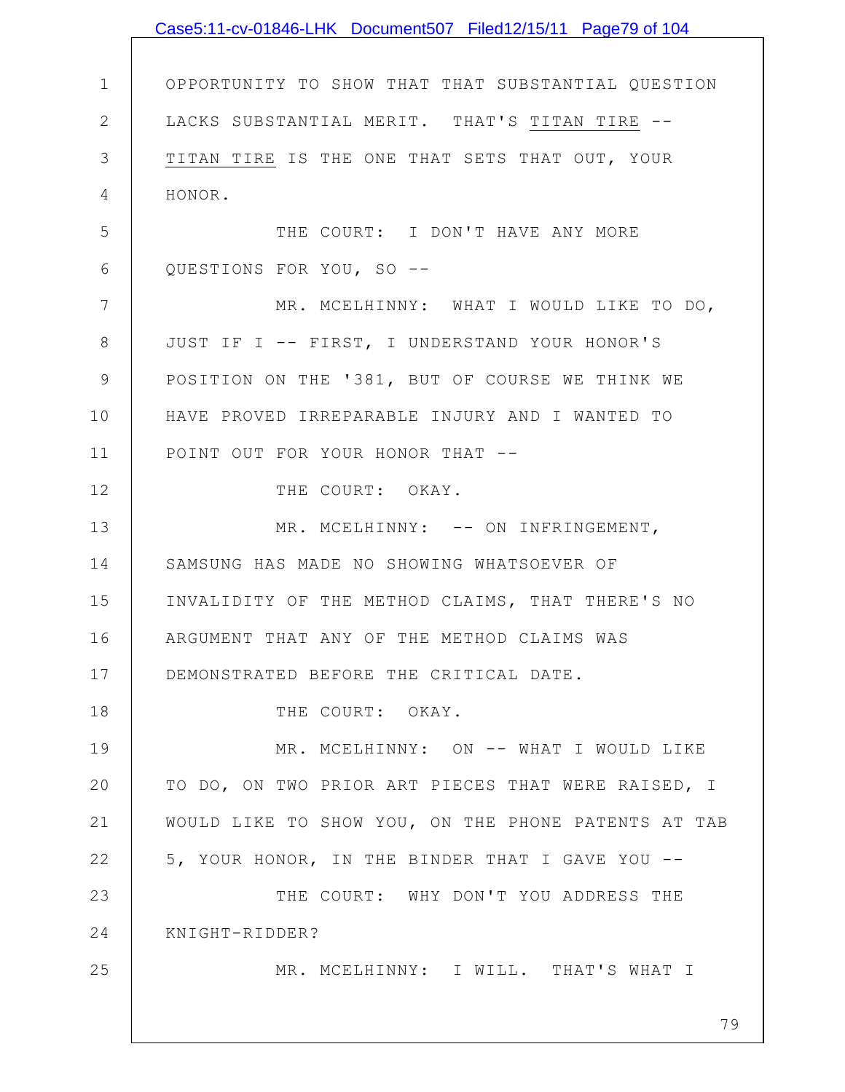|                 | Case5:11-cv-01846-LHK Document507 Filed12/15/11 Page79 of 104 |
|-----------------|---------------------------------------------------------------|
|                 |                                                               |
| $\mathbf 1$     | OPPORTUNITY TO SHOW THAT THAT SUBSTANTIAL QUESTION            |
| $\mathbf{2}$    | LACKS SUBSTANTIAL MERIT. THAT'S TITAN TIRE --                 |
| $\mathfrak{Z}$  | TITAN TIRE IS THE ONE THAT SETS THAT OUT, YOUR                |
| $\overline{4}$  | HONOR.                                                        |
| 5               | THE COURT: I DON'T HAVE ANY MORE                              |
| 6               | QUESTIONS FOR YOU, SO --                                      |
| $7\phantom{.0}$ | MR. MCELHINNY: WHAT I WOULD LIKE TO DO,                       |
| $8\,$           | JUST IF I -- FIRST, I UNDERSTAND YOUR HONOR'S                 |
| $\mathcal{G}$   | POSITION ON THE '381, BUT OF COURSE WE THINK WE               |
| 10              | HAVE PROVED IRREPARABLE INJURY AND I WANTED TO                |
| 11              | POINT OUT FOR YOUR HONOR THAT --                              |
| 12              | THE COURT: OKAY.                                              |
| 13              | MR. MCELHINNY: -- ON INFRINGEMENT,                            |
| 14              | SAMSUNG HAS MADE NO SHOWING WHATSOEVER OF                     |
| 15              | INVALIDITY OF THE METHOD CLAIMS, THAT THERE'S NO              |
| 16              | ARGUMENT THAT ANY OF THE METHOD CLAIMS WAS                    |
| 17              | DEMONSTRATED BEFORE THE CRITICAL DATE.                        |
| 18              | THE COURT: OKAY.                                              |
| 19              | MR. MCELHINNY: ON -- WHAT I WOULD LIKE                        |
| 20              | TO DO, ON TWO PRIOR ART PIECES THAT WERE RAISED, I            |
| 21              | WOULD LIKE TO SHOW YOU, ON THE PHONE PATENTS AT TAB           |
| 22              | 5, YOUR HONOR, IN THE BINDER THAT I GAVE YOU --               |
| 23              | THE COURT: WHY DON'T YOU ADDRESS THE                          |
| 24              | KNIGHT-RIDDER?                                                |
| 25              | MR. MCELHINNY: I WILL. THAT'S WHAT I                          |
|                 |                                                               |
|                 | 79                                                            |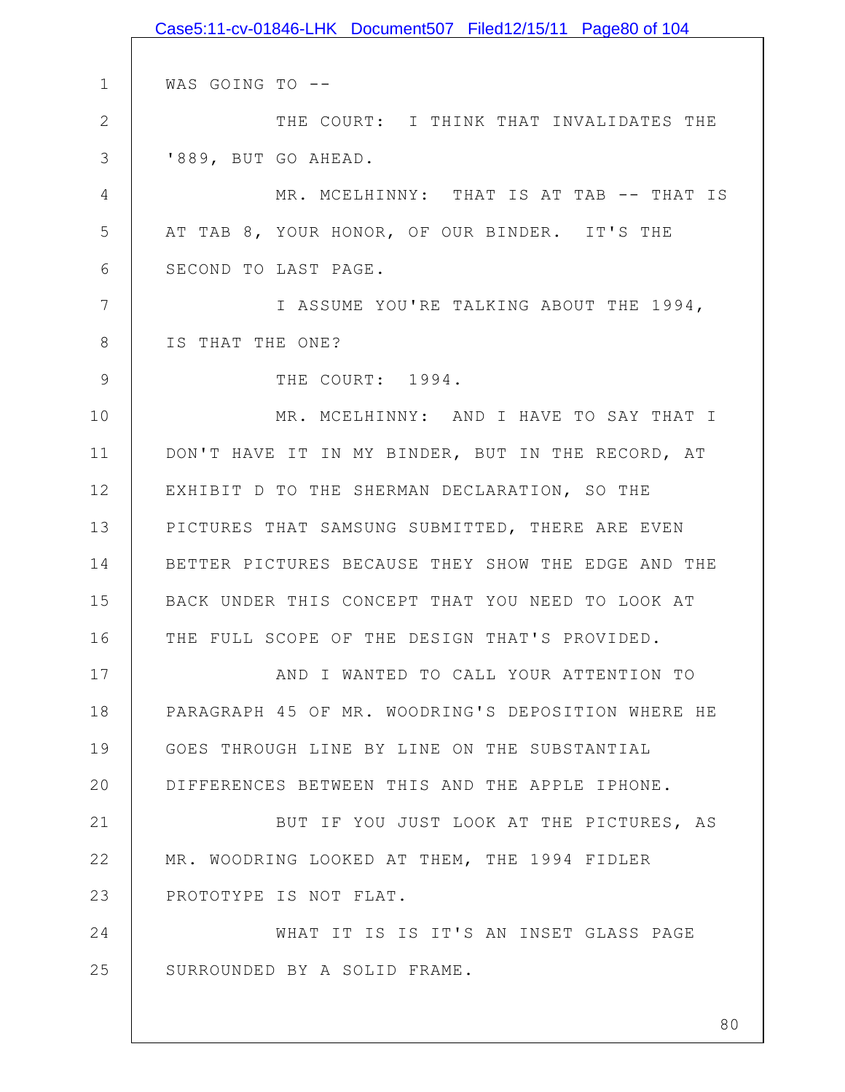|                | Case5:11-cv-01846-LHK Document507 Filed12/15/11 Page80 of 104 |
|----------------|---------------------------------------------------------------|
|                |                                                               |
| $\mathbf 1$    | WAS GOING TO --                                               |
| $\mathbf{2}$   | THE COURT: I THINK THAT INVALIDATES THE                       |
| 3              | '889, BUT GO AHEAD.                                           |
| $\overline{4}$ | MR. MCELHINNY: THAT IS AT TAB -- THAT IS                      |
| 5              | AT TAB 8, YOUR HONOR, OF OUR BINDER. IT'S THE                 |
| 6              | SECOND TO LAST PAGE.                                          |
| 7              | I ASSUME YOU'RE TALKING ABOUT THE 1994,                       |
| 8              | IS THAT THE ONE?                                              |
| $\overline{9}$ | THE COURT: 1994.                                              |
| 10             | MR. MCELHINNY: AND I HAVE TO SAY THAT I                       |
| 11             | DON'T HAVE IT IN MY BINDER, BUT IN THE RECORD, AT             |
| 12             | EXHIBIT D TO THE SHERMAN DECLARATION, SO THE                  |
| 13             | PICTURES THAT SAMSUNG SUBMITTED, THERE ARE EVEN               |
| 14             | BETTER PICTURES BECAUSE THEY SHOW THE EDGE AND THE            |
| 15             | BACK UNDER THIS CONCEPT THAT YOU NEED TO LOOK AT              |
| 16             | THE FULL SCOPE OF THE DESIGN THAT'S PROVIDED.                 |
| 17             | AND I WANTED TO CALL YOUR ATTENTION TO                        |
| 18             | PARAGRAPH 45 OF MR. WOODRING'S DEPOSITION WHERE HE            |
| 19             | GOES THROUGH LINE BY LINE ON THE SUBSTANTIAL                  |
| 20             | DIFFERENCES BETWEEN THIS AND THE APPLE IPHONE.                |
| 21             | BUT IF YOU JUST LOOK AT THE PICTURES, AS                      |
| 22             | MR. WOODRING LOOKED AT THEM, THE 1994 FIDLER                  |
| 23             | PROTOTYPE IS NOT FLAT.                                        |
| 24             | WHAT IT IS IS IT'S AN INSET GLASS PAGE                        |
| 25             | SURROUNDED BY A SOLID FRAME.                                  |
|                |                                                               |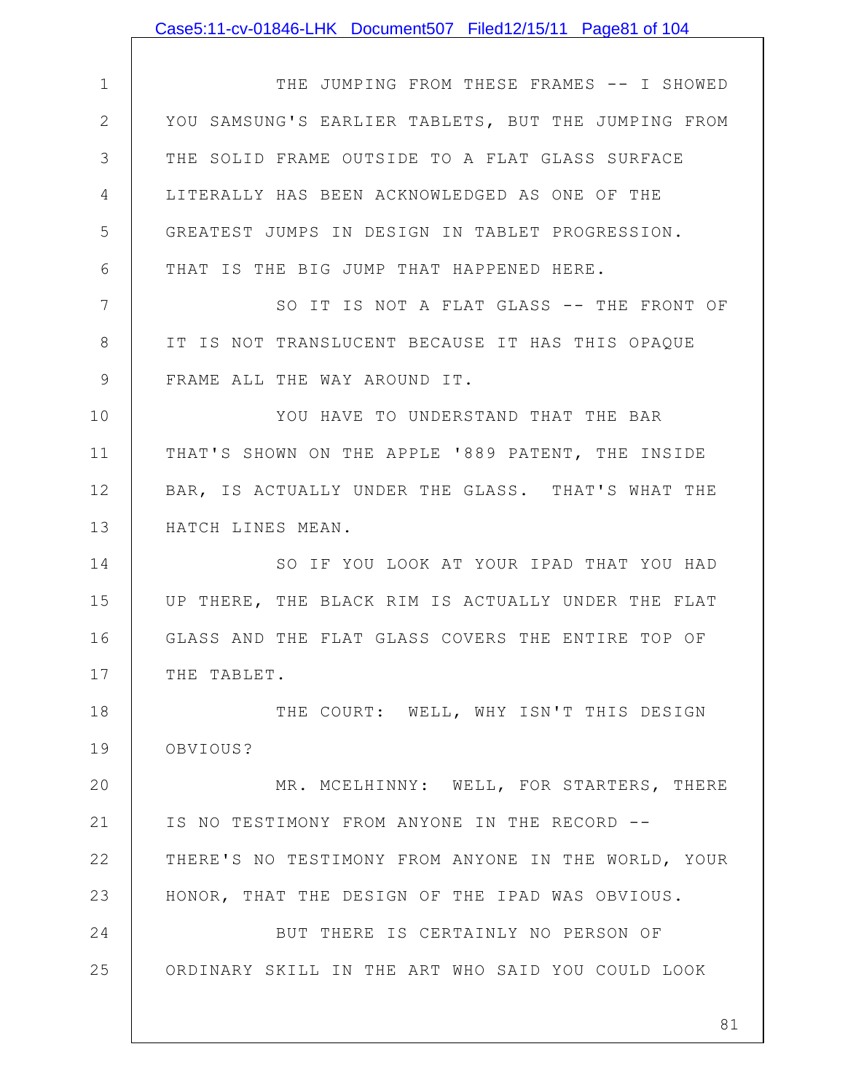|             | Case5:11-cv-01846-LHK Document507 Filed12/15/11 Page81 of 104 |
|-------------|---------------------------------------------------------------|
|             |                                                               |
| $\mathbf 1$ | THE JUMPING FROM THESE FRAMES -- I SHOWED                     |
| 2           | YOU SAMSUNG'S EARLIER TABLETS, BUT THE JUMPING FROM           |
| 3           | THE SOLID FRAME OUTSIDE TO A FLAT GLASS SURFACE               |
| 4           | LITERALLY HAS BEEN ACKNOWLEDGED AS ONE OF THE                 |
| 5           | GREATEST JUMPS IN DESIGN IN TABLET PROGRESSION.               |
| 6           | THAT IS THE BIG JUMP THAT HAPPENED HERE.                      |
| 7           | SO IT IS NOT A FLAT GLASS -- THE FRONT OF                     |
| 8           | IT IS NOT TRANSLUCENT BECAUSE IT HAS THIS OPAQUE              |
| $\mathsf 9$ | FRAME ALL THE WAY AROUND IT.                                  |
| 10          | YOU HAVE TO UNDERSTAND THAT THE BAR                           |
| 11          | THAT'S SHOWN ON THE APPLE '889 PATENT, THE INSIDE             |
| 12          | BAR, IS ACTUALLY UNDER THE GLASS. THAT'S WHAT THE             |
| 13          | HATCH LINES MEAN.                                             |
| 14          | SO IF YOU LOOK AT YOUR IPAD THAT YOU HAD                      |
| 15          | UP THERE, THE BLACK RIM IS ACTUALLY UNDER THE FLAT            |
| 16          | GLASS AND THE FLAT GLASS COVERS THE ENTIRE TOP OF             |
| 17          | THE TABLET.                                                   |
| 18          | THE COURT: WELL, WHY ISN'T THIS DESIGN                        |
| 19          | OBVIOUS?                                                      |
| 20          | MR. MCELHINNY: WELL, FOR STARTERS, THERE                      |
| 21          | IS NO TESTIMONY FROM ANYONE IN THE RECORD --                  |
| 22          | THERE'S NO TESTIMONY FROM ANYONE IN THE WORLD, YOUR           |
| 23          | HONOR, THAT THE DESIGN OF THE IPAD WAS OBVIOUS.               |
| 24          | BUT THERE IS CERTAINLY NO PERSON OF                           |
| 25          | ORDINARY SKILL IN THE ART WHO SAID YOU COULD LOOK             |
|             |                                                               |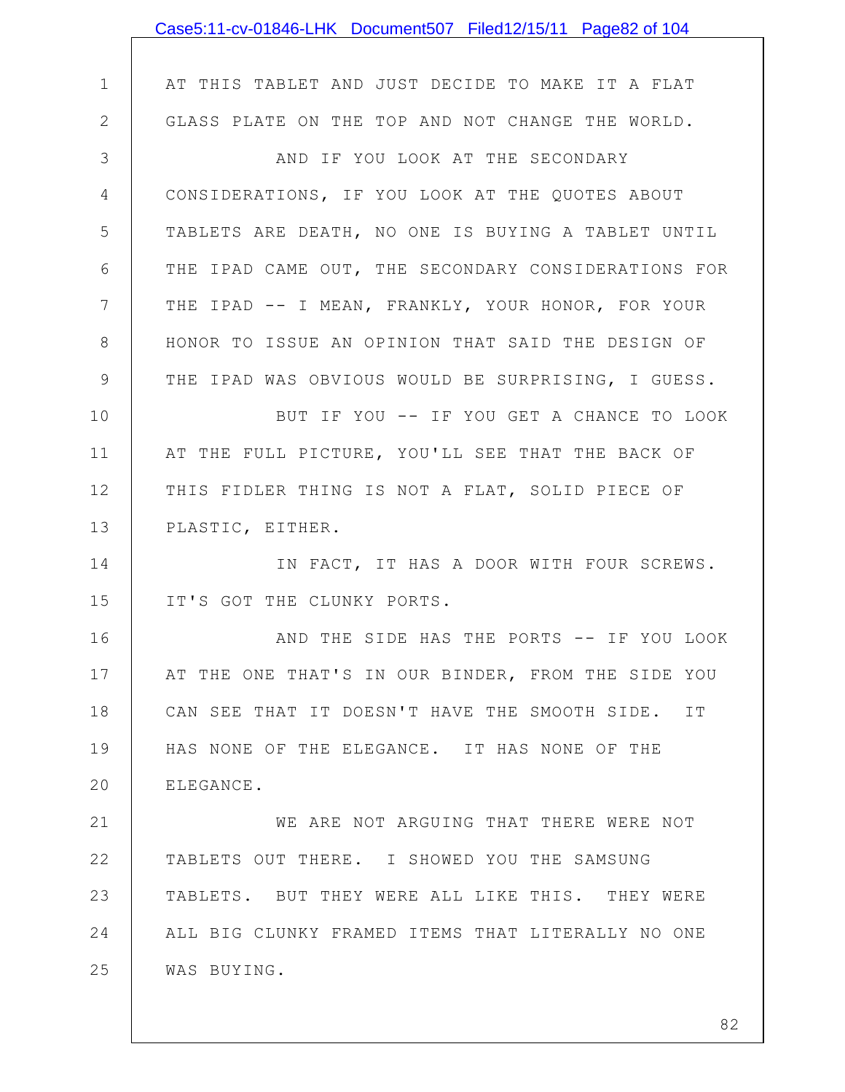|                | Case5:11-cv-01846-LHK Document507 Filed12/15/11 Page82 of 104 |
|----------------|---------------------------------------------------------------|
|                |                                                               |
| $\mathbf 1$    | AT THIS TABLET AND JUST DECIDE TO MAKE IT A FLAT              |
| $\mathbf{2}$   | GLASS PLATE ON THE TOP AND NOT CHANGE THE WORLD.              |
| 3              | AND IF YOU LOOK AT THE SECONDARY                              |
| 4              | CONSIDERATIONS, IF YOU LOOK AT THE QUOTES ABOUT               |
| 5              | TABLETS ARE DEATH, NO ONE IS BUYING A TABLET UNTIL            |
| 6              | THE IPAD CAME OUT, THE SECONDARY CONSIDERATIONS FOR           |
| $7\phantom{.}$ | THE IPAD -- I MEAN, FRANKLY, YOUR HONOR, FOR YOUR             |
| $8\,$          | HONOR TO ISSUE AN OPINION THAT SAID THE DESIGN OF             |
| $\mathsf 9$    | THE IPAD WAS OBVIOUS WOULD BE SURPRISING, I GUESS.            |
| 10             | BUT IF YOU -- IF YOU GET A CHANCE TO LOOK                     |
| 11             | AT THE FULL PICTURE, YOU'LL SEE THAT THE BACK OF              |
| 12             | THIS FIDLER THING IS NOT A FLAT, SOLID PIECE OF               |
| 13             | PLASTIC, EITHER.                                              |
| 14             | IN FACT, IT HAS A DOOR WITH FOUR SCREWS.                      |
| 15             | IT'S GOT THE CLUNKY PORTS.                                    |
| 16             | AND THE SIDE HAS THE PORTS -- IF YOU LOOK                     |
| 17             | AT THE ONE THAT'S IN OUR BINDER, FROM THE SIDE YOU            |
| 18             | CAN SEE THAT IT DOESN'T HAVE THE SMOOTH SIDE. IT              |
| 19             | HAS NONE OF THE ELEGANCE. IT HAS NONE OF THE                  |
| 20             | ELEGANCE.                                                     |
| 21             | WE ARE NOT ARGUING THAT THERE WERE NOT                        |
| 22             | TABLETS OUT THERE. I SHOWED YOU THE SAMSUNG                   |
| 23             | TABLETS. BUT THEY WERE ALL LIKE THIS. THEY WERE               |
| 24             | ALL BIG CLUNKY FRAMED ITEMS THAT LITERALLY NO ONE             |
| 25             | WAS BUYING.                                                   |
|                |                                                               |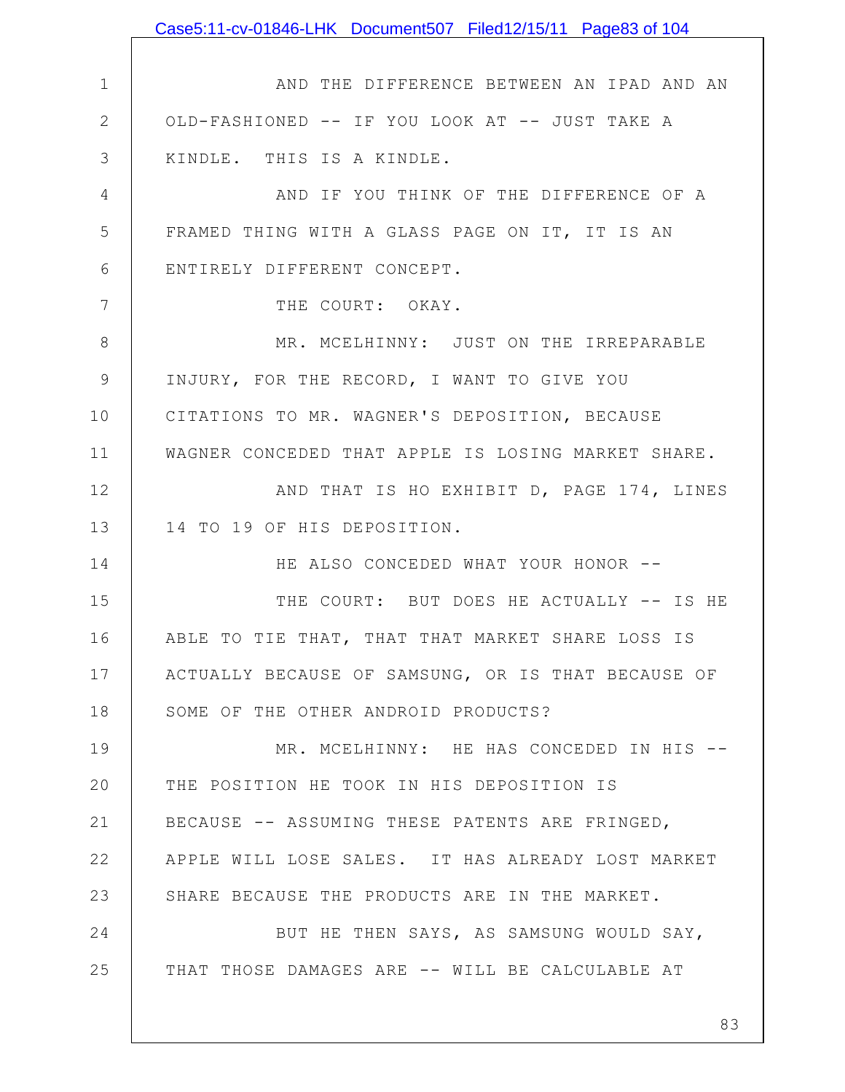1 2 3 4 5 6 7 8 9 10 11 12 13 14 15 16 17 18 19 20 21 22 23 24 25 AND THE DIFFERENCE BETWEEN AN IPAD AND AN OLD-FASHIONED -- IF YOU LOOK AT -- JUST TAKE A KINDLE. THIS IS A KINDLE. AND IF YOU THINK OF THE DIFFERENCE OF A FRAMED THING WITH A GLASS PAGE ON IT, IT IS AN ENTIRELY DIFFERENT CONCEPT. THE COURT: OKAY. MR. MCELHINNY: JUST ON THE IRREPARABLE INJURY, FOR THE RECORD, I WANT TO GIVE YOU CITATIONS TO MR. WAGNER'S DEPOSITION, BECAUSE WAGNER CONCEDED THAT APPLE IS LOSING MARKET SHARE. AND THAT IS HO EXHIBIT D, PAGE 174, LINES 14 TO 19 OF HIS DEPOSITION. HE ALSO CONCEDED WHAT YOUR HONOR -- THE COURT: BUT DOES HE ACTUALLY -- IS HE ABLE TO TIE THAT, THAT THAT MARKET SHARE LOSS IS ACTUALLY BECAUSE OF SAMSUNG, OR IS THAT BECAUSE OF SOME OF THE OTHER ANDROID PRODUCTS? MR. MCELHINNY: HE HAS CONCEDED IN HIS --THE POSITION HE TOOK IN HIS DEPOSITION IS BECAUSE -- ASSUMING THESE PATENTS ARE FRINGED, APPLE WILL LOSE SALES. IT HAS ALREADY LOST MARKET SHARE BECAUSE THE PRODUCTS ARE IN THE MARKET. BUT HE THEN SAYS, AS SAMSUNG WOULD SAY, THAT THOSE DAMAGES ARE -- WILL BE CALCULABLE AT Case5:11-cv-01846-LHK Document507 Filed12/15/11 Page83 of 104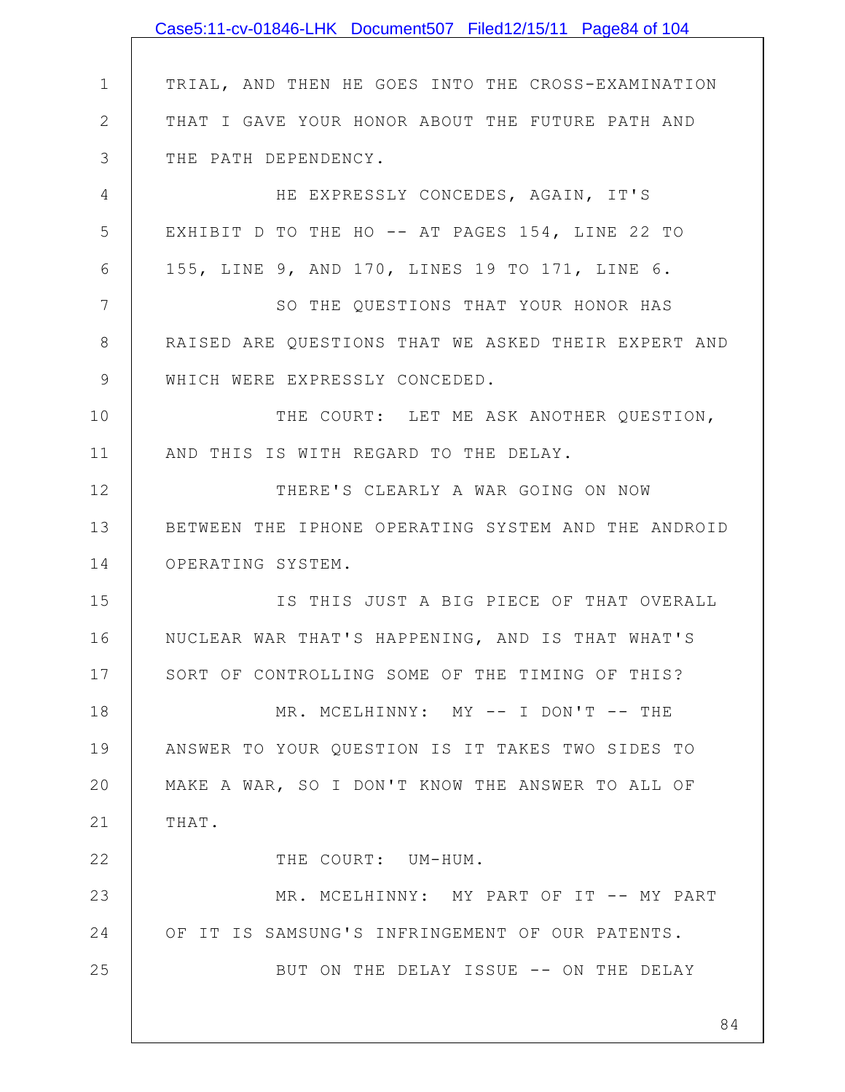|                | Case5:11-cv-01846-LHK Document507 Filed12/15/11 Page84 of 104 |
|----------------|---------------------------------------------------------------|
|                |                                                               |
| $\mathbf 1$    | TRIAL, AND THEN HE GOES INTO THE CROSS-EXAMINATION            |
| $\mathbf{2}$   | THAT I GAVE YOUR HONOR ABOUT THE FUTURE PATH AND              |
| 3              | THE PATH DEPENDENCY.                                          |
| 4              | HE EXPRESSLY CONCEDES, AGAIN, IT'S                            |
| 5              | EXHIBIT D TO THE HO -- AT PAGES 154, LINE 22 TO               |
| 6              | 155, LINE 9, AND 170, LINES 19 TO 171, LINE 6.                |
| $\overline{7}$ | SO THE QUESTIONS THAT YOUR HONOR HAS                          |
| 8              | RAISED ARE QUESTIONS THAT WE ASKED THEIR EXPERT AND           |
| $\mathsf 9$    | WHICH WERE EXPRESSLY CONCEDED.                                |
| 10             | THE COURT: LET ME ASK ANOTHER QUESTION,                       |
| 11             | AND THIS IS WITH REGARD TO THE DELAY.                         |
| 12             | THERE'S CLEARLY A WAR GOING ON NOW                            |
| 13             | BETWEEN THE IPHONE OPERATING SYSTEM AND THE ANDROID           |
| 14             | OPERATING SYSTEM.                                             |
| 15             | IS THIS JUST A BIG PIECE OF THAT OVERALL                      |
| 16             | NUCLEAR WAR THAT'S HAPPENING, AND IS THAT WHAT'S              |
| 17             | SORT OF CONTROLLING SOME OF THE TIMING OF THIS?               |
| 18             | MR. MCELHINNY: MY -- I DON'T -- THE                           |
| 19             | ANSWER TO YOUR QUESTION IS IT TAKES TWO SIDES TO              |
| 20             | MAKE A WAR, SO I DON'T KNOW THE ANSWER TO ALL OF              |
| 21             | THAT.                                                         |
| 22             | THE COURT: UM-HUM.                                            |
| 23             | MR. MCELHINNY: MY PART OF IT -- MY PART                       |
| 24             | OF IT IS SAMSUNG'S INFRINGEMENT OF OUR PATENTS.               |
| 25             | BUT ON THE DELAY ISSUE -- ON THE DELAY                        |
|                | 84                                                            |
|                |                                                               |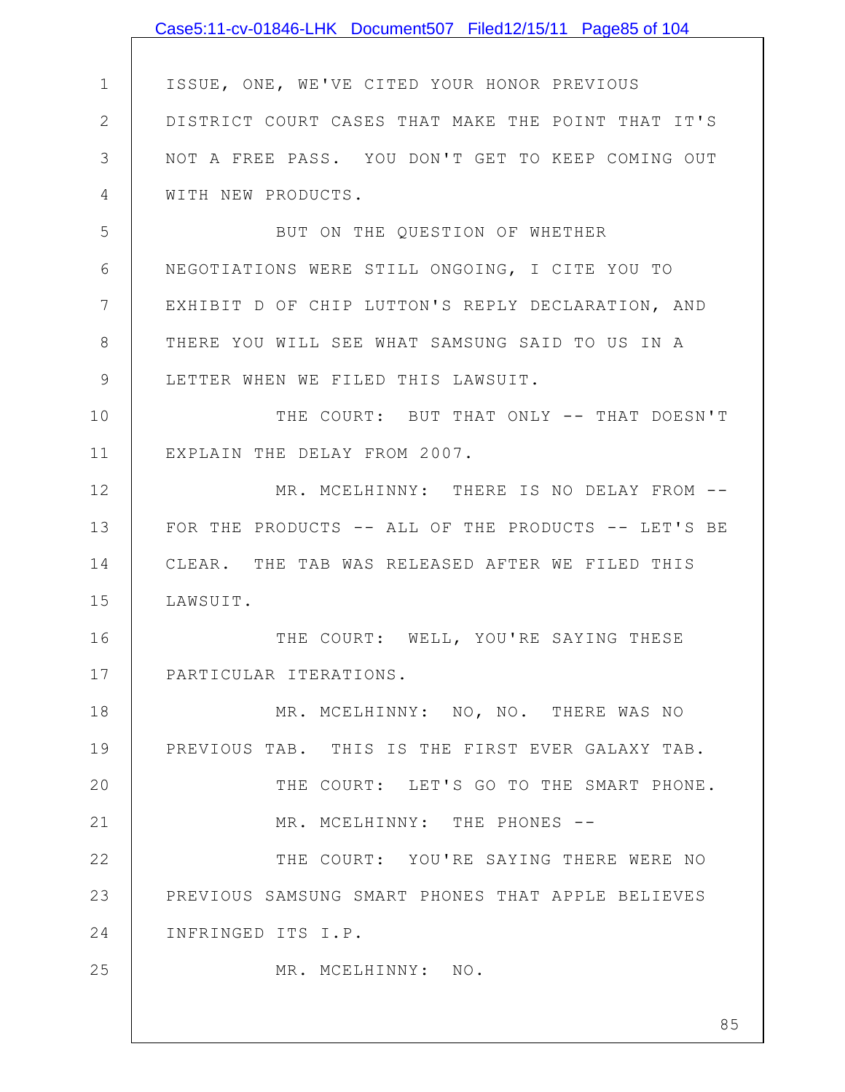|               | Case5:11-cv-01846-LHK Document507 Filed12/15/11 Page85 of 104 |
|---------------|---------------------------------------------------------------|
|               |                                                               |
| $\mathbf 1$   | ISSUE, ONE, WE'VE CITED YOUR HONOR PREVIOUS                   |
| $\mathbf{2}$  | DISTRICT COURT CASES THAT MAKE THE POINT THAT IT'S            |
| 3             | NOT A FREE PASS. YOU DON'T GET TO KEEP COMING OUT             |
| 4             | WITH NEW PRODUCTS.                                            |
| 5             | BUT ON THE QUESTION OF WHETHER                                |
| 6             | NEGOTIATIONS WERE STILL ONGOING, I CITE YOU TO                |
| 7             | EXHIBIT D OF CHIP LUTTON'S REPLY DECLARATION, AND             |
| 8             | THERE YOU WILL SEE WHAT SAMSUNG SAID TO US IN A               |
| $\mathcal{G}$ | LETTER WHEN WE FILED THIS LAWSUIT.                            |
| 10            | THE COURT: BUT THAT ONLY -- THAT DOESN'T                      |
| 11            | EXPLAIN THE DELAY FROM 2007.                                  |
| 12            | MR. MCELHINNY: THERE IS NO DELAY FROM --                      |
| 13            | FOR THE PRODUCTS -- ALL OF THE PRODUCTS -- LET'S BE           |
| 14            | CLEAR. THE TAB WAS RELEASED AFTER WE FILED THIS               |
| 15            | LAWSUIT.                                                      |
| 16            | THE COURT: WELL, YOU'RE SAYING THESE                          |
| 17            | PARTICULAR ITERATIONS.                                        |
| 18            | MR. MCELHINNY: NO, NO. THERE WAS NO                           |
| 19            | PREVIOUS TAB. THIS IS THE FIRST EVER GALAXY TAB.              |
| 20            | THE COURT: LET'S GO TO THE SMART PHONE.                       |
| 21            | MR. MCELHINNY: THE PHONES --                                  |
| 22            | THE COURT: YOU'RE SAYING THERE WERE NO                        |
| 23            | PREVIOUS SAMSUNG SMART PHONES THAT APPLE BELIEVES             |
| 24            | INFRINGED ITS I.P.                                            |
| 25            | MR. MCELHINNY: NO.                                            |
|               |                                                               |
|               | 85                                                            |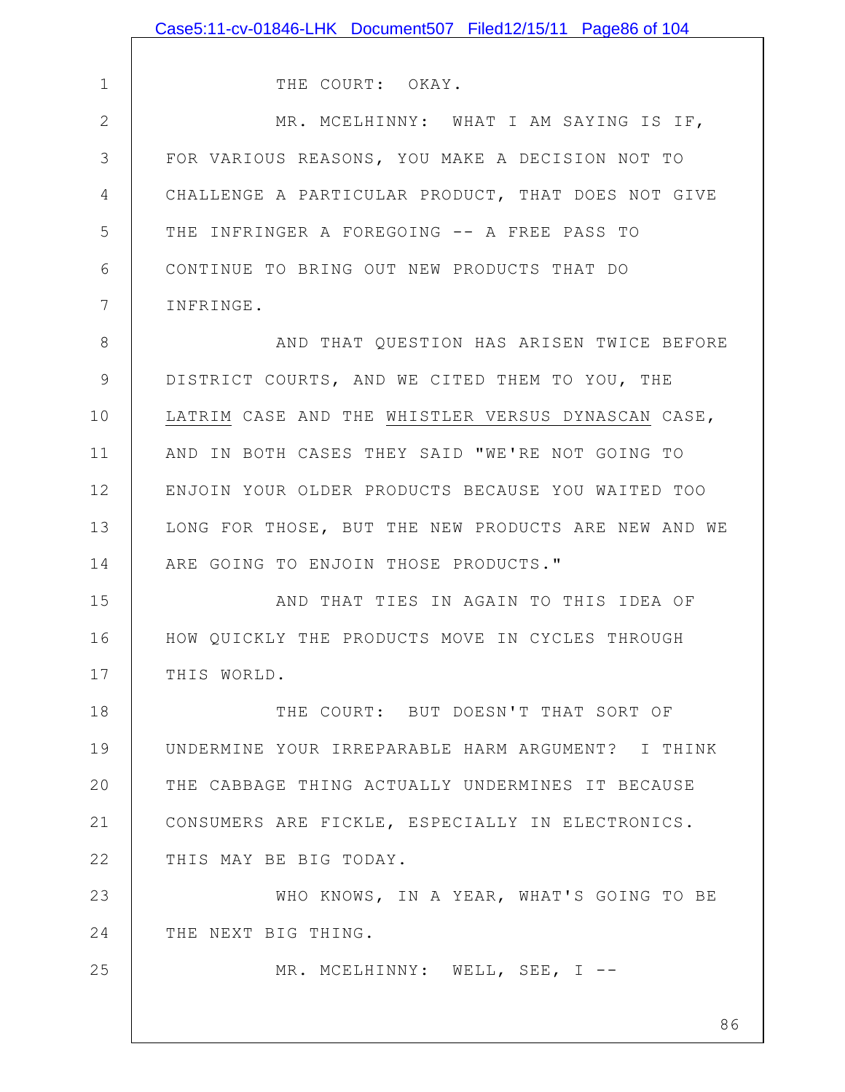|               | Case5:11-cv-01846-LHK Document507 Filed12/15/11 Page86 of 104 |
|---------------|---------------------------------------------------------------|
|               |                                                               |
| $\mathbf 1$   | THE COURT: OKAY.                                              |
| $\mathbf{2}$  | MR. MCELHINNY: WHAT I AM SAYING IS IF,                        |
| 3             | FOR VARIOUS REASONS, YOU MAKE A DECISION NOT TO               |
| 4             | CHALLENGE A PARTICULAR PRODUCT, THAT DOES NOT GIVE            |
| 5             | THE INFRINGER A FOREGOING -- A FREE PASS TO                   |
| 6             | CONTINUE TO BRING OUT NEW PRODUCTS THAT DO                    |
| 7             | INFRINGE.                                                     |
| $8\,$         | AND THAT QUESTION HAS ARISEN TWICE BEFORE                     |
| $\mathcal{G}$ | DISTRICT COURTS, AND WE CITED THEM TO YOU, THE                |
| 10            | LATRIM CASE AND THE WHISTLER VERSUS DYNASCAN CASE,            |
| 11            | AND IN BOTH CASES THEY SAID "WE'RE NOT GOING TO               |
| 12            | ENJOIN YOUR OLDER PRODUCTS BECAUSE YOU WAITED TOO             |
| 13            | LONG FOR THOSE, BUT THE NEW PRODUCTS ARE NEW AND WE           |
| 14            | ARE GOING TO ENJOIN THOSE PRODUCTS."                          |
| 15            | AND THAT TIES IN AGAIN TO THIS IDEA OF                        |
| 16            | HOW QUICKLY THE PRODUCTS MOVE IN CYCLES THROUGH               |
| 17            | THIS WORLD.                                                   |
| 18            | THE COURT: BUT DOESN'T THAT SORT OF                           |
| 19            | UNDERMINE YOUR IRREPARABLE HARM ARGUMENT? I THINK             |
| 20            | THE CABBAGE THING ACTUALLY UNDERMINES IT BECAUSE              |
| 21            | CONSUMERS ARE FICKLE, ESPECIALLY IN ELECTRONICS.              |
| 22            | THIS MAY BE BIG TODAY.                                        |
| 23            | WHO KNOWS, IN A YEAR, WHAT'S GOING TO BE                      |
| 24            | THE NEXT BIG THING.                                           |
| 25            | MR. MCELHINNY: WELL, SEE, I --                                |
|               |                                                               |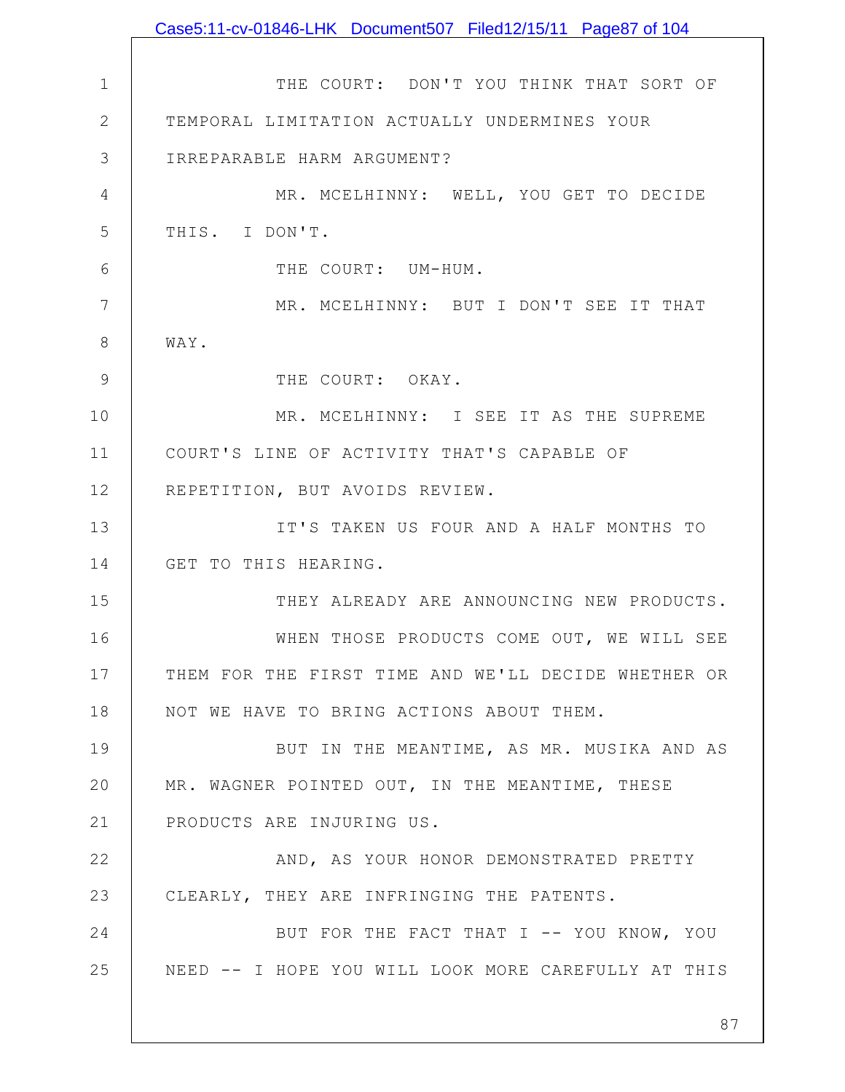|                 | Case5:11-cv-01846-LHK Document507 Filed12/15/11 Page87 of 104 |
|-----------------|---------------------------------------------------------------|
|                 |                                                               |
| $\mathbf 1$     | THE COURT: DON'T YOU THINK THAT SORT OF                       |
| $\mathbf{2}$    | TEMPORAL LIMITATION ACTUALLY UNDERMINES YOUR                  |
| 3               | IRREPARABLE HARM ARGUMENT?                                    |
| $\overline{4}$  | MR. MCELHINNY: WELL, YOU GET TO DECIDE                        |
| 5               | THIS. I DON'T.                                                |
| 6               | THE COURT: UM-HUM.                                            |
| $7\phantom{.0}$ | MR. MCELHINNY: BUT I DON'T SEE IT THAT                        |
| 8               | WAY.                                                          |
| 9               | THE COURT: OKAY.                                              |
| 10              | MR. MCELHINNY: I SEE IT AS THE SUPREME                        |
| 11              | COURT'S LINE OF ACTIVITY THAT'S CAPABLE OF                    |
| 12              | REPETITION, BUT AVOIDS REVIEW.                                |
| 13              | IT'S TAKEN US FOUR AND A HALF MONTHS TO                       |
| 14              | GET TO THIS HEARING.                                          |
| 15              | THEY ALREADY ARE ANNOUNCING NEW PRODUCTS.                     |
| 16              | WHEN THOSE PRODUCTS COME OUT, WE WILL SEE                     |
| 17              | THEM FOR THE FIRST TIME AND WE'LL DECIDE WHETHER OR           |
| 18              | NOT WE HAVE TO BRING ACTIONS ABOUT THEM.                      |
| 19              | BUT IN THE MEANTIME, AS MR. MUSIKA AND AS                     |
| 20              | MR. WAGNER POINTED OUT, IN THE MEANTIME, THESE                |
| 21              | PRODUCTS ARE INJURING US.                                     |
| 22              | AND, AS YOUR HONOR DEMONSTRATED PRETTY                        |
| 23              | CLEARLY, THEY ARE INFRINGING THE PATENTS.                     |
| 24              | BUT FOR THE FACT THAT I -- YOU KNOW, YOU                      |
| 25              | NEED -- I HOPE YOU WILL LOOK MORE CAREFULLY AT THIS           |
|                 |                                                               |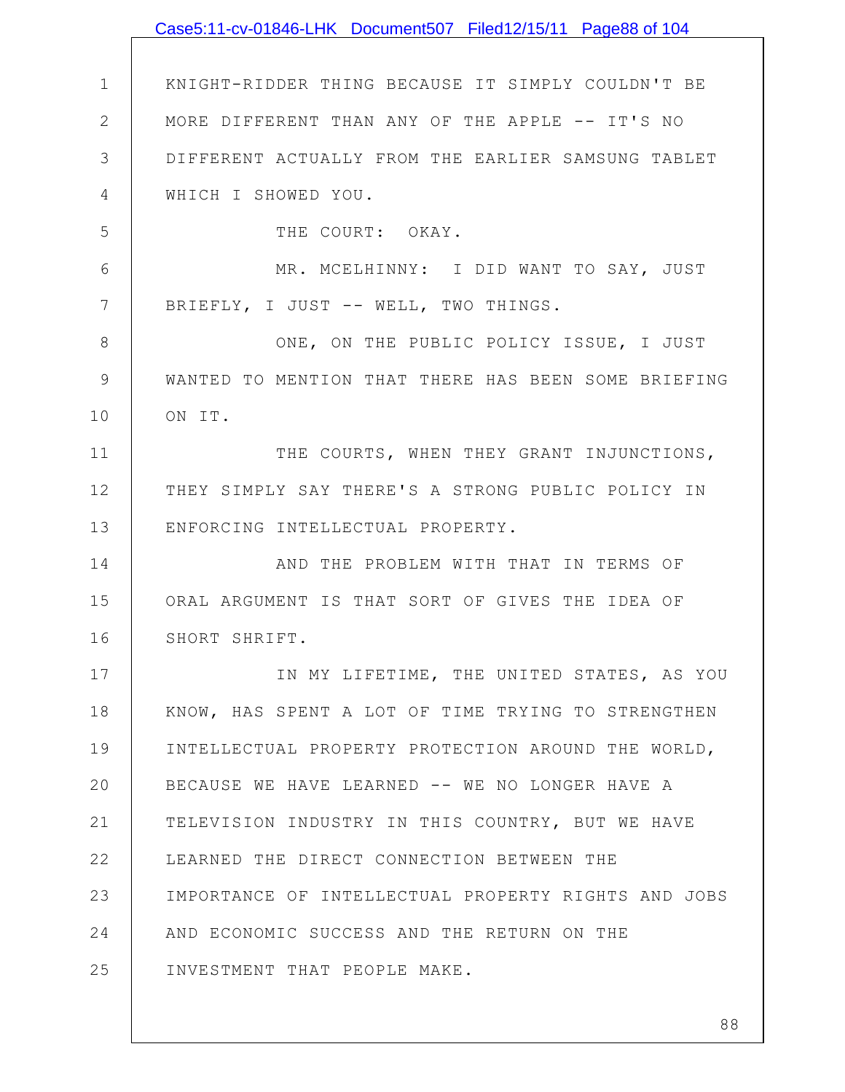|              | Case5:11-cv-01846-LHK Document507 Filed12/15/11 Page88 of 104 |
|--------------|---------------------------------------------------------------|
|              |                                                               |
| $\mathbf 1$  | KNIGHT-RIDDER THING BECAUSE IT SIMPLY COULDN'T BE             |
| $\mathbf{2}$ | MORE DIFFERENT THAN ANY OF THE APPLE -- IT'S NO               |
| 3            | DIFFERENT ACTUALLY FROM THE EARLIER SAMSUNG TABLET            |
| 4            | WHICH I SHOWED YOU.                                           |
| 5            | THE COURT: OKAY.                                              |
| 6            | MR. MCELHINNY: I DID WANT TO SAY, JUST                        |
| 7            | BRIEFLY, I JUST -- WELL, TWO THINGS.                          |
| 8            | ONE, ON THE PUBLIC POLICY ISSUE, I JUST                       |
| 9            | WANTED TO MENTION THAT THERE HAS BEEN SOME BRIEFING           |
| 10           | ON IT.                                                        |
| 11           | THE COURTS, WHEN THEY GRANT INJUNCTIONS,                      |
| 12           | THEY SIMPLY SAY THERE'S A STRONG PUBLIC POLICY IN             |
| 13           | ENFORCING INTELLECTUAL PROPERTY.                              |
| 14           | AND THE PROBLEM WITH THAT IN TERMS OF                         |
| 15           | ORAL ARGUMENT IS THAT SORT OF GIVES THE IDEA OF               |
| 16           | SHORT SHRIFT.                                                 |
| 17           | IN MY LIFETIME, THE UNITED STATES, AS YOU                     |
| 18           | KNOW, HAS SPENT A LOT OF TIME TRYING TO STRENGTHEN            |
| 19           | INTELLECTUAL PROPERTY PROTECTION AROUND THE WORLD,            |
| 20           | BECAUSE WE HAVE LEARNED -- WE NO LONGER HAVE A                |
| 21           | TELEVISION INDUSTRY IN THIS COUNTRY, BUT WE HAVE              |
| 22           | LEARNED THE DIRECT CONNECTION BETWEEN THE                     |
| 23           | IMPORTANCE OF INTELLECTUAL PROPERTY RIGHTS AND JOBS           |
| 24           | AND ECONOMIC SUCCESS AND THE RETURN ON THE                    |
| 25           | INVESTMENT THAT PEOPLE MAKE.                                  |
|              |                                                               |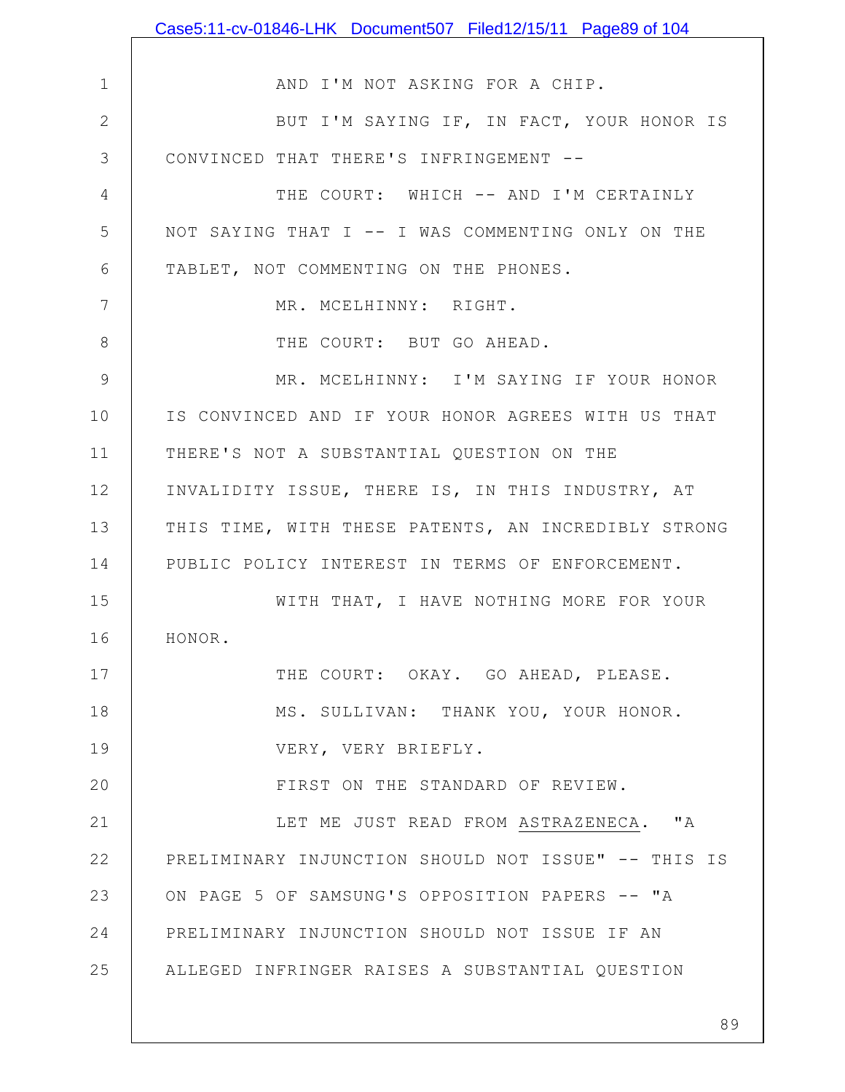|                | Case5:11-cv-01846-LHK Document507 Filed12/15/11 Page89 of 104 |
|----------------|---------------------------------------------------------------|
|                |                                                               |
| $\mathbf 1$    | AND I'M NOT ASKING FOR A CHIP.                                |
| $\mathbf{2}$   | BUT I'M SAYING IF, IN FACT, YOUR HONOR IS                     |
| 3              | CONVINCED THAT THERE'S INFRINGEMENT --                        |
| 4              | THE COURT: WHICH -- AND I'M CERTAINLY                         |
| 5              | NOT SAYING THAT I -- I WAS COMMENTING ONLY ON THE             |
| 6              | TABLET, NOT COMMENTING ON THE PHONES.                         |
| 7              | MR. MCELHINNY: RIGHT.                                         |
| 8              | THE COURT: BUT GO AHEAD.                                      |
| $\overline{9}$ | MR. MCELHINNY: I'M SAYING IF YOUR HONOR                       |
| 10             | IS CONVINCED AND IF YOUR HONOR AGREES WITH US THAT            |
| 11             | THERE'S NOT A SUBSTANTIAL QUESTION ON THE                     |
| 12             | INVALIDITY ISSUE, THERE IS, IN THIS INDUSTRY, AT              |
| 13             | THIS TIME, WITH THESE PATENTS, AN INCREDIBLY STRONG           |
| 14             | PUBLIC POLICY INTEREST IN TERMS OF ENFORCEMENT.               |
| 15             | WITH THAT, I HAVE NOTHING MORE FOR YOUR                       |
| 16             | HONOR.                                                        |
| 17             | THE COURT: OKAY. GO AHEAD, PLEASE.                            |
| 18             | MS. SULLIVAN: THANK YOU, YOUR HONOR.                          |
| 19             | VERY, VERY BRIEFLY.                                           |
| 20             | FIRST ON THE STANDARD OF REVIEW.                              |
| 21             | LET ME JUST READ FROM ASTRAZENECA. "A                         |
| 22             | PRELIMINARY INJUNCTION SHOULD NOT ISSUE" -- THIS IS           |
| 23             | ON PAGE 5 OF SAMSUNG'S OPPOSITION PAPERS -- "A                |
| 24             | PRELIMINARY INJUNCTION SHOULD NOT ISSUE IF AN                 |
| 25             | ALLEGED INFRINGER RAISES A SUBSTANTIAL QUESTION               |
|                |                                                               |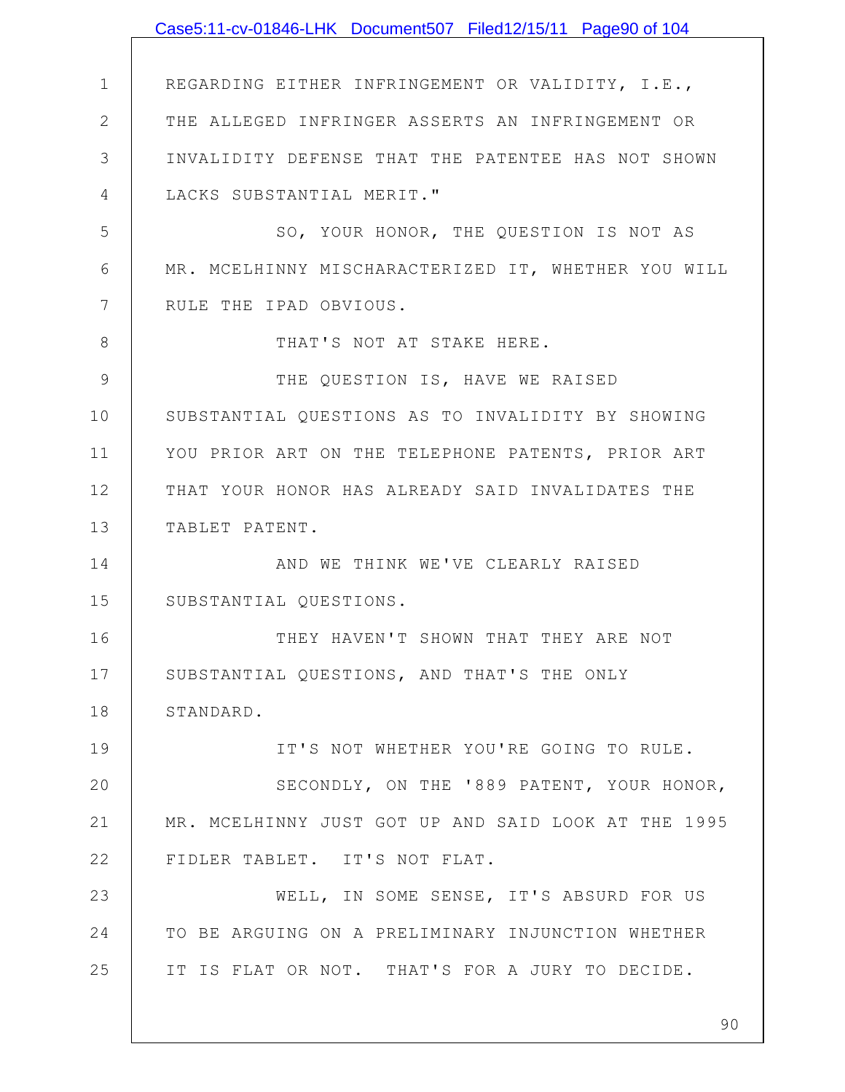|             | Case5:11-cv-01846-LHK Document507 Filed12/15/11 Page90 of 104 |
|-------------|---------------------------------------------------------------|
|             |                                                               |
| $\mathbf 1$ | REGARDING EITHER INFRINGEMENT OR VALIDITY, I.E.,              |
| 2           | THE ALLEGED INFRINGER ASSERTS AN INFRINGEMENT OR              |
| 3           | INVALIDITY DEFENSE THAT THE PATENTEE HAS NOT SHOWN            |
| 4           | LACKS SUBSTANTIAL MERIT."                                     |
| 5           | SO, YOUR HONOR, THE QUESTION IS NOT AS                        |
| 6           | MR. MCELHINNY MISCHARACTERIZED IT, WHETHER YOU WILL           |
| 7           | RULE THE IPAD OBVIOUS.                                        |
| 8           | THAT'S NOT AT STAKE HERE.                                     |
| 9           | THE QUESTION IS, HAVE WE RAISED                               |
| 10          | SUBSTANTIAL QUESTIONS AS TO INVALIDITY BY SHOWING             |
| 11          | YOU PRIOR ART ON THE TELEPHONE PATENTS, PRIOR ART             |
| 12          | THAT YOUR HONOR HAS ALREADY SAID INVALIDATES THE              |
| 13          | TABLET PATENT.                                                |
| 14          | AND WE THINK WE'VE CLEARLY RAISED                             |
| 15          | SUBSTANTIAL QUESTIONS.                                        |
| 16          | THEY HAVEN'T SHOWN THAT THEY ARE NOT                          |
| 17          | SUBSTANTIAL QUESTIONS, AND THAT'S THE ONLY                    |
| 18          | STANDARD.                                                     |
| 19          | IT'S NOT WHETHER YOU'RE GOING TO RULE.                        |
| 20          | SECONDLY, ON THE '889 PATENT, YOUR HONOR,                     |
| 21          | MR. MCELHINNY JUST GOT UP AND SAID LOOK AT THE 1995           |
| 22          | FIDLER TABLET. IT'S NOT FLAT.                                 |
| 23          | WELL, IN SOME SENSE, IT'S ABSURD FOR US                       |
| 24          | TO BE ARGUING ON A PRELIMINARY INJUNCTION WHETHER             |
| 25          | IT IS FLAT OR NOT. THAT'S FOR A JURY TO DECIDE.               |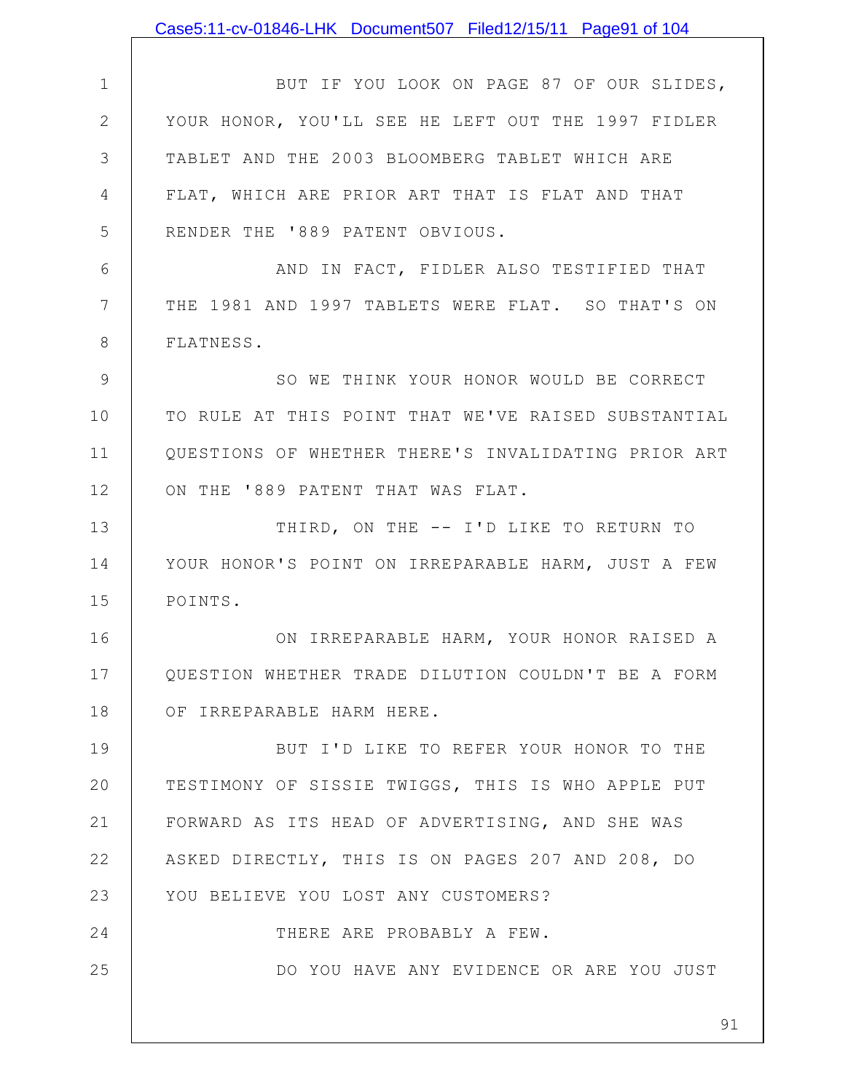|              | Case5:11-cv-01846-LHK Document507 Filed12/15/11 Page91 of 104 |
|--------------|---------------------------------------------------------------|
|              |                                                               |
| $\mathbf 1$  | BUT IF YOU LOOK ON PAGE 87 OF OUR SLIDES,                     |
| $\mathbf{2}$ | YOUR HONOR, YOU'LL SEE HE LEFT OUT THE 1997 FIDLER            |
| 3            | TABLET AND THE 2003 BLOOMBERG TABLET WHICH ARE                |
| 4            | FLAT, WHICH ARE PRIOR ART THAT IS FLAT AND THAT               |
| 5            | RENDER THE '889 PATENT OBVIOUS.                               |
| 6            | AND IN FACT, FIDLER ALSO TESTIFIED THAT                       |
| 7            | THE 1981 AND 1997 TABLETS WERE FLAT. SO THAT'S ON             |
| 8            | FLATNESS.                                                     |
| 9            | SO WE THINK YOUR HONOR WOULD BE CORRECT                       |
| 10           | TO RULE AT THIS POINT THAT WE'VE RAISED SUBSTANTIAL           |
| 11           | QUESTIONS OF WHETHER THERE'S INVALIDATING PRIOR ART           |
| 12           | ON THE '889 PATENT THAT WAS FLAT.                             |
| 13           | THIRD, ON THE -- I'D LIKE TO RETURN TO                        |
| 14           | YOUR HONOR'S POINT ON IRREPARABLE HARM, JUST A FEW            |
| 15           | POINTS.                                                       |
| 16           | ON IRREPARABLE HARM, YOUR HONOR RAISED A                      |
| 17           | QUESTION WHETHER TRADE DILUTION COULDN'T BE A FORM            |
| 18           | OF IRREPARABLE HARM HERE.                                     |
| 19           | BUT I'D LIKE TO REFER YOUR HONOR TO THE                       |
| 20           | TESTIMONY OF SISSIE TWIGGS, THIS IS WHO APPLE PUT             |
| 21           | FORWARD AS ITS HEAD OF ADVERTISING, AND SHE WAS               |
| 22           | ASKED DIRECTLY, THIS IS ON PAGES 207 AND 208, DO              |
| 23           | YOU BELIEVE YOU LOST ANY CUSTOMERS?                           |
| 24           | THERE ARE PROBABLY A FEW.                                     |
| 25           | DO YOU HAVE ANY EVIDENCE OR ARE YOU JUST                      |
|              | 91                                                            |
|              |                                                               |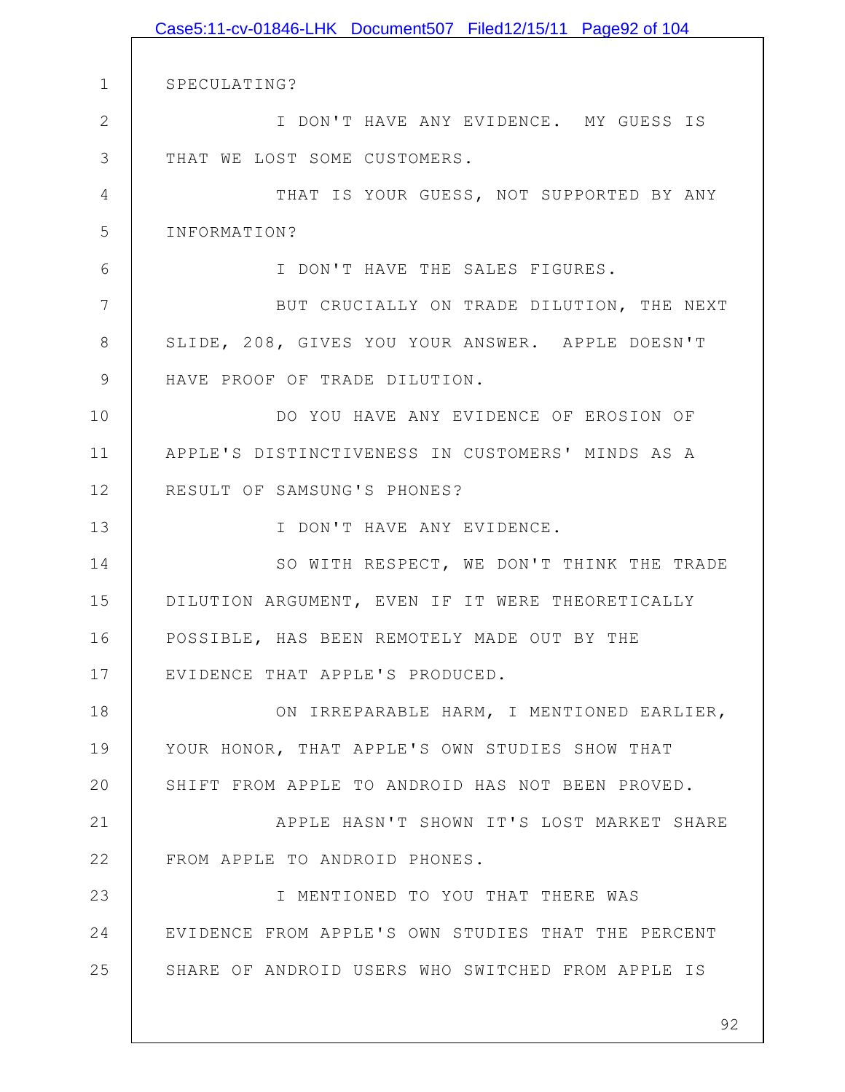1 2 3 4 5 6 7 8 9 10 11 12 13 14 15 16 17 18 19 20 21 22 23 24 25 SPECULATING? I DON'T HAVE ANY EVIDENCE. MY GUESS IS THAT WE LOST SOME CUSTOMERS. THAT IS YOUR GUESS, NOT SUPPORTED BY ANY INFORMATION? I DON'T HAVE THE SALES FIGURES. BUT CRUCIALLY ON TRADE DILUTION, THE NEXT SLIDE, 208, GIVES YOU YOUR ANSWER. APPLE DOESN'T HAVE PROOF OF TRADE DILUTION. DO YOU HAVE ANY EVIDENCE OF EROSION OF APPLE'S DISTINCTIVENESS IN CUSTOMERS' MINDS AS A RESULT OF SAMSUNG'S PHONES? I DON'T HAVE ANY EVIDENCE. SO WITH RESPECT, WE DON'T THINK THE TRADE DILUTION ARGUMENT, EVEN IF IT WERE THEORETICALLY POSSIBLE, HAS BEEN REMOTELY MADE OUT BY THE EVIDENCE THAT APPLE'S PRODUCED. ON IRREPARABLE HARM, I MENTIONED EARLIER, YOUR HONOR, THAT APPLE'S OWN STUDIES SHOW THAT SHIFT FROM APPLE TO ANDROID HAS NOT BEEN PROVED. APPLE HASN'T SHOWN IT'S LOST MARKET SHARE FROM APPLE TO ANDROID PHONES. I MENTIONED TO YOU THAT THERE WAS EVIDENCE FROM APPLE'S OWN STUDIES THAT THE PERCENT SHARE OF ANDROID USERS WHO SWITCHED FROM APPLE IS Case5:11-cv-01846-LHK Document507 Filed12/15/11 Page92 of 104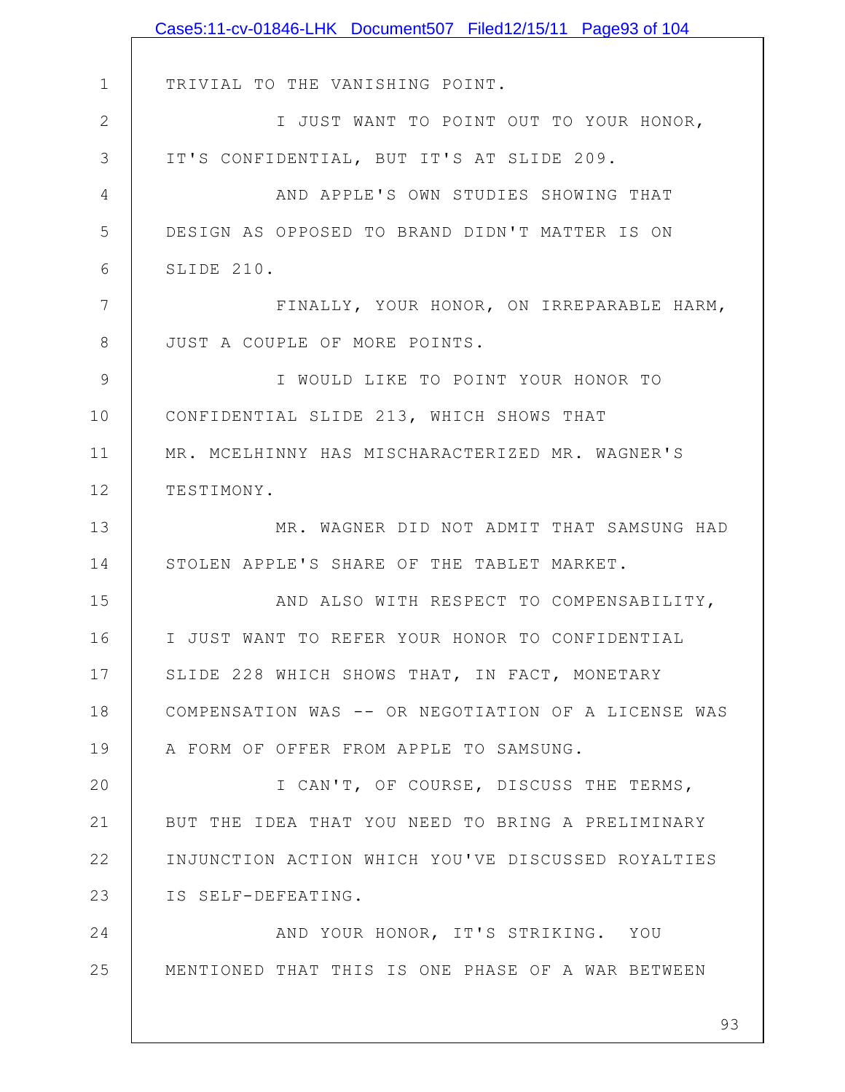|                | Case5:11-cv-01846-LHK Document507 Filed12/15/11 Page93 of 104 |
|----------------|---------------------------------------------------------------|
|                |                                                               |
| $\mathbf 1$    | TRIVIAL TO THE VANISHING POINT.                               |
| $\mathbf{2}$   | I JUST WANT TO POINT OUT TO YOUR HONOR,                       |
| 3              | IT'S CONFIDENTIAL, BUT IT'S AT SLIDE 209.                     |
| $\overline{4}$ | AND APPLE'S OWN STUDIES SHOWING THAT                          |
| 5              | DESIGN AS OPPOSED TO BRAND DIDN'T MATTER IS ON                |
| 6              | SLIDE 210.                                                    |
| 7              | FINALLY, YOUR HONOR, ON IRREPARABLE HARM,                     |
| 8              | JUST A COUPLE OF MORE POINTS.                                 |
| $\mathcal{G}$  | I WOULD LIKE TO POINT YOUR HONOR TO                           |
| 10             | CONFIDENTIAL SLIDE 213, WHICH SHOWS THAT                      |
| 11             | MR. MCELHINNY HAS MISCHARACTERIZED MR. WAGNER'S               |
| 12             | TESTIMONY.                                                    |
| 13             | MR. WAGNER DID NOT ADMIT THAT SAMSUNG HAD                     |
| 14             | STOLEN APPLE'S SHARE OF THE TABLET MARKET.                    |
| 15             | AND ALSO WITH RESPECT TO COMPENSABILITY,                      |
| 16             | I JUST WANT TO REFER YOUR HONOR TO CONFIDENTIAL               |
| 17             | SLIDE 228 WHICH SHOWS THAT, IN FACT, MONETARY                 |
| 18             | COMPENSATION WAS -- OR NEGOTIATION OF A LICENSE WAS           |
| 19             | A FORM OF OFFER FROM APPLE TO SAMSUNG.                        |
| 20             | I CAN'T, OF COURSE, DISCUSS THE TERMS,                        |
| 21             | BUT THE IDEA THAT YOU NEED TO BRING A PRELIMINARY             |
| 22             | INJUNCTION ACTION WHICH YOU'VE DISCUSSED ROYALTIES            |
| 23             | IS SELF-DEFEATING.                                            |
| 24             | AND YOUR HONOR, IT'S STRIKING. YOU                            |
| 25             | MENTIONED THAT THIS IS ONE PHASE OF A WAR BETWEEN             |
|                |                                                               |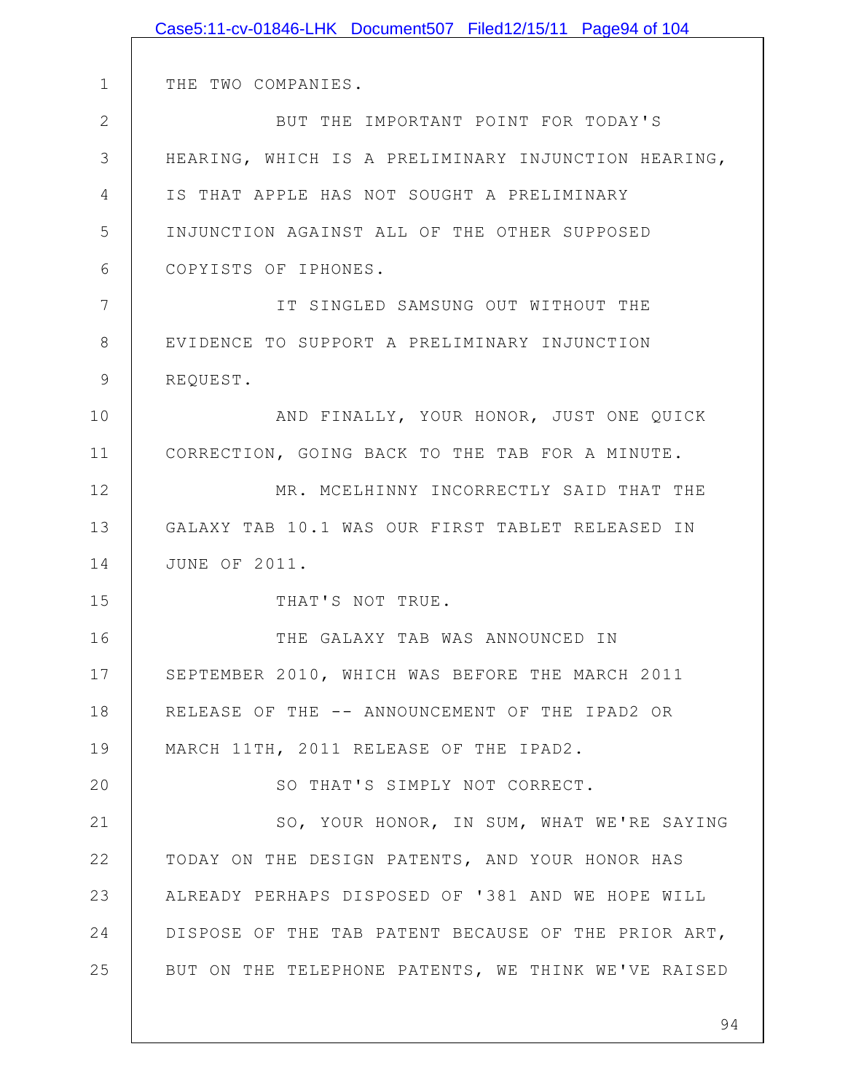|              | Case5:11-cv-01846-LHK Document507 Filed12/15/11 Page94 of 104 |
|--------------|---------------------------------------------------------------|
|              |                                                               |
| $\mathbf 1$  | THE TWO COMPANIES.                                            |
| $\mathbf{2}$ | BUT THE IMPORTANT POINT FOR TODAY'S                           |
| 3            | HEARING, WHICH IS A PRELIMINARY INJUNCTION HEARING,           |
| 4            | IS THAT APPLE HAS NOT SOUGHT A PRELIMINARY                    |
| 5            | INJUNCTION AGAINST ALL OF THE OTHER SUPPOSED                  |
| 6            | COPYISTS OF IPHONES.                                          |
| 7            | IT SINGLED SAMSUNG OUT WITHOUT THE                            |
| 8            | EVIDENCE TO SUPPORT A PRELIMINARY INJUNCTION                  |
| $\mathsf 9$  | REQUEST.                                                      |
| 10           | AND FINALLY, YOUR HONOR, JUST ONE QUICK                       |
| 11           | CORRECTION, GOING BACK TO THE TAB FOR A MINUTE.               |
| 12           | MR. MCELHINNY INCORRECTLY SAID THAT THE                       |
| 13           | GALAXY TAB 10.1 WAS OUR FIRST TABLET RELEASED IN              |
| 14           | <b>JUNE OF 2011.</b>                                          |
| 15           | THAT'S NOT TRUE.                                              |
| 16           | THE GALAXY TAB WAS ANNOUNCED IN                               |
| 17           | SEPTEMBER 2010, WHICH WAS BEFORE THE MARCH 2011               |
| 18           | RELEASE OF THE -- ANNOUNCEMENT OF THE IPAD2 OR                |
| 19           | MARCH 11TH, 2011 RELEASE OF THE IPAD2.                        |
| 20           | SO THAT'S SIMPLY NOT CORRECT.                                 |
| 21           | SO, YOUR HONOR, IN SUM, WHAT WE'RE SAYING                     |
| 22           | TODAY ON THE DESIGN PATENTS, AND YOUR HONOR HAS               |
| 23           | ALREADY PERHAPS DISPOSED OF '381 AND WE HOPE WILL             |
| 24           | DISPOSE OF THE TAB PATENT BECAUSE OF THE PRIOR ART,           |
| 25           | BUT ON THE TELEPHONE PATENTS, WE THINK WE'VE RAISED           |
|              |                                                               |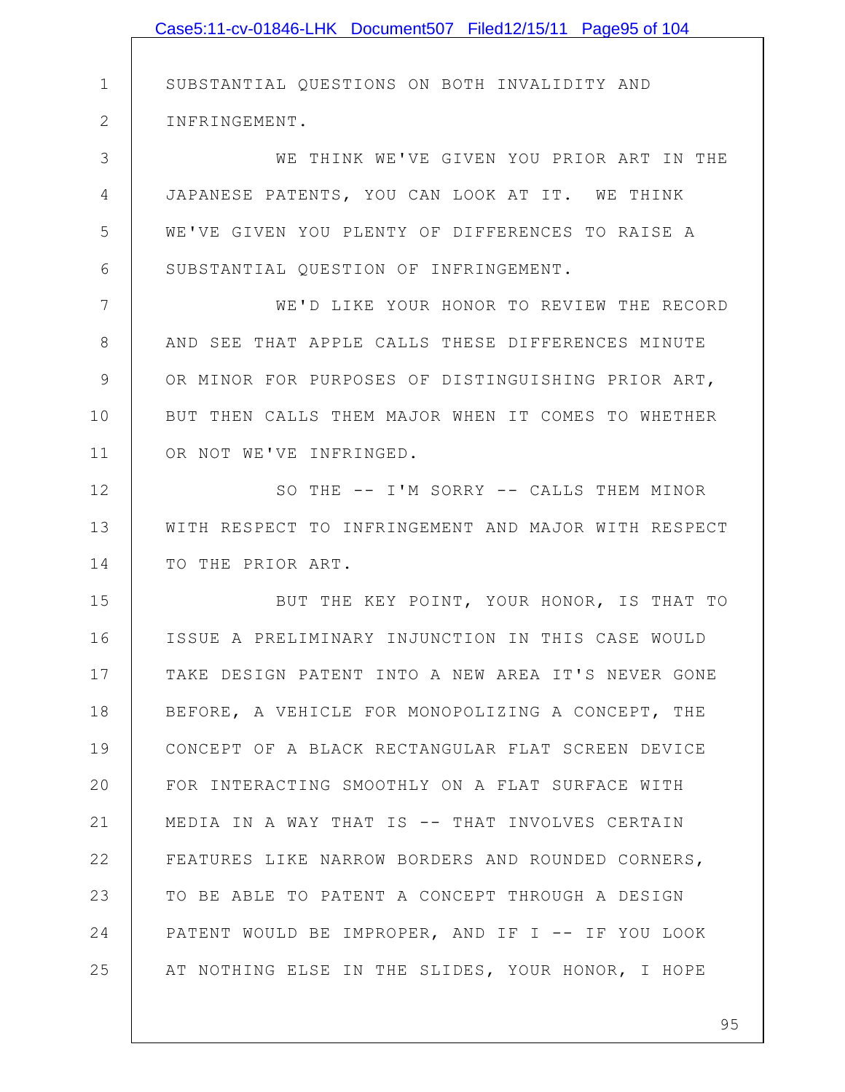|              | Case5:11-cv-01846-LHK Document507 Filed12/15/11 Page95 of 104 |
|--------------|---------------------------------------------------------------|
|              |                                                               |
| $\mathbf 1$  | SUBSTANTIAL QUESTIONS ON BOTH INVALIDITY AND                  |
| $\mathbf{2}$ | INFRINGEMENT.                                                 |
| 3            | WE THINK WE'VE GIVEN YOU PRIOR ART IN THE                     |
| 4            | JAPANESE PATENTS, YOU CAN LOOK AT IT. WE THINK                |
| 5            | WE'VE GIVEN YOU PLENTY OF DIFFERENCES TO RAISE A              |
| 6            | SUBSTANTIAL QUESTION OF INFRINGEMENT.                         |
| 7            | WE'D LIKE YOUR HONOR TO REVIEW THE RECORD                     |
| 8            | AND SEE THAT APPLE CALLS THESE DIFFERENCES MINUTE             |
| $\mathsf 9$  | OR MINOR FOR PURPOSES OF DISTINGUISHING PRIOR ART,            |
| 10           | BUT THEN CALLS THEM MAJOR WHEN IT COMES TO WHETHER            |
| 11           | OR NOT WE'VE INFRINGED.                                       |
| 12           | SO THE -- I'M SORRY -- CALLS THEM MINOR                       |
| 13           | WITH RESPECT TO INFRINGEMENT AND MAJOR WITH RESPECT           |
| 14           | TO THE PRIOR ART.                                             |
| 15           | BUT THE KEY POINT, YOUR HONOR, IS THAT TO                     |
| 16           | ISSUE A PRELIMINARY INJUNCTION IN THIS CASE WOULD             |
| 17           | TAKE DESIGN PATENT INTO A NEW AREA IT'S NEVER GONE            |
| 18           | BEFORE, A VEHICLE FOR MONOPOLIZING A CONCEPT, THE             |
| 19           | CONCEPT OF A BLACK RECTANGULAR FLAT SCREEN DEVICE             |
| 20           | FOR INTERACTING SMOOTHLY ON A FLAT SURFACE WITH               |
| 21           | MEDIA IN A WAY THAT IS -- THAT INVOLVES CERTAIN               |
| 22           | FEATURES LIKE NARROW BORDERS AND ROUNDED CORNERS,             |
| 23           | TO BE ABLE TO PATENT A CONCEPT THROUGH A DESIGN               |
| 24           | PATENT WOULD BE IMPROPER, AND IF I -- IF YOU LOOK             |
| 25           | AT NOTHING ELSE IN THE SLIDES, YOUR HONOR, I HOPE             |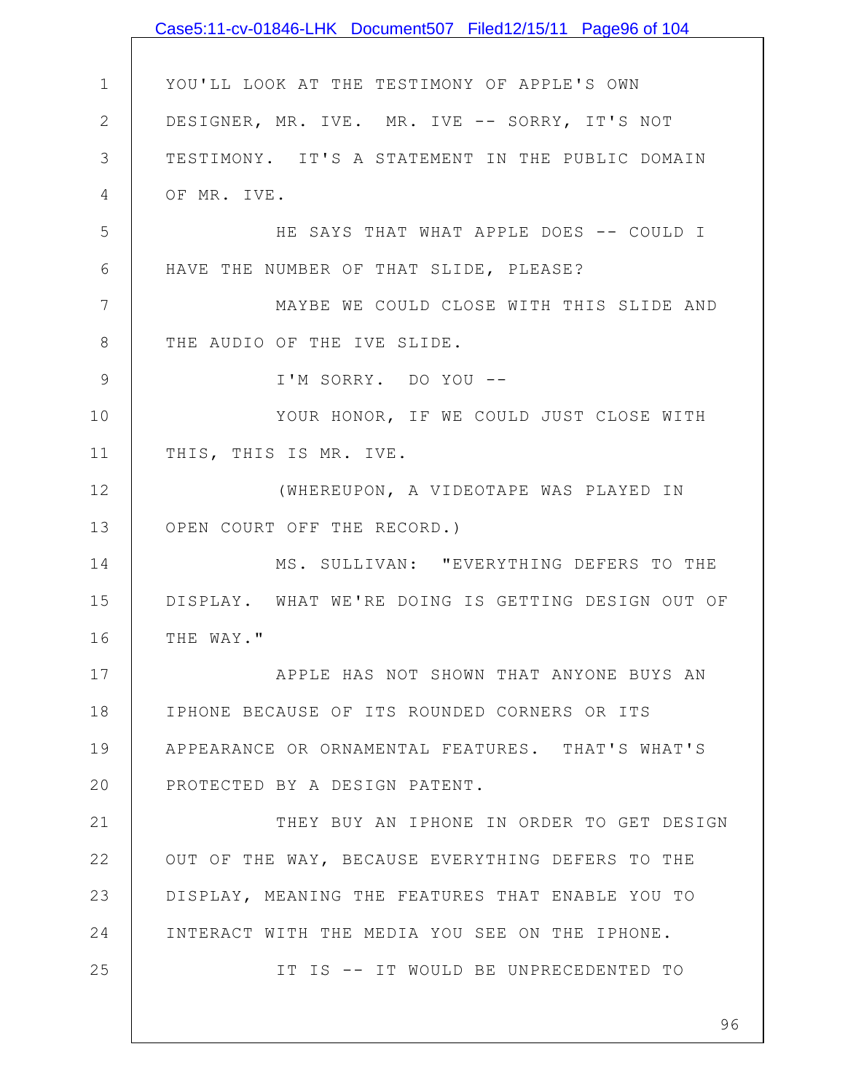|                | Case5:11-cv-01846-LHK Document507 Filed12/15/11 Page96 of 104 |
|----------------|---------------------------------------------------------------|
|                |                                                               |
| $\mathbf 1$    | YOU'LL LOOK AT THE TESTIMONY OF APPLE'S OWN                   |
| $\mathbf{2}$   | DESIGNER, MR. IVE. MR. IVE -- SORRY, IT'S NOT                 |
| 3              | TESTIMONY. IT'S A STATEMENT IN THE PUBLIC DOMAIN              |
| $\overline{4}$ | OF MR. IVE.                                                   |
| 5              | HE SAYS THAT WHAT APPLE DOES -- COULD I                       |
| $6\,$          | HAVE THE NUMBER OF THAT SLIDE, PLEASE?                        |
| $\overline{7}$ | MAYBE WE COULD CLOSE WITH THIS SLIDE AND                      |
| $8\,$          | THE AUDIO OF THE IVE SLIDE.                                   |
| $\mathsf 9$    | I'M SORRY. DO YOU --                                          |
| 10             | YOUR HONOR, IF WE COULD JUST CLOSE WITH                       |
| 11             | THIS, THIS IS MR. IVE.                                        |
| 12             | (WHEREUPON, A VIDEOTAPE WAS PLAYED IN                         |
| 13             | OPEN COURT OFF THE RECORD.)                                   |
| 14             | MS. SULLIVAN: "EVERYTHING DEFERS TO THE                       |
| 15             | DISPLAY. WHAT WE'RE DOING IS GETTING DESIGN OUT OF            |
| 16             | THE WAY."                                                     |
| 17             | APPLE HAS NOT SHOWN THAT ANYONE BUYS AN                       |
| 18             | IPHONE BECAUSE OF ITS ROUNDED CORNERS OR ITS                  |
| 19             | APPEARANCE OR ORNAMENTAL FEATURES. THAT'S WHAT'S              |
| 20             | PROTECTED BY A DESIGN PATENT.                                 |
| 21             | THEY BUY AN IPHONE IN ORDER TO GET DESIGN                     |
| 22             | OUT OF THE WAY, BECAUSE EVERYTHING DEFERS TO THE              |
| 23             | DISPLAY, MEANING THE FEATURES THAT ENABLE YOU TO              |
| 24             | INTERACT WITH THE MEDIA YOU SEE ON THE IPHONE.                |
| 25             | IT IS -- IT WOULD BE UNPRECEDENTED TO                         |
|                |                                                               |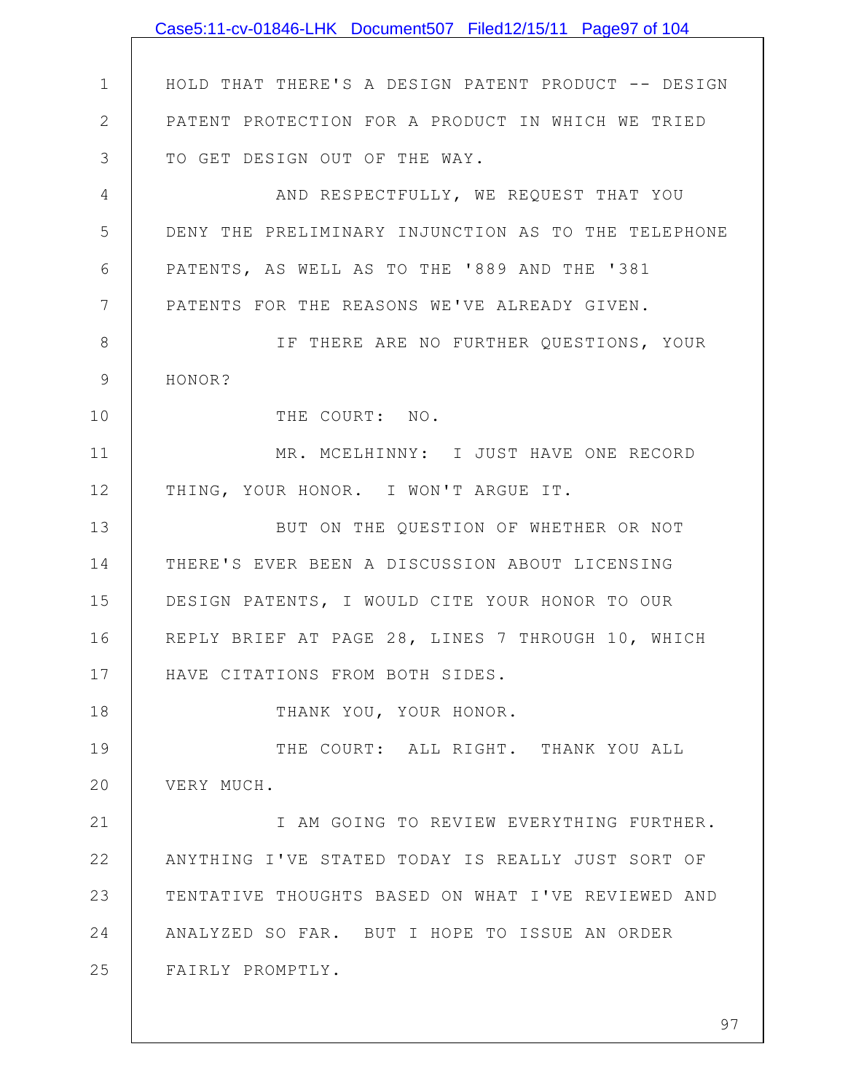|                | Case5:11-cv-01846-LHK Document507 Filed12/15/11 Page97 of 104 |
|----------------|---------------------------------------------------------------|
|                |                                                               |
| $\mathbf 1$    | HOLD THAT THERE'S A DESIGN PATENT PRODUCT -- DESIGN           |
| $\overline{2}$ | PATENT PROTECTION FOR A PRODUCT IN WHICH WE TRIED             |
| 3              | TO GET DESIGN OUT OF THE WAY.                                 |
| 4              | AND RESPECTFULLY, WE REQUEST THAT YOU                         |
| 5              | DENY THE PRELIMINARY INJUNCTION AS TO THE TELEPHONE           |
| 6              | PATENTS, AS WELL AS TO THE '889 AND THE '381                  |
| $\overline{7}$ | PATENTS FOR THE REASONS WE'VE ALREADY GIVEN.                  |
| 8              | IF THERE ARE NO FURTHER QUESTIONS, YOUR                       |
| 9              | HONOR?                                                        |
| 10             | THE COURT: NO.                                                |
| 11             | MR. MCELHINNY: I JUST HAVE ONE RECORD                         |
| 12             | THING, YOUR HONOR. I WON'T ARGUE IT.                          |
| 13             | BUT ON THE QUESTION OF WHETHER OR NOT                         |
| 14             | THERE'S EVER BEEN A DISCUSSION ABOUT LICENSING                |
| 15             | DESIGN PATENTS, I WOULD CITE YOUR HONOR TO OUR                |
| 16             | REPLY BRIEF AT PAGE 28, LINES 7 THROUGH 10, WHICH             |
| 17             | HAVE CITATIONS FROM BOTH SIDES.                               |
| 18             | THANK YOU, YOUR HONOR.                                        |
| 19             | THE COURT: ALL RIGHT. THANK YOU ALL                           |
| 20             | VERY MUCH.                                                    |
| 21             | I AM GOING TO REVIEW EVERYTHING FURTHER.                      |
| 22             | ANYTHING I'VE STATED TODAY IS REALLY JUST SORT OF             |
| 23             | TENTATIVE THOUGHTS BASED ON WHAT I'VE REVIEWED AND            |
| 24             | ANALYZED SO FAR. BUT I HOPE TO ISSUE AN ORDER                 |
| 25             | FAIRLY PROMPTLY.                                              |
|                |                                                               |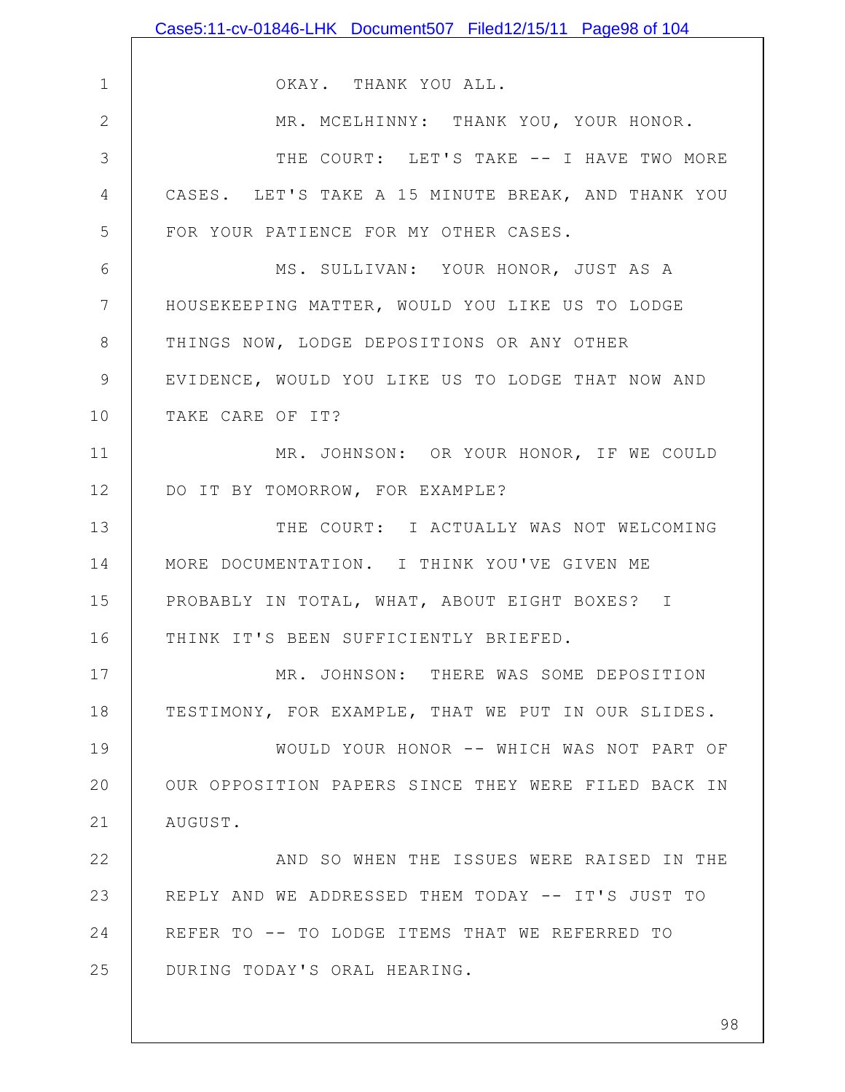|                | Case5:11-cv-01846-LHK Document507 Filed12/15/11 Page98 of 104 |
|----------------|---------------------------------------------------------------|
|                |                                                               |
| $\mathbf 1$    | OKAY. THANK YOU ALL.                                          |
| $\mathbf{2}$   | MR. MCELHINNY: THANK YOU, YOUR HONOR.                         |
| 3              | THE COURT: LET'S TAKE -- I HAVE TWO MORE                      |
| 4              | CASES. LET'S TAKE A 15 MINUTE BREAK, AND THANK YOU            |
| 5              | FOR YOUR PATIENCE FOR MY OTHER CASES.                         |
| 6              | MS. SULLIVAN: YOUR HONOR, JUST AS A                           |
| $7\phantom{.}$ | HOUSEKEEPING MATTER, WOULD YOU LIKE US TO LODGE               |
| $8\,$          | THINGS NOW, LODGE DEPOSITIONS OR ANY OTHER                    |
| $\mathsf 9$    | EVIDENCE, WOULD YOU LIKE US TO LODGE THAT NOW AND             |
| 10             | TAKE CARE OF IT?                                              |
| 11             | MR. JOHNSON: OR YOUR HONOR, IF WE COULD                       |
| 12             | DO IT BY TOMORROW, FOR EXAMPLE?                               |
| 13             | THE COURT: I ACTUALLY WAS NOT WELCOMING                       |
| 14             | MORE DOCUMENTATION. I THINK YOU'VE GIVEN ME                   |
| 15             | PROBABLY IN TOTAL, WHAT, ABOUT EIGHT BOXES? I                 |
| 16             | THINK IT'S BEEN SUFFICIENTLY BRIEFED.                         |
| 17             | MR. JOHNSON: THERE WAS SOME DEPOSITION                        |
| 18             | TESTIMONY, FOR EXAMPLE, THAT WE PUT IN OUR SLIDES.            |
| 19             | WOULD YOUR HONOR -- WHICH WAS NOT PART OF                     |
| 20             | OUR OPPOSITION PAPERS SINCE THEY WERE FILED BACK IN           |
| 21             | AUGUST.                                                       |
| 22             | AND SO WHEN THE ISSUES WERE RAISED IN THE                     |
| 23             | REPLY AND WE ADDRESSED THEM TODAY -- IT'S JUST TO             |
| 24             | REFER TO -- TO LODGE ITEMS THAT WE REFERRED TO                |
| 25             | DURING TODAY'S ORAL HEARING.                                  |
|                |                                                               |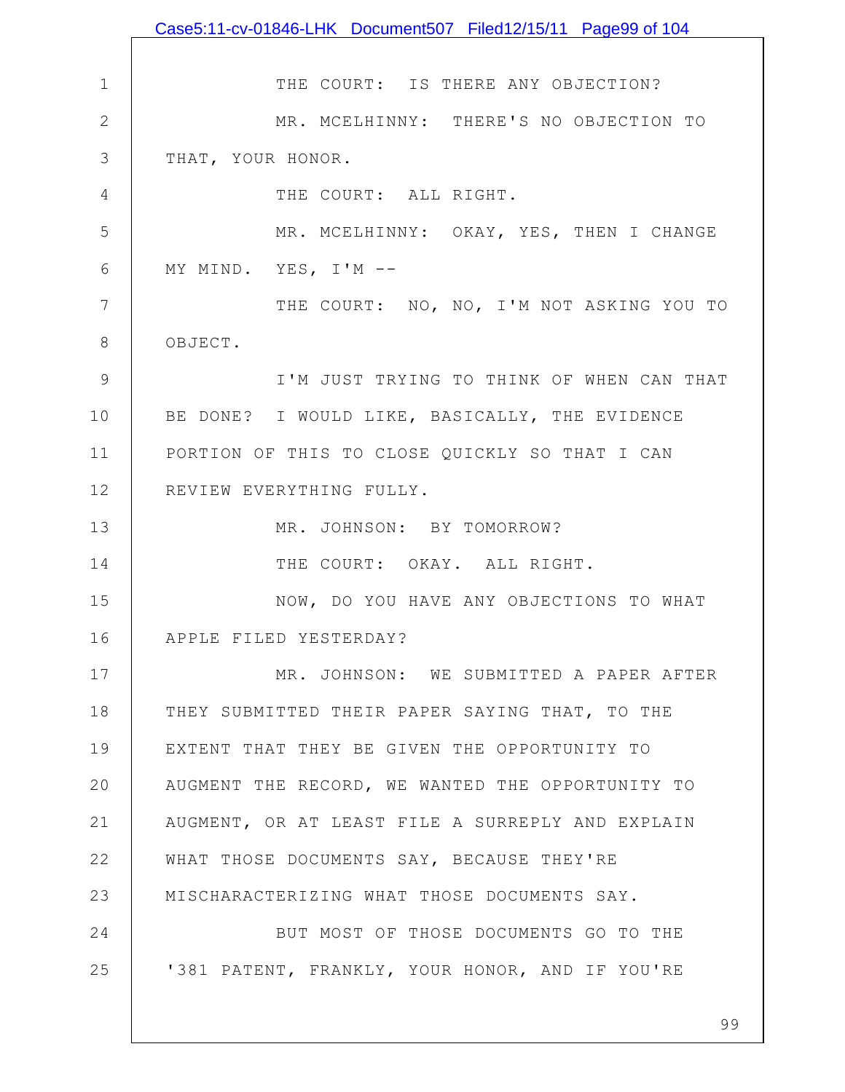|              | Case5:11-cv-01846-LHK Document507 Filed12/15/11 Page99 of 104 |
|--------------|---------------------------------------------------------------|
|              |                                                               |
| $\mathbf{1}$ | THE COURT: IS THERE ANY OBJECTION?                            |
| $\mathbf{2}$ | MR. MCELHINNY: THERE'S NO OBJECTION TO                        |
| 3            | THAT, YOUR HONOR.                                             |
| 4            | THE COURT: ALL RIGHT.                                         |
| 5            | MR. MCELHINNY: OKAY, YES, THEN I CHANGE                       |
| 6            | MY MIND. YES, I'M --                                          |
| 7            | THE COURT: NO, NO, I'M NOT ASKING YOU TO                      |
| $8\,$        | OBJECT.                                                       |
| 9            | I'M JUST TRYING TO THINK OF WHEN CAN THAT                     |
| 10           | BE DONE? I WOULD LIKE, BASICALLY, THE EVIDENCE                |
| 11           | PORTION OF THIS TO CLOSE QUICKLY SO THAT I CAN                |
| 12           | REVIEW EVERYTHING FULLY.                                      |
| 13           | MR. JOHNSON: BY TOMORROW?                                     |
| 14           | THE COURT: OKAY. ALL RIGHT.                                   |
| 15           | NOW, DO YOU HAVE ANY OBJECTIONS TO WHAT                       |
| 16           | APPLE FILED YESTERDAY?                                        |
| 17           | MR. JOHNSON: WE SUBMITTED A PAPER AFTER                       |
| 18           | THEY SUBMITTED THEIR PAPER SAYING THAT, TO THE                |
| 19           | EXTENT THAT THEY BE GIVEN THE OPPORTUNITY TO                  |
| 20           | AUGMENT THE RECORD, WE WANTED THE OPPORTUNITY TO              |
| 21           | AUGMENT, OR AT LEAST FILE A SURREPLY AND EXPLAIN              |
| 22           | WHAT THOSE DOCUMENTS SAY, BECAUSE THEY'RE                     |
| 23           | MISCHARACTERIZING WHAT THOSE DOCUMENTS SAY.                   |
| 24           | BUT MOST OF THOSE DOCUMENTS GO TO THE                         |
| 25           | '381 PATENT, FRANKLY, YOUR HONOR, AND IF YOU'RE               |
|              |                                                               |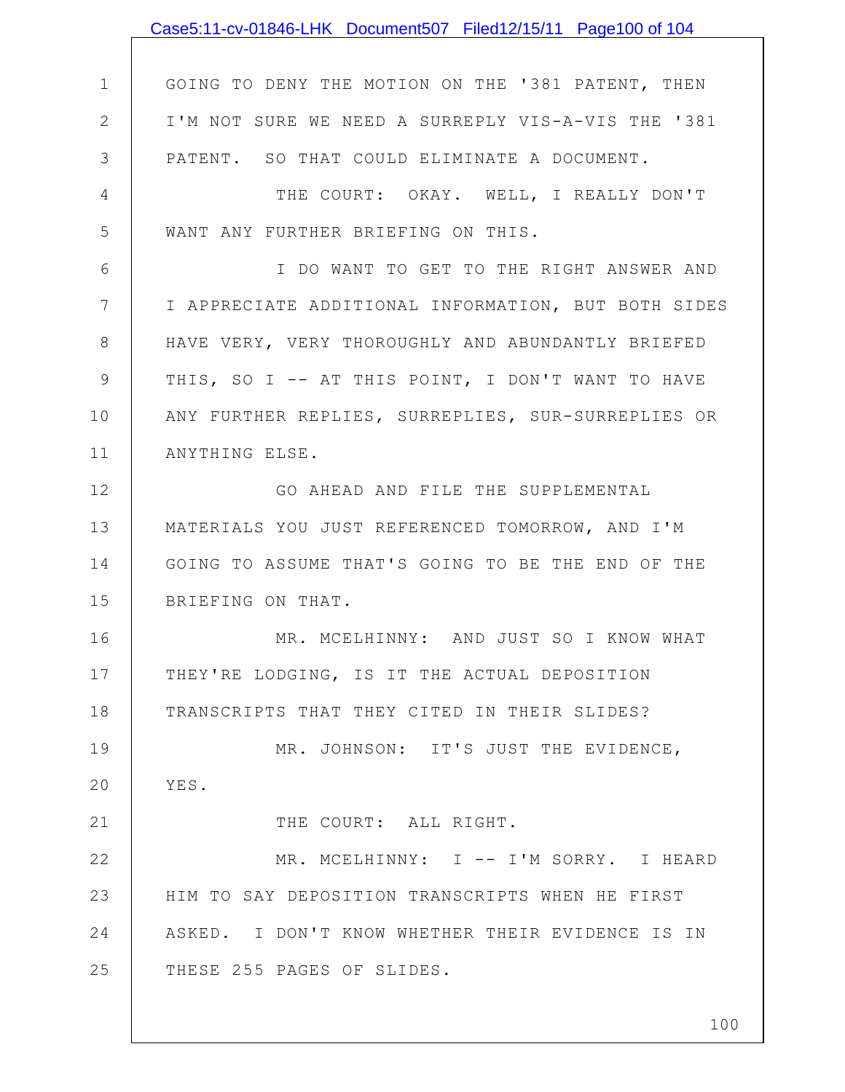|                | Case5:11-cv-01846-LHK Document507 Filed12/15/11 Page100 of 104 |
|----------------|----------------------------------------------------------------|
|                |                                                                |
| $\mathbf 1$    | GOING TO DENY THE MOTION ON THE '381 PATENT, THEN              |
| $\mathbf{2}$   | I'M NOT SURE WE NEED A SURREPLY VIS-A-VIS THE '381             |
| 3              | PATENT. SO THAT COULD ELIMINATE A DOCUMENT.                    |
| 4              | THE COURT: OKAY. WELL, I REALLY DON'T                          |
| 5              | WANT ANY FURTHER BRIEFING ON THIS.                             |
| 6              | I DO WANT TO GET TO THE RIGHT ANSWER AND                       |
| $7\phantom{.}$ | I APPRECIATE ADDITIONAL INFORMATION, BUT BOTH SIDES            |
| $8\,$          | HAVE VERY, VERY THOROUGHLY AND ABUNDANTLY BRIEFED              |
| $\mathsf 9$    | THIS, SO I -- AT THIS POINT, I DON'T WANT TO HAVE              |
| 10             | ANY FURTHER REPLIES, SURREPLIES, SUR-SURREPLIES OR             |
| 11             | ANYTHING ELSE.                                                 |
| 12             | GO AHEAD AND FILE THE SUPPLEMENTAL                             |
| 13             | MATERIALS YOU JUST REFERENCED TOMORROW, AND I'M                |
| 14             | GOING TO ASSUME THAT'S GOING TO BE THE END OF THE              |
| 15             | BRIEFING ON THAT.                                              |
| 16             | MR. MCELHINNY: AND JUST SO I KNOW WHAT                         |
| 17             | THEY'RE LODGING, IS IT THE ACTUAL DEPOSITION                   |
| 18             | TRANSCRIPTS THAT THEY CITED IN THEIR SLIDES?                   |
| 19             | MR. JOHNSON: IT'S JUST THE EVIDENCE,                           |
| 20             | YES.                                                           |
| 21             | THE COURT: ALL RIGHT.                                          |
| 22             | MR. MCELHINNY: I -- I'M SORRY. I HEARD                         |
| 23             | HIM TO SAY DEPOSITION TRANSCRIPTS WHEN HE FIRST                |
| 24             | ASKED. I DON'T KNOW WHETHER THEIR EVIDENCE IS IN               |
| 25             | THESE 255 PAGES OF SLIDES.                                     |
|                |                                                                |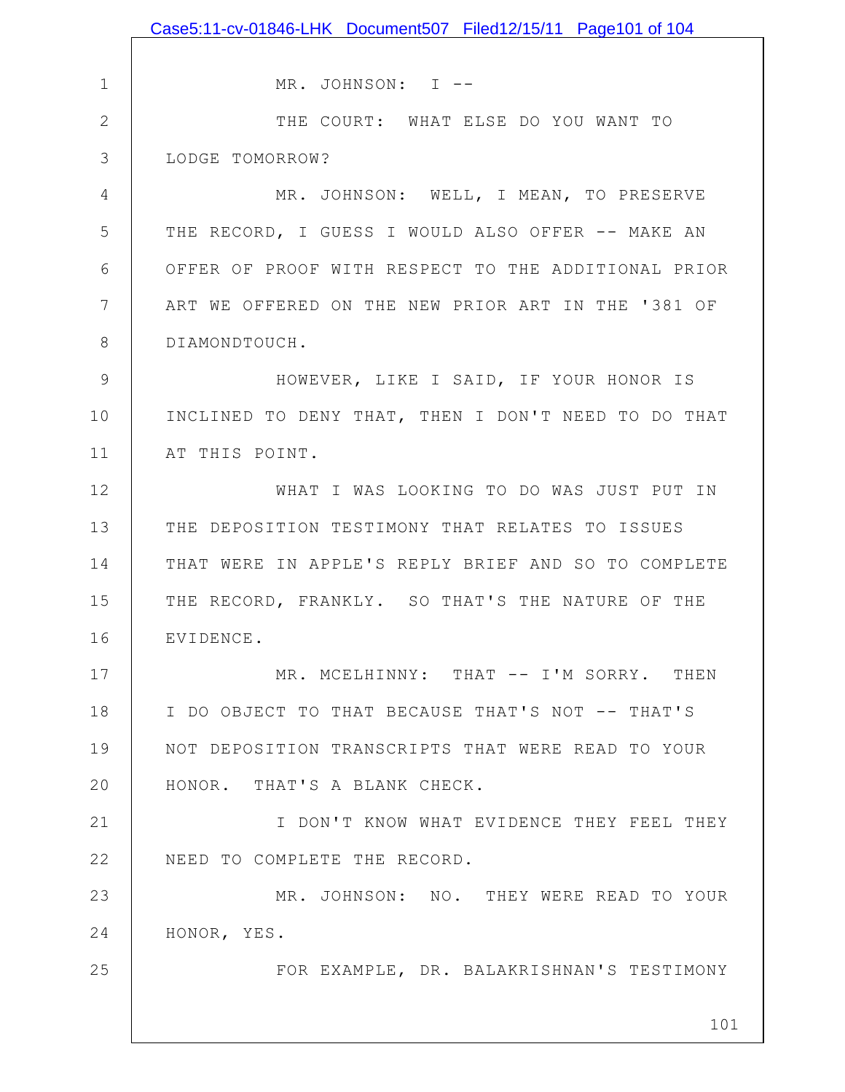|              | Case5:11-cv-01846-LHK Document507 Filed12/15/11 Page101 of 104 |
|--------------|----------------------------------------------------------------|
|              |                                                                |
| 1            | MR. JOHNSON: I --                                              |
| $\mathbf{2}$ | THE COURT: WHAT ELSE DO YOU WANT TO                            |
| 3            | LODGE TOMORROW?                                                |
| 4            | MR. JOHNSON: WELL, I MEAN, TO PRESERVE                         |
| 5            | THE RECORD, I GUESS I WOULD ALSO OFFER -- MAKE AN              |
| 6            | OFFER OF PROOF WITH RESPECT TO THE ADDITIONAL PRIOR            |
| 7            | ART WE OFFERED ON THE NEW PRIOR ART IN THE '381 OF             |
| 8            | DIAMONDTOUCH.                                                  |
| 9            | HOWEVER, LIKE I SAID, IF YOUR HONOR IS                         |
| 10           | INCLINED TO DENY THAT, THEN I DON'T NEED TO DO THAT            |
| 11           | AT THIS POINT.                                                 |
| 12           | WHAT I WAS LOOKING TO DO WAS JUST PUT IN                       |
| 13           | THE DEPOSITION TESTIMONY THAT RELATES TO ISSUES                |
| 14           | THAT WERE IN APPLE'S REPLY BRIEF AND SO TO COMPLETE            |
| 15           | THE RECORD, FRANKLY. SO THAT'S THE NATURE OF THE               |
| 16           | EVIDENCE.                                                      |
| 17           | MR. MCELHINNY: THAT -- I'M SORRY. THEN                         |
| 18           | I DO OBJECT TO THAT BECAUSE THAT'S NOT -- THAT'S               |
| 19           | NOT DEPOSITION TRANSCRIPTS THAT WERE READ TO YOUR              |
| 20           | HONOR. THAT'S A BLANK CHECK.                                   |
| 21           | I DON'T KNOW WHAT EVIDENCE THEY FEEL THEY                      |
| 22           | NEED TO COMPLETE THE RECORD.                                   |
| 23           | MR. JOHNSON: NO. THEY WERE READ TO YOUR                        |
| 24           | HONOR, YES.                                                    |
| 25           | FOR EXAMPLE, DR. BALAKRISHNAN'S TESTIMONY                      |
|              |                                                                |
|              | 101                                                            |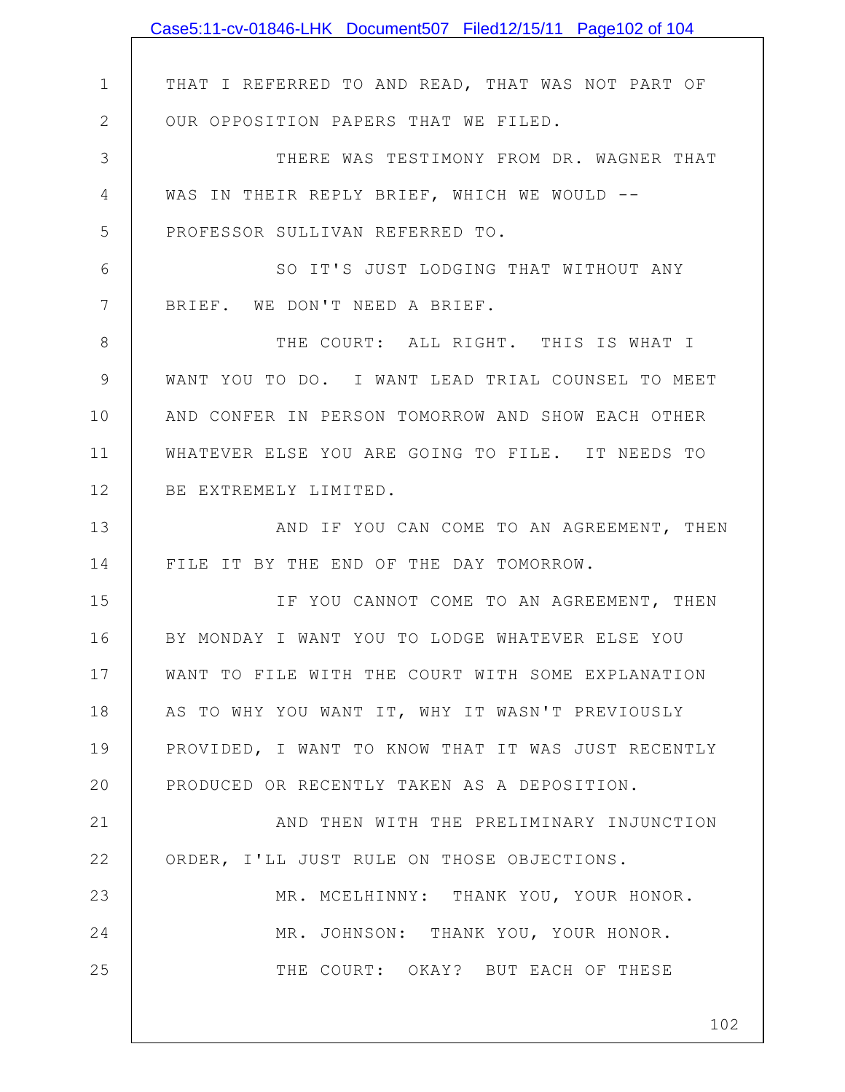|              | Case5:11-cv-01846-LHK Document507 Filed12/15/11 Page102 of 104 |
|--------------|----------------------------------------------------------------|
|              |                                                                |
| $\mathbf 1$  | THAT I REFERRED TO AND READ, THAT WAS NOT PART OF              |
| $\mathbf{2}$ | OUR OPPOSITION PAPERS THAT WE FILED.                           |
| 3            | THERE WAS TESTIMONY FROM DR. WAGNER THAT                       |
| 4            | WAS IN THEIR REPLY BRIEF, WHICH WE WOULD --                    |
| 5            | PROFESSOR SULLIVAN REFERRED TO.                                |
| 6            | SO IT'S JUST LODGING THAT WITHOUT ANY                          |
| 7            | BRIEF. WE DON'T NEED A BRIEF.                                  |
| 8            | THE COURT: ALL RIGHT. THIS IS WHAT I                           |
| 9            | WANT YOU TO DO. I WANT LEAD TRIAL COUNSEL TO MEET              |
| 10           | AND CONFER IN PERSON TOMORROW AND SHOW EACH OTHER              |
| 11           | WHATEVER ELSE YOU ARE GOING TO FILE. IT NEEDS TO               |
| 12           | BE EXTREMELY LIMITED.                                          |
| 13           | AND IF YOU CAN COME TO AN AGREEMENT, THEN                      |
| 14           | FILE IT BY THE END OF THE DAY TOMORROW.                        |
| 15           | IF YOU CANNOT COME TO AN AGREEMENT, THEN                       |
| 16           | BY MONDAY I WANT YOU TO LODGE WHATEVER ELSE YOU                |
| 17           | WANT TO FILE WITH THE COURT WITH SOME EXPLANATION              |
| 18           | AS TO WHY YOU WANT IT, WHY IT WASN'T PREVIOUSLY                |
| 19           | PROVIDED, I WANT TO KNOW THAT IT WAS JUST RECENTLY             |
| 20           | PRODUCED OR RECENTLY TAKEN AS A DEPOSITION.                    |
| 21           | AND THEN WITH THE PRELIMINARY INJUNCTION                       |
| 22           | ORDER, I'LL JUST RULE ON THOSE OBJECTIONS.                     |
| 23           | MR. MCELHINNY: THANK YOU, YOUR HONOR.                          |
| 24           | MR. JOHNSON: THANK YOU, YOUR HONOR.                            |
| 25           | THE COURT: OKAY? BUT EACH OF THESE                             |
|              |                                                                |
|              | 102                                                            |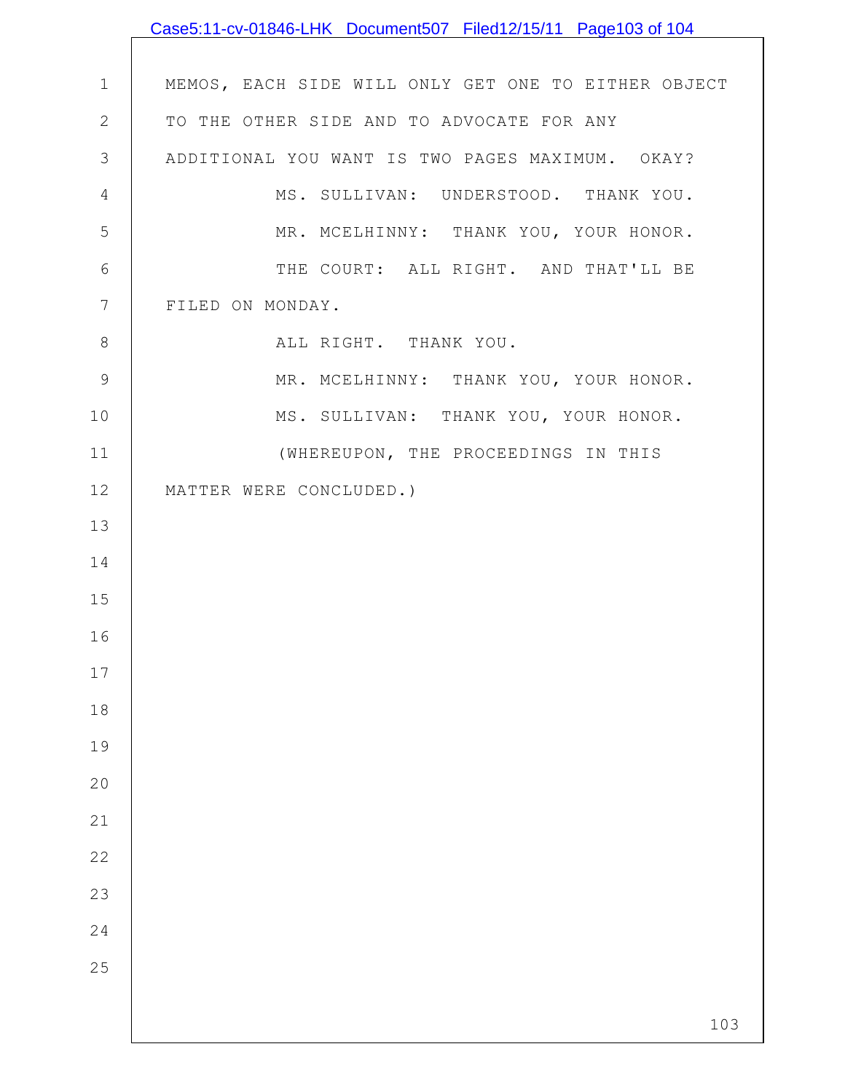|                | Case5:11-cv-01846-LHK Document507 Filed12/15/11 Page103 of 104 |
|----------------|----------------------------------------------------------------|
|                |                                                                |
| $\mathbf 1$    | MEMOS, EACH SIDE WILL ONLY GET ONE TO EITHER OBJECT            |
| $\sqrt{2}$     | TO THE OTHER SIDE AND TO ADVOCATE FOR ANY                      |
| 3              | ADDITIONAL YOU WANT IS TWO PAGES MAXIMUM. OKAY?                |
| 4              | MS. SULLIVAN: UNDERSTOOD. THANK YOU.                           |
| 5              | MR. MCELHINNY: THANK YOU, YOUR HONOR.                          |
| $\epsilon$     | THE COURT: ALL RIGHT. AND THAT'LL BE                           |
| $\overline{7}$ | FILED ON MONDAY.                                               |
| 8              | ALL RIGHT. THANK YOU.                                          |
| $\mathcal{G}$  | MR. MCELHINNY: THANK YOU, YOUR HONOR.                          |
| 10             | MS. SULLIVAN: THANK YOU, YOUR HONOR.                           |
| 11             | (WHEREUPON, THE PROCEEDINGS IN THIS                            |
| 12             | MATTER WERE CONCLUDED.)                                        |
| 13             |                                                                |
| 14             |                                                                |
| 15             |                                                                |
| 16             |                                                                |
| $17$           |                                                                |
| 18             |                                                                |
| 19             |                                                                |
| 20             |                                                                |
| 21             |                                                                |
| 22             |                                                                |
| 23             |                                                                |
| 24             |                                                                |
| 25             |                                                                |
|                |                                                                |
|                | 103                                                            |

 $\mathbf l$